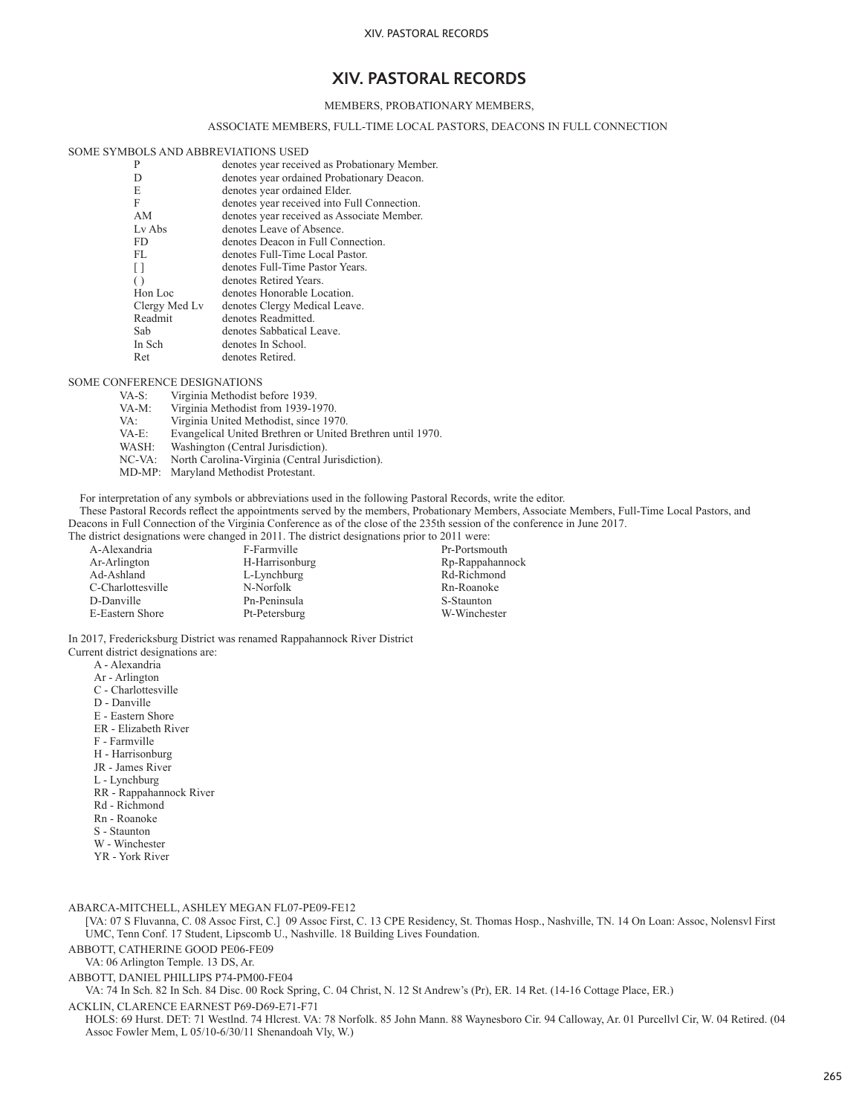## MEMBERS, PROBATIONARY MEMBERS,

## ASSOCIATE MEMBERS, FULL-TIME LOCAL PASTORS, DEACONS IN FULL CONNECTION

#### SOME SYMBOLS AND ABBREVIATIONS USED

| P                | denotes year received as Probationary Member. |
|------------------|-----------------------------------------------|
| D                | denotes year ordained Probationary Deacon.    |
| E                | denotes year ordained Elder.                  |
| F                | denotes year received into Full Connection.   |
| AM               | denotes year received as Associate Member.    |
| Ly Abs           | denotes Leave of Absence.                     |
| FD.              | denotes Deacon in Full Connection.            |
| FL               | denotes Full-Time Local Pastor.               |
| $\perp$          | denotes Full-Time Pastor Years.               |
| $\left( \right)$ | denotes Retired Years.                        |
| Hon Loc          | denotes Honorable Location.                   |
| Clergy Med Ly    | denotes Clergy Medical Leave.                 |
| Readmit          | denotes Readmitted.                           |
| Sab              | denotes Sabbatical Leave.                     |
| In Sch           | denotes In School.                            |
| Ret              | denotes Retired.                              |
|                  |                                               |

#### SOME CONFERENCE DESIGNATIONS

- 
- VA-S: Virginia Methodist before 1939.<br>VA-M: Virginia Methodist from 1939-1 VA-M: Virginia Methodist from 1939-1970.<br>VA: Virginia United Methodist. since 19
- 
- VA: Virginia United Methodist, since 1970.<br>VA-E: Evangelical United Brethren or United VA-E: Evangelical United Brethren or United Brethren until 1970.
- WASH: Washington (Central Jurisdiction).<br>NC-VA: North Carolina-Virginia (Central J
- North Carolina-Virginia (Central Jurisdiction).
- MD-MP: Maryland Methodist Protestant.

For interpretation of any symbols or abbreviations used in the following Pastoral Records, write the editor.

 These Pastoral Records reflect the appointments served by the members, Probationary Members, Associate Members, Full-Time Local Pastors, and Deacons in Full Connection of the Virginia Conference as of the close of the 235th session of the conference in June 2017.

The district designations were changed in 2011. The district designations prior to 2011 were:<br>A-Alexandria F-Farmville Pr-Portsmo

A-Alexandria F-Farmville Pr-Portsmouth<br>Ar-Arlington H-Harrisonburg Rp-Rappahann Ar-Arlington H-Harrisonburg Rp-Rappahannock<br>Ad-Ashland L-Lynchburg Rd-Richmond C-Charlottesville N-Norfolk Rn-Roanoker<br>D-Danville Pn-Peninsula S-Staunton E-Eastern Shore

L-Lynchburg Rd-Richmond<br>N-Norfolk Rn-Roanoke Pn-Peninsula S-Staunton<br>Pt-Petersburg W-Winchester

In 2017, Fredericksburg District was renamed Rappahannock River District

Current district designations are:

- A Alexandria
- Ar Arlington
- C Charlottesville
- D Danville
- E Eastern Shore
- ER Elizabeth River
- F Farmville
- H Harrisonburg
- JR James River
- L Lynchburg RR - Rappahannock River
- Rd Richmond
- Rn Roanoke
- S Staunton
- W Winchester
- YR York River
- 

ABARCA-MITCHELL, ASHLEY MEGAN FL07-PE09-FE12

[VA: 07 S Fluvanna, C. 08 Assoc First, C.] 09 Assoc First, C. 13 CPE Residency, St. Thomas Hosp., Nashville, TN. 14 On Loan: Assoc, Nolensvl First UMC, Tenn Conf. 17 Student, Lipscomb U., Nashville. 18 Building Lives Foundation.

ABBOTT, CATHERINE GOOD PE06-FE09

VA: 06 Arlington Temple. 13 DS, Ar.

ABBOTT, DANIEL PHILLIPS P74-PM00-FE04

VA: 74 In Sch. 82 In Sch. 84 Disc. 00 Rock Spring, C. 04 Christ, N. 12 St Andrew's (Pr), ER. 14 Ret. (14-16 Cottage Place, ER.)

ACKLIN, CLARENCE EARNEST P69-D69-E71-F71

HOLS: 69 Hurst. DET: 71 Westlnd. 74 Hlcrest. VA: 78 Norfolk. 85 John Mann. 88 Waynesboro Cir. 94 Calloway, Ar. 01 Purcellvl Cir, W. 04 Retired. (04 Assoc Fowler Mem, L 05/10-6/30/11 Shenandoah Vly, W.)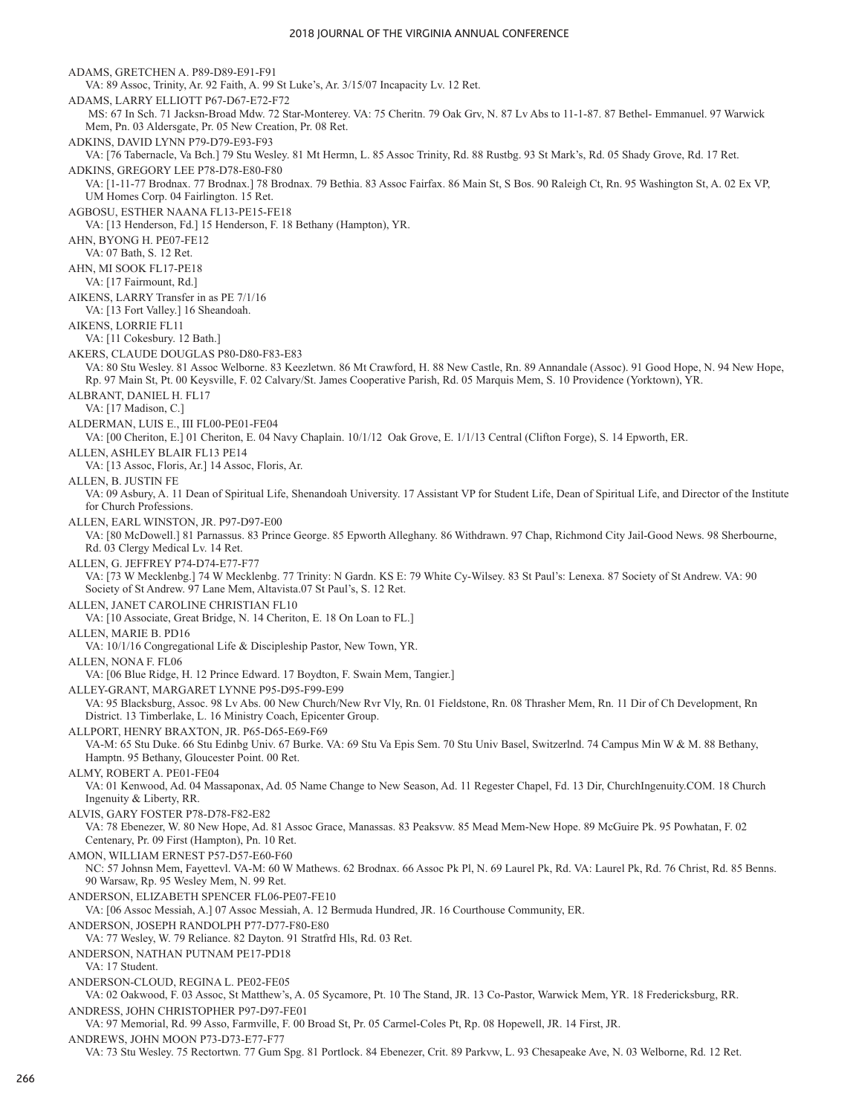ADAMS, GRETCHEN A. P89-D89-E91-F91 VA: 89 Assoc, Trinity, Ar. 92 Faith, A. 99 St Luke's, Ar. 3/15/07 Incapacity Lv. 12 Ret. ADAMS, LARRY ELLIOTT P67-D67-E72-F72 MS: 67 In Sch. 71 Jacksn-Broad Mdw. 72 Star-Monterey. VA: 75 Cheritn. 79 Oak Grv, N. 87 Lv Abs to 11-1-87. 87 Bethel- Emmanuel. 97 Warwick Mem, Pn. 03 Aldersgate, Pr. 05 New Creation, Pr. 08 Ret. ADKINS, DAVID LYNN P79-D79-E93-F93 VA: [76 Tabernacle, Va Bch.] 79 Stu Wesley. 81 Mt Hermn, L. 85 Assoc Trinity, Rd. 88 Rustbg. 93 St Mark's, Rd. 05 Shady Grove, Rd. 17 Ret. ADKINS, GREGORY LEE P78-D78-E80-F80 VA: [1-11-77 Brodnax. 77 Brodnax.] 78 Brodnax. 79 Bethia. 83 Assoc Fairfax. 86 Main St, S Bos. 90 Raleigh Ct, Rn. 95 Washington St, A. 02 Ex VP, UM Homes Corp. 04 Fairlington. 15 Ret. AGBOSU, ESTHER NAANA FL13-PE15-FE18 VA: [13 Henderson, Fd.] 15 Henderson, F. 18 Bethany (Hampton), YR. AHN, BYONG H. PE07-FE12 VA: 07 Bath, S. 12 Ret. AHN, MI SOOK FL17-PE18 VA: [17 Fairmount, Rd.] AIKENS, LARRY Transfer in as PE 7/1/16 VA: [13 Fort Valley.] 16 Sheandoah. AIKENS, LORRIE FL11 VA: [11 Cokesbury. 12 Bath.] AKERS, CLAUDE DOUGLAS P80-D80-F83-E83 VA: 80 Stu Wesley. 81 Assoc Welborne. 83 Keezletwn. 86 Mt Crawford, H. 88 New Castle, Rn. 89 Annandale (Assoc). 91 Good Hope, N. 94 New Hope, Rp. 97 Main St, Pt. 00 Keysville, F. 02 Calvary/St. James Cooperative Parish, Rd. 05 Marquis Mem, S. 10 Providence (Yorktown), YR. ALBRANT, DANIEL H. FL17 VA: [17 Madison, C.] ALDERMAN, LUIS E., III FL00-PE01-FE04 VA: [00 Cheriton, E.] 01 Cheriton, E. 04 Navy Chaplain. 10/1/12 Oak Grove, E. 1/1/13 Central (Clifton Forge), S. 14 Epworth, ER. ALLEN, ASHLEY BLAIR FL13 PE14 VA: [13 Assoc, Floris, Ar.] 14 Assoc, Floris, Ar. ALLEN, B. JUSTIN FE VA: 09 Asbury, A. 11 Dean of Spiritual Life, Shenandoah University. 17 Assistant VP for Student Life, Dean of Spiritual Life, and Director of the Institute for Church Professions. ALLEN, EARL WINSTON, JR. P97-D97-E00 VA: [80 McDowell.] 81 Parnassus. 83 Prince George. 85 Epworth Alleghany. 86 Withdrawn. 97 Chap, Richmond City Jail-Good News. 98 Sherbourne, Rd. 03 Clergy Medical Lv. 14 Ret. ALLEN, G. JEFFREY P74-D74-E77-F77 VA: [73 W Mecklenbg.] 74 W Mecklenbg. 77 Trinity: N Gardn. KS E: 79 White Cy-Wilsey. 83 St Paul's: Lenexa. 87 Society of St Andrew. VA: 90 Society of St Andrew. 97 Lane Mem, Altavista.07 St Paul's, S. 12 Ret. ALLEN, JANET CAROLINE CHRISTIAN FL10 VA: [10 Associate, Great Bridge, N. 14 Cheriton, E. 18 On Loan to FL.] ALLEN, MARIE B. PD16 VA: 10/1/16 Congregational Life & Discipleship Pastor, New Town, YR. ALLEN, NONA F. FL06 VA: [06 Blue Ridge, H. 12 Prince Edward. 17 Boydton, F. Swain Mem, Tangier.] ALLEY-GRANT, MARGARET LYNNE P95-D95-F99-E99 VA: 95 Blacksburg, Assoc. 98 Lv Abs. 00 New Church/New Rvr Vly, Rn. 01 Fieldstone, Rn. 08 Thrasher Mem, Rn. 11 Dir of Ch Development, Rn District. 13 Timberlake, L. 16 Ministry Coach, Epicenter Group. ALLPORT, HENRY BRAXTON, JR. P65-D65-E69-F69 VA-M: 65 Stu Duke. 66 Stu Edinbg Univ. 67 Burke. VA: 69 Stu Va Epis Sem. 70 Stu Univ Basel, Switzerlnd. 74 Campus Min W & M. 88 Bethany, Hamptn. 95 Bethany, Gloucester Point. 00 Ret. ALMY, ROBERT A. PE01-FE04 VA: 01 Kenwood, Ad. 04 Massaponax, Ad. 05 Name Change to New Season, Ad. 11 Regester Chapel, Fd. 13 Dir, ChurchIngenuity.COM. 18 Church Ingenuity & Liberty, RR. ALVIS, GARY FOSTER P78-D78-F82-E82 VA: 78 Ebenezer, W. 80 New Hope, Ad. 81 Assoc Grace, Manassas. 83 Peaksvw. 85 Mead Mem-New Hope. 89 McGuire Pk. 95 Powhatan, F. 02 Centenary, Pr. 09 First (Hampton), Pn. 10 Ret. AMON, WILLIAM ERNEST P57-D57-E60-F60 NC: 57 Johnsn Mem, Fayettevl. VA-M: 60 W Mathews. 62 Brodnax. 66 Assoc Pk Pl, N. 69 Laurel Pk, Rd. VA: Laurel Pk, Rd. 76 Christ, Rd. 85 Benns. 90 Warsaw, Rp. 95 Wesley Mem, N. 99 Ret. ANDERSON, ELIZABETH SPENCER FL06-PE07-FE10 VA: [06 Assoc Messiah, A.] 07 Assoc Messiah, A. 12 Bermuda Hundred, JR. 16 Courthouse Community, ER. ANDERSON, JOSEPH RANDOLPH P77-D77-F80-E80 VA: 77 Wesley, W. 79 Reliance. 82 Dayton. 91 Stratfrd Hls, Rd. 03 Ret. ANDERSON, NATHAN PUTNAM PE17-PD18 VA: 17 Student. ANDERSON-CLOUD, REGINA L. PE02-FE05 VA: 02 Oakwood, F. 03 Assoc, St Matthew's, A. 05 Sycamore, Pt. 10 The Stand, JR. 13 Co-Pastor, Warwick Mem, YR. 18 Fredericksburg, RR. ANDRESS, JOHN CHRISTOPHER P97-D97-FE01 VA: 97 Memorial, Rd. 99 Asso, Farmville, F. 00 Broad St, Pr. 05 Carmel-Coles Pt, Rp. 08 Hopewell, JR. 14 First, JR. ANDREWS, JOHN MOON P73-D73-E77-F77 VA: 73 Stu Wesley. 75 Rectortwn. 77 Gum Spg. 81 Portlock. 84 Ebenezer, Crit. 89 Parkvw, L. 93 Chesapeake Ave, N. 03 Welborne, Rd. 12 Ret.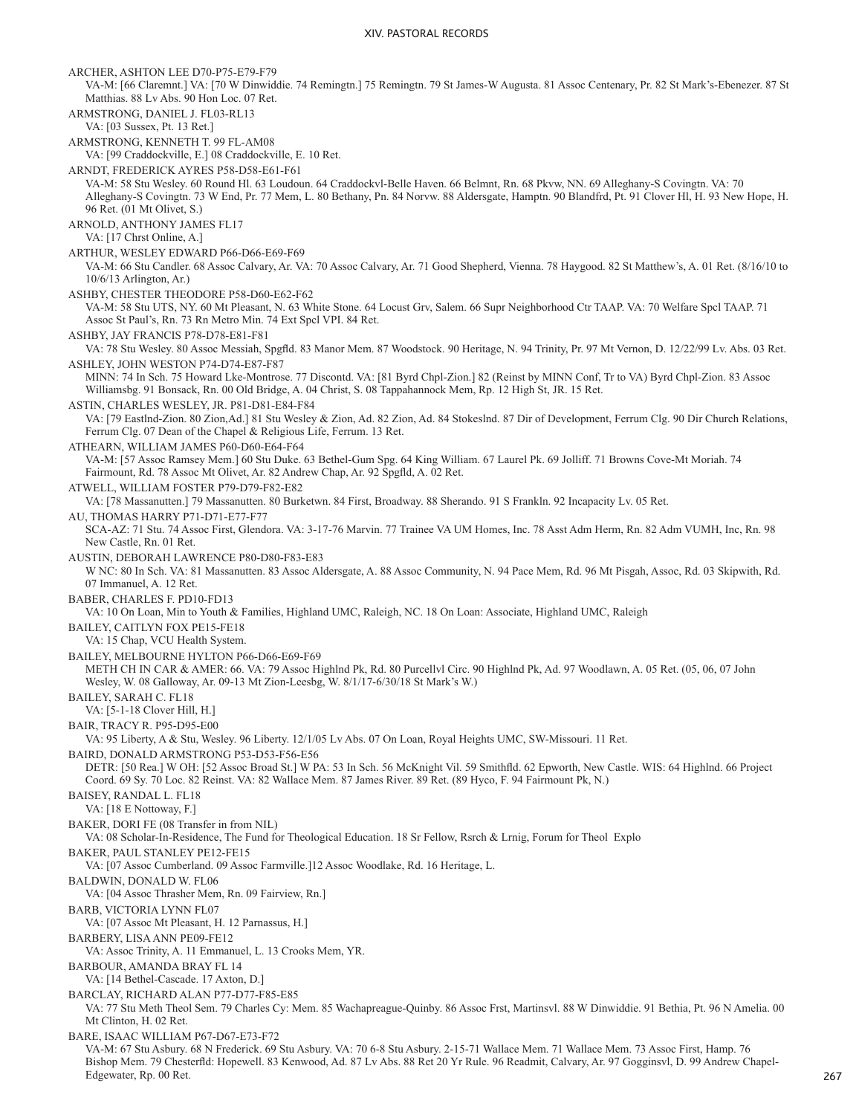ARCHER, ASHTON LEE D70-P75-E79-F79 VA-M: [66 Claremnt.] VA: [70 W Dinwiddie. 74 Remingtn.] 75 Remingtn. 79 St James-W Augusta. 81 Assoc Centenary, Pr. 82 St Mark's-Ebenezer. 87 St Matthias. 88 Lv Abs. 90 Hon Loc. 07 Ret. ARMSTRONG, DANIEL J. FL03-RL13 VA: [03 Sussex, Pt. 13 Ret.] ARMSTRONG, KENNETH T. 99 FL-AM08 VA: [99 Craddockville, E.] 08 Craddockville, E. 10 Ret. ARNDT, FREDERICK AYRES P58-D58-E61-F61 VA-M: 58 Stu Wesley. 60 Round Hl. 63 Loudoun. 64 Craddockvl-Belle Haven. 66 Belmnt, Rn. 68 Pkvw, NN. 69 Alleghany-S Covingtn. VA: 70 Alleghany-S Covingtn. 73 W End, Pr. 77 Mem, L. 80 Bethany, Pn. 84 Norvw. 88 Aldersgate, Hamptn. 90 Blandfrd, Pt. 91 Clover Hl, H. 93 New Hope, H. 96 Ret. (01 Mt Olivet, S.) ARNOLD, ANTHONY JAMES FL17 VA: [17 Chrst Online, A.] ARTHUR, WESLEY EDWARD P66-D66-E69-F69 VA-M: 66 Stu Candler. 68 Assoc Calvary, Ar. VA: 70 Assoc Calvary, Ar. 71 Good Shepherd, Vienna. 78 Haygood. 82 St Matthew's, A. 01 Ret. (8/16/10 to 10/6/13 Arlington, Ar.) ASHBY, CHESTER THEODORE P58-D60-E62-F62 VA-M: 58 Stu UTS, NY. 60 Mt Pleasant, N. 63 White Stone. 64 Locust Grv, Salem. 66 Supr Neighborhood Ctr TAAP. VA: 70 Welfare Spcl TAAP. 71 Assoc St Paul's, Rn. 73 Rn Metro Min. 74 Ext Spcl VPI. 84 Ret. ASHBY, JAY FRANCIS P78-D78-E81-F81 VA: 78 Stu Wesley. 80 Assoc Messiah, Spgfld. 83 Manor Mem. 87 Woodstock. 90 Heritage, N. 94 Trinity, Pr. 97 Mt Vernon, D. 12/22/99 Lv. Abs. 03 Ret. ASHLEY, JOHN WESTON P74-D74-E87-F87 MINN: 74 In Sch. 75 Howard Lke-Montrose. 77 Discontd. VA: [81 Byrd Chpl-Zion.] 82 (Reinst by MINN Conf, Tr to VA) Byrd Chpl-Zion. 83 Assoc Williamsbg. 91 Bonsack, Rn. 00 Old Bridge, A. 04 Christ, S. 08 Tappahannock Mem, Rp. 12 High St, JR. 15 Ret. ASTIN, CHARLES WESLEY, JR. P81-D81-E84-F84 VA: [79 Eastlnd-Zion. 80 Zion,Ad.] 81 Stu Wesley & Zion, Ad. 82 Zion, Ad. 84 Stokeslnd. 87 Dir of Development, Ferrum Clg. 90 Dir Church Relations, Ferrum Clg. 07 Dean of the Chapel & Religious Life, Ferrum. 13 Ret. ATHEARN, WILLIAM JAMES P60-D60-E64-F64 VA-M: [57 Assoc Ramsey Mem.] 60 Stu Duke. 63 Bethel-Gum Spg. 64 King William. 67 Laurel Pk. 69 Jolliff. 71 Browns Cove-Mt Moriah. 74 Fairmount, Rd. 78 Assoc Mt Olivet, Ar. 82 Andrew Chap, Ar. 92 Spgfld, A. 02 Ret. ATWELL, WILLIAM FOSTER P79-D79-F82-E82 VA: [78 Massanutten.] 79 Massanutten. 80 Burketwn. 84 First, Broadway. 88 Sherando. 91 S Frankln. 92 Incapacity Lv. 05 Ret. AU, THOMAS HARRY P71-D71-E77-F77 SCA-AZ: 71 Stu. 74 Assoc First, Glendora. VA: 3-17-76 Marvin. 77 Trainee VA UM Homes, Inc. 78 Asst Adm Herm, Rn. 82 Adm VUMH, Inc, Rn. 98 New Castle, Rn. 01 Ret. AUSTIN, DEBORAH LAWRENCE P80-D80-F83-E83 W NC: 80 In Sch. VA: 81 Massanutten. 83 Assoc Aldersgate, A. 88 Assoc Community, N. 94 Pace Mem, Rd. 96 Mt Pisgah, Assoc, Rd. 03 Skipwith, Rd. 07 Immanuel, A. 12 Ret. BABER, CHARLES F. PD10-FD13 VA: 10 On Loan, Min to Youth & Families, Highland UMC, Raleigh, NC. 18 On Loan: Associate, Highland UMC, Raleigh BAILEY, CAITLYN FOX PE15-FE18 VA: 15 Chap, VCU Health System. BAILEY, MELBOURNE HYLTON P66-D66-E69-F69 METH CH IN CAR & AMER: 66. VA: 79 Assoc Highlnd Pk, Rd. 80 Purcellvl Circ. 90 Highlnd Pk, Ad. 97 Woodlawn, A. 05 Ret. (05, 06, 07 John Wesley, W. 08 Galloway, Ar. 09-13 Mt Zion-Leesbg, W. 8/1/17-6/30/18 St Mark's W.) BAILEY, SARAH C. FL18 VA: [5-1-18 Clover Hill, H.] BAIR, TRACY R. P95-D95-E00 VA: 95 Liberty, A & Stu, Wesley. 96 Liberty. 12/1/05 Lv Abs. 07 On Loan, Royal Heights UMC, SW-Missouri. 11 Ret. BAIRD, DONALD ARMSTRONG P53-D53-F56-E56 DETR: [50 Rea.] W OH: [52 Assoc Broad St.] W PA: 53 In Sch. 56 McKnight Vil. 59 Smithfld. 62 Epworth, New Castle. WIS: 64 Highlnd. 66 Project Coord. 69 Sy. 70 Loc. 82 Reinst. VA: 82 Wallace Mem. 87 James River. 89 Ret. (89 Hyco, F. 94 Fairmount Pk, N.) BAISEY, RANDAL L. FL18 VA: [18 E Nottoway, F.] BAKER, DORI FE (08 Transfer in from NIL) VA: 08 Scholar-In-Residence, The Fund for Theological Education. 18 Sr Fellow, Rsrch & Lrnig, Forum for Theol Explo BAKER, PAUL STANLEY PE12-FE15 VA: [07 Assoc Cumberland. 09 Assoc Farmville.]12 Assoc Woodlake, Rd. 16 Heritage, L. BALDWIN, DONALD W. FL06 VA: [04 Assoc Thrasher Mem, Rn. 09 Fairview, Rn.] BARB, VICTORIA LYNN FL07 VA: [07 Assoc Mt Pleasant, H. 12 Parnassus, H.] BARBERY, LISA ANN PE09-FE12 VA: Assoc Trinity, A. 11 Emmanuel, L. 13 Crooks Mem, YR. BARBOUR, AMANDA BRAY FL 14 VA: [14 Bethel-Cascade. 17 Axton, D.] BARCLAY, RICHARD ALAN P77-D77-F85-E85 VA: 77 Stu Meth Theol Sem. 79 Charles Cy: Mem. 85 Wachapreague-Quinby. 86 Assoc Frst, Martinsvl. 88 W Dinwiddie. 91 Bethia, Pt. 96 N Amelia. 00 Mt Clinton, H. 02 Ret. BARE, ISAAC WILLIAM P67-D67-E73-F72 VA-M: 67 Stu Asbury. 68 N Frederick. 69 Stu Asbury. VA: 70 6-8 Stu Asbury. 2-15-71 Wallace Mem. 71 Wallace Mem. 73 Assoc First, Hamp. 76 Bishop Mem. 79 Chesterfld: Hopewell. 83 Kenwood, Ad. 87 Lv Abs. 88 Ret 20 Yr Rule. 96 Readmit, Calvary, Ar. 97 Gogginsvl, D. 99 Andrew Chapel-

Edgewater, Rp. 00 Ret.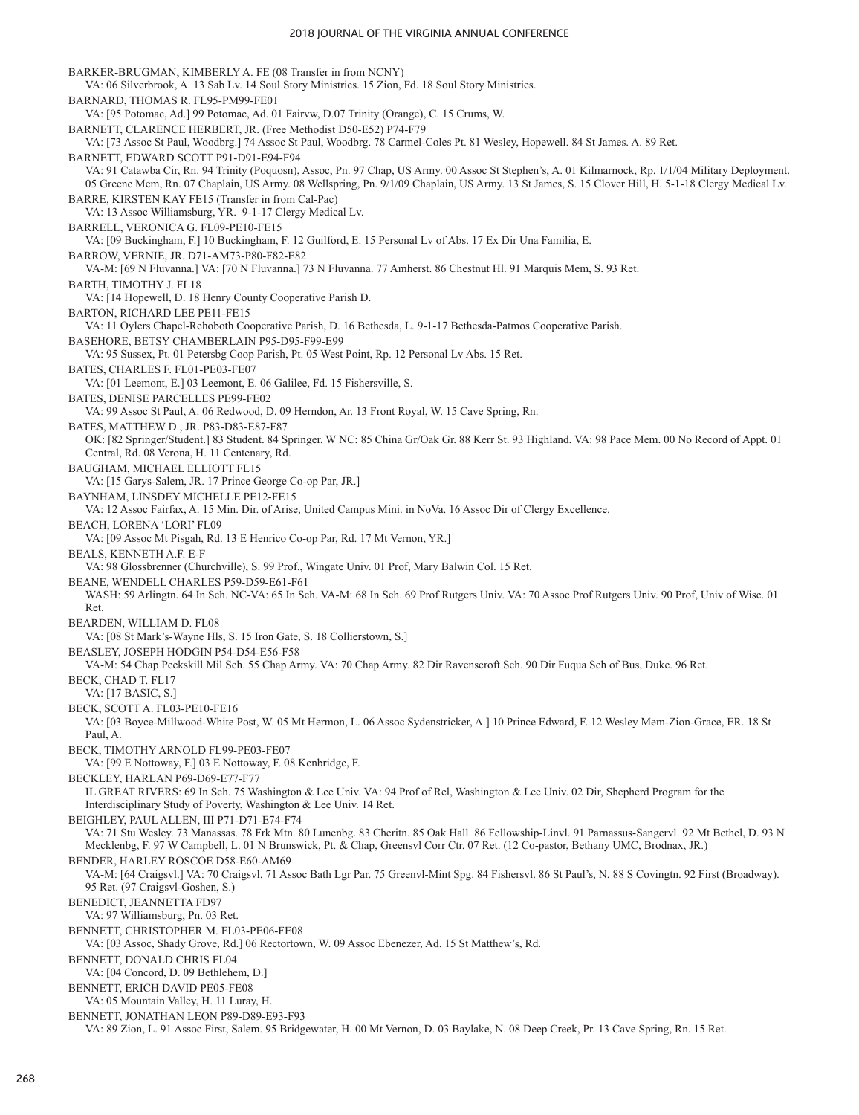BARKER-BRUGMAN, KIMBERLY A. FE (08 Transfer in from NCNY) VA: 06 Silverbrook, A. 13 Sab Lv. 14 Soul Story Ministries. 15 Zion, Fd. 18 Soul Story Ministries. BARNARD, THOMAS R. FL95-PM99-FE01 VA: [95 Potomac, Ad.] 99 Potomac, Ad. 01 Fairvw, D.07 Trinity (Orange), C. 15 Crums, W. BARNETT, CLARENCE HERBERT, JR. (Free Methodist D50-E52) P74-F79 VA: [73 Assoc St Paul, Woodbrg.] 74 Assoc St Paul, Woodbrg. 78 Carmel-Coles Pt. 81 Wesley, Hopewell. 84 St James. A. 89 Ret. BARNETT, EDWARD SCOTT P91-D91-E94-F94 VA: 91 Catawba Cir, Rn. 94 Trinity (Poquosn), Assoc, Pn. 97 Chap, US Army. 00 Assoc St Stephen's, A. 01 Kilmarnock, Rp. 1/1/04 Military Deployment. 05 Greene Mem, Rn. 07 Chaplain, US Army. 08 Wellspring, Pn. 9/1/09 Chaplain, US Army. 13 St James, S. 15 Clover Hill, H. 5-1-18 Clergy Medical Lv. BARRE, KIRSTEN KAY FE15 (Transfer in from Cal-Pac) VA: 13 Assoc Williamsburg, YR. 9-1-17 Clergy Medical Lv. BARRELL, VERONICA G. FL09-PE10-FE15 VA: [09 Buckingham, F.] 10 Buckingham, F. 12 Guilford, E. 15 Personal Lv of Abs. 17 Ex Dir Una Familia, E. BARROW, VERNIE, JR. D71-AM73-P80-F82-E82 VA-M: [69 N Fluvanna.] VA: [70 N Fluvanna.] 73 N Fluvanna. 77 Amherst. 86 Chestnut Hl. 91 Marquis Mem, S. 93 Ret. BARTH, TIMOTHY J. FL18 VA: [14 Hopewell, D. 18 Henry County Cooperative Parish D. BARTON, RICHARD LEE PE11-FE15 VA: 11 Oylers Chapel-Rehoboth Cooperative Parish, D. 16 Bethesda, L. 9-1-17 Bethesda-Patmos Cooperative Parish. BASEHORE, BETSY CHAMBERLAIN P95-D95-F99-E99 VA: 95 Sussex, Pt. 01 Petersbg Coop Parish, Pt. 05 West Point, Rp. 12 Personal Lv Abs. 15 Ret. BATES, CHARLES F. FL01-PE03-FE07 VA: [01 Leemont, E.] 03 Leemont, E. 06 Galilee, Fd. 15 Fishersville, S. BATES, DENISE PARCELLES PE99-FE02 VA: 99 Assoc St Paul, A. 06 Redwood, D. 09 Herndon, Ar. 13 Front Royal, W. 15 Cave Spring, Rn. BATES, MATTHEW D., JR. P83-D83-E87-F87 OK: [82 Springer/Student.] 83 Student. 84 Springer. W NC: 85 China Gr/Oak Gr. 88 Kerr St. 93 Highland. VA: 98 Pace Mem. 00 No Record of Appt. 01 Central, Rd. 08 Verona, H. 11 Centenary, Rd. BAUGHAM, MICHAEL ELLIOTT FL15 VA: [15 Garys-Salem, JR. 17 Prince George Co-op Par, JR.] BAYNHAM, LINSDEY MICHELLE PE12-FE15 VA: 12 Assoc Fairfax, A. 15 Min. Dir. of Arise, United Campus Mini. in NoVa. 16 Assoc Dir of Clergy Excellence. BEACH, LORENA 'LORI' FL09 VA: [09 Assoc Mt Pisgah, Rd. 13 E Henrico Co-op Par, Rd. 17 Mt Vernon, YR.] BEALS, KENNETH A.F. E-F VA: 98 Glossbrenner (Churchville), S. 99 Prof., Wingate Univ. 01 Prof, Mary Balwin Col. 15 Ret. BEANE, WENDELL CHARLES P59-D59-E61-F61 WASH: 59 Arlingtn. 64 In Sch. NC-VA: 65 In Sch. VA-M: 68 In Sch. 69 Prof Rutgers Univ. VA: 70 Assoc Prof Rutgers Univ. 90 Prof, Univ of Wisc. 01 Ret. BEARDEN, WILLIAM D. FL08 VA: [08 St Mark's-Wayne Hls, S. 15 Iron Gate, S. 18 Collierstown, S.] BEASLEY, JOSEPH HODGIN P54-D54-E56-F58 VA-M: 54 Chap Peekskill Mil Sch. 55 Chap Army. VA: 70 Chap Army. 82 Dir Ravenscroft Sch. 90 Dir Fuqua Sch of Bus, Duke. 96 Ret. BECK, CHAD T. FL17 VA: [17 BASIC, S.] BECK, SCOTT A. FL03-PE10-FE16 VA: [03 Boyce-Millwood-White Post, W. 05 Mt Hermon, L. 06 Assoc Sydenstricker, A.] 10 Prince Edward, F. 12 Wesley Mem-Zion-Grace, ER. 18 St Paul, A. BECK, TIMOTHY ARNOLD FL99-PE03-FE07 VA: [99 E Nottoway, F.] 03 E Nottoway, F. 08 Kenbridge, F. BECKLEY, HARLAN P69-D69-E77-F77 IL GREAT RIVERS: 69 In Sch. 75 Washington & Lee Univ. VA: 94 Prof of Rel, Washington & Lee Univ. 02 Dir, Shepherd Program for the Interdisciplinary Study of Poverty, Washington & Lee Univ. 14 Ret. BEIGHLEY, PAUL ALLEN, III P71-D71-E74-F74 VA: 71 Stu Wesley. 73 Manassas. 78 Frk Mtn. 80 Lunenbg. 83 Cheritn. 85 Oak Hall. 86 Fellowship-Linvl. 91 Parnassus-Sangervl. 92 Mt Bethel, D. 93 N Mecklenbg, F. 97 W Campbell, L. 01 N Brunswick, Pt. & Chap, Greensvl Corr Ctr. 07 Ret. (12 Co-pastor, Bethany UMC, Brodnax, JR.) BENDER, HARLEY ROSCOE D58-E60-AM69 VA-M: [64 Craigsvl.] VA: 70 Craigsvl. 71 Assoc Bath Lgr Par. 75 Greenvl-Mint Spg. 84 Fishersvl. 86 St Paul's, N. 88 S Covingtn. 92 First (Broadway). 95 Ret. (97 Craigsvl-Goshen, S.) BENEDICT, JEANNETTA FD97 VA: 97 Williamsburg, Pn. 03 Ret. BENNETT, CHRISTOPHER M. FL03-PE06-FE08 VA: [03 Assoc, Shady Grove, Rd.] 06 Rectortown, W. 09 Assoc Ebenezer, Ad. 15 St Matthew's, Rd. BENNETT, DONALD CHRIS FL04 VA: [04 Concord, D. 09 Bethlehem, D.] BENNETT, ERICH DAVID PE05-FE08 VA: 05 Mountain Valley, H. 11 Luray, H. BENNETT, JONATHAN LEON P89-D89-E93-F93 VA: 89 Zion, L. 91 Assoc First, Salem. 95 Bridgewater, H. 00 Mt Vernon, D. 03 Baylake, N. 08 Deep Creek, Pr. 13 Cave Spring, Rn. 15 Ret.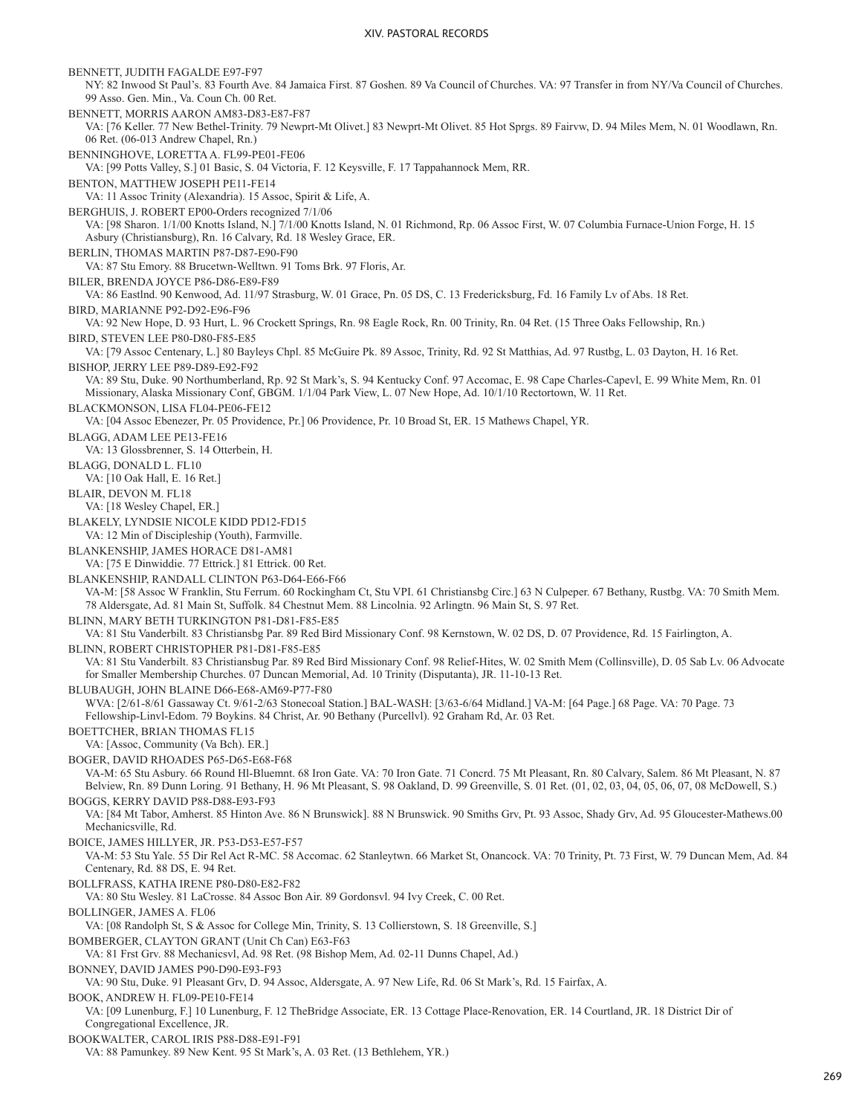BENNETT, JUDITH FAGALDE E97-F97 NY: 82 Inwood St Paul's. 83 Fourth Ave. 84 Jamaica First. 87 Goshen. 89 Va Council of Churches. VA: 97 Transfer in from NY/Va Council of Churches. 99 Asso. Gen. Min., Va. Coun Ch. 00 Ret. BENNETT, MORRIS AARON AM83-D83-E87-F87 VA: [76 Keller. 77 New Bethel-Trinity. 79 Newprt-Mt Olivet.] 83 Newprt-Mt Olivet. 85 Hot Sprgs. 89 Fairvw, D. 94 Miles Mem, N. 01 Woodlawn, Rn. 06 Ret. (06-013 Andrew Chapel, Rn.) BENNINGHOVE, LORETTA A. FL99-PE01-FE06 VA: [99 Potts Valley, S.] 01 Basic, S. 04 Victoria, F. 12 Keysville, F. 17 Tappahannock Mem, RR. BENTON, MATTHEW JOSEPH PE11-FE14 VA: 11 Assoc Trinity (Alexandria). 15 Assoc, Spirit & Life, A. BERGHUIS, J. ROBERT EP00-Orders recognized 7/1/06 VA: [98 Sharon. 1/1/00 Knotts Island, N.] 7/1/00 Knotts Island, N. 01 Richmond, Rp. 06 Assoc First, W. 07 Columbia Furnace-Union Forge, H. 15 Asbury (Christiansburg), Rn. 16 Calvary, Rd. 18 Wesley Grace, ER. BERLIN, THOMAS MARTIN P87-D87-E90-F90 VA: 87 Stu Emory. 88 Brucetwn-Welltwn. 91 Toms Brk. 97 Floris, Ar. BILER, BRENDA JOYCE P86-D86-E89-F89 VA: 86 Eastlnd. 90 Kenwood, Ad. 11/97 Strasburg, W. 01 Grace, Pn. 05 DS, C. 13 Fredericksburg, Fd. 16 Family Lv of Abs. 18 Ret. BIRD, MARIANNE P92-D92-E96-F96 VA: 92 New Hope, D. 93 Hurt, L. 96 Crockett Springs, Rn. 98 Eagle Rock, Rn. 00 Trinity, Rn. 04 Ret. (15 Three Oaks Fellowship, Rn.) BIRD, STEVEN LEE P80-D80-F85-E85 VA: [79 Assoc Centenary, L.] 80 Bayleys Chpl. 85 McGuire Pk. 89 Assoc, Trinity, Rd. 92 St Matthias, Ad. 97 Rustbg, L. 03 Dayton, H. 16 Ret. BISHOP, JERRY LEE P89-D89-E92-F92 VA: 89 Stu, Duke. 90 Northumberland, Rp. 92 St Mark's, S. 94 Kentucky Conf. 97 Accomac, E. 98 Cape Charles-Capevl, E. 99 White Mem, Rn. 01 Missionary, Alaska Missionary Conf, GBGM. 1/1/04 Park View, L. 07 New Hope, Ad. 10/1/10 Rectortown, W. 11 Ret. BLACKMONSON, LISA FL04-PE06-FE12 VA: [04 Assoc Ebenezer, Pr. 05 Providence, Pr.] 06 Providence, Pr. 10 Broad St, ER. 15 Mathews Chapel, YR. BLAGG, ADAM LEE PE13-FE16 VA: 13 Glossbrenner, S. 14 Otterbein, H. BLAGG, DONALD L. FL10 VA: [10 Oak Hall, E. 16 Ret.] BLAIR, DEVON M. FL18 VA: [18 Wesley Chapel, ER.] BLAKELY, LYNDSIE NICOLE KIDD PD12-FD15 VA: 12 Min of Discipleship (Youth), Farmville. BLANKENSHIP, JAMES HORACE D81-AM81 VA: [75 E Dinwiddie. 77 Ettrick.] 81 Ettrick. 00 Ret. BLANKENSHIP, RANDALL CLINTON P63-D64-E66-F66 VA-M: [58 Assoc W Franklin, Stu Ferrum. 60 Rockingham Ct, Stu VPI. 61 Christiansbg Circ.] 63 N Culpeper. 67 Bethany, Rustbg. VA: 70 Smith Mem. 78 Aldersgate, Ad. 81 Main St, Suffolk. 84 Chestnut Mem. 88 Lincolnia. 92 Arlingtn. 96 Main St, S. 97 Ret. BLINN, MARY BETH TURKINGTON P81-D81-F85-E85 VA: 81 Stu Vanderbilt. 83 Christiansbg Par. 89 Red Bird Missionary Conf. 98 Kernstown, W. 02 DS, D. 07 Providence, Rd. 15 Fairlington, A. BLINN, ROBERT CHRISTOPHER P81-D81-F85-E85 VA: 81 Stu Vanderbilt. 83 Christiansbug Par. 89 Red Bird Missionary Conf. 98 Relief-Hites, W. 02 Smith Mem (Collinsville), D. 05 Sab Lv. 06 Advocate for Smaller Membership Churches. 07 Duncan Memorial, Ad. 10 Trinity (Disputanta), JR. 11-10-13 Ret. BLUBAUGH, JOHN BLAINE D66-E68-AM69-P77-F80 WVA: [2/61-8/61 Gassaway Ct. 9/61-2/63 Stonecoal Station.] BAL-WASH: [3/63-6/64 Midland.] VA-M: [64 Page.] 68 Page. VA: 70 Page. 73 Fellowship-Linvl-Edom. 79 Boykins. 84 Christ, Ar. 90 Bethany (Purcellvl). 92 Graham Rd, Ar. 03 Ret. BOETTCHER, BRIAN THOMAS FL15 VA: [Assoc, Community (Va Bch). ER.] BOGER, DAVID RHOADES P65-D65-E68-F68 VA-M: 65 Stu Asbury. 66 Round Hl-Bluemnt. 68 Iron Gate. VA: 70 Iron Gate. 71 Concrd. 75 Mt Pleasant, Rn. 80 Calvary, Salem. 86 Mt Pleasant, N. 87 Belview, Rn. 89 Dunn Loring. 91 Bethany, H. 96 Mt Pleasant, S. 98 Oakland, D. 99 Greenville, S. 01 Ret. (01, 02, 03, 04, 05, 06, 07, 08 McDowell, S.) BOGGS, KERRY DAVID P88-D88-E93-F93 VA: [84 Mt Tabor, Amherst. 85 Hinton Ave. 86 N Brunswick]. 88 N Brunswick. 90 Smiths Grv, Pt. 93 Assoc, Shady Grv, Ad. 95 Gloucester-Mathews.00 Mechanicsville, Rd. BOICE, JAMES HILLYER, JR. P53-D53-E57-F57 VA-M: 53 Stu Yale. 55 Dir Rel Act R-MC. 58 Accomac. 62 Stanleytwn. 66 Market St, Onancock. VA: 70 Trinity, Pt. 73 First, W. 79 Duncan Mem, Ad. 84 Centenary, Rd. 88 DS, E. 94 Ret. BOLLFRASS, KATHA IRENE P80-D80-E82-F82 VA: 80 Stu Wesley. 81 LaCrosse. 84 Assoc Bon Air. 89 Gordonsvl. 94 Ivy Creek, C. 00 Ret. BOLLINGER, JAMES A. FL06 VA: [08 Randolph St, S & Assoc for College Min, Trinity, S. 13 Collierstown, S. 18 Greenville, S.] BOMBERGER, CLAYTON GRANT (Unit Ch Can) E63-F63 VA: 81 Frst Grv. 88 Mechanicsvl, Ad. 98 Ret. (98 Bishop Mem, Ad. 02-11 Dunns Chapel, Ad.) BONNEY, DAVID JAMES P90-D90-E93-F93 VA: 90 Stu, Duke. 91 Pleasant Grv, D. 94 Assoc, Aldersgate, A. 97 New Life, Rd. 06 St Mark's, Rd. 15 Fairfax, A. BOOK, ANDREW H. FL09-PE10-FE14 VA: [09 Lunenburg, F.] 10 Lunenburg, F. 12 TheBridge Associate, ER. 13 Cottage Place-Renovation, ER. 14 Courtland, JR. 18 District Dir of Congregational Excellence, JR. BOOKWALTER, CAROL IRIS P88-D88-E91-F91 VA: 88 Pamunkey. 89 New Kent. 95 St Mark's, A. 03 Ret. (13 Bethlehem, YR.)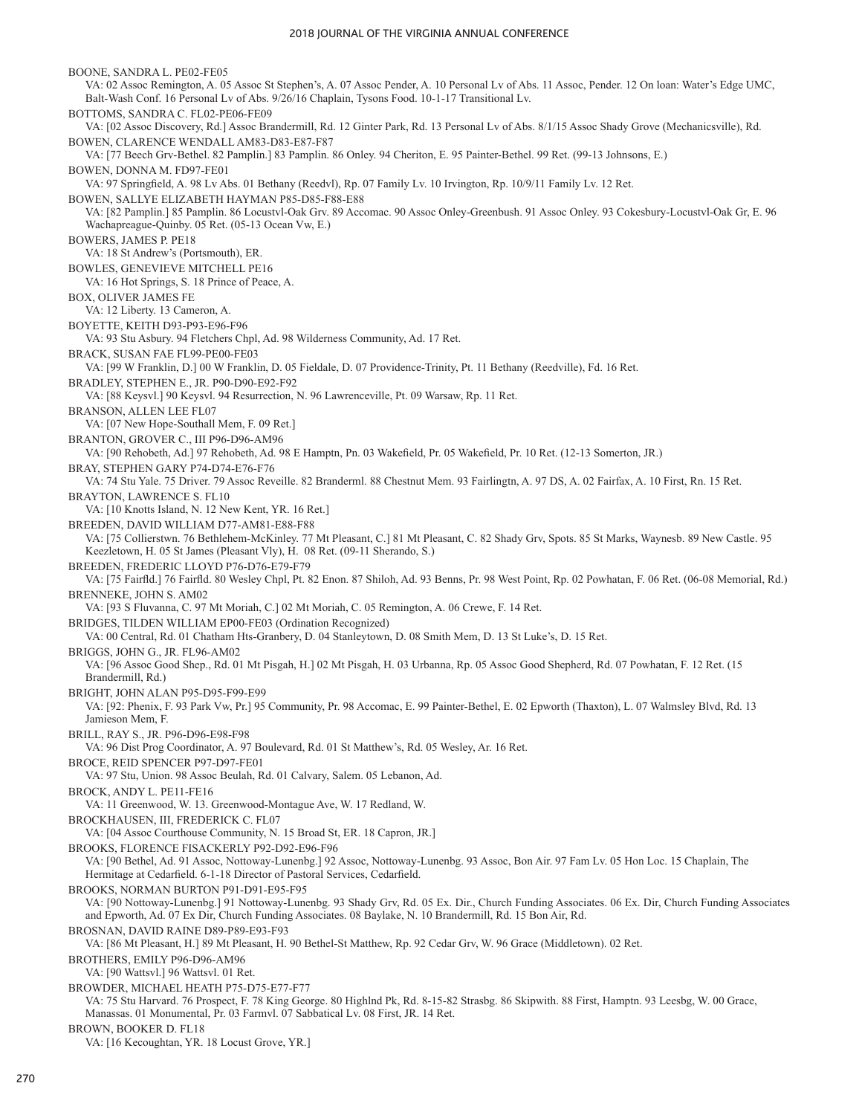BOONE, SANDRA L. PE02-FE05 VA: 02 Assoc Remington, A. 05 Assoc St Stephen's, A. 07 Assoc Pender, A. 10 Personal Lv of Abs. 11 Assoc, Pender. 12 On loan: Water's Edge UMC, Balt-Wash Conf. 16 Personal Lv of Abs. 9/26/16 Chaplain, Tysons Food. 10-1-17 Transitional Lv. BOTTOMS, SANDRA C. FL02-PE06-FE09 VA: [02 Assoc Discovery, Rd.] Assoc Brandermill, Rd. 12 Ginter Park, Rd. 13 Personal Lv of Abs. 8/1/15 Assoc Shady Grove (Mechanicsville), Rd. BOWEN, CLARENCE WENDALL AM83-D83-E87-F87 VA: [77 Beech Grv-Bethel. 82 Pamplin.] 83 Pamplin. 86 Onley. 94 Cheriton, E. 95 Painter-Bethel. 99 Ret. (99-13 Johnsons, E.) BOWEN, DONNA M. FD97-FE01 VA: 97 Springfield, A. 98 Lv Abs. 01 Bethany (Reedvl), Rp. 07 Family Lv. 10 Irvington, Rp. 10/9/11 Family Lv. 12 Ret. BOWEN, SALLYE ELIZABETH HAYMAN P85-D85-F88-E88 VA: [82 Pamplin.] 85 Pamplin. 86 Locustvl-Oak Grv. 89 Accomac. 90 Assoc Onley-Greenbush. 91 Assoc Onley. 93 Cokesbury-Locustvl-Oak Gr, E. 96 Wachapreague-Quinby. 05 Ret. (05-13 Ocean Vw, E.) BOWERS, JAMES P. PE18 VA: 18 St Andrew's (Portsmouth), ER. BOWLES, GENEVIEVE MITCHELL PE16 VA: 16 Hot Springs, S. 18 Prince of Peace, A. BOX, OLIVER JAMES FE VA: 12 Liberty. 13 Cameron, A. BOYETTE, KEITH D93-P93-E96-F96 VA: 93 Stu Asbury. 94 Fletchers Chpl, Ad. 98 Wilderness Community, Ad. 17 Ret. BRACK, SUSAN FAE FL99-PE00-FE03 VA: [99 W Franklin, D.] 00 W Franklin, D. 05 Fieldale, D. 07 Providence-Trinity, Pt. 11 Bethany (Reedville), Fd. 16 Ret. BRADLEY, STEPHEN E., JR. P90-D90-E92-F92 VA: [88 Keysvl.] 90 Keysvl. 94 Resurrection, N. 96 Lawrenceville, Pt. 09 Warsaw, Rp. 11 Ret. BRANSON, ALLEN LEE FL07 VA: [07 New Hope-Southall Mem, F. 09 Ret.] BRANTON, GROVER C., III P96-D96-AM96 VA: [90 Rehobeth, Ad.] 97 Rehobeth, Ad. 98 E Hamptn, Pn. 03 Wakefield, Pr. 05 Wakefield, Pr. 10 Ret. (12-13 Somerton, JR.) BRAY, STEPHEN GARY P74-D74-E76-F76 VA: 74 Stu Yale. 75 Driver. 79 Assoc Reveille. 82 Branderml. 88 Chestnut Mem. 93 Fairlingtn, A. 97 DS, A. 02 Fairfax, A. 10 First, Rn. 15 Ret. BRAYTON, LAWRENCE S. FL10 VA: [10 Knotts Island, N. 12 New Kent, YR. 16 Ret.] BREEDEN, DAVID WILLIAM D77-AM81-E88-F88 VA: [75 Collierstwn. 76 Bethlehem-McKinley. 77 Mt Pleasant, C.] 81 Mt Pleasant, C. 82 Shady Grv, Spots. 85 St Marks, Waynesb. 89 New Castle. 95 Keezletown, H. 05 St James (Pleasant Vly), H. 08 Ret. (09-11 Sherando, S.) BREEDEN, FREDERIC LLOYD P76-D76-E79-F79 VA: [75 Fairfld.] 76 Fairfld. 80 Wesley Chpl, Pt. 82 Enon. 87 Shiloh, Ad. 93 Benns, Pr. 98 West Point, Rp. 02 Powhatan, F. 06 Ret. (06-08 Memorial, Rd.) BRENNEKE, JOHN S. AM02 VA: [93 S Fluvanna, C. 97 Mt Moriah, C.] 02 Mt Moriah, C. 05 Remington, A. 06 Crewe, F. 14 Ret. BRIDGES, TILDEN WILLIAM EP00-FE03 (Ordination Recognized) VA: 00 Central, Rd. 01 Chatham Hts-Granbery, D. 04 Stanleytown, D. 08 Smith Mem, D. 13 St Luke's, D. 15 Ret. BRIGGS, JOHN G., JR. FL96-AM02 VA: [96 Assoc Good Shep., Rd. 01 Mt Pisgah, H.] 02 Mt Pisgah, H. 03 Urbanna, Rp. 05 Assoc Good Shepherd, Rd. 07 Powhatan, F. 12 Ret. (15 Brandermill, Rd.) BRIGHT, JOHN ALAN P95-D95-F99-E99 VA: [92: Phenix, F. 93 Park Vw, Pr.] 95 Community, Pr. 98 Accomac, E. 99 Painter-Bethel, E. 02 Epworth (Thaxton), L. 07 Walmsley Blvd, Rd. 13 Jamieson Mem, F. BRILL, RAY S., JR. P96-D96-E98-F98 VA: 96 Dist Prog Coordinator, A. 97 Boulevard, Rd. 01 St Matthew's, Rd. 05 Wesley, Ar. 16 Ret. BROCE, REID SPENCER P97-D97-FE01 VA: 97 Stu, Union. 98 Assoc Beulah, Rd. 01 Calvary, Salem. 05 Lebanon, Ad. BROCK, ANDY L. PE11-FE16 VA: 11 Greenwood, W. 13. Greenwood-Montague Ave, W. 17 Redland, W. BROCKHAUSEN, III, FREDERICK C. FL07 VA: [04 Assoc Courthouse Community, N. 15 Broad St, ER. 18 Capron, JR.] BROOKS, FLORENCE FISACKERLY P92-D92-E96-F96 VA: [90 Bethel, Ad. 91 Assoc, Nottoway-Lunenbg.] 92 Assoc, Nottoway-Lunenbg. 93 Assoc, Bon Air. 97 Fam Lv. 05 Hon Loc. 15 Chaplain, The Hermitage at Cedarfield. 6-1-18 Director of Pastoral Services, Cedarfield. BROOKS, NORMAN BURTON P91-D91-E95-F95 VA: [90 Nottoway-Lunenbg.] 91 Nottoway-Lunenbg. 93 Shady Grv, Rd. 05 Ex. Dir., Church Funding Associates. 06 Ex. Dir, Church Funding Associates and Epworth, Ad. 07 Ex Dir, Church Funding Associates. 08 Baylake, N. 10 Brandermill, Rd. 15 Bon Air, Rd. BROSNAN, DAVID RAINE D89-P89-E93-F93 VA: [86 Mt Pleasant, H.] 89 Mt Pleasant, H. 90 Bethel-St Matthew, Rp. 92 Cedar Grv, W. 96 Grace (Middletown). 02 Ret. BROTHERS, EMILY P96-D96-AM96 VA: [90 Wattsvl.] 96 Wattsvl. 01 Ret. BROWDER, MICHAEL HEATH P75-D75-E77-F77 VA: 75 Stu Harvard. 76 Prospect, F. 78 King George. 80 Highlnd Pk, Rd. 8-15-82 Strasbg. 86 Skipwith. 88 First, Hamptn. 93 Leesbg, W. 00 Grace, Manassas. 01 Monumental, Pr. 03 Farmvl. 07 Sabbatical Lv. 08 First, JR. 14 Ret. BROWN, BOOKER D. FL18

VA: [16 Kecoughtan, YR. 18 Locust Grove, YR.]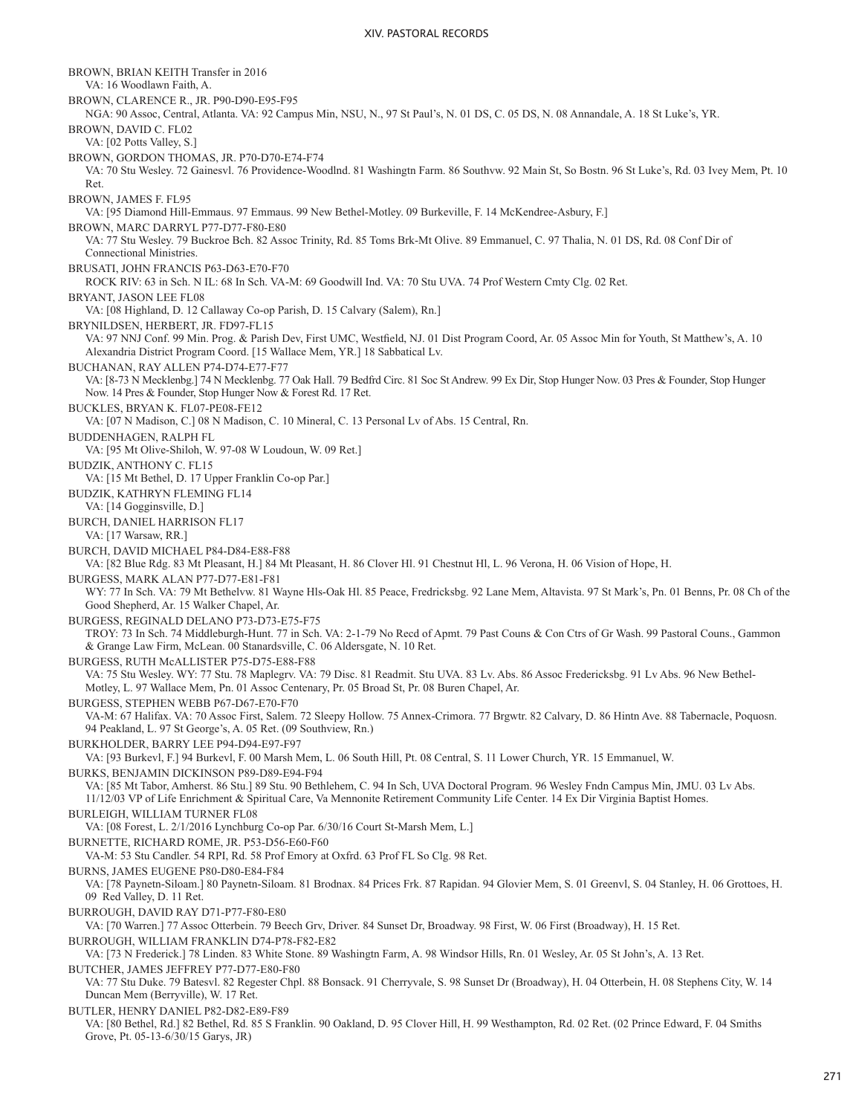BROWN, BRIAN KEITH Transfer in 2016 VA: 16 Woodlawn Faith, A. BROWN, CLARENCE R., JR. P90-D90-E95-F95 NGA: 90 Assoc, Central, Atlanta. VA: 92 Campus Min, NSU, N., 97 St Paul's, N. 01 DS, C. 05 DS, N. 08 Annandale, A. 18 St Luke's, YR. BROWN, DAVID C. FL02 VA: [02 Potts Valley, S.] BROWN, GORDON THOMAS, JR. P70-D70-E74-F74 VA: 70 Stu Wesley. 72 Gainesvl. 76 Providence-Woodlnd. 81 Washingtn Farm. 86 Southvw. 92 Main St, So Bostn. 96 St Luke's, Rd. 03 Ivey Mem, Pt. 10 Ret. BROWN, JAMES F. FL95 VA: [95 Diamond Hill-Emmaus. 97 Emmaus. 99 New Bethel-Motley. 09 Burkeville, F. 14 McKendree-Asbury, F.] BROWN, MARC DARRYL P77-D77-F80-E80 VA: 77 Stu Wesley. 79 Buckroe Bch. 82 Assoc Trinity, Rd. 85 Toms Brk-Mt Olive. 89 Emmanuel, C. 97 Thalia, N. 01 DS, Rd. 08 Conf Dir of Connectional Ministries. BRUSATI, JOHN FRANCIS P63-D63-E70-F70 ROCK RIV: 63 in Sch. N IL: 68 In Sch. VA-M: 69 Goodwill Ind. VA: 70 Stu UVA. 74 Prof Western Cmty Clg. 02 Ret. BRYANT, JASON LEE FL08 VA: [08 Highland, D. 12 Callaway Co-op Parish, D. 15 Calvary (Salem), Rn.] BRYNILDSEN, HERBERT, JR. FD97-FL15 VA: 97 NNJ Conf. 99 Min. Prog. & Parish Dev, First UMC, Westfield, NJ. 01 Dist Program Coord, Ar. 05 Assoc Min for Youth, St Matthew's, A. 10 Alexandria District Program Coord. [15 Wallace Mem, YR.] 18 Sabbatical Lv. BUCHANAN, RAY ALLEN P74-D74-E77-F77 VA: [8-73 N Mecklenbg.] 74 N Mecklenbg. 77 Oak Hall. 79 Bedfrd Circ. 81 Soc St Andrew. 99 Ex Dir, Stop Hunger Now. 03 Pres & Founder, Stop Hunger Now. 14 Pres & Founder, Stop Hunger Now & Forest Rd. 17 Ret. BUCKLES, BRYAN K. FL07-PE08-FE12 VA: [07 N Madison, C.] 08 N Madison, C. 10 Mineral, C. 13 Personal Lv of Abs. 15 Central, Rn. BUDDENHAGEN, RALPH FL VA: [95 Mt Olive-Shiloh, W. 97-08 W Loudoun, W. 09 Ret.] BUDZIK, ANTHONY C. FL15 VA: [15 Mt Bethel, D. 17 Upper Franklin Co-op Par.] BUDZIK, KATHRYN FLEMING FL14 VA: [14 Gogginsville, D.] BURCH, DANIEL HARRISON FL17 VA: [17 Warsaw, RR.] BURCH, DAVID MICHAEL P84-D84-E88-F88 VA: [82 Blue Rdg. 83 Mt Pleasant, H.] 84 Mt Pleasant, H. 86 Clover Hl. 91 Chestnut Hl, L. 96 Verona, H. 06 Vision of Hope, H. BURGESS, MARK ALAN P77-D77-E81-F81 WY: 77 In Sch. VA: 79 Mt Bethelvw. 81 Wayne Hls-Oak Hl. 85 Peace, Fredricksbg. 92 Lane Mem, Altavista. 97 St Mark's, Pn. 01 Benns, Pr. 08 Ch of the Good Shepherd, Ar. 15 Walker Chapel, Ar. BURGESS, REGINALD DELANO P73-D73-E75-F75 TROY: 73 In Sch. 74 Middleburgh-Hunt. 77 in Sch. VA: 2-1-79 No Recd of Apmt. 79 Past Couns & Con Ctrs of Gr Wash. 99 Pastoral Couns., Gammon & Grange Law Firm, McLean. 00 Stanardsville, C. 06 Aldersgate, N. 10 Ret. BURGESS, RUTH McALLISTER P75-D75-E88-F88 VA: 75 Stu Wesley. WY: 77 Stu. 78 Maplegrv. VA: 79 Disc. 81 Readmit. Stu UVA. 83 Lv. Abs. 86 Assoc Fredericksbg. 91 Lv Abs. 96 New Bethel-Motley, L. 97 Wallace Mem, Pn. 01 Assoc Centenary, Pr. 05 Broad St, Pr. 08 Buren Chapel, Ar. BURGESS, STEPHEN WEBB P67-D67-E70-F70 VA-M: 67 Halifax. VA: 70 Assoc First, Salem. 72 Sleepy Hollow. 75 Annex-Crimora. 77 Brgwtr. 82 Calvary, D. 86 Hintn Ave. 88 Tabernacle, Poquosn. 94 Peakland, L. 97 St George's, A. 05 Ret. (09 Southview, Rn.) BURKHOLDER, BARRY LEE P94-D94-E97-F97 VA: [93 Burkevl, F.] 94 Burkevl, F. 00 Marsh Mem, L. 06 South Hill, Pt. 08 Central, S. 11 Lower Church, YR. 15 Emmanuel, W. BURKS, BENJAMIN DICKINSON P89-D89-E94-F94 VA: [85 Mt Tabor, Amherst. 86 Stu.] 89 Stu. 90 Bethlehem, C. 94 In Sch, UVA Doctoral Program. 96 Wesley Fndn Campus Min, JMU. 03 Lv Abs. 11/12/03 VP of Life Enrichment & Spiritual Care, Va Mennonite Retirement Community Life Center. 14 Ex Dir Virginia Baptist Homes. BURLEIGH, WILLIAM TURNER FL08 VA: [08 Forest, L. 2/1/2016 Lynchburg Co-op Par. 6/30/16 Court St-Marsh Mem, L.] BURNETTE, RICHARD ROME, JR. P53-D56-E60-F60 VA-M: 53 Stu Candler. 54 RPI, Rd. 58 Prof Emory at Oxfrd. 63 Prof FL So Clg. 98 Ret. BURNS, JAMES EUGENE P80-D80-E84-F84 VA: [78 Paynetn-Siloam.] 80 Paynetn-Siloam. 81 Brodnax. 84 Prices Frk. 87 Rapidan. 94 Glovier Mem, S. 01 Greenvl, S. 04 Stanley, H. 06 Grottoes, H. 09 Red Valley, D. 11 Ret. BURROUGH, DAVID RAY D71-P77-F80-E80 VA: [70 Warren.] 77 Assoc Otterbein. 79 Beech Grv, Driver. 84 Sunset Dr, Broadway. 98 First, W. 06 First (Broadway), H. 15 Ret. BURROUGH, WILLIAM FRANKLIN D74-P78-F82-E82 VA: [73 N Frederick.] 78 Linden. 83 White Stone. 89 Washingtn Farm, A. 98 Windsor Hills, Rn. 01 Wesley, Ar. 05 St John's, A. 13 Ret. BUTCHER, JAMES JEFFREY P77-D77-E80-F80 VA: 77 Stu Duke. 79 Batesvl. 82 Regester Chpl. 88 Bonsack. 91 Cherryvale, S. 98 Sunset Dr (Broadway), H. 04 Otterbein, H. 08 Stephens City, W. 14 Duncan Mem (Berryville), W. 17 Ret. BUTLER, HENRY DANIEL P82-D82-E89-F89 VA: [80 Bethel, Rd.] 82 Bethel, Rd. 85 S Franklin. 90 Oakland, D. 95 Clover Hill, H. 99 Westhampton, Rd. 02 Ret. (02 Prince Edward, F. 04 Smiths Grove, Pt. 05-13-6/30/15 Garys, JR)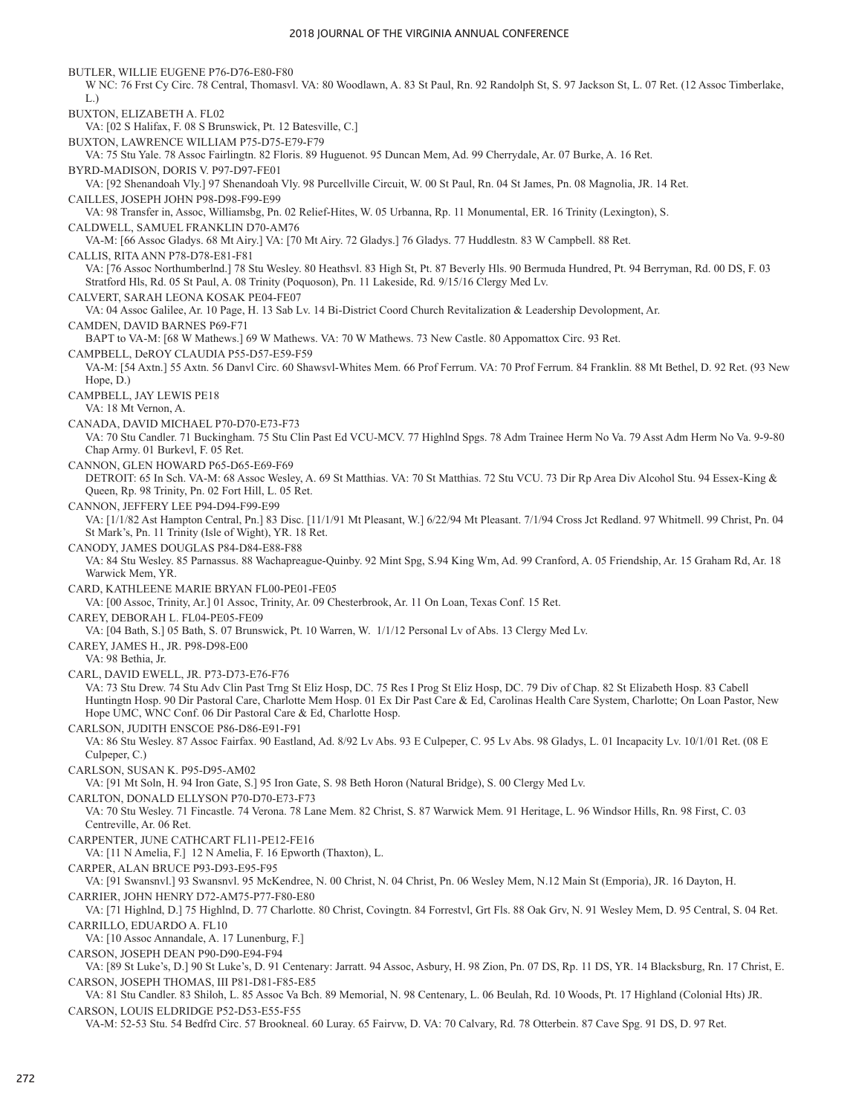BUTLER, WILLIE EUGENE P76-D76-E80-F80 W NC: 76 Frst Cy Circ. 78 Central, Thomasvl. VA: 80 Woodlawn, A. 83 St Paul, Rn. 92 Randolph St, S. 97 Jackson St, L. 07 Ret. (12 Assoc Timberlake, L.) BUXTON, ELIZABETH A. FL02 VA: [02 S Halifax, F. 08 S Brunswick, Pt. 12 Batesville, C.] BUXTON, LAWRENCE WILLIAM P75-D75-E79-F79 VA: 75 Stu Yale. 78 Assoc Fairlingtn. 82 Floris. 89 Huguenot. 95 Duncan Mem, Ad. 99 Cherrydale, Ar. 07 Burke, A. 16 Ret. BYRD-MADISON, DORIS V. P97-D97-FE01 VA: [92 Shenandoah Vly.] 97 Shenandoah Vly. 98 Purcellville Circuit, W. 00 St Paul, Rn. 04 St James, Pn. 08 Magnolia, JR. 14 Ret. CAILLES, JOSEPH JOHN P98-D98-F99-E99 VA: 98 Transfer in, Assoc, Williamsbg, Pn. 02 Relief-Hites, W. 05 Urbanna, Rp. 11 Monumental, ER. 16 Trinity (Lexington), S. CALDWELL, SAMUEL FRANKLIN D70-AM76 VA-M: [66 Assoc Gladys. 68 Mt Airy.] VA: [70 Mt Airy. 72 Gladys.] 76 Gladys. 77 Huddlestn. 83 W Campbell. 88 Ret. CALLIS, RITA ANN P78-D78-E81-F81 VA: [76 Assoc Northumberlnd.] 78 Stu Wesley. 80 Heathsvl. 83 High St, Pt. 87 Beverly Hls. 90 Bermuda Hundred, Pt. 94 Berryman, Rd. 00 DS, F. 03 Stratford Hls, Rd. 05 St Paul, A. 08 Trinity (Poquoson), Pn. 11 Lakeside, Rd. 9/15/16 Clergy Med Lv. CALVERT, SARAH LEONA KOSAK PE04-FE07 VA: 04 Assoc Galilee, Ar. 10 Page, H. 13 Sab Lv. 14 Bi-District Coord Church Revitalization & Leadership Devolopment, Ar. CAMDEN, DAVID BARNES P69-F71 BAPT to VA-M: [68 W Mathews.] 69 W Mathews. VA: 70 W Mathews. 73 New Castle. 80 Appomattox Circ. 93 Ret. CAMPBELL, DeROY CLAUDIA P55-D57-E59-F59 VA-M: [54 Axtn.] 55 Axtn. 56 Danvl Circ. 60 Shawsvl-Whites Mem. 66 Prof Ferrum. VA: 70 Prof Ferrum. 84 Franklin. 88 Mt Bethel, D. 92 Ret. (93 New Hope, D.) CAMPBELL, JAY LEWIS PE18 VA: 18 Mt Vernon, A. CANADA, DAVID MICHAEL P70-D70-E73-F73 VA: 70 Stu Candler. 71 Buckingham. 75 Stu Clin Past Ed VCU-MCV. 77 Highlnd Spgs. 78 Adm Trainee Herm No Va. 79 Asst Adm Herm No Va. 9-9-80 Chap Army. 01 Burkevl, F. 05 Ret. CANNON, GLEN HOWARD P65-D65-E69-F69 DETROIT: 65 In Sch. VA-M: 68 Assoc Wesley, A. 69 St Matthias. VA: 70 St Matthias. 72 Stu VCU. 73 Dir Rp Area Div Alcohol Stu. 94 Essex-King & Queen, Rp. 98 Trinity, Pn. 02 Fort Hill, L. 05 Ret. CANNON, JEFFERY LEE P94-D94-F99-E99 VA: [1/1/82 Ast Hampton Central, Pn.] 83 Disc. [11/1/91 Mt Pleasant, W.] 6/22/94 Mt Pleasant. 7/1/94 Cross Jct Redland. 97 Whitmell. 99 Christ, Pn. 04 St Mark's, Pn. 11 Trinity (Isle of Wight), YR. 18 Ret. CANODY, JAMES DOUGLAS P84-D84-E88-F88 VA: 84 Stu Wesley. 85 Parnassus. 88 Wachapreague-Quinby. 92 Mint Spg, S.94 King Wm, Ad. 99 Cranford, A. 05 Friendship, Ar. 15 Graham Rd, Ar. 18 Warwick Mem, YR. CARD, KATHLEENE MARIE BRYAN FL00-PE01-FE05 VA: [00 Assoc, Trinity, Ar.] 01 Assoc, Trinity, Ar. 09 Chesterbrook, Ar. 11 On Loan, Texas Conf. 15 Ret. CAREY, DEBORAH L. FL04-PE05-FE09 VA: [04 Bath, S.] 05 Bath, S. 07 Brunswick, Pt. 10 Warren, W. 1/1/12 Personal Lv of Abs. 13 Clergy Med Lv. CAREY, JAMES H., JR. P98-D98-E00 VA: 98 Bethia, Jr. CARL, DAVID EWELL, JR. P73-D73-E76-F76 VA: 73 Stu Drew. 74 Stu Adv Clin Past Trng St Eliz Hosp, DC. 75 Res I Prog St Eliz Hosp, DC. 79 Div of Chap. 82 St Elizabeth Hosp. 83 Cabell Huntingtn Hosp. 90 Dir Pastoral Care, Charlotte Mem Hosp. 01 Ex Dir Past Care & Ed, Carolinas Health Care System, Charlotte; On Loan Pastor, New Hope UMC, WNC Conf. 06 Dir Pastoral Care & Ed, Charlotte Hosp. CARLSON, JUDITH ENSCOE P86-D86-E91-F91 VA: 86 Stu Wesley. 87 Assoc Fairfax. 90 Eastland, Ad. 8/92 Lv Abs. 93 E Culpeper, C. 95 Lv Abs. 98 Gladys, L. 01 Incapacity Lv. 10/1/01 Ret. (08 E Culpeper, C.) CARLSON, SUSAN K. P95-D95-AM02 VA: [91 Mt Soln, H. 94 Iron Gate, S.] 95 Iron Gate, S. 98 Beth Horon (Natural Bridge), S. 00 Clergy Med Lv. CARLTON, DONALD ELLYSON P70-D70-E73-F73 VA: 70 Stu Wesley. 71 Fincastle. 74 Verona. 78 Lane Mem. 82 Christ, S. 87 Warwick Mem. 91 Heritage, L. 96 Windsor Hills, Rn. 98 First, C. 03 Centreville, Ar. 06 Ret. CARPENTER, JUNE CATHCART FL11-PE12-FE16 VA: [11 N Amelia, F.] 12 N Amelia, F. 16 Epworth (Thaxton), L. CARPER, ALAN BRUCE P93-D93-E95-F95 VA: [91 Swansnvl.] 93 Swansnvl. 95 McKendree, N. 00 Christ, N. 04 Christ, Pn. 06 Wesley Mem, N.12 Main St (Emporia), JR. 16 Dayton, H. CARRIER, JOHN HENRY D72-AM75-P77-F80-E80 VA: [71 Highlnd, D.] 75 Highlnd, D. 77 Charlotte. 80 Christ, Covingtn. 84 Forrestvl, Grt Fls. 88 Oak Grv, N. 91 Wesley Mem, D. 95 Central, S. 04 Ret. CARRILLO, EDUARDO A. FL10 VA: [10 Assoc Annandale, A. 17 Lunenburg, F.] CARSON, JOSEPH DEAN P90-D90-E94-F94 VA: [89 St Luke's, D.] 90 St Luke's, D. 91 Centenary: Jarratt. 94 Assoc, Asbury, H. 98 Zion, Pn. 07 DS, Rp. 11 DS, YR. 14 Blacksburg, Rn. 17 Christ, E. CARSON, JOSEPH THOMAS, III P81-D81-F85-E85 VA: 81 Stu Candler. 83 Shiloh, L. 85 Assoc Va Bch. 89 Memorial, N. 98 Centenary, L. 06 Beulah, Rd. 10 Woods, Pt. 17 Highland (Colonial Hts) JR. CARSON, LOUIS ELDRIDGE P52-D53-E55-F55 VA-M: 52-53 Stu. 54 Bedfrd Circ. 57 Brookneal. 60 Luray. 65 Fairvw, D. VA: 70 Calvary, Rd. 78 Otterbein. 87 Cave Spg. 91 DS, D. 97 Ret.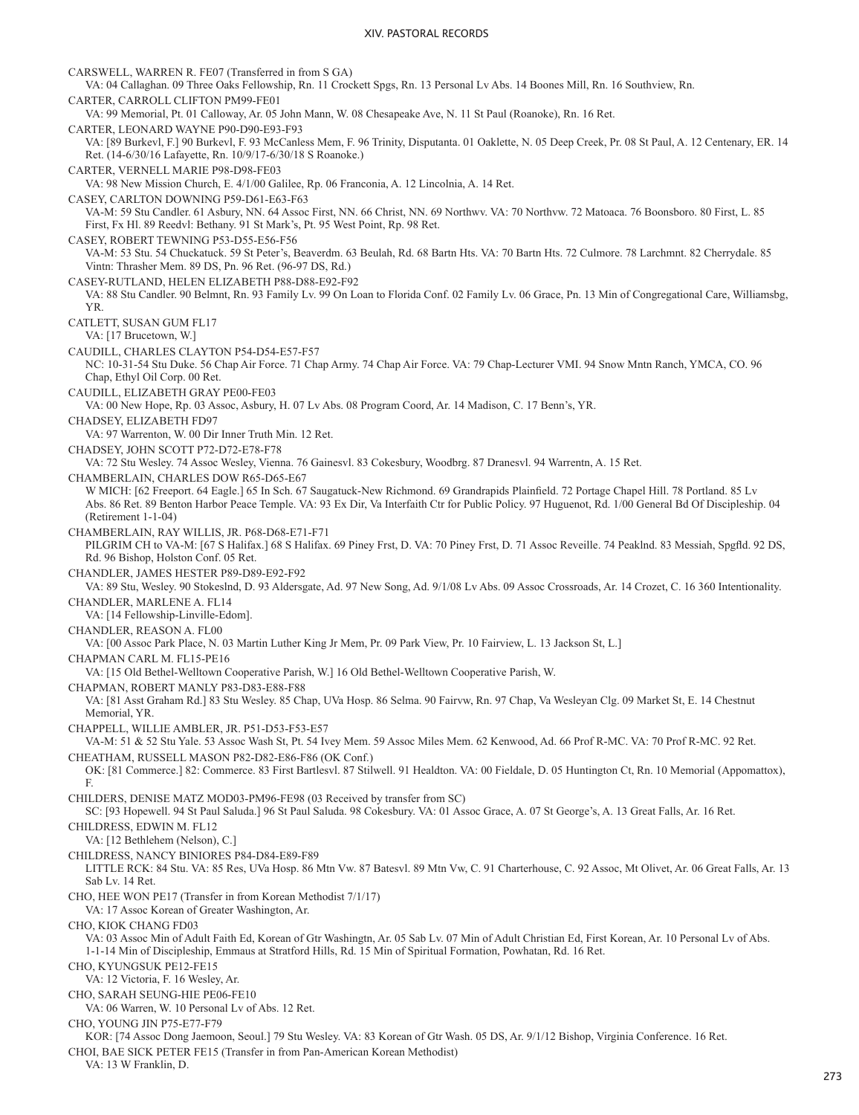CARSWELL, WARREN R. FE07 (Transferred in from S GA) VA: 04 Callaghan. 09 Three Oaks Fellowship, Rn. 11 Crockett Spgs, Rn. 13 Personal Lv Abs. 14 Boones Mill, Rn. 16 Southview, Rn. CARTER, CARROLL CLIFTON PM99-FE01 VA: 99 Memorial, Pt. 01 Calloway, Ar. 05 John Mann, W. 08 Chesapeake Ave, N. 11 St Paul (Roanoke), Rn. 16 Ret. CARTER, LEONARD WAYNE P90-D90-E93-F93 VA: [89 Burkevl, F.] 90 Burkevl, F. 93 McCanless Mem, F. 96 Trinity, Disputanta. 01 Oaklette, N. 05 Deep Creek, Pr. 08 St Paul, A. 12 Centenary, ER. 14 Ret. (14-6/30/16 Lafayette, Rn. 10/9/17-6/30/18 S Roanoke.) CARTER, VERNELL MARIE P98-D98-FE03 VA: 98 New Mission Church, E. 4/1/00 Galilee, Rp. 06 Franconia, A. 12 Lincolnia, A. 14 Ret. CASEY, CARLTON DOWNING P59-D61-E63-F63 VA-M: 59 Stu Candler. 61 Asbury, NN. 64 Assoc First, NN. 66 Christ, NN. 69 Northwv. VA: 70 Northvw. 72 Matoaca. 76 Boonsboro. 80 First, L. 85 First, Fx Hl. 89 Reedvl: Bethany. 91 St Mark's, Pt. 95 West Point, Rp. 98 Ret. CASEY, ROBERT TEWNING P53-D55-E56-F56 VA-M: 53 Stu. 54 Chuckatuck. 59 St Peter's, Beaverdm. 63 Beulah, Rd. 68 Bartn Hts. VA: 70 Bartn Hts. 72 Culmore. 78 Larchmnt. 82 Cherrydale. 85 Vintn: Thrasher Mem. 89 DS, Pn. 96 Ret. (96-97 DS, Rd.) CASEY-RUTLAND, HELEN ELIZABETH P88-D88-E92-F92 VA: 88 Stu Candler. 90 Belmnt, Rn. 93 Family Lv. 99 On Loan to Florida Conf. 02 Family Lv. 06 Grace, Pn. 13 Min of Congregational Care, Williamsbg, YR. CATLETT, SUSAN GUM FL17 VA: [17 Brucetown, W.] CAUDILL, CHARLES CLAYTON P54-D54-E57-F57 NC: 10-31-54 Stu Duke. 56 Chap Air Force. 71 Chap Army. 74 Chap Air Force. VA: 79 Chap-Lecturer VMI. 94 Snow Mntn Ranch, YMCA, CO. 96 Chap, Ethyl Oil Corp. 00 Ret. CAUDILL, ELIZABETH GRAY PE00-FE03 VA: 00 New Hope, Rp. 03 Assoc, Asbury, H. 07 Lv Abs. 08 Program Coord, Ar. 14 Madison, C. 17 Benn's, YR. CHADSEY, ELIZABETH FD97 VA: 97 Warrenton, W. 00 Dir Inner Truth Min. 12 Ret. CHADSEY, JOHN SCOTT P72-D72-E78-F78 VA: 72 Stu Wesley. 74 Assoc Wesley, Vienna. 76 Gainesvl. 83 Cokesbury, Woodbrg. 87 Dranesvl. 94 Warrentn, A. 15 Ret. CHAMBERLAIN, CHARLES DOW R65-D65-E67 W MICH: [62 Freeport. 64 Eagle.] 65 In Sch. 67 Saugatuck-New Richmond. 69 Grandrapids Plainfield. 72 Portage Chapel Hill. 78 Portland. 85 Lv Abs. 86 Ret. 89 Benton Harbor Peace Temple. VA: 93 Ex Dir, Va Interfaith Ctr for Public Policy. 97 Huguenot, Rd. 1/00 General Bd Of Discipleship. 04 (Retirement 1-1-04) CHAMBERLAIN, RAY WILLIS, JR. P68-D68-E71-F71 PILGRIM CH to VA-M: [67 S Halifax.] 68 S Halifax. 69 Piney Frst, D. VA: 70 Piney Frst, D. 71 Assoc Reveille. 74 Peaklnd. 83 Messiah, Spgfld. 92 DS, Rd. 96 Bishop, Holston Conf. 05 Ret. CHANDLER, JAMES HESTER P89-D89-E92-F92 VA: 89 Stu, Wesley. 90 Stokeslnd, D. 93 Aldersgate, Ad. 97 New Song, Ad. 9/1/08 Lv Abs. 09 Assoc Crossroads, Ar. 14 Crozet, C. 16 360 Intentionality. CHANDLER, MARLENE A. FL14 VA: [14 Fellowship-Linville-Edom]. CHANDLER, REASON A. FL00 VA: [00 Assoc Park Place, N. 03 Martin Luther King Jr Mem, Pr. 09 Park View, Pr. 10 Fairview, L. 13 Jackson St, L.] CHAPMAN CARL M. FL15-PE16 VA: [15 Old Bethel-Welltown Cooperative Parish, W.] 16 Old Bethel-Welltown Cooperative Parish, W. CHAPMAN, ROBERT MANLY P83-D83-E88-F88 VA: [81 Asst Graham Rd.] 83 Stu Wesley. 85 Chap, UVa Hosp. 86 Selma. 90 Fairvw, Rn. 97 Chap, Va Wesleyan Clg. 09 Market St, E. 14 Chestnut Memorial, YR. CHAPPELL, WILLIE AMBLER, JR. P51-D53-F53-E57 VA-M: 51 & 52 Stu Yale. 53 Assoc Wash St, Pt. 54 Ivey Mem. 59 Assoc Miles Mem. 62 Kenwood, Ad. 66 Prof R-MC. VA: 70 Prof R-MC. 92 Ret. CHEATHAM, RUSSELL MASON P82-D82-E86-F86 (OK Conf.) OK: [81 Commerce.] 82: Commerce. 83 First Bartlesvl. 87 Stilwell. 91 Healdton. VA: 00 Fieldale, D. 05 Huntington Ct, Rn. 10 Memorial (Appomattox), F. CHILDERS, DENISE MATZ MOD03-PM96-FE98 (03 Received by transfer from SC) SC: [93 Hopewell. 94 St Paul Saluda.] 96 St Paul Saluda. 98 Cokesbury. VA: 01 Assoc Grace, A. 07 St George's, A. 13 Great Falls, Ar. 16 Ret. CHILDRESS, EDWIN M. FL12 VA: [12 Bethlehem (Nelson), C.] CHILDRESS, NANCY BINIORES P84-D84-E89-F89 LITTLE RCK: 84 Stu. VA: 85 Res, UVa Hosp. 86 Mtn Vw. 87 Batesvl. 89 Mtn Vw, C. 91 Charterhouse, C. 92 Assoc, Mt Olivet, Ar. 06 Great Falls, Ar. 13 Sab Lv. 14 Ret. CHO, HEE WON PE17 (Transfer in from Korean Methodist 7/1/17) VA: 17 Assoc Korean of Greater Washington, Ar. CHO, KIOK CHANG FD03 VA: 03 Assoc Min of Adult Faith Ed, Korean of Gtr Washingtn, Ar. 05 Sab Lv. 07 Min of Adult Christian Ed, First Korean, Ar. 10 Personal Lv of Abs. 1-1-14 Min of Discipleship, Emmaus at Stratford Hills, Rd. 15 Min of Spiritual Formation, Powhatan, Rd. 16 Ret. CHO, KYUNGSUK PE12-FE15 VA: 12 Victoria, F. 16 Wesley, Ar. CHO, SARAH SEUNG-HIE PE06-FE10 VA: 06 Warren, W. 10 Personal Lv of Abs. 12 Ret. CHO, YOUNG JIN P75-E77-F79 KOR: [74 Assoc Dong Jaemoon, Seoul.] 79 Stu Wesley. VA: 83 Korean of Gtr Wash. 05 DS, Ar. 9/1/12 Bishop, Virginia Conference. 16 Ret. CHOI, BAE SICK PETER FE15 (Transfer in from Pan-American Korean Methodist) VA: 13 W Franklin, D.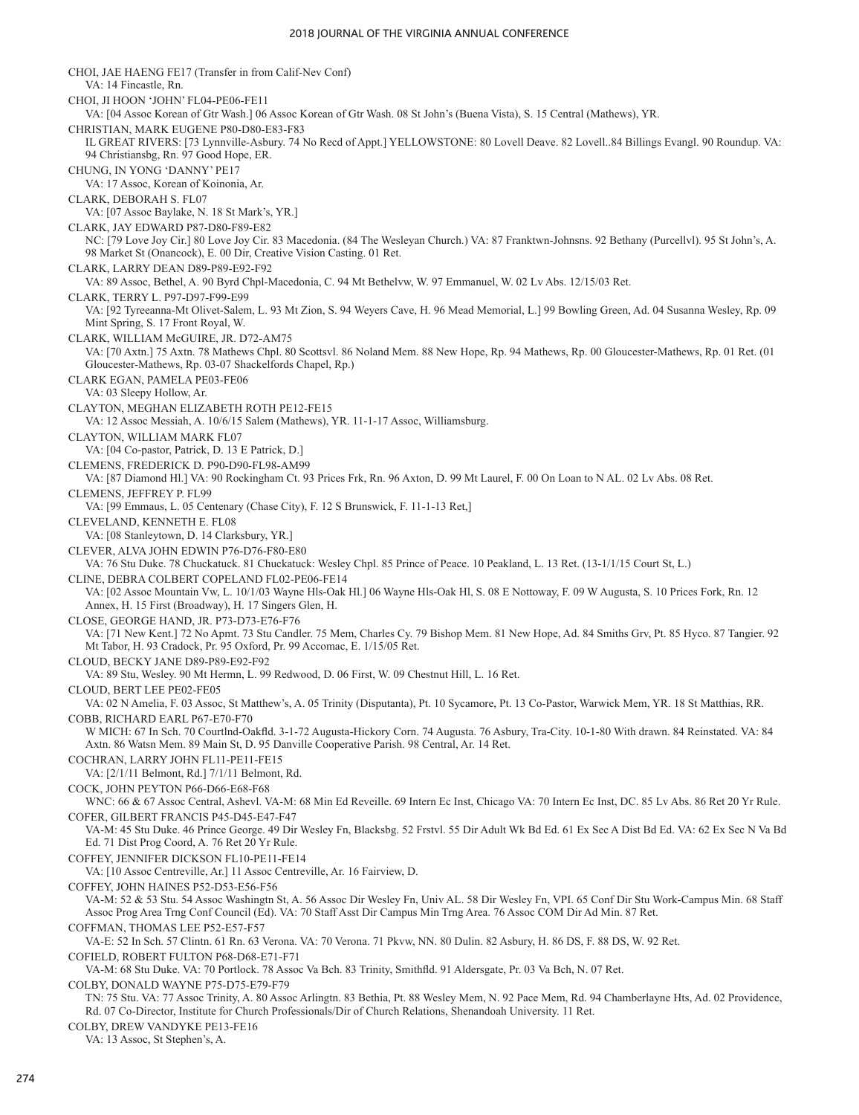#### 2018 JOURNAL OF THE VIRGINIA ANNUAL CONFERENCE

CHOI, JAE HAENG FE17 (Transfer in from Calif-Nev Conf) VA: 14 Fincastle, Rn. CHOI, JI HOON 'JOHN' FL04-PE06-FE11 VA: [04 Assoc Korean of Gtr Wash.] 06 Assoc Korean of Gtr Wash. 08 St John's (Buena Vista), S. 15 Central (Mathews), YR. CHRISTIAN, MARK EUGENE P80-D80-E83-F83 IL GREAT RIVERS: [73 Lynnville-Asbury. 74 No Recd of Appt.] YELLOWSTONE: 80 Lovell Deave. 82 Lovell..84 Billings Evangl. 90 Roundup. VA: 94 Christiansbg, Rn. 97 Good Hope, ER. CHUNG, IN YONG 'DANNY' PE17 VA: 17 Assoc, Korean of Koinonia, Ar. CLARK, DEBORAH S. FL07 VA: [07 Assoc Baylake, N. 18 St Mark's, YR.] CLARK, JAY EDWARD P87-D80-F89-E82 NC: [79 Love Joy Cir.] 80 Love Joy Cir. 83 Macedonia. (84 The Wesleyan Church.) VA: 87 Franktwn-Johnsns. 92 Bethany (Purcellvl). 95 St John's, A. 98 Market St (Onancock), E. 00 Dir, Creative Vision Casting. 01 Ret. CLARK, LARRY DEAN D89-P89-E92-F92 VA: 89 Assoc, Bethel, A. 90 Byrd Chpl-Macedonia, C. 94 Mt Bethelvw, W. 97 Emmanuel, W. 02 Lv Abs. 12/15/03 Ret. CLARK, TERRY L. P97-D97-F99-E99 VA: [92 Tyreeanna-Mt Olivet-Salem, L. 93 Mt Zion, S. 94 Weyers Cave, H. 96 Mead Memorial, L.] 99 Bowling Green, Ad. 04 Susanna Wesley, Rp. 09 Mint Spring, S. 17 Front Royal, W. CLARK, WILLIAM McGUIRE, JR. D72-AM75 VA: [70 Axtn.] 75 Axtn. 78 Mathews Chpl. 80 Scottsvl. 86 Noland Mem. 88 New Hope, Rp. 94 Mathews, Rp. 00 Gloucester-Mathews, Rp. 01 Ret. (01 Gloucester-Mathews, Rp. 03-07 Shackelfords Chapel, Rp.) CLARK EGAN, PAMELA PE03-FE06 VA: 03 Sleepy Hollow, Ar. CLAYTON, MEGHAN ELIZABETH ROTH PE12-FE15 VA: 12 Assoc Messiah, A. 10/6/15 Salem (Mathews), YR. 11-1-17 Assoc, Williamsburg. CLAYTON, WILLIAM MARK FL07 VA: [04 Co-pastor, Patrick, D. 13 E Patrick, D.] CLEMENS, FREDERICK D. P90-D90-FL98-AM99 VA: [87 Diamond Hl.] VA: 90 Rockingham Ct. 93 Prices Frk, Rn. 96 Axton, D. 99 Mt Laurel, F. 00 On Loan to N AL. 02 Lv Abs. 08 Ret. CLEMENS, JEFFREY P. FL99 VA: [99 Emmaus, L. 05 Centenary (Chase City), F. 12 S Brunswick, F. 11-1-13 Ret,] CLEVELAND, KENNETH E. FL08 VA: [08 Stanleytown, D. 14 Clarksbury, YR.] CLEVER, ALVA JOHN EDWIN P76-D76-F80-E80 VA: 76 Stu Duke. 78 Chuckatuck. 81 Chuckatuck: Wesley Chpl. 85 Prince of Peace. 10 Peakland, L. 13 Ret. (13-1/1/15 Court St, L.) CLINE, DEBRA COLBERT COPELAND FL02-PE06-FE14 VA: [02 Assoc Mountain Vw, L. 10/1/03 Wayne Hls-Oak Hl.] 06 Wayne Hls-Oak Hl, S. 08 E Nottoway, F. 09 W Augusta, S. 10 Prices Fork, Rn. 12 Annex, H. 15 First (Broadway), H. 17 Singers Glen, H. CLOSE, GEORGE HAND, JR. P73-D73-E76-F76 VA: [71 New Kent.] 72 No Apmt. 73 Stu Candler. 75 Mem, Charles Cy. 79 Bishop Mem. 81 New Hope, Ad. 84 Smiths Grv, Pt. 85 Hyco. 87 Tangier. 92 Mt Tabor, H. 93 Cradock, Pr. 95 Oxford, Pr. 99 Accomac, E. 1/15/05 Ret. CLOUD, BECKY JANE D89-P89-E92-F92 VA: 89 Stu, Wesley. 90 Mt Hermn, L. 99 Redwood, D. 06 First, W. 09 Chestnut Hill, L. 16 Ret. CLOUD, BERT LEE PE02-FE05 VA: 02 N Amelia, F. 03 Assoc, St Matthew's, A. 05 Trinity (Disputanta), Pt. 10 Sycamore, Pt. 13 Co-Pastor, Warwick Mem, YR. 18 St Matthias, RR. COBB, RICHARD EARL P67-E70-F70 W MICH: 67 In Sch. 70 Courtlnd-Oakfld. 3-1-72 Augusta-Hickory Corn. 74 Augusta. 76 Asbury, Tra-City. 10-1-80 With drawn. 84 Reinstated. VA: 84 Axtn. 86 Watsn Mem. 89 Main St, D. 95 Danville Cooperative Parish. 98 Central, Ar. 14 Ret. COCHRAN, LARRY JOHN FL11-PE11-FE15 VA: [2/1/11 Belmont, Rd.] 7/1/11 Belmont, Rd. COCK, JOHN PEYTON P66-D66-E68-F68 WNC: 66 & 67 Assoc Central, Ashevl. VA-M: 68 Min Ed Reveille. 69 Intern Ec Inst, Chicago VA: 70 Intern Ec Inst, DC. 85 Lv Abs. 86 Ret 20 Yr Rule. COFER, GILBERT FRANCIS P45-D45-E47-F47 VA-M: 45 Stu Duke. 46 Prince George. 49 Dir Wesley Fn, Blacksbg. 52 Frstvl. 55 Dir Adult Wk Bd Ed. 61 Ex Sec A Dist Bd Ed. VA: 62 Ex Sec N Va Bd Ed. 71 Dist Prog Coord, A. 76 Ret 20 Yr Rule. COFFEY, JENNIFER DICKSON FL10-PE11-FE14 VA: [10 Assoc Centreville, Ar.] 11 Assoc Centreville, Ar. 16 Fairview, D. COFFEY, JOHN HAINES P52-D53-E56-F56 VA-M: 52 & 53 Stu. 54 Assoc Washingtn St, A. 56 Assoc Dir Wesley Fn, Univ AL. 58 Dir Wesley Fn, VPI. 65 Conf Dir Stu Work-Campus Min. 68 Staff Assoc Prog Area Trng Conf Council (Ed). VA: 70 Staff Asst Dir Campus Min Trng Area. 76 Assoc COM Dir Ad Min. 87 Ret. COFFMAN, THOMAS LEE P52-E57-F57 VA-E: 52 In Sch. 57 Clintn. 61 Rn. 63 Verona. VA: 70 Verona. 71 Pkvw, NN. 80 Dulin. 82 Asbury, H. 86 DS, F. 88 DS, W. 92 Ret. COFIELD, ROBERT FULTON P68-D68-E71-F71 VA-M: 68 Stu Duke. VA: 70 Portlock. 78 Assoc Va Bch. 83 Trinity, Smithfld. 91 Aldersgate, Pr. 03 Va Bch, N. 07 Ret. COLBY, DONALD WAYNE P75-D75-E79-F79 TN: 75 Stu. VA: 77 Assoc Trinity, A. 80 Assoc Arlingtn. 83 Bethia, Pt. 88 Wesley Mem, N. 92 Pace Mem, Rd. 94 Chamberlayne Hts, Ad. 02 Providence, Rd. 07 Co-Director, Institute for Church Professionals/Dir of Church Relations, Shenandoah University. 11 Ret. COLBY, DREW VANDYKE PE13-FE16 VA: 13 Assoc, St Stephen's, A.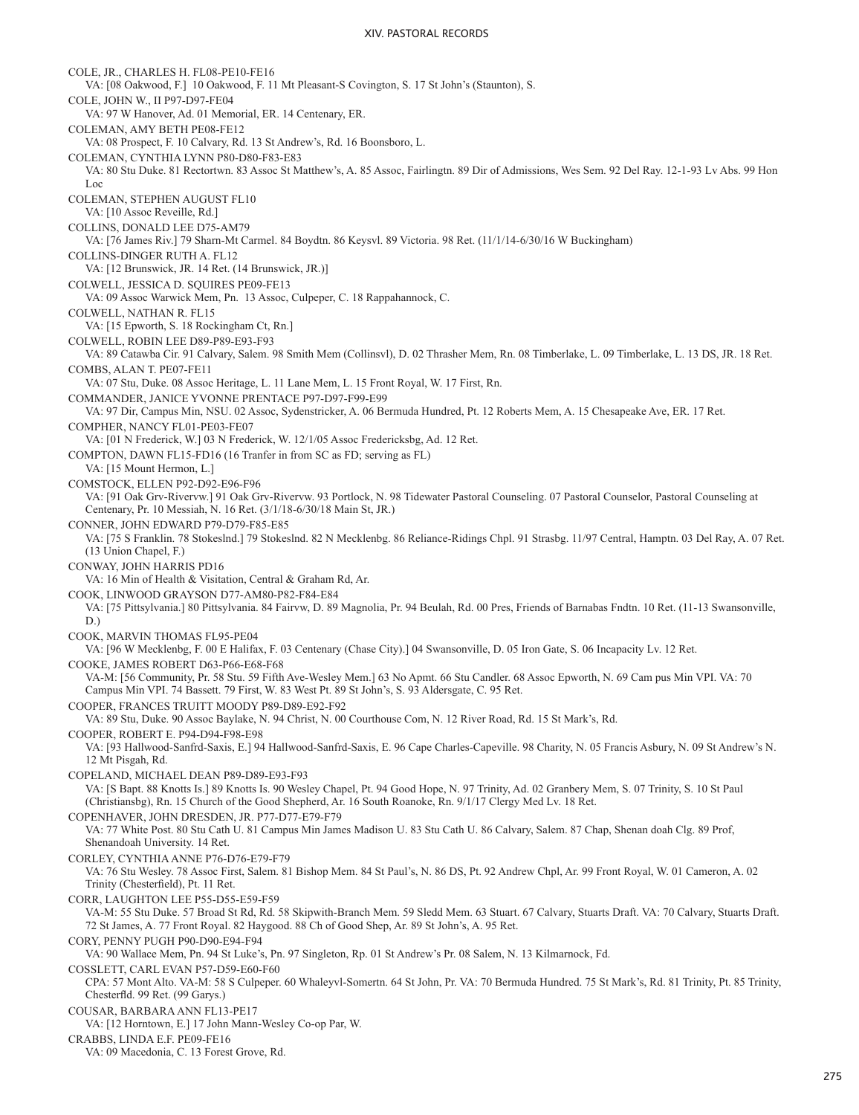COLE, JR., CHARLES H. FL08-PE10-FE16 VA: [08 Oakwood, F.] 10 Oakwood, F. 11 Mt Pleasant-S Covington, S. 17 St John's (Staunton), S. COLE, JOHN W., II P97-D97-FE04 VA: 97 W Hanover, Ad. 01 Memorial, ER. 14 Centenary, ER. COLEMAN, AMY BETH PE08-FE12 VA: 08 Prospect, F. 10 Calvary, Rd. 13 St Andrew's, Rd. 16 Boonsboro, L. COLEMAN, CYNTHIA LYNN P80-D80-F83-E83 VA: 80 Stu Duke. 81 Rectortwn. 83 Assoc St Matthew's, A. 85 Assoc, Fairlingtn. 89 Dir of Admissions, Wes Sem. 92 Del Ray. 12-1-93 Lv Abs. 99 Hon Loc COLEMAN, STEPHEN AUGUST FL10 VA: [10 Assoc Reveille, Rd.] COLLINS, DONALD LEE D75-AM79 VA: [76 James Riv.] 79 Sharn-Mt Carmel. 84 Boydtn. 86 Keysvl. 89 Victoria. 98 Ret. (11/1/14-6/30/16 W Buckingham) COLLINS-DINGER RUTH A. FL12 VA: [12 Brunswick, JR. 14 Ret. (14 Brunswick, JR.)] COLWELL, JESSICA D. SQUIRES PE09-FE13 VA: 09 Assoc Warwick Mem, Pn. 13 Assoc, Culpeper, C. 18 Rappahannock, C. COLWELL, NATHAN R. FL15 VA: [15 Epworth, S. 18 Rockingham Ct, Rn.] COLWELL, ROBIN LEE D89-P89-E93-F93 VA: 89 Catawba Cir. 91 Calvary, Salem. 98 Smith Mem (Collinsvl), D. 02 Thrasher Mem, Rn. 08 Timberlake, L. 09 Timberlake, L. 13 DS, JR. 18 Ret. COMBS, ALAN T. PE07-FE11 VA: 07 Stu, Duke. 08 Assoc Heritage, L. 11 Lane Mem, L. 15 Front Royal, W. 17 First, Rn. COMMANDER, JANICE YVONNE PRENTACE P97-D97-F99-E99 VA: 97 Dir, Campus Min, NSU. 02 Assoc, Sydenstricker, A. 06 Bermuda Hundred, Pt. 12 Roberts Mem, A. 15 Chesapeake Ave, ER. 17 Ret. COMPHER, NANCY FL01-PE03-FE07 VA: [01 N Frederick, W.] 03 N Frederick, W. 12/1/05 Assoc Fredericksbg, Ad. 12 Ret. COMPTON, DAWN FL15-FD16 (16 Tranfer in from SC as FD; serving as FL) VA: [15 Mount Hermon, L.] COMSTOCK, ELLEN P92-D92-E96-F96 VA: [91 Oak Grv-Rivervw.] 91 Oak Grv-Rivervw. 93 Portlock, N. 98 Tidewater Pastoral Counseling. 07 Pastoral Counselor, Pastoral Counseling at Centenary, Pr. 10 Messiah, N. 16 Ret. (3/1/18-6/30/18 Main St, JR.) CONNER, JOHN EDWARD P79-D79-F85-E85 VA: [75 S Franklin. 78 Stokeslnd.] 79 Stokeslnd. 82 N Mecklenbg. 86 Reliance-Ridings Chpl. 91 Strasbg. 11/97 Central, Hamptn. 03 Del Ray, A. 07 Ret. (13 Union Chapel, F.) CONWAY, JOHN HARRIS PD16 VA: 16 Min of Health & Visitation, Central & Graham Rd, Ar. COOK, LINWOOD GRAYSON D77-AM80-P82-F84-E84 VA: [75 Pittsylvania.] 80 Pittsylvania. 84 Fairvw, D. 89 Magnolia, Pr. 94 Beulah, Rd. 00 Pres, Friends of Barnabas Fndtn. 10 Ret. (11-13 Swansonville, D.) COOK, MARVIN THOMAS FL95-PE04 VA: [96 W Mecklenbg, F. 00 E Halifax, F. 03 Centenary (Chase City).] 04 Swansonville, D. 05 Iron Gate, S. 06 Incapacity Lv. 12 Ret. COOKE, JAMES ROBERT D63-P66-E68-F68 VA-M: [56 Community, Pr. 58 Stu. 59 Fifth Ave-Wesley Mem.] 63 No Apmt. 66 Stu Candler. 68 Assoc Epworth, N. 69 Cam pus Min VPI. VA: 70 Campus Min VPI. 74 Bassett. 79 First, W. 83 West Pt. 89 St John's, S. 93 Aldersgate, C. 95 Ret. COOPER, FRANCES TRUITT MOODY P89-D89-E92-F92 VA: 89 Stu, Duke. 90 Assoc Baylake, N. 94 Christ, N. 00 Courthouse Com, N. 12 River Road, Rd. 15 St Mark's, Rd. COOPER, ROBERT E. P94-D94-F98-E98 VA: [93 Hallwood-Sanfrd-Saxis, E.] 94 Hallwood-Sanfrd-Saxis, E. 96 Cape Charles-Capeville. 98 Charity, N. 05 Francis Asbury, N. 09 St Andrew's N. 12 Mt Pisgah, Rd. COPELAND, MICHAEL DEAN P89-D89-E93-F93 VA: [S Bapt. 88 Knotts Is.] 89 Knotts Is. 90 Wesley Chapel, Pt. 94 Good Hope, N. 97 Trinity, Ad. 02 Granbery Mem, S. 07 Trinity, S. 10 St Paul (Christiansbg), Rn. 15 Church of the Good Shepherd, Ar. 16 South Roanoke, Rn. 9/1/17 Clergy Med Lv. 18 Ret. COPENHAVER, JOHN DRESDEN, JR. P77-D77-E79-F79 VA: 77 White Post. 80 Stu Cath U. 81 Campus Min James Madison U. 83 Stu Cath U. 86 Calvary, Salem. 87 Chap, Shenan doah Clg. 89 Prof, Shenandoah University. 14 Ret. CORLEY, CYNTHIA ANNE P76-D76-E79-F79 VA: 76 Stu Wesley. 78 Assoc First, Salem. 81 Bishop Mem. 84 St Paul's, N. 86 DS, Pt. 92 Andrew Chpl, Ar. 99 Front Royal, W. 01 Cameron, A. 02 Trinity (Chesterfield), Pt. 11 Ret. CORR, LAUGHTON LEE P55-D55-E59-F59 VA-M: 55 Stu Duke. 57 Broad St Rd, Rd. 58 Skipwith-Branch Mem. 59 Sledd Mem. 63 Stuart. 67 Calvary, Stuarts Draft. VA: 70 Calvary, Stuarts Draft. 72 St James, A. 77 Front Royal. 82 Haygood. 88 Ch of Good Shep, Ar. 89 St John's, A. 95 Ret. CORY, PENNY PUGH P90-D90-E94-F94 VA: 90 Wallace Mem, Pn. 94 St Luke's, Pn. 97 Singleton, Rp. 01 St Andrew's Pr. 08 Salem, N. 13 Kilmarnock, Fd. COSSLETT, CARL EVAN P57-D59-E60-F60 CPA: 57 Mont Alto. VA-M: 58 S Culpeper. 60 Whaleyvl-Somertn. 64 St John, Pr. VA: 70 Bermuda Hundred. 75 St Mark's, Rd. 81 Trinity, Pt. 85 Trinity, Chesterfld. 99 Ret. (99 Garys.) COUSAR, BARBARA ANN FL13-PE17 VA: [12 Horntown, E.] 17 John Mann-Wesley Co-op Par, W. CRABBS, LINDA E.F. PE09-FE16 VA: 09 Macedonia, C. 13 Forest Grove, Rd.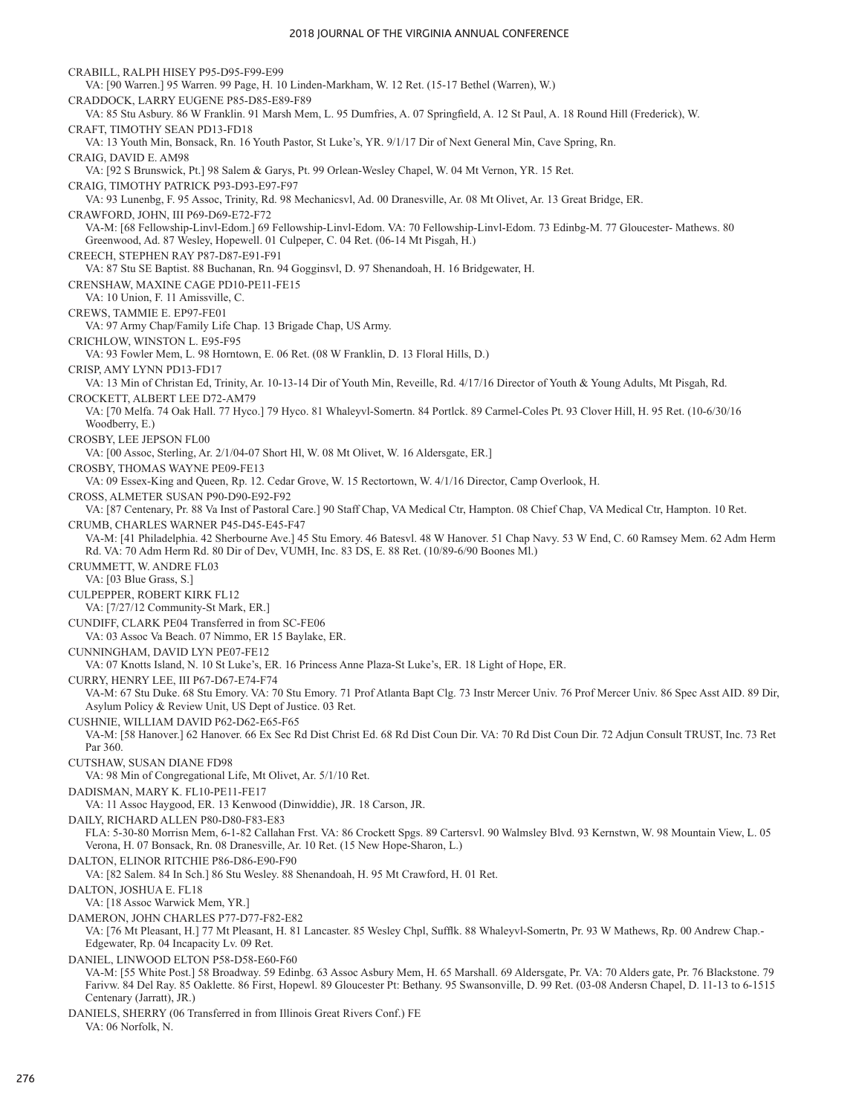CRABILL, RALPH HISEY P95-D95-F99-E99 VA: [90 Warren.] 95 Warren. 99 Page, H. 10 Linden-Markham, W. 12 Ret. (15-17 Bethel (Warren), W.) CRADDOCK, LARRY EUGENE P85-D85-E89-F89 VA: 85 Stu Asbury. 86 W Franklin. 91 Marsh Mem, L. 95 Dumfries, A. 07 Springfield, A. 12 St Paul, A. 18 Round Hill (Frederick), W. CRAFT, TIMOTHY SEAN PD13-FD18 VA: 13 Youth Min, Bonsack, Rn. 16 Youth Pastor, St Luke's, YR. 9/1/17 Dir of Next General Min, Cave Spring, Rn. CRAIG, DAVID E. AM98 VA: [92 S Brunswick, Pt.] 98 Salem & Garys, Pt. 99 Orlean-Wesley Chapel, W. 04 Mt Vernon, YR. 15 Ret. CRAIG, TIMOTHY PATRICK P93-D93-E97-F97 VA: 93 Lunenbg, F. 95 Assoc, Trinity, Rd. 98 Mechanicsvl, Ad. 00 Dranesville, Ar. 08 Mt Olivet, Ar. 13 Great Bridge, ER. CRAWFORD, JOHN, III P69-D69-E72-F72 VA-M: [68 Fellowship-Linvl-Edom.] 69 Fellowship-Linvl-Edom. VA: 70 Fellowship-Linvl-Edom. 73 Edinbg-M. 77 Gloucester- Mathews. 80 Greenwood, Ad. 87 Wesley, Hopewell. 01 Culpeper, C. 04 Ret. (06-14 Mt Pisgah, H.) CREECH, STEPHEN RAY P87-D87-E91-F91 VA: 87 Stu SE Baptist. 88 Buchanan, Rn. 94 Gogginsvl, D. 97 Shenandoah, H. 16 Bridgewater, H. CRENSHAW, MAXINE CAGE PD10-PE11-FE15 VA: 10 Union, F. 11 Amissville, C. CREWS, TAMMIE E. EP97-FE01 VA: 97 Army Chap/Family Life Chap. 13 Brigade Chap, US Army. CRICHLOW, WINSTON L. E95-F95 VA: 93 Fowler Mem, L. 98 Horntown, E. 06 Ret. (08 W Franklin, D. 13 Floral Hills, D.) CRISP, AMY LYNN PD13-FD17 VA: 13 Min of Christan Ed, Trinity, Ar. 10-13-14 Dir of Youth Min, Reveille, Rd. 4/17/16 Director of Youth & Young Adults, Mt Pisgah, Rd. CROCKETT, ALBERT LEE D72-AM79 VA: [70 Melfa. 74 Oak Hall. 77 Hyco.] 79 Hyco. 81 Whaleyvl-Somertn. 84 Portlck. 89 Carmel-Coles Pt. 93 Clover Hill, H. 95 Ret. (10-6/30/16 Woodberry, E.) CROSBY, LEE JEPSON FL00 VA: [00 Assoc, Sterling, Ar. 2/1/04-07 Short Hl, W. 08 Mt Olivet, W. 16 Aldersgate, ER.] CROSBY, THOMAS WAYNE PE09-FE13 VA: 09 Essex-King and Queen, Rp. 12. Cedar Grove, W. 15 Rectortown, W. 4/1/16 Director, Camp Overlook, H. CROSS, ALMETER SUSAN P90-D90-E92-F92 VA: [87 Centenary, Pr. 88 Va Inst of Pastoral Care.] 90 Staff Chap, VA Medical Ctr, Hampton. 08 Chief Chap, VA Medical Ctr, Hampton. 10 Ret. CRUMB, CHARLES WARNER P45-D45-E45-F47 VA-M: [41 Philadelphia. 42 Sherbourne Ave.] 45 Stu Emory. 46 Batesvl. 48 W Hanover. 51 Chap Navy. 53 W End, C. 60 Ramsey Mem. 62 Adm Herm Rd. VA: 70 Adm Herm Rd. 80 Dir of Dev, VUMH, Inc. 83 DS, E. 88 Ret. (10/89-6/90 Boones Ml.) CRUMMETT, W. ANDRE FL03 VA: [03 Blue Grass, S.] CULPEPPER, ROBERT KIRK FL12 VA: [7/27/12 Community-St Mark, ER.] CUNDIFF, CLARK PE04 Transferred in from SC-FE06 VA: 03 Assoc Va Beach. 07 Nimmo, ER 15 Baylake, ER. CUNNINGHAM, DAVID LYN PE07-FE12 VA: 07 Knotts Island, N. 10 St Luke's, ER. 16 Princess Anne Plaza-St Luke's, ER. 18 Light of Hope, ER. CURRY, HENRY LEE, III P67-D67-E74-F74 VA-M: 67 Stu Duke. 68 Stu Emory. VA: 70 Stu Emory. 71 Prof Atlanta Bapt Clg. 73 Instr Mercer Univ. 76 Prof Mercer Univ. 86 Spec Asst AID. 89 Dir, Asylum Policy & Review Unit, US Dept of Justice. 03 Ret. CUSHNIE, WILLIAM DAVID P62-D62-E65-F65 VA-M: [58 Hanover.] 62 Hanover. 66 Ex Sec Rd Dist Christ Ed. 68 Rd Dist Coun Dir. VA: 70 Rd Dist Coun Dir. 72 Adjun Consult TRUST, Inc. 73 Ret Par 360. CUTSHAW, SUSAN DIANE FD98 VA: 98 Min of Congregational Life, Mt Olivet, Ar. 5/1/10 Ret. DADISMAN, MARY K. FL10-PE11-FE17 VA: 11 Assoc Haygood, ER. 13 Kenwood (Dinwiddie), JR. 18 Carson, JR. DAILY, RICHARD ALLEN P80-D80-F83-E83 FLA: 5-30-80 Morrisn Mem, 6-1-82 Callahan Frst. VA: 86 Crockett Spgs. 89 Cartersvl. 90 Walmsley Blvd. 93 Kernstwn, W. 98 Mountain View, L. 05 Verona, H. 07 Bonsack, Rn. 08 Dranesville, Ar. 10 Ret. (15 New Hope-Sharon, L.) DALTON, ELINOR RITCHIE P86-D86-E90-F90 VA: [82 Salem. 84 In Sch.] 86 Stu Wesley. 88 Shenandoah, H. 95 Mt Crawford, H. 01 Ret. DALTON, JOSHUA E. FL18 VA: [18 Assoc Warwick Mem, YR.] DAMERON, JOHN CHARLES P77-D77-F82-E82 VA: [76 Mt Pleasant, H.] 77 Mt Pleasant, H. 81 Lancaster. 85 Wesley Chpl, Sufflk. 88 Whaleyvl-Somertn, Pr. 93 W Mathews, Rp. 00 Andrew Chap.- Edgewater, Rp. 04 Incapacity Lv. 09 Ret. DANIEL, LINWOOD ELTON P58-D58-E60-F60 VA-M: [55 White Post.] 58 Broadway. 59 Edinbg. 63 Assoc Asbury Mem, H. 65 Marshall. 69 Aldersgate, Pr. VA: 70 Alders gate, Pr. 76 Blackstone. 79 Farivw. 84 Del Ray. 85 Oaklette. 86 First, Hopewl. 89 Gloucester Pt: Bethany. 95 Swansonville, D. 99 Ret. (03-08 Andersn Chapel, D. 11-13 to 6-1515 Centenary (Jarratt), JR.) DANIELS, SHERRY (06 Transferred in from Illinois Great Rivers Conf.) FE VA: 06 Norfolk, N.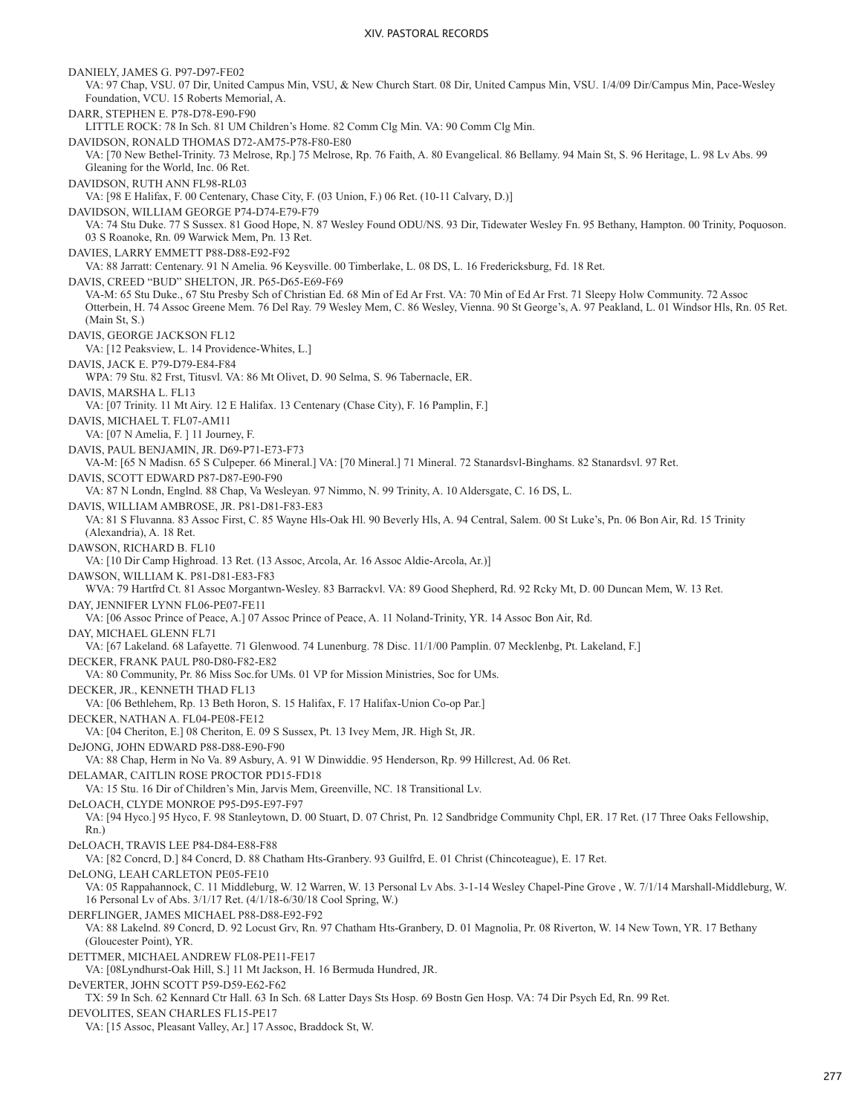DANIELY, JAMES G. P97-D97-FE02 VA: 97 Chap, VSU. 07 Dir, United Campus Min, VSU, & New Church Start. 08 Dir, United Campus Min, VSU. 1/4/09 Dir/Campus Min, Pace-Wesley Foundation, VCU. 15 Roberts Memorial, A. DARR, STEPHEN E. P78-D78-E90-F90 LITTLE ROCK: 78 In Sch. 81 UM Children's Home. 82 Comm Clg Min. VA: 90 Comm Clg Min. DAVIDSON, RONALD THOMAS D72-AM75-P78-F80-E80 VA: [70 New Bethel-Trinity. 73 Melrose, Rp.] 75 Melrose, Rp. 76 Faith, A. 80 Evangelical. 86 Bellamy. 94 Main St, S. 96 Heritage, L. 98 Lv Abs. 99 Gleaning for the World, Inc. 06 Ret. DAVIDSON, RUTH ANN FL98-RL03 VA: [98 E Halifax, F. 00 Centenary, Chase City, F. (03 Union, F.) 06 Ret. (10-11 Calvary, D.)] DAVIDSON, WILLIAM GEORGE P74-D74-E79-F79 VA: 74 Stu Duke. 77 S Sussex. 81 Good Hope, N. 87 Wesley Found ODU/NS. 93 Dir, Tidewater Wesley Fn. 95 Bethany, Hampton. 00 Trinity, Poquoson. 03 S Roanoke, Rn. 09 Warwick Mem, Pn. 13 Ret. DAVIES, LARRY EMMETT P88-D88-E92-F92 VA: 88 Jarratt: Centenary. 91 N Amelia. 96 Keysville. 00 Timberlake, L. 08 DS, L. 16 Fredericksburg, Fd. 18 Ret. DAVIS, CREED "BUD" SHELTON, JR. P65-D65-E69-F69 VA-M: 65 Stu Duke., 67 Stu Presby Sch of Christian Ed. 68 Min of Ed Ar Frst. VA: 70 Min of Ed Ar Frst. 71 Sleepy Holw Community. 72 Assoc Otterbein, H. 74 Assoc Greene Mem. 76 Del Ray. 79 Wesley Mem, C. 86 Wesley, Vienna. 90 St George's, A. 97 Peakland, L. 01 Windsor Hls, Rn. 05 Ret. (Main St, S.) DAVIS, GEORGE JACKSON FL12 VA: [12 Peaksview, L. 14 Providence-Whites, L.] DAVIS, JACK E. P79-D79-E84-F84 WPA: 79 Stu. 82 Frst, Titusvl. VA: 86 Mt Olivet, D. 90 Selma, S. 96 Tabernacle, ER. DAVIS, MARSHA L. FL13 VA: [07 Trinity. 11 Mt Airy. 12 E Halifax. 13 Centenary (Chase City), F. 16 Pamplin, F.] DAVIS, MICHAEL T. FL07-AM11 VA: [07 N Amelia, F. ] 11 Journey, F. DAVIS, PAUL BENJAMIN, JR. D69-P71-E73-F73 VA-M: [65 N Madisn. 65 S Culpeper. 66 Mineral.] VA: [70 Mineral.] 71 Mineral. 72 Stanardsvl-Binghams. 82 Stanardsvl. 97 Ret. DAVIS, SCOTT EDWARD P87-D87-E90-F90 VA: 87 N Londn, Englnd. 88 Chap, Va Wesleyan. 97 Nimmo, N. 99 Trinity, A. 10 Aldersgate, C. 16 DS, L. DAVIS, WILLIAM AMBROSE, JR. P81-D81-F83-E83 VA: 81 S Fluvanna. 83 Assoc First, C. 85 Wayne Hls-Oak Hl. 90 Beverly Hls, A. 94 Central, Salem. 00 St Luke's, Pn. 06 Bon Air, Rd. 15 Trinity (Alexandria), A. 18 Ret. DAWSON, RICHARD B. FL10 VA: [10 Dir Camp Highroad. 13 Ret. (13 Assoc, Arcola, Ar. 16 Assoc Aldie-Arcola, Ar.)] DAWSON, WILLIAM K. P81-D81-E83-F83 WVA: 79 Hartfrd Ct. 81 Assoc Morgantwn-Wesley. 83 Barrackvl. VA: 89 Good Shepherd, Rd. 92 Rcky Mt, D. 00 Duncan Mem, W. 13 Ret. DAY, JENNIFER LYNN FL06-PE07-FE11 VA: [06 Assoc Prince of Peace, A.] 07 Assoc Prince of Peace, A. 11 Noland-Trinity, YR. 14 Assoc Bon Air, Rd. DAY, MICHAEL GLENN FL71 VA: [67 Lakeland. 68 Lafayette. 71 Glenwood. 74 Lunenburg. 78 Disc. 11/1/00 Pamplin. 07 Mecklenbg, Pt. Lakeland, F.] DECKER, FRANK PAUL P80-D80-F82-E82 VA: 80 Community, Pr. 86 Miss Soc.for UMs. 01 VP for Mission Ministries, Soc for UMs. DECKER, JR., KENNETH THAD FL13 VA: [06 Bethlehem, Rp. 13 Beth Horon, S. 15 Halifax, F. 17 Halifax-Union Co-op Par.] DECKER, NATHAN A. FL04-PE08-FE12 VA: [04 Cheriton, E.] 08 Cheriton, E. 09 S Sussex, Pt. 13 Ivey Mem, JR. High St, JR. DeJONG, JOHN EDWARD P88-D88-E90-F90 VA: 88 Chap, Herm in No Va. 89 Asbury, A. 91 W Dinwiddie. 95 Henderson, Rp. 99 Hillcrest, Ad. 06 Ret. DELAMAR, CAITLIN ROSE PROCTOR PD15-FD18 VA: 15 Stu. 16 Dir of Children's Min, Jarvis Mem, Greenville, NC. 18 Transitional Lv. DeLOACH, CLYDE MONROE P95-D95-E97-F97 VA: [94 Hyco.] 95 Hyco, F. 98 Stanleytown, D. 00 Stuart, D. 07 Christ, Pn. 12 Sandbridge Community Chpl, ER. 17 Ret. (17 Three Oaks Fellowship, Rn.) DeLOACH, TRAVIS LEE P84-D84-E88-F88 VA: [82 Concrd, D.] 84 Concrd, D. 88 Chatham Hts-Granbery. 93 Guilfrd, E. 01 Christ (Chincoteague), E. 17 Ret. DeLONG, LEAH CARLETON PE05-FE10 VA: 05 Rappahannock, C. 11 Middleburg, W. 12 Warren, W. 13 Personal Lv Abs. 3-1-14 Wesley Chapel-Pine Grove , W. 7/1/14 Marshall-Middleburg, W. 16 Personal Lv of Abs. 3/1/17 Ret. (4/1/18-6/30/18 Cool Spring, W.) DERFLINGER, JAMES MICHAEL P88-D88-E92-F92 VA: 88 Lakelnd. 89 Concrd, D. 92 Locust Grv, Rn. 97 Chatham Hts-Granbery, D. 01 Magnolia, Pr. 08 Riverton, W. 14 New Town, YR. 17 Bethany (Gloucester Point), YR. DETTMER, MICHAEL ANDREW FL08-PE11-FE17 VA: [08Lyndhurst-Oak Hill, S.] 11 Mt Jackson, H. 16 Bermuda Hundred, JR. DeVERTER, JOHN SCOTT P59-D59-E62-F62 TX: 59 In Sch. 62 Kennard Ctr Hall. 63 In Sch. 68 Latter Days Sts Hosp. 69 Bostn Gen Hosp. VA: 74 Dir Psych Ed, Rn. 99 Ret. DEVOLITES, SEAN CHARLES FL15-PE17 VA: [15 Assoc, Pleasant Valley, Ar.] 17 Assoc, Braddock St, W.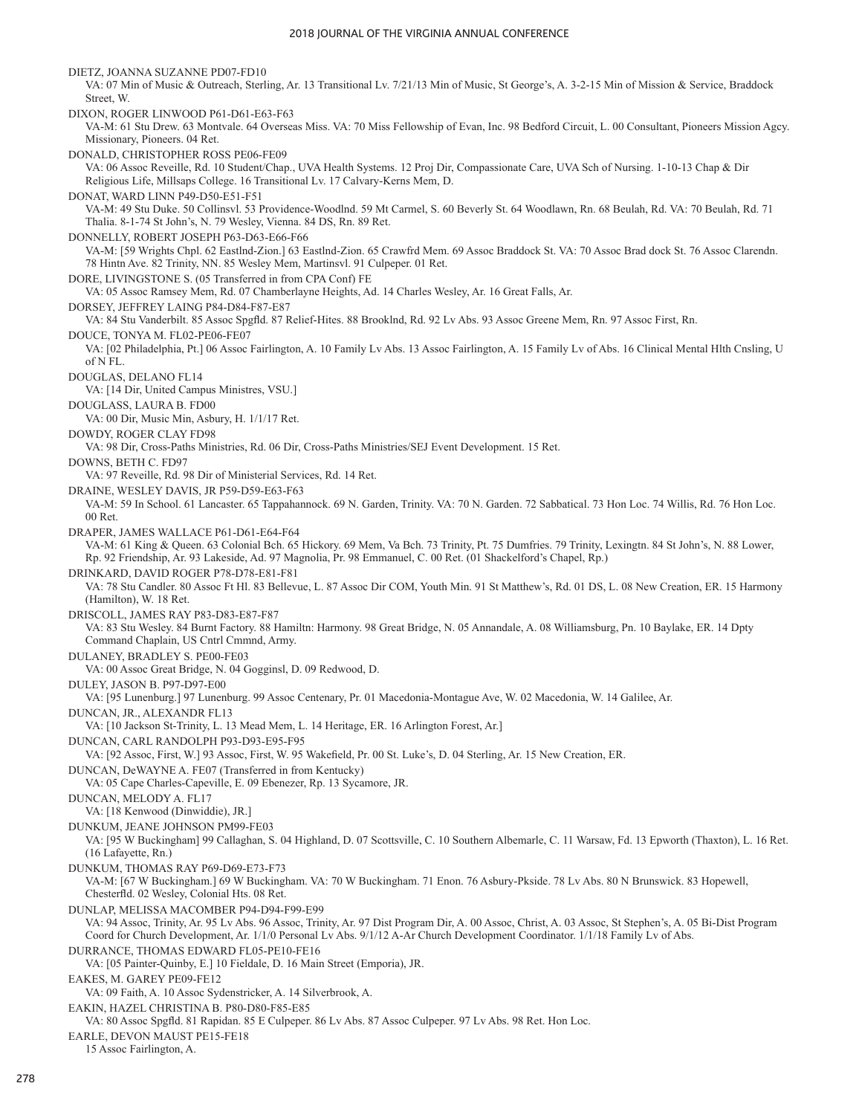DIETZ, JOANNA SUZANNE PD07-FD10 VA: 07 Min of Music & Outreach, Sterling, Ar. 13 Transitional Lv. 7/21/13 Min of Music, St George's, A. 3-2-15 Min of Mission & Service, Braddock Street, W. DIXON, ROGER LINWOOD P61-D61-E63-F63 VA-M: 61 Stu Drew. 63 Montvale. 64 Overseas Miss. VA: 70 Miss Fellowship of Evan, Inc. 98 Bedford Circuit, L. 00 Consultant, Pioneers Mission Agcy. Missionary, Pioneers. 04 Ret. DONALD, CHRISTOPHER ROSS PE06-FE09 VA: 06 Assoc Reveille, Rd. 10 Student/Chap., UVA Health Systems. 12 Proj Dir, Compassionate Care, UVA Sch of Nursing. 1-10-13 Chap & Dir Religious Life, Millsaps College. 16 Transitional Lv. 17 Calvary-Kerns Mem, D. DONAT, WARD LINN P49-D50-E51-F51 VA-M: 49 Stu Duke. 50 Collinsvl. 53 Providence-Woodlnd. 59 Mt Carmel, S. 60 Beverly St. 64 Woodlawn, Rn. 68 Beulah, Rd. VA: 70 Beulah, Rd. 71 Thalia. 8-1-74 St John's, N. 79 Wesley, Vienna. 84 DS, Rn. 89 Ret. DONNELLY, ROBERT JOSEPH P63-D63-E66-F66 VA-M: [59 Wrights Chpl. 62 Eastlnd-Zion.] 63 Eastlnd-Zion. 65 Crawfrd Mem. 69 Assoc Braddock St. VA: 70 Assoc Brad dock St. 76 Assoc Clarendn. 78 Hintn Ave. 82 Trinity, NN. 85 Wesley Mem, Martinsvl. 91 Culpeper. 01 Ret. DORE, LIVINGSTONE S. (05 Transferred in from CPA Conf) FE VA: 05 Assoc Ramsey Mem, Rd. 07 Chamberlayne Heights, Ad. 14 Charles Wesley, Ar. 16 Great Falls, Ar. DORSEY, JEFFREY LAING P84-D84-F87-E87 VA: 84 Stu Vanderbilt. 85 Assoc Spgfld. 87 Relief-Hites. 88 Brooklnd, Rd. 92 Lv Abs. 93 Assoc Greene Mem, Rn. 97 Assoc First, Rn. DOUCE, TONYA M. FL02-PE06-FE07 VA: [02 Philadelphia, Pt.] 06 Assoc Fairlington, A. 10 Family Lv Abs. 13 Assoc Fairlington, A. 15 Family Lv of Abs. 16 Clinical Mental Hlth Cnsling, U of N FL. DOUGLAS, DELANO FL14 VA: [14 Dir, United Campus Ministres, VSU.] DOUGLASS, LAURA B. FD00 VA: 00 Dir, Music Min, Asbury, H. 1/1/17 Ret. DOWDY, ROGER CLAY FD98 VA: 98 Dir, Cross-Paths Ministries, Rd. 06 Dir, Cross-Paths Ministries/SEJ Event Development. 15 Ret. DOWNS, BETH C. FD97 VA: 97 Reveille, Rd. 98 Dir of Ministerial Services, Rd. 14 Ret. DRAINE, WESLEY DAVIS, JR P59-D59-E63-F63 VA-M: 59 In School. 61 Lancaster. 65 Tappahannock. 69 N. Garden, Trinity. VA: 70 N. Garden. 72 Sabbatical. 73 Hon Loc. 74 Willis, Rd. 76 Hon Loc. 00 Ret. DRAPER, JAMES WALLACE P61-D61-E64-F64 VA-M: 61 King & Queen. 63 Colonial Bch. 65 Hickory. 69 Mem, Va Bch. 73 Trinity, Pt. 75 Dumfries. 79 Trinity, Lexingtn. 84 St John's, N. 88 Lower, Rp. 92 Friendship, Ar. 93 Lakeside, Ad. 97 Magnolia, Pr. 98 Emmanuel, C. 00 Ret. (01 Shackelford's Chapel, Rp.) DRINKARD, DAVID ROGER P78-D78-E81-F81 VA: 78 Stu Candler. 80 Assoc Ft Hl. 83 Bellevue, L. 87 Assoc Dir COM, Youth Min. 91 St Matthew's, Rd. 01 DS, L. 08 New Creation, ER. 15 Harmony (Hamilton), W. 18 Ret. DRISCOLL, JAMES RAY P83-D83-E87-F87 VA: 83 Stu Wesley. 84 Burnt Factory. 88 Hamiltn: Harmony. 98 Great Bridge, N. 05 Annandale, A. 08 Williamsburg, Pn. 10 Baylake, ER. 14 Dpty Command Chaplain, US Cntrl Cmmnd, Army. DULANEY, BRADLEY S. PE00-FE03 VA: 00 Assoc Great Bridge, N. 04 Gogginsl, D. 09 Redwood, D. DULEY, JASON B. P97-D97-E00 VA: [95 Lunenburg.] 97 Lunenburg. 99 Assoc Centenary, Pr. 01 Macedonia-Montague Ave, W. 02 Macedonia, W. 14 Galilee, Ar. DUNCAN, JR., ALEXANDR FL13 VA: [10 Jackson St-Trinity, L. 13 Mead Mem, L. 14 Heritage, ER. 16 Arlington Forest, Ar.] DUNCAN, CARL RANDOLPH P93-D93-E95-F95 VA: [92 Assoc, First, W.] 93 Assoc, First, W. 95 Wakefield, Pr. 00 St. Luke's, D. 04 Sterling, Ar. 15 New Creation, ER. DUNCAN, DeWAYNE A. FE07 (Transferred in from Kentucky) VA: 05 Cape Charles-Capeville, E. 09 Ebenezer, Rp. 13 Sycamore, JR. DUNCAN, MELODY A. FL17 VA: [18 Kenwood (Dinwiddie), JR.] DUNKUM, JEANE JOHNSON PM99-FE03 VA: [95 W Buckingham] 99 Callaghan, S. 04 Highland, D. 07 Scottsville, C. 10 Southern Albemarle, C. 11 Warsaw, Fd. 13 Epworth (Thaxton), L. 16 Ret. (16 Lafayette, Rn.) DUNKUM, THOMAS RAY P69-D69-E73-F73 VA-M: [67 W Buckingham.] 69 W Buckingham. VA: 70 W Buckingham. 71 Enon. 76 Asbury-Pkside. 78 Lv Abs. 80 N Brunswick. 83 Hopewell, Chesterfld. 02 Wesley, Colonial Hts. 08 Ret. DUNLAP, MELISSA MACOMBER P94-D94-F99-E99 VA: 94 Assoc, Trinity, Ar. 95 Lv Abs. 96 Assoc, Trinity, Ar. 97 Dist Program Dir, A. 00 Assoc, Christ, A. 03 Assoc, St Stephen's, A. 05 Bi-Dist Program Coord for Church Development, Ar. 1/1/0 Personal Lv Abs. 9/1/12 A-Ar Church Development Coordinator. 1/1/18 Family Lv of Abs. DURRANCE, THOMAS EDWARD FL05-PE10-FE16 VA: [05 Painter-Quinby, E.] 10 Fieldale, D. 16 Main Street (Emporia), JR. EAKES, M. GAREY PE09-FE12 VA: 09 Faith, A. 10 Assoc Sydenstricker, A. 14 Silverbrook, A. EAKIN, HAZEL CHRISTINA B. P80-D80-F85-E85 VA: 80 Assoc Spgfld. 81 Rapidan. 85 E Culpeper. 86 Lv Abs. 87 Assoc Culpeper. 97 Lv Abs. 98 Ret. Hon Loc. EARLE, DEVON MAUST PE15-FE18 15 Assoc Fairlington, A.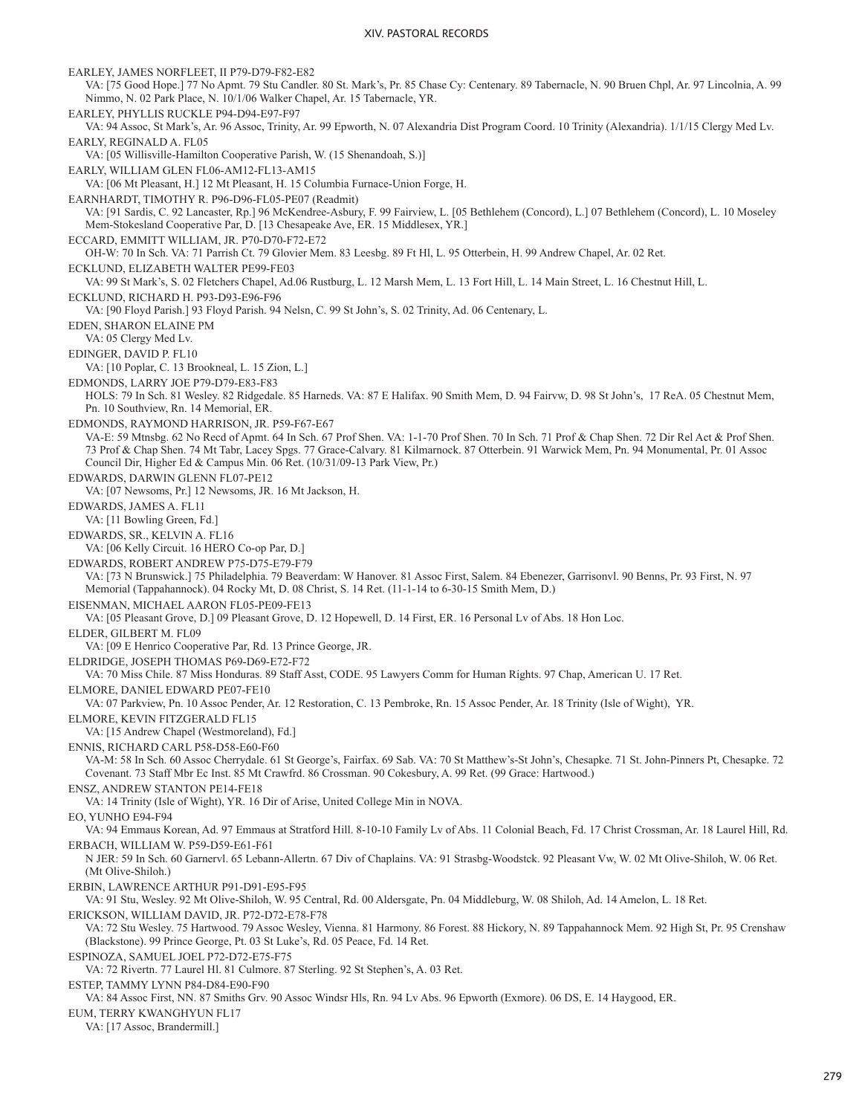EARLEY, JAMES NORFLEET, II P79-D79-F82-E82 VA: [75 Good Hope.] 77 No Apmt. 79 Stu Candler. 80 St. Mark's, Pr. 85 Chase Cy: Centenary. 89 Tabernacle, N. 90 Bruen Chpl, Ar. 97 Lincolnia, A. 99 Nimmo, N. 02 Park Place, N. 10/1/06 Walker Chapel, Ar. 15 Tabernacle, YR. EARLEY, PHYLLIS RUCKLE P94-D94-E97-F97 VA: 94 Assoc, St Mark's, Ar. 96 Assoc, Trinity, Ar. 99 Epworth, N. 07 Alexandria Dist Program Coord. 10 Trinity (Alexandria). 1/1/15 Clergy Med Lv. EARLY, REGINALD A. FL05 VA: [05 Willisville-Hamilton Cooperative Parish, W. (15 Shenandoah, S.)] EARLY, WILLIAM GLEN FL06-AM12-FL13-AM15 VA: [06 Mt Pleasant, H.] 12 Mt Pleasant, H. 15 Columbia Furnace-Union Forge, H. EARNHARDT, TIMOTHY R. P96-D96-FL05-PE07 (Readmit) VA: [91 Sardis, C. 92 Lancaster, Rp.] 96 McKendree-Asbury, F. 99 Fairview, L. [05 Bethlehem (Concord), L.] 07 Bethlehem (Concord), L. 10 Moseley Mem-Stokesland Cooperative Par, D. [13 Chesapeake Ave, ER. 15 Middlesex, YR.] ECCARD, EMMITT WILLIAM, JR. P70-D70-F72-E72 OH-W: 70 In Sch. VA: 71 Parrish Ct. 79 Glovier Mem. 83 Leesbg. 89 Ft Hl, L. 95 Otterbein, H. 99 Andrew Chapel, Ar. 02 Ret. ECKLUND, ELIZABETH WALTER PE99-FE03 VA: 99 St Mark's, S. 02 Fletchers Chapel, Ad.06 Rustburg, L. 12 Marsh Mem, L. 13 Fort Hill, L. 14 Main Street, L. 16 Chestnut Hill, L. ECKLUND, RICHARD H. P93-D93-E96-F96 VA: [90 Floyd Parish.] 93 Floyd Parish. 94 Nelsn, C. 99 St John's, S. 02 Trinity, Ad. 06 Centenary, L. EDEN, SHARON ELAINE PM VA: 05 Clergy Med Lv. EDINGER, DAVID P. FL10 VA: [10 Poplar, C. 13 Brookneal, L. 15 Zion, L.] EDMONDS, LARRY JOE P79-D79-E83-F83 HOLS: 79 In Sch. 81 Wesley. 82 Ridgedale. 85 Harneds. VA: 87 E Halifax. 90 Smith Mem, D. 94 Fairvw, D. 98 St John's, 17 ReA. 05 Chestnut Mem, Pn. 10 Southview, Rn. 14 Memorial, ER. EDMONDS, RAYMOND HARRISON, JR. P59-F67-E67 VA-E: 59 Mtnsbg. 62 No Recd of Apmt. 64 In Sch. 67 Prof Shen. VA: 1-1-70 Prof Shen. 70 In Sch. 71 Prof & Chap Shen. 72 Dir Rel Act & Prof Shen. 73 Prof & Chap Shen. 74 Mt Tabr, Lacey Spgs. 77 Grace-Calvary. 81 Kilmarnock. 87 Otterbein. 91 Warwick Mem, Pn. 94 Monumental, Pr. 01 Assoc Council Dir, Higher Ed & Campus Min. 06 Ret. (10/31/09-13 Park View, Pr.) EDWARDS, DARWIN GLENN FL07-PE12 VA: [07 Newsoms, Pr.] 12 Newsoms, JR. 16 Mt Jackson, H. EDWARDS, JAMES A. FL11 VA: [11 Bowling Green, Fd.] EDWARDS, SR., KELVIN A. FL16 VA: [06 Kelly Circuit. 16 HERO Co-op Par, D.] EDWARDS, ROBERT ANDREW P75-D75-E79-F79 VA: [73 N Brunswick.] 75 Philadelphia. 79 Beaverdam: W Hanover. 81 Assoc First, Salem. 84 Ebenezer, Garrisonvl. 90 Benns, Pr. 93 First, N. 97 Memorial (Tappahannock). 04 Rocky Mt, D. 08 Christ, S. 14 Ret. (11-1-14 to 6-30-15 Smith Mem, D.) EISENMAN, MICHAEL AARON FL05-PE09-FE13 VA: [05 Pleasant Grove, D.] 09 Pleasant Grove, D. 12 Hopewell, D. 14 First, ER. 16 Personal Lv of Abs. 18 Hon Loc. ELDER, GILBERT M. FL09 VA: [09 E Henrico Cooperative Par, Rd. 13 Prince George, JR. ELDRIDGE, JOSEPH THOMAS P69-D69-E72-F72 VA: 70 Miss Chile. 87 Miss Honduras. 89 Staff Asst, CODE. 95 Lawyers Comm for Human Rights. 97 Chap, American U. 17 Ret. ELMORE, DANIEL EDWARD PE07-FE10 VA: 07 Parkview, Pn. 10 Assoc Pender, Ar. 12 Restoration, C. 13 Pembroke, Rn. 15 Assoc Pender, Ar. 18 Trinity (Isle of Wight), YR. ELMORE, KEVIN FITZGERALD FL15 VA: [15 Andrew Chapel (Westmoreland), Fd.] ENNIS, RICHARD CARL P58-D58-E60-F60 VA-M: 58 In Sch. 60 Assoc Cherrydale. 61 St George's, Fairfax. 69 Sab. VA: 70 St Matthew's-St John's, Chesapke. 71 St. John-Pinners Pt, Chesapke. 72 Covenant. 73 Staff Mbr Ec Inst. 85 Mt Crawfrd. 86 Crossman. 90 Cokesbury, A. 99 Ret. (99 Grace: Hartwood.) ENSZ, ANDREW STANTON PE14-FE18 VA: 14 Trinity (Isle of Wight), YR. 16 Dir of Arise, United College Min in NOVA. EO, YUNHO E94-F94 VA: 94 Emmaus Korean, Ad. 97 Emmaus at Stratford Hill. 8-10-10 Family Lv of Abs. 11 Colonial Beach, Fd. 17 Christ Crossman, Ar. 18 Laurel Hill, Rd. ERBACH, WILLIAM W. P59-D59-E61-F61 N JER: 59 In Sch. 60 Garnervl. 65 Lebann-Allertn. 67 Div of Chaplains. VA: 91 Strasbg-Woodstck. 92 Pleasant Vw, W. 02 Mt Olive-Shiloh, W. 06 Ret. (Mt Olive-Shiloh.) ERBIN, LAWRENCE ARTHUR P91-D91-E95-F95 VA: 91 Stu, Wesley. 92 Mt Olive-Shiloh, W. 95 Central, Rd. 00 Aldersgate, Pn. 04 Middleburg, W. 08 Shiloh, Ad. 14 Amelon, L. 18 Ret. ERICKSON, WILLIAM DAVID, JR. P72-D72-E78-F78 VA: 72 Stu Wesley. 75 Hartwood. 79 Assoc Wesley, Vienna. 81 Harmony. 86 Forest. 88 Hickory, N. 89 Tappahannock Mem. 92 High St, Pr. 95 Crenshaw (Blackstone). 99 Prince George, Pt. 03 St Luke's, Rd. 05 Peace, Fd. 14 Ret. ESPINOZA, SAMUEL JOEL P72-D72-E75-F75 VA: 72 Rivertn. 77 Laurel Hl. 81 Culmore. 87 Sterling. 92 St Stephen's, A. 03 Ret. ESTEP, TAMMY LYNN P84-D84-E90-F90 VA: 84 Assoc First, NN. 87 Smiths Grv. 90 Assoc Windsr Hls, Rn. 94 Lv Abs. 96 Epworth (Exmore). 06 DS, E. 14 Haygood, ER. EUM, TERRY KWANGHYUN FL17 VA: [17 Assoc, Brandermill.]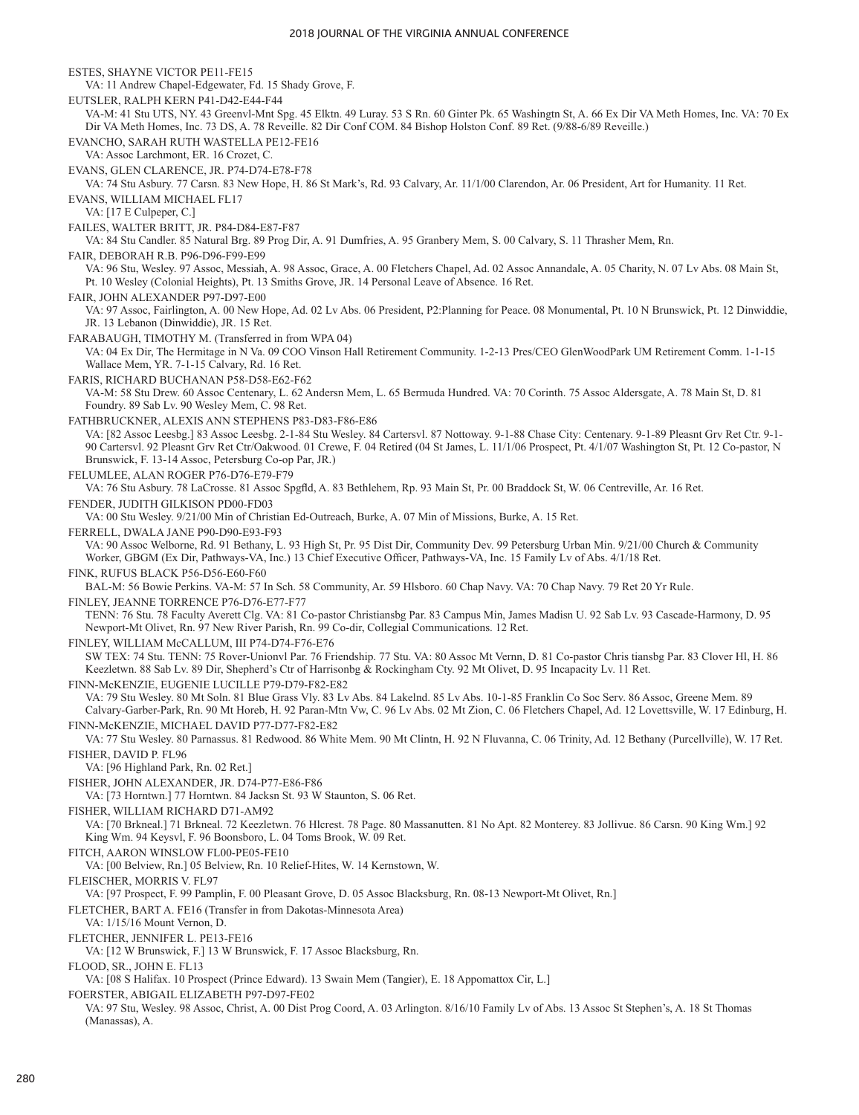ESTES, SHAYNE VICTOR PE11-FE15 VA: 11 Andrew Chapel-Edgewater, Fd. 15 Shady Grove, F. EUTSLER, RALPH KERN P41-D42-E44-F44 VA-M: 41 Stu UTS, NY. 43 Greenvl-Mnt Spg. 45 Elktn. 49 Luray. 53 S Rn. 60 Ginter Pk. 65 Washingtn St, A. 66 Ex Dir VA Meth Homes, Inc. VA: 70 Ex Dir VA Meth Homes, Inc. 73 DS, A. 78 Reveille. 82 Dir Conf COM. 84 Bishop Holston Conf. 89 Ret. (9/88-6/89 Reveille.) EVANCHO, SARAH RUTH WASTELLA PE12-FE16 VA: Assoc Larchmont, ER. 16 Crozet, C. EVANS, GLEN CLARENCE, JR. P74-D74-E78-F78 VA: 74 Stu Asbury. 77 Carsn. 83 New Hope, H. 86 St Mark's, Rd. 93 Calvary, Ar. 11/1/00 Clarendon, Ar. 06 President, Art for Humanity. 11 Ret. EVANS, WILLIAM MICHAEL FL17 VA: [17 E Culpeper, C.] FAILES, WALTER BRITT, JR. P84-D84-E87-F87 VA: 84 Stu Candler. 85 Natural Brg. 89 Prog Dir, A. 91 Dumfries, A. 95 Granbery Mem, S. 00 Calvary, S. 11 Thrasher Mem, Rn. FAIR, DEBORAH R.B. P96-D96-F99-E99 VA: 96 Stu, Wesley. 97 Assoc, Messiah, A. 98 Assoc, Grace, A. 00 Fletchers Chapel, Ad. 02 Assoc Annandale, A. 05 Charity, N. 07 Lv Abs. 08 Main St, Pt. 10 Wesley (Colonial Heights), Pt. 13 Smiths Grove, JR. 14 Personal Leave of Absence. 16 Ret. FAIR, JOHN ALEXANDER P97-D97-E00 VA: 97 Assoc, Fairlington, A. 00 New Hope, Ad. 02 Lv Abs. 06 President, P2:Planning for Peace. 08 Monumental, Pt. 10 N Brunswick, Pt. 12 Dinwiddie, JR. 13 Lebanon (Dinwiddie), JR. 15 Ret. FARABAUGH, TIMOTHY M. (Transferred in from WPA 04) VA: 04 Ex Dir, The Hermitage in N Va. 09 COO Vinson Hall Retirement Community. 1-2-13 Pres/CEO GlenWoodPark UM Retirement Comm. 1-1-15 Wallace Mem, YR. 7-1-15 Calvary, Rd. 16 Ret. FARIS, RICHARD BUCHANAN P58-D58-E62-F62 VA-M: 58 Stu Drew. 60 Assoc Centenary, L. 62 Andersn Mem, L. 65 Bermuda Hundred. VA: 70 Corinth. 75 Assoc Aldersgate, A. 78 Main St, D. 81 Foundry. 89 Sab Lv. 90 Wesley Mem, C. 98 Ret. FATHBRUCKNER, ALEXIS ANN STEPHENS P83-D83-F86-E86 VA: [82 Assoc Leesbg.] 83 Assoc Leesbg. 2-1-84 Stu Wesley. 84 Cartersvl. 87 Nottoway. 9-1-88 Chase City: Centenary. 9-1-89 Pleasnt Grv Ret Ctr. 9-1- 90 Cartersvl. 92 Pleasnt Grv Ret Ctr/Oakwood. 01 Crewe, F. 04 Retired (04 St James, L. 11/1/06 Prospect, Pt. 4/1/07 Washington St, Pt. 12 Co-pastor, N Brunswick, F. 13-14 Assoc, Petersburg Co-op Par, JR.) FELUMLEE, ALAN ROGER P76-D76-E79-F79 VA: 76 Stu Asbury. 78 LaCrosse. 81 Assoc Spgfld, A. 83 Bethlehem, Rp. 93 Main St, Pr. 00 Braddock St, W. 06 Centreville, Ar. 16 Ret. FENDER, JUDITH GILKISON PD00-FD03 VA: 00 Stu Wesley. 9/21/00 Min of Christian Ed-Outreach, Burke, A. 07 Min of Missions, Burke, A. 15 Ret. FERRELL, DWALA JANE P90-D90-E93-F93 VA: 90 Assoc Welborne, Rd. 91 Bethany, L. 93 High St, Pr. 95 Dist Dir, Community Dev. 99 Petersburg Urban Min. 9/21/00 Church & Community Worker, GBGM (Ex Dir, Pathways-VA, Inc.) 13 Chief Executive Officer, Pathways-VA, Inc. 15 Family Lv of Abs. 4/1/18 Ret. FINK, RUFUS BLACK P56-D56-E60-F60 BAL-M: 56 Bowie Perkins. VA-M: 57 In Sch. 58 Community, Ar. 59 Hlsboro. 60 Chap Navy. VA: 70 Chap Navy. 79 Ret 20 Yr Rule. FINLEY, JEANNE TORRENCE P76-D76-E77-F77 TENN: 76 Stu. 78 Faculty Averett Clg. VA: 81 Co-pastor Christiansbg Par. 83 Campus Min, James Madisn U. 92 Sab Lv. 93 Cascade-Harmony, D. 95 Newport-Mt Olivet, Rn. 97 New River Parish, Rn. 99 Co-dir, Collegial Communications. 12 Ret. FINLEY, WILLIAM McCALLUM, III P74-D74-F76-E76 SW TEX: 74 Stu. TENN: 75 Rover-Unionvl Par. 76 Friendship. 77 Stu. VA: 80 Assoc Mt Vernn, D. 81 Co-pastor Chris tiansbg Par. 83 Clover Hl, H. 86 Keezletwn. 88 Sab Lv. 89 Dir, Shepherd's Ctr of Harrisonbg & Rockingham Cty. 92 Mt Olivet, D. 95 Incapacity Lv. 11 Ret. FINN-McKENZIE, EUGENIE LUCILLE P79-D79-F82-E82 VA: 79 Stu Wesley. 80 Mt Soln. 81 Blue Grass Vly. 83 Lv Abs. 84 Lakelnd. 85 Lv Abs. 10-1-85 Franklin Co Soc Serv. 86 Assoc, Greene Mem. 89 Calvary-Garber-Park, Rn. 90 Mt Horeb, H. 92 Paran-Mtn Vw, C. 96 Lv Abs. 02 Mt Zion, C. 06 Fletchers Chapel, Ad. 12 Lovettsville, W. 17 Edinburg, H. FINN-McKENZIE, MICHAEL DAVID P77-D77-F82-E82 VA: 77 Stu Wesley. 80 Parnassus. 81 Redwood. 86 White Mem. 90 Mt Clintn, H. 92 N Fluvanna, C. 06 Trinity, Ad. 12 Bethany (Purcellville), W. 17 Ret. FISHER, DAVID P. FL96 VA: [96 Highland Park, Rn. 02 Ret.] FISHER, JOHN ALEXANDER, JR. D74-P77-E86-F86 VA: [73 Horntwn.] 77 Horntwn. 84 Jacksn St. 93 W Staunton, S. 06 Ret. FISHER, WILLIAM RICHARD D71-AM92 VA: [70 Brkneal.] 71 Brkneal. 72 Keezletwn. 76 Hlcrest. 78 Page. 80 Massanutten. 81 No Apt. 82 Monterey. 83 Jollivue. 86 Carsn. 90 King Wm.] 92 King Wm. 94 Keysvl, F. 96 Boonsboro, L. 04 Toms Brook, W. 09 Ret. FITCH, AARON WINSLOW FL00-PE05-FE10 VA: [00 Belview, Rn.] 05 Belview, Rn. 10 Relief-Hites, W. 14 Kernstown, W. FLEISCHER, MORRIS V. FL97 VA: [97 Prospect, F. 99 Pamplin, F. 00 Pleasant Grove, D. 05 Assoc Blacksburg, Rn. 08-13 Newport-Mt Olivet, Rn.] FLETCHER, BART A. FE16 (Transfer in from Dakotas-Minnesota Area) VA: 1/15/16 Mount Vernon, D. FLETCHER, JENNIFER L. PE13-FE16 VA: [12 W Brunswick, F.] 13 W Brunswick, F. 17 Assoc Blacksburg, Rn. FLOOD, SR., JOHN E. FL13 VA: [08 S Halifax. 10 Prospect (Prince Edward). 13 Swain Mem (Tangier), E. 18 Appomattox Cir, L.] FOERSTER, ABIGAIL ELIZABETH P97-D97-FE02 VA: 97 Stu, Wesley. 98 Assoc, Christ, A. 00 Dist Prog Coord, A. 03 Arlington. 8/16/10 Family Lv of Abs. 13 Assoc St Stephen's, A. 18 St Thomas (Manassas), A.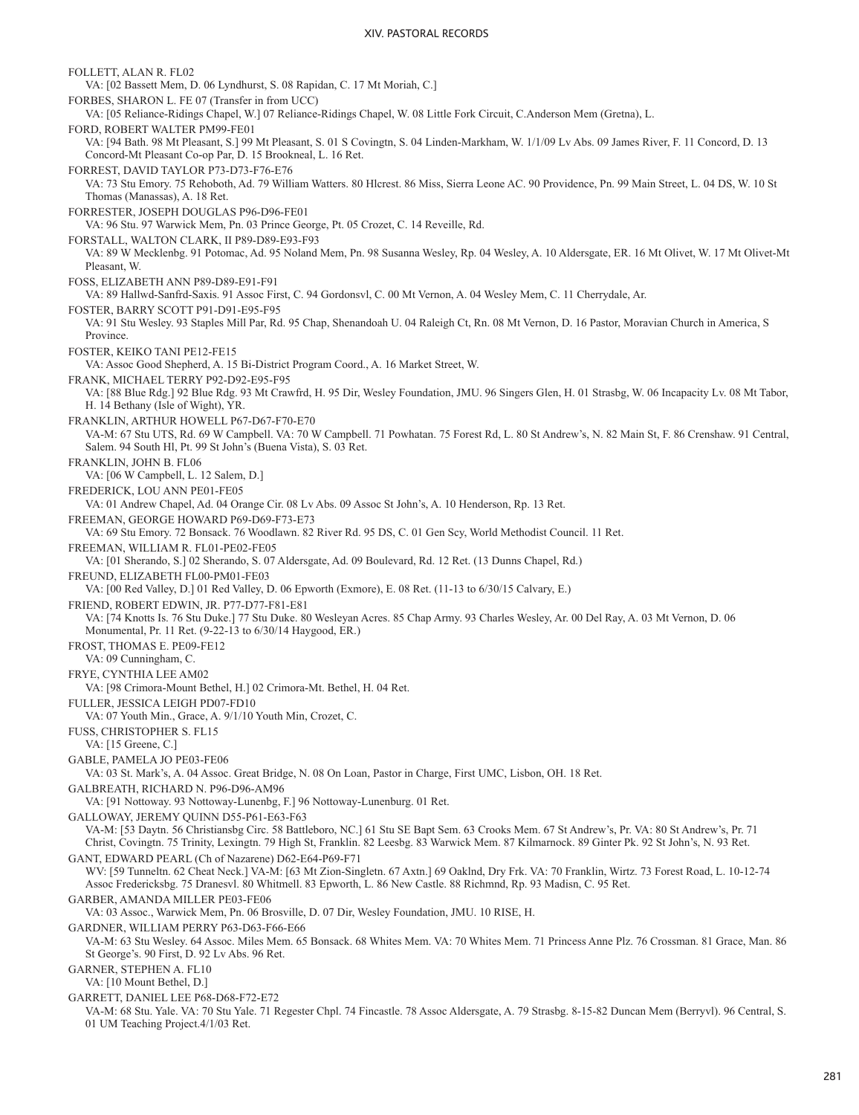FOLLETT, ALAN R. FL02 VA: [02 Bassett Mem, D. 06 Lyndhurst, S. 08 Rapidan, C. 17 Mt Moriah, C.] FORBES, SHARON L. FE 07 (Transfer in from UCC) VA: [05 Reliance-Ridings Chapel, W.] 07 Reliance-Ridings Chapel, W. 08 Little Fork Circuit, C.Anderson Mem (Gretna), L. FORD, ROBERT WALTER PM99-FE01 VA: [94 Bath. 98 Mt Pleasant, S.] 99 Mt Pleasant, S. 01 S Covingtn, S. 04 Linden-Markham, W. 1/1/09 Lv Abs. 09 James River, F. 11 Concord, D. 13 Concord-Mt Pleasant Co-op Par, D. 15 Brookneal, L. 16 Ret. FORREST, DAVID TAYLOR P73-D73-F76-E76 VA: 73 Stu Emory. 75 Rehoboth, Ad. 79 William Watters. 80 Hlcrest. 86 Miss, Sierra Leone AC. 90 Providence, Pn. 99 Main Street, L. 04 DS, W. 10 St Thomas (Manassas), A. 18 Ret. FORRESTER, JOSEPH DOUGLAS P96-D96-FE01 VA: 96 Stu. 97 Warwick Mem, Pn. 03 Prince George, Pt. 05 Crozet, C. 14 Reveille, Rd. FORSTALL, WALTON CLARK, II P89-D89-E93-F93 VA: 89 W Mecklenbg. 91 Potomac, Ad. 95 Noland Mem, Pn. 98 Susanna Wesley, Rp. 04 Wesley, A. 10 Aldersgate, ER. 16 Mt Olivet, W. 17 Mt Olivet-Mt Pleasant, W. FOSS, ELIZABETH ANN P89-D89-E91-F91 VA: 89 Hallwd-Sanfrd-Saxis. 91 Assoc First, C. 94 Gordonsvl, C. 00 Mt Vernon, A. 04 Wesley Mem, C. 11 Cherrydale, Ar. FOSTER, BARRY SCOTT P91-D91-E95-F95 VA: 91 Stu Wesley. 93 Staples Mill Par, Rd. 95 Chap, Shenandoah U. 04 Raleigh Ct, Rn. 08 Mt Vernon, D. 16 Pastor, Moravian Church in America, S Province. FOSTER, KEIKO TANI PE12-FE15 VA: Assoc Good Shepherd, A. 15 Bi-District Program Coord., A. 16 Market Street, W. FRANK, MICHAEL TERRY P92-D92-E95-F95 VA: [88 Blue Rdg.] 92 Blue Rdg. 93 Mt Crawfrd, H. 95 Dir, Wesley Foundation, JMU. 96 Singers Glen, H. 01 Strasbg, W. 06 Incapacity Lv. 08 Mt Tabor, H. 14 Bethany (Isle of Wight), YR. FRANKLIN, ARTHUR HOWELL P67-D67-F70-E70 VA-M: 67 Stu UTS, Rd. 69 W Campbell. VA: 70 W Campbell. 71 Powhatan. 75 Forest Rd, L. 80 St Andrew's, N. 82 Main St, F. 86 Crenshaw. 91 Central, Salem. 94 South Hl, Pt. 99 St John's (Buena Vista), S. 03 Ret. FRANKLIN, JOHN B. FL06 VA: [06 W Campbell, L. 12 Salem, D.] FREDERICK, LOU ANN PE01-FE05 VA: 01 Andrew Chapel, Ad. 04 Orange Cir. 08 Lv Abs. 09 Assoc St John's, A. 10 Henderson, Rp. 13 Ret. FREEMAN, GEORGE HOWARD P69-D69-F73-E73 VA: 69 Stu Emory. 72 Bonsack. 76 Woodlawn. 82 River Rd. 95 DS, C. 01 Gen Scy, World Methodist Council. 11 Ret. FREEMAN, WILLIAM R. FL01-PE02-FE05 VA: [01 Sherando, S.] 02 Sherando, S. 07 Aldersgate, Ad. 09 Boulevard, Rd. 12 Ret. (13 Dunns Chapel, Rd.) FREUND, ELIZABETH FL00-PM01-FE03 VA: [00 Red Valley, D.] 01 Red Valley, D. 06 Epworth (Exmore), E. 08 Ret. (11-13 to 6/30/15 Calvary, E.) FRIEND, ROBERT EDWIN, JR. P77-D77-F81-E81 VA: [74 Knotts Is. 76 Stu Duke.] 77 Stu Duke. 80 Wesleyan Acres. 85 Chap Army. 93 Charles Wesley, Ar. 00 Del Ray, A. 03 Mt Vernon, D. 06 Monumental, Pr. 11 Ret. (9-22-13 to 6/30/14 Haygood, ER.) FROST, THOMAS E. PE09-FE12 VA: 09 Cunningham, C. FRYE, CYNTHIA LEE AM02 VA: [98 Crimora-Mount Bethel, H.] 02 Crimora-Mt. Bethel, H. 04 Ret. FULLER, JESSICA LEIGH PD07-FD10 VA: 07 Youth Min., Grace, A. 9/1/10 Youth Min, Crozet, C. FUSS, CHRISTOPHER S. FL15 VA: [15 Greene, C.] GABLE, PAMELA JO PE03-FE06 VA: 03 St. Mark's, A. 04 Assoc. Great Bridge, N. 08 On Loan, Pastor in Charge, First UMC, Lisbon, OH. 18 Ret. GALBREATH, RICHARD N. P96-D96-AM96 VA: [91 Nottoway. 93 Nottoway-Lunenbg, F.] 96 Nottoway-Lunenburg. 01 Ret. GALLOWAY, JEREMY QUINN D55-P61-E63-F63 VA-M: [53 Daytn. 56 Christiansbg Circ. 58 Battleboro, NC.] 61 Stu SE Bapt Sem. 63 Crooks Mem. 67 St Andrew's, Pr. VA: 80 St Andrew's, Pr. 71 Christ, Covingtn. 75 Trinity, Lexingtn. 79 High St, Franklin. 82 Leesbg. 83 Warwick Mem. 87 Kilmarnock. 89 Ginter Pk. 92 St John's, N. 93 Ret. GANT, EDWARD PEARL (Ch of Nazarene) D62-E64-P69-F71 WV: [59 Tunneltn. 62 Cheat Neck.] VA-M: [63 Mt Zion-Singletn. 67 Axtn.] 69 Oaklnd, Dry Frk. VA: 70 Franklin, Wirtz. 73 Forest Road, L. 10-12-74 Assoc Fredericksbg. 75 Dranesvl. 80 Whitmell. 83 Epworth, L. 86 New Castle. 88 Richmnd, Rp. 93 Madisn, C. 95 Ret. GARBER, AMANDA MILLER PE03-FE06 VA: 03 Assoc., Warwick Mem, Pn. 06 Brosville, D. 07 Dir, Wesley Foundation, JMU. 10 RISE, H. GARDNER, WILLIAM PERRY P63-D63-F66-E66 VA-M: 63 Stu Wesley. 64 Assoc. Miles Mem. 65 Bonsack. 68 Whites Mem. VA: 70 Whites Mem. 71 Princess Anne Plz. 76 Crossman. 81 Grace, Man. 86 St George's. 90 First, D. 92 Lv Abs. 96 Ret. GARNER, STEPHEN A. FL10 VA: [10 Mount Bethel, D.] GARRETT, DANIEL LEE P68-D68-F72-E72 VA-M: 68 Stu. Yale. VA: 70 Stu Yale. 71 Regester Chpl. 74 Fincastle. 78 Assoc Aldersgate, A. 79 Strasbg. 8-15-82 Duncan Mem (Berryvl). 96 Central, S. 01 UM Teaching Project.4/1/03 Ret.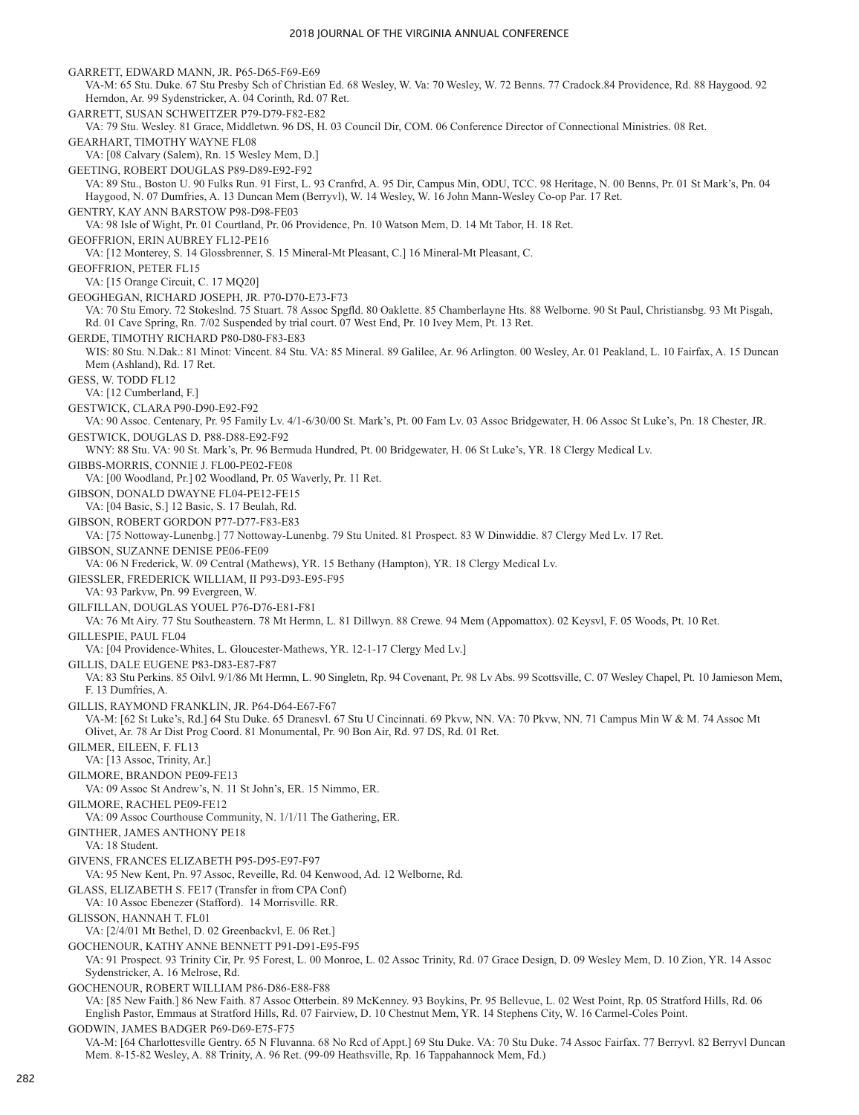GARRETT, EDWARD MANN, JR. P65-D65-F69-E69 VA-M: 65 Stu. Duke. 67 Stu Presby Sch of Christian Ed. 68 Wesley, W. Va: 70 Wesley, W. 72 Benns. 77 Cradock.84 Providence, Rd. 88 Haygood. 92 Herndon, Ar. 99 Sydenstricker, A. 04 Corinth, Rd. 07 Ret. GARRETT, SUSAN SCHWEITZER P79-D79-F82-E82 VA: 79 Stu. Wesley. 81 Grace, Middletwn. 96 DS, H. 03 Council Dir, COM. 06 Conference Director of Connectional Ministries. 08 Ret. GEARHART, TIMOTHY WAYNE FL08 VA: [08 Calvary (Salem), Rn. 15 Wesley Mem, D.] GEETING, ROBERT DOUGLAS P89-D89-E92-F92 VA: 89 Stu., Boston U. 90 Fulks Run. 91 First, L. 93 Cranfrd, A. 95 Dir, Campus Min, ODU, TCC. 98 Heritage, N. 00 Benns, Pr. 01 St Mark's, Pn. 04 Haygood, N. 07 Dumfries, A. 13 Duncan Mem (Berryvl), W. 14 Wesley, W. 16 John Mann-Wesley Co-op Par. 17 Ret. GENTRY, KAY ANN BARSTOW P98-D98-FE03 VA: 98 Isle of Wight, Pr. 01 Courtland, Pr. 06 Providence, Pn. 10 Watson Mem, D. 14 Mt Tabor, H. 18 Ret. GEOFFRION, ERIN AUBREY FL12-PE16 VA: [12 Monterey, S. 14 Glossbrenner, S. 15 Mineral-Mt Pleasant, C.] 16 Mineral-Mt Pleasant, C. GEOFFRION, PETER FL15 VA: [15 Orange Circuit, C. 17 MQ20] GEOGHEGAN, RICHARD JOSEPH, JR. P70-D70-E73-F73 VA: 70 Stu Emory. 72 Stokeslnd. 75 Stuart. 78 Assoc Spgfld. 80 Oaklette. 85 Chamberlayne Hts. 88 Welborne. 90 St Paul, Christiansbg. 93 Mt Pisgah, Rd. 01 Cave Spring, Rn. 7/02 Suspended by trial court. 07 West End, Pr. 10 Ivey Mem, Pt. 13 Ret. GERDE, TIMOTHY RICHARD P80-D80-F83-E83 WIS: 80 Stu. N.Dak.: 81 Minot: Vincent. 84 Stu. VA: 85 Mineral. 89 Galilee, Ar. 96 Arlington. 00 Wesley, Ar. 01 Peakland, L. 10 Fairfax, A. 15 Duncan Mem (Ashland), Rd. 17 Ret. GESS, W. TODD FL12 VA: [12 Cumberland, F.] GESTWICK, CLARA P90-D90-E92-F92 VA: 90 Assoc. Centenary, Pr. 95 Family Lv. 4/1-6/30/00 St. Mark's, Pt. 00 Fam Lv. 03 Assoc Bridgewater, H. 06 Assoc St Luke's, Pn. 18 Chester, JR. GESTWICK, DOUGLAS D. P88-D88-E92-F92 WNY: 88 Stu. VA: 90 St. Mark's, Pr. 96 Bermuda Hundred, Pt. 00 Bridgewater, H. 06 St Luke's, YR. 18 Clergy Medical Lv. GIBBS-MORRIS, CONNIE J. FL00-PE02-FE08 VA: [00 Woodland, Pr.] 02 Woodland, Pr. 05 Waverly, Pr. 11 Ret. GIBSON, DONALD DWAYNE FL04-PE12-FE15 VA: [04 Basic, S.] 12 Basic, S. 17 Beulah, Rd. GIBSON, ROBERT GORDON P77-D77-F83-E83 VA: [75 Nottoway-Lunenbg.] 77 Nottoway-Lunenbg. 79 Stu United. 81 Prospect. 83 W Dinwiddie. 87 Clergy Med Lv. 17 Ret. GIBSON, SUZANNE DENISE PE06-FE09 VA: 06 N Frederick, W. 09 Central (Mathews), YR. 15 Bethany (Hampton), YR. 18 Clergy Medical Lv. GIESSLER, FREDERICK WILLIAM, II P93-D93-E95-F95 VA: 93 Parkvw, Pn. 99 Evergreen, W. GILFILLAN, DOUGLAS YOUEL P76-D76-E81-F81 VA: 76 Mt Airy. 77 Stu Southeastern. 78 Mt Hermn, L. 81 Dillwyn. 88 Crewe. 94 Mem (Appomattox). 02 Keysvl, F. 05 Woods, Pt. 10 Ret. GILLESPIE, PAUL FL04 VA: [04 Providence-Whites, L. Gloucester-Mathews, YR. 12-1-17 Clergy Med Lv.] GILLIS, DALE EUGENE P83-D83-E87-F87 VA: 83 Stu Perkins. 85 Oilvl. 9/1/86 Mt Hermn, L. 90 Singletn, Rp. 94 Covenant, Pr. 98 Lv Abs. 99 Scottsville, C. 07 Wesley Chapel, Pt. 10 Jamieson Mem, F. 13 Dumfries, A. GILLIS, RAYMOND FRANKLIN, JR. P64-D64-E67-F67 VA-M: [62 St Luke's, Rd.] 64 Stu Duke. 65 Dranesvl. 67 Stu U Cincinnati. 69 Pkvw, NN. VA: 70 Pkvw, NN. 71 Campus Min W & M. 74 Assoc Mt Olivet, Ar. 78 Ar Dist Prog Coord. 81 Monumental, Pr. 90 Bon Air, Rd. 97 DS, Rd. 01 Ret. GILMER, EILEEN, F. FL13 VA: [13 Assoc, Trinity, Ar.] GILMORE, BRANDON PE09-FE13 VA: 09 Assoc St Andrew's, N. 11 St John's, ER. 15 Nimmo, ER. GILMORE, RACHEL PE09-FE12 VA: 09 Assoc Courthouse Community, N. 1/1/11 The Gathering, ER. GINTHER, JAMES ANTHONY PE18 VA: 18 Student. GIVENS, FRANCES ELIZABETH P95-D95-E97-F97 VA: 95 New Kent, Pn. 97 Assoc, Reveille, Rd. 04 Kenwood, Ad. 12 Welborne, Rd. GLASS, ELIZABETH S. FE17 (Transfer in from CPA Conf) VA: 10 Assoc Ebenezer (Stafford). 14 Morrisville. RR. GLISSON, HANNAH T. FL01 VA: [2/4/01 Mt Bethel, D. 02 Greenbackvl, E. 06 Ret.] GOCHENOUR, KATHY ANNE BENNETT P91-D91-E95-F95 VA: 91 Prospect. 93 Trinity Cir, Pr. 95 Forest, L. 00 Monroe, L. 02 Assoc Trinity, Rd. 07 Grace Design, D. 09 Wesley Mem, D. 10 Zion, YR. 14 Assoc Sydenstricker, A. 16 Melrose, Rd. GOCHENOUR, ROBERT WILLIAM P86-D86-E88-F88 VA: [85 New Faith.] 86 New Faith. 87 Assoc Otterbein. 89 McKenney. 93 Boykins, Pr. 95 Bellevue, L. 02 West Point, Rp. 05 Stratford Hills, Rd. 06 English Pastor, Emmaus at Stratford Hills, Rd. 07 Fairview, D. 10 Chestnut Mem, YR. 14 Stephens City, W. 16 Carmel-Coles Point. GODWIN, JAMES BADGER P69-D69-E75-F75 VA-M: [64 Charlottesville Gentry. 65 N Fluvanna. 68 No Rcd of Appt.] 69 Stu Duke. VA: 70 Stu Duke. 74 Assoc Fairfax. 77 Berryvl. 82 Berryvl Duncan Mem. 8-15-82 Wesley, A. 88 Trinity, A. 96 Ret. (99-09 Heathsville, Rp. 16 Tappahannock Mem, Fd.)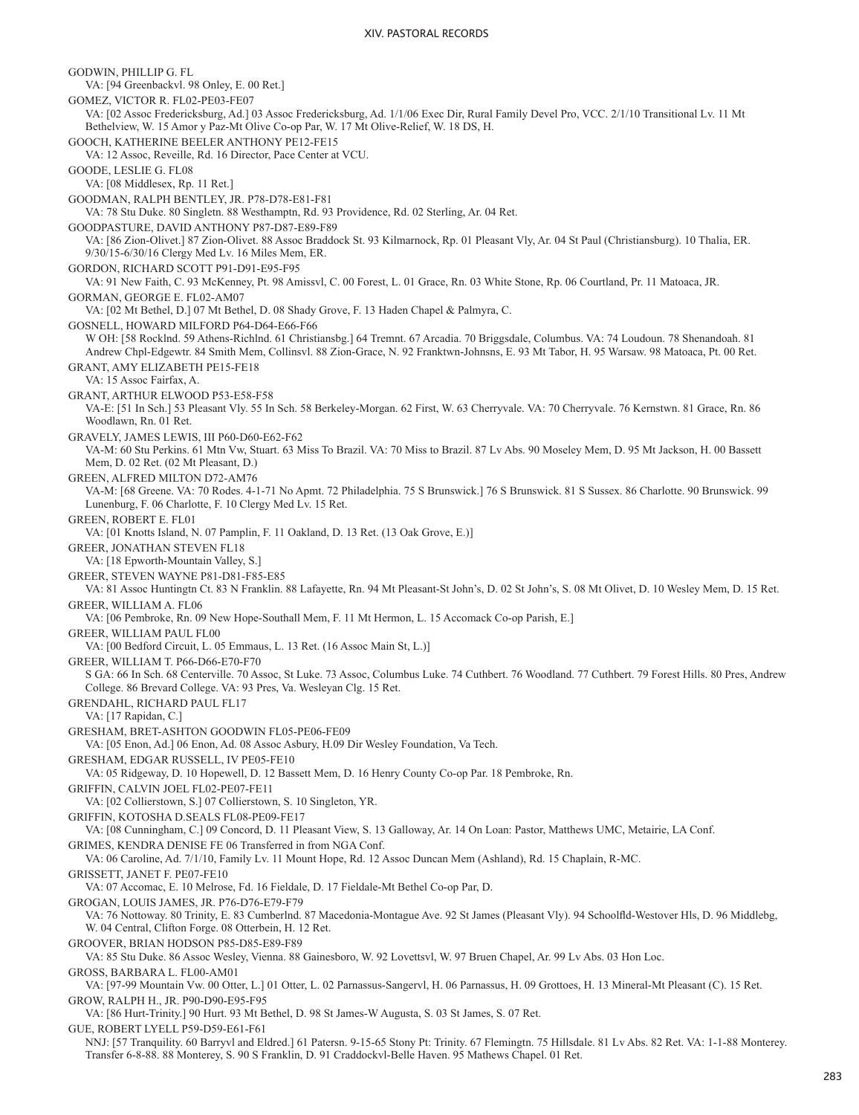GODWIN, PHILLIP G. FL VA: [94 Greenbackvl. 98 Onley, E. 00 Ret.] GOMEZ, VICTOR R. FL02-PE03-FE07 VA: [02 Assoc Fredericksburg, Ad.] 03 Assoc Fredericksburg, Ad. 1/1/06 Exec Dir, Rural Family Devel Pro, VCC. 2/1/10 Transitional Lv. 11 Mt Bethelview, W. 15 Amor y Paz-Mt Olive Co-op Par, W. 17 Mt Olive-Relief, W. 18 DS, H. GOOCH, KATHERINE BEELER ANTHONY PE12-FE15 VA: 12 Assoc, Reveille, Rd. 16 Director, Pace Center at VCU. GOODE, LESLIE G. FL08 VA: [08 Middlesex, Rp. 11 Ret.] GOODMAN, RALPH BENTLEY, JR. P78-D78-E81-F81 VA: 78 Stu Duke. 80 Singletn. 88 Westhamptn, Rd. 93 Providence, Rd. 02 Sterling, Ar. 04 Ret. GOODPASTURE, DAVID ANTHONY P87-D87-E89-F89 VA: [86 Zion-Olivet.] 87 Zion-Olivet. 88 Assoc Braddock St. 93 Kilmarnock, Rp. 01 Pleasant Vly, Ar. 04 St Paul (Christiansburg). 10 Thalia, ER. 9/30/15-6/30/16 Clergy Med Lv. 16 Miles Mem, ER. GORDON, RICHARD SCOTT P91-D91-E95-F95 VA: 91 New Faith, C. 93 McKenney, Pt. 98 Amissvl, C. 00 Forest, L. 01 Grace, Rn. 03 White Stone, Rp. 06 Courtland, Pr. 11 Matoaca, JR. GORMAN, GEORGE E. FL02-AM07 VA: [02 Mt Bethel, D.] 07 Mt Bethel, D. 08 Shady Grove, F. 13 Haden Chapel & Palmyra, C. GOSNELL, HOWARD MILFORD P64-D64-E66-F66 W OH: [58 Rocklnd. 59 Athens-Richlnd. 61 Christiansbg.] 64 Tremnt. 67 Arcadia. 70 Briggsdale, Columbus. VA: 74 Loudoun. 78 Shenandoah. 81 Andrew Chpl-Edgewtr. 84 Smith Mem, Collinsvl. 88 Zion-Grace, N. 92 Franktwn-Johnsns, E. 93 Mt Tabor, H. 95 Warsaw. 98 Matoaca, Pt. 00 Ret. GRANT, AMY ELIZABETH PE15-FE18 VA: 15 Assoc Fairfax, A. GRANT, ARTHUR ELWOOD P53-E58-F58 VA-E: [51 In Sch.] 53 Pleasant Vly. 55 In Sch. 58 Berkeley-Morgan. 62 First, W. 63 Cherryvale. VA: 70 Cherryvale. 76 Kernstwn. 81 Grace, Rn. 86 Woodlawn, Rn. 01 Ret. GRAVELY, JAMES LEWIS, III P60-D60-E62-F62 VA-M: 60 Stu Perkins. 61 Mtn Vw, Stuart. 63 Miss To Brazil. VA: 70 Miss to Brazil. 87 Lv Abs. 90 Moseley Mem, D. 95 Mt Jackson, H. 00 Bassett Mem, D. 02 Ret. (02 Mt Pleasant, D.) GREEN, ALFRED MILTON D72-AM76 VA-M: [68 Greene. VA: 70 Rodes. 4-1-71 No Apmt. 72 Philadelphia. 75 S Brunswick.] 76 S Brunswick. 81 S Sussex. 86 Charlotte. 90 Brunswick. 99 Lunenburg, F. 06 Charlotte, F. 10 Clergy Med Lv. 15 Ret. GREEN, ROBERT E. FL01 VA: [01 Knotts Island, N. 07 Pamplin, F. 11 Oakland, D. 13 Ret. (13 Oak Grove, E.)] GREER, JONATHAN STEVEN FL18 VA: [18 Epworth-Mountain Valley, S.] GREER, STEVEN WAYNE P81-D81-F85-E85 VA: 81 Assoc Huntingtn Ct. 83 N Franklin. 88 Lafayette, Rn. 94 Mt Pleasant-St John's, D. 02 St John's, S. 08 Mt Olivet, D. 10 Wesley Mem, D. 15 Ret. GREER, WILLIAM A. FL06 VA: [06 Pembroke, Rn. 09 New Hope-Southall Mem, F. 11 Mt Hermon, L. 15 Accomack Co-op Parish, E.] GREER, WILLIAM PAUL FL00 VA: [00 Bedford Circuit, L. 05 Emmaus, L. 13 Ret. (16 Assoc Main St, L.)] GREER, WILLIAM T. P66-D66-E70-F70 S GA: 66 In Sch. 68 Centerville. 70 Assoc, St Luke. 73 Assoc, Columbus Luke. 74 Cuthbert. 76 Woodland. 77 Cuthbert. 79 Forest Hills. 80 Pres, Andrew College. 86 Brevard College. VA: 93 Pres, Va. Wesleyan Clg. 15 Ret. GRENDAHL, RICHARD PAUL FL17 VA: [17 Rapidan, C.] GRESHAM, BRET-ASHTON GOODWIN FL05-PE06-FE09 VA: [05 Enon, Ad.] 06 Enon, Ad. 08 Assoc Asbury, H.09 Dir Wesley Foundation, Va Tech. GRESHAM, EDGAR RUSSELL, IV PE05-FE10 VA: 05 Ridgeway, D. 10 Hopewell, D. 12 Bassett Mem, D. 16 Henry County Co-op Par. 18 Pembroke, Rn. GRIFFIN, CALVIN JOEL FL02-PE07-FE11 VA: [02 Collierstown, S.] 07 Collierstown, S. 10 Singleton, YR. GRIFFIN, KOTOSHA D.SEALS FL08-PE09-FE17 VA: [08 Cunningham, C.] 09 Concord, D. 11 Pleasant View, S. 13 Galloway, Ar. 14 On Loan: Pastor, Matthews UMC, Metairie, LA Conf. GRIMES, KENDRA DENISE FE 06 Transferred in from NGA Conf. VA: 06 Caroline, Ad. 7/1/10, Family Lv. 11 Mount Hope, Rd. 12 Assoc Duncan Mem (Ashland), Rd. 15 Chaplain, R-MC. GRISSETT, JANET F. PE07-FE10 VA: 07 Accomac, E. 10 Melrose, Fd. 16 Fieldale, D. 17 Fieldale-Mt Bethel Co-op Par, D. GROGAN, LOUIS JAMES, JR. P76-D76-E79-F79 VA: 76 Nottoway. 80 Trinity, E. 83 Cumberlnd. 87 Macedonia-Montague Ave. 92 St James (Pleasant Vly). 94 Schoolfld-Westover Hls, D. 96 Middlebg, W. 04 Central, Clifton Forge. 08 Otterbein, H. 12 Ret. GROOVER, BRIAN HODSON P85-D85-E89-F89 VA: 85 Stu Duke. 86 Assoc Wesley, Vienna. 88 Gainesboro, W. 92 Lovettsvl, W. 97 Bruen Chapel, Ar. 99 Lv Abs. 03 Hon Loc. GROSS, BARBARA L. FL00-AM01 VA: [97-99 Mountain Vw. 00 Otter, L.] 01 Otter, L. 02 Parnassus-Sangervl, H. 06 Parnassus, H. 09 Grottoes, H. 13 Mineral-Mt Pleasant (C). 15 Ret. GROW, RALPH H., JR. P90-D90-E95-F95 VA: [86 Hurt-Trinity.] 90 Hurt. 93 Mt Bethel, D. 98 St James-W Augusta, S. 03 St James, S. 07 Ret. GUE, ROBERT LYELL P59-D59-E61-F61 NNJ: [57 Tranquility. 60 Barryvl and Eldred.] 61 Patersn. 9-15-65 Stony Pt: Trinity. 67 Flemingtn. 75 Hillsdale. 81 Lv Abs. 82 Ret. VA: 1-1-88 Monterey. Transfer 6-8-88. 88 Monterey, S. 90 S Franklin, D. 91 Craddockvl-Belle Haven. 95 Mathews Chapel. 01 Ret.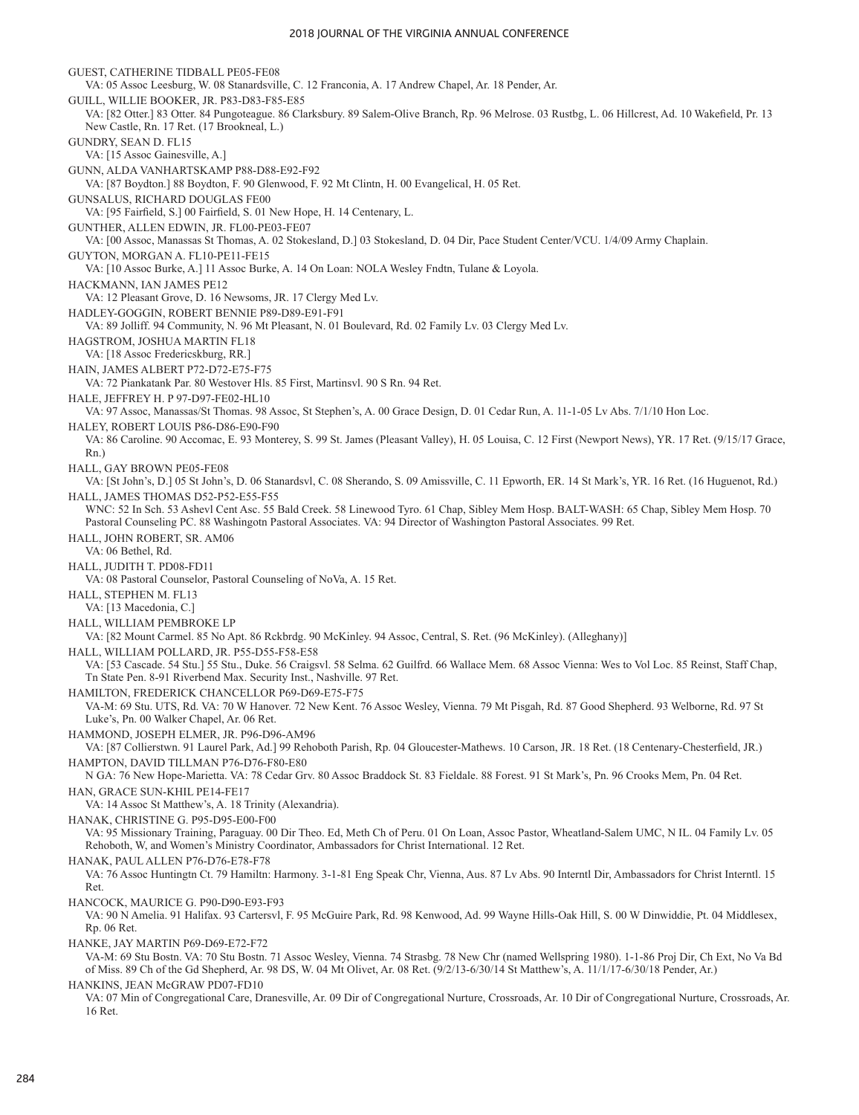GUEST, CATHERINE TIDBALL PE05-FE08 VA: 05 Assoc Leesburg, W. 08 Stanardsville, C. 12 Franconia, A. 17 Andrew Chapel, Ar. 18 Pender, Ar. GUILL, WILLIE BOOKER, JR. P83-D83-F85-E85 VA: [82 Otter.] 83 Otter. 84 Pungoteague. 86 Clarksbury. 89 Salem-Olive Branch, Rp. 96 Melrose. 03 Rustbg, L. 06 Hillcrest, Ad. 10 Wakefield, Pr. 13 New Castle, Rn. 17 Ret. (17 Brookneal, L.) GUNDRY, SEAN D. FL15 VA: [15 Assoc Gainesville, A.] GUNN, ALDA VANHARTSKAMP P88-D88-E92-F92 VA: [87 Boydton.] 88 Boydton, F. 90 Glenwood, F. 92 Mt Clintn, H. 00 Evangelical, H. 05 Ret. GUNSALUS, RICHARD DOUGLAS FE00 VA: [95 Fairfield, S.] 00 Fairfield, S. 01 New Hope, H. 14 Centenary, L. GUNTHER, ALLEN EDWIN, JR. FL00-PE03-FE07 VA: [00 Assoc, Manassas St Thomas, A. 02 Stokesland, D.] 03 Stokesland, D. 04 Dir, Pace Student Center/VCU. 1/4/09 Army Chaplain. GUYTON, MORGAN A. FL10-PE11-FE15 VA: [10 Assoc Burke, A.] 11 Assoc Burke, A. 14 On Loan: NOLA Wesley Fndtn, Tulane & Loyola. HACKMANN, IAN JAMES PE12 VA: 12 Pleasant Grove, D. 16 Newsoms, JR. 17 Clergy Med Lv. HADLEY-GOGGIN, ROBERT BENNIE P89-D89-E91-F91 VA: 89 Jolliff. 94 Community, N. 96 Mt Pleasant, N. 01 Boulevard, Rd. 02 Family Lv. 03 Clergy Med Lv. HAGSTROM, JOSHUA MARTIN FL18 VA: [18 Assoc Fredericskburg, RR.] HAIN, JAMES ALBERT P72-D72-E75-F75 VA: 72 Piankatank Par. 80 Westover Hls. 85 First, Martinsvl. 90 S Rn. 94 Ret. HALE, JEFFREY H. P 97-D97-FE02-HL10 VA: 97 Assoc, Manassas/St Thomas. 98 Assoc, St Stephen's, A. 00 Grace Design, D. 01 Cedar Run, A. 11-1-05 Lv Abs. 7/1/10 Hon Loc. HALEY, ROBERT LOUIS P86-D86-E90-F90 VA: 86 Caroline. 90 Accomac, E. 93 Monterey, S. 99 St. James (Pleasant Valley), H. 05 Louisa, C. 12 First (Newport News), YR. 17 Ret. (9/15/17 Grace, Rn.) HALL, GAY BROWN PE05-FE08 VA: [St John's, D.] 05 St John's, D. 06 Stanardsvl, C. 08 Sherando, S. 09 Amissville, C. 11 Epworth, ER. 14 St Mark's, YR. 16 Ret. (16 Huguenot, Rd.) HALL, JAMES THOMAS D52-P52-E55-F55 WNC: 52 In Sch. 53 Ashevl Cent Asc. 55 Bald Creek. 58 Linewood Tyro. 61 Chap, Sibley Mem Hosp. BALT-WASH: 65 Chap, Sibley Mem Hosp. 70 Pastoral Counseling PC. 88 Washingotn Pastoral Associates. VA: 94 Director of Washington Pastoral Associates. 99 Ret. HALL, JOHN ROBERT, SR. AM06 VA: 06 Bethel, Rd. HALL, JUDITH T. PD08-FD11 VA: 08 Pastoral Counselor, Pastoral Counseling of NoVa, A. 15 Ret. HALL, STEPHEN M. FL13 VA: [13 Macedonia, C.] HALL, WILLIAM PEMBROKE LP VA: [82 Mount Carmel. 85 No Apt. 86 Rckbrdg. 90 McKinley. 94 Assoc, Central, S. Ret. (96 McKinley). (Alleghany)] HALL, WILLIAM POLLARD, JR. P55-D55-F58-E58 VA: [53 Cascade. 54 Stu.] 55 Stu., Duke. 56 Craigsvl. 58 Selma. 62 Guilfrd. 66 Wallace Mem. 68 Assoc Vienna: Wes to Vol Loc. 85 Reinst, Staff Chap, Tn State Pen. 8-91 Riverbend Max. Security Inst., Nashville. 97 Ret. HAMILTON, FREDERICK CHANCELLOR P69-D69-E75-F75 VA-M: 69 Stu. UTS, Rd. VA: 70 W Hanover. 72 New Kent. 76 Assoc Wesley, Vienna. 79 Mt Pisgah, Rd. 87 Good Shepherd. 93 Welborne, Rd. 97 St Luke's, Pn. 00 Walker Chapel, Ar. 06 Ret. HAMMOND, JOSEPH ELMER, JR. P96-D96-AM96 VA: [87 Collierstwn. 91 Laurel Park, Ad.] 99 Rehoboth Parish, Rp. 04 Gloucester-Mathews. 10 Carson, JR. 18 Ret. (18 Centenary-Chesterfield, JR.) HAMPTON, DAVID TILLMAN P76-D76-F80-E80 N GA: 76 New Hope-Marietta. VA: 78 Cedar Grv. 80 Assoc Braddock St. 83 Fieldale. 88 Forest. 91 St Mark's, Pn. 96 Crooks Mem, Pn. 04 Ret. HAN, GRACE SUN-KHIL PE14-FE17 VA: 14 Assoc St Matthew's, A. 18 Trinity (Alexandria). HANAK, CHRISTINE G. P95-D95-E00-F00 VA: 95 Missionary Training, Paraguay. 00 Dir Theo. Ed, Meth Ch of Peru. 01 On Loan, Assoc Pastor, Wheatland-Salem UMC, N IL. 04 Family Lv. 05 Rehoboth, W, and Women's Ministry Coordinator, Ambassadors for Christ International. 12 Ret. HANAK, PAUL ALLEN P76-D76-E78-F78 VA: 76 Assoc Huntingtn Ct. 79 Hamiltn: Harmony. 3-1-81 Eng Speak Chr, Vienna, Aus. 87 Lv Abs. 90 Interntl Dir, Ambassadors for Christ Interntl. 15 Ret. HANCOCK, MAURICE G. P90-D90-E93-F93 VA: 90 N Amelia. 91 Halifax. 93 Cartersvl, F. 95 McGuire Park, Rd. 98 Kenwood, Ad. 99 Wayne Hills-Oak Hill, S. 00 W Dinwiddie, Pt. 04 Middlesex, Rp. 06 Ret. HANKE, JAY MARTIN P69-D69-E72-F72 VA-M: 69 Stu Bostn. VA: 70 Stu Bostn. 71 Assoc Wesley, Vienna. 74 Strasbg. 78 New Chr (named Wellspring 1980). 1-1-86 Proj Dir, Ch Ext, No Va Bd of Miss. 89 Ch of the Gd Shepherd, Ar. 98 DS, W. 04 Mt Olivet, Ar. 08 Ret. (9/2/13-6/30/14 St Matthew's, A. 11/1/17-6/30/18 Pender, Ar.) HANKINS, JEAN McGRAW PD07-FD10 VA: 07 Min of Congregational Care, Dranesville, Ar. 09 Dir of Congregational Nurture, Crossroads, Ar. 10 Dir of Congregational Nurture, Crossroads, Ar.

16 Ret.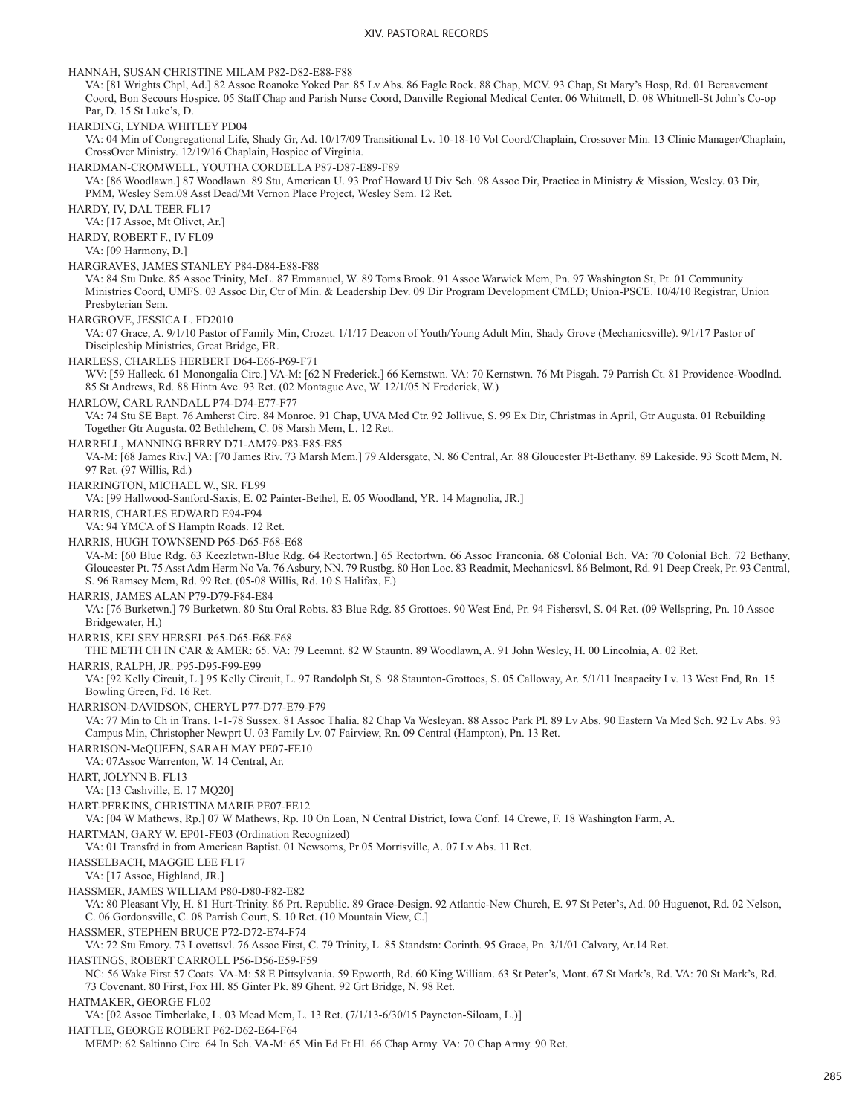HANNAH, SUSAN CHRISTINE MILAM P82-D82-E88-F88

VA: [81 Wrights Chpl, Ad.] 82 Assoc Roanoke Yoked Par. 85 Lv Abs. 86 Eagle Rock. 88 Chap, MCV. 93 Chap, St Mary's Hosp, Rd. 01 Bereavement Coord, Bon Secours Hospice. 05 Staff Chap and Parish Nurse Coord, Danville Regional Medical Center. 06 Whitmell, D. 08 Whitmell-St John's Co-op Par, D. 15 St Luke's, D.

HARDING, LYNDA WHITLEY PD04

VA: 04 Min of Congregational Life, Shady Gr, Ad. 10/17/09 Transitional Lv. 10-18-10 Vol Coord/Chaplain, Crossover Min. 13 Clinic Manager/Chaplain, CrossOver Ministry. 12/19/16 Chaplain, Hospice of Virginia.

HARDMAN-CROMWELL, YOUTHA CORDELLA P87-D87-E89-F89

VA: [86 Woodlawn.] 87 Woodlawn. 89 Stu, American U. 93 Prof Howard U Div Sch. 98 Assoc Dir, Practice in Ministry & Mission, Wesley. 03 Dir, PMM, Wesley Sem.08 Asst Dead/Mt Vernon Place Project, Wesley Sem. 12 Ret.

HARDY, IV, DAL TEER FL17

VA: [17 Assoc, Mt Olivet, Ar.]

HARDY, ROBERT F., IV FL09

VA: [09 Harmony, D.]

HARGRAVES, JAMES STANLEY P84-D84-E88-F88

VA: 84 Stu Duke. 85 Assoc Trinity, McL. 87 Emmanuel, W. 89 Toms Brook. 91 Assoc Warwick Mem, Pn. 97 Washington St, Pt. 01 Community Ministries Coord, UMFS. 03 Assoc Dir, Ctr of Min. & Leadership Dev. 09 Dir Program Development CMLD; Union-PSCE. 10/4/10 Registrar, Union Presbyterian Sem.

HARGROVE, JESSICA L. FD2010

VA: 07 Grace, A. 9/1/10 Pastor of Family Min, Crozet. 1/1/17 Deacon of Youth/Young Adult Min, Shady Grove (Mechanicsville). 9/1/17 Pastor of Discipleship Ministries, Great Bridge, ER.

HARLESS, CHARLES HERBERT D64-E66-P69-F71

WV: [59 Halleck. 61 Monongalia Circ.] VA-M: [62 N Frederick.] 66 Kernstwn. VA: 70 Kernstwn. 76 Mt Pisgah. 79 Parrish Ct. 81 Providence-Woodlnd. 85 St Andrews, Rd. 88 Hintn Ave. 93 Ret. (02 Montague Ave, W. 12/1/05 N Frederick, W.)

HARLOW, CARL RANDALL P74-D74-E77-F77

VA: 74 Stu SE Bapt. 76 Amherst Circ. 84 Monroe. 91 Chap, UVA Med Ctr. 92 Jollivue, S. 99 Ex Dir, Christmas in April, Gtr Augusta. 01 Rebuilding Together Gtr Augusta. 02 Bethlehem, C. 08 Marsh Mem, L. 12 Ret.

HARRELL, MANNING BERRY D71-AM79-P83-F85-E85

VA-M: [68 James Riv.] VA: [70 James Riv. 73 Marsh Mem.] 79 Aldersgate, N. 86 Central, Ar. 88 Gloucester Pt-Bethany. 89 Lakeside. 93 Scott Mem, N. 97 Ret. (97 Willis, Rd.)

HARRINGTON, MICHAEL W., SR. FL99

VA: [99 Hallwood-Sanford-Saxis, E. 02 Painter-Bethel, E. 05 Woodland, YR. 14 Magnolia, JR.]

HARRIS, CHARLES EDWARD E94-F94

VA: 94 YMCA of S Hamptn Roads. 12 Ret.

HARRIS, HUGH TOWNSEND P65-D65-F68-E68

VA-M: [60 Blue Rdg. 63 Keezletwn-Blue Rdg. 64 Rectortwn.] 65 Rectortwn. 66 Assoc Franconia. 68 Colonial Bch. VA: 70 Colonial Bch. 72 Bethany, Gloucester Pt. 75 Asst Adm Herm No Va. 76 Asbury, NN. 79 Rustbg. 80 Hon Loc. 83 Readmit, Mechanicsvl. 86 Belmont, Rd. 91 Deep Creek, Pr. 93 Central, S. 96 Ramsey Mem, Rd. 99 Ret. (05-08 Willis, Rd. 10 S Halifax, F.)

HARRIS, JAMES ALAN P79-D79-F84-E84

VA: [76 Burketwn.] 79 Burketwn. 80 Stu Oral Robts. 83 Blue Rdg. 85 Grottoes. 90 West End, Pr. 94 Fishersvl, S. 04 Ret. (09 Wellspring, Pn. 10 Assoc Bridgewater, H.)

HARRIS, KELSEY HERSEL P65-D65-E68-F68

THE METH CH IN CAR & AMER: 65. VA: 79 Leemnt. 82 W Stauntn. 89 Woodlawn, A. 91 John Wesley, H. 00 Lincolnia, A. 02 Ret.

HARRIS, RALPH, JR. P95-D95-F99-E99

VA: [92 Kelly Circuit, L.] 95 Kelly Circuit, L. 97 Randolph St, S. 98 Staunton-Grottoes, S. 05 Calloway, Ar. 5/1/11 Incapacity Lv. 13 West End, Rn. 15 Bowling Green, Fd. 16 Ret.

HARRISON-DAVIDSON, CHERYL P77-D77-E79-F79

VA: 77 Min to Ch in Trans. 1-1-78 Sussex. 81 Assoc Thalia. 82 Chap Va Wesleyan. 88 Assoc Park Pl. 89 Lv Abs. 90 Eastern Va Med Sch. 92 Lv Abs. 93 Campus Min, Christopher Newprt U. 03 Family Lv. 07 Fairview, Rn. 09 Central (Hampton), Pn. 13 Ret.

HARRISON-McQUEEN, SARAH MAY PE07-FE10

VA: 07Assoc Warrenton, W. 14 Central, Ar.

HART, JOLYNN B. FL13

VA: [13 Cashville, E. 17 MQ20]

HART-PERKINS, CHRISTINA MARIE PE07-FE12

VA: [04 W Mathews, Rp.] 07 W Mathews, Rp. 10 On Loan, N Central District, Iowa Conf. 14 Crewe, F. 18 Washington Farm, A.

HARTMAN, GARY W. EP01-FE03 (Ordination Recognized)

VA: 01 Transfrd in from American Baptist. 01 Newsoms, Pr 05 Morrisville, A. 07 Lv Abs. 11 Ret.

HASSELBACH, MAGGIE LEE FL17

VA: [17 Assoc, Highland, JR.]

HASSMER, JAMES WILLIAM P80-D80-F82-E82

VA: 80 Pleasant Vly, H. 81 Hurt-Trinity. 86 Prt. Republic. 89 Grace-Design. 92 Atlantic-New Church, E. 97 St Peter's, Ad. 00 Huguenot, Rd. 02 Nelson, C. 06 Gordonsville, C. 08 Parrish Court, S. 10 Ret. (10 Mountain View, C.]

HASSMER, STEPHEN BRUCE P72-D72-E74-F74

VA: 72 Stu Emory. 73 Lovettsvl. 76 Assoc First, C. 79 Trinity, L. 85 Standstn: Corinth. 95 Grace, Pn. 3/1/01 Calvary, Ar.14 Ret.

HASTINGS, ROBERT CARROLL P56-D56-E59-F59

NC: 56 Wake First 57 Coats. VA-M: 58 E Pittsylvania. 59 Epworth, Rd. 60 King William. 63 St Peter's, Mont. 67 St Mark's, Rd. VA: 70 St Mark's, Rd. 73 Covenant. 80 First, Fox Hl. 85 Ginter Pk. 89 Ghent. 92 Grt Bridge, N. 98 Ret.

HATMAKER, GEORGE FL02

VA: [02 Assoc Timberlake, L. 03 Mead Mem, L. 13 Ret. (7/1/13-6/30/15 Payneton-Siloam, L.)]

HATTLE, GEORGE ROBERT P62-D62-E64-F64

MEMP: 62 Saltinno Circ. 64 In Sch. VA-M: 65 Min Ed Ft Hl. 66 Chap Army. VA: 70 Chap Army. 90 Ret.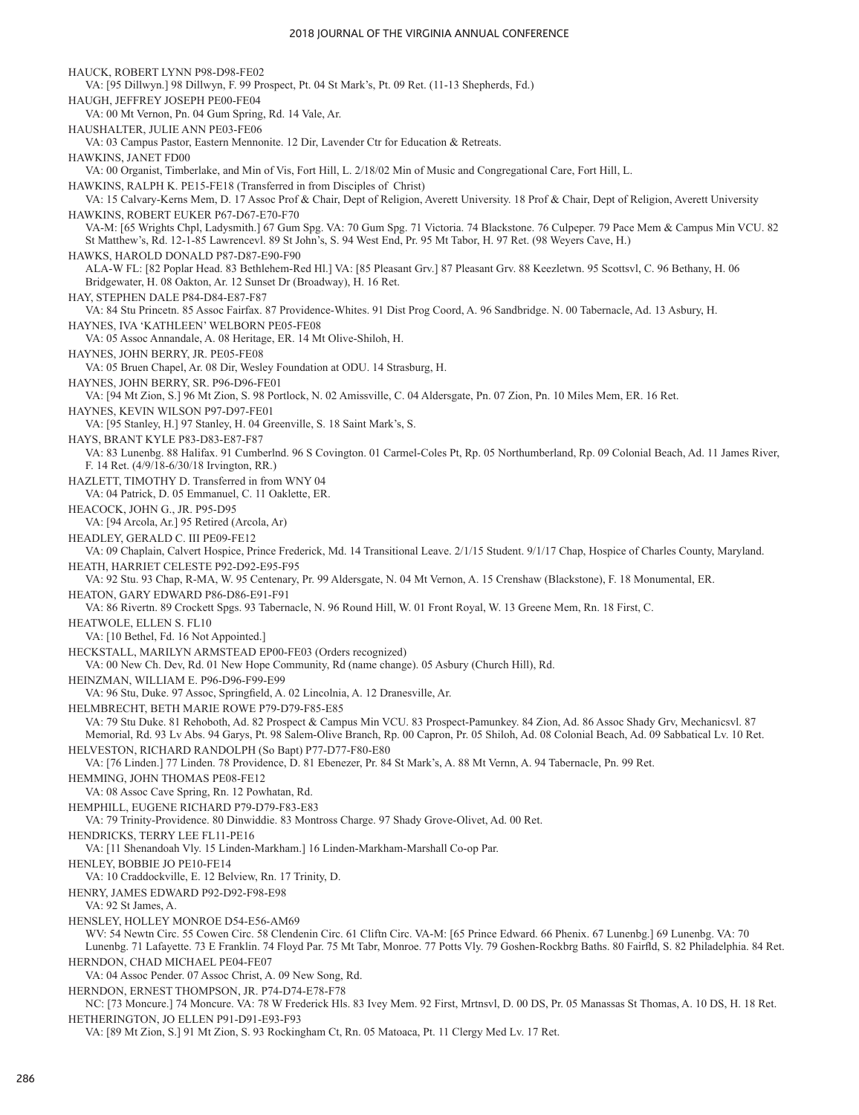HAUCK, ROBERT LYNN P98-D98-FE02 VA: [95 Dillwyn.] 98 Dillwyn, F. 99 Prospect, Pt. 04 St Mark's, Pt. 09 Ret. (11-13 Shepherds, Fd.) HAUGH, JEFFREY JOSEPH PE00-FE04 VA: 00 Mt Vernon, Pn. 04 Gum Spring, Rd. 14 Vale, Ar. HAUSHALTER, JULIE ANN PE03-FE06 VA: 03 Campus Pastor, Eastern Mennonite. 12 Dir, Lavender Ctr for Education & Retreats. HAWKINS, JANET FD00 VA: 00 Organist, Timberlake, and Min of Vis, Fort Hill, L. 2/18/02 Min of Music and Congregational Care, Fort Hill, L. HAWKINS, RALPH K. PE15-FE18 (Transferred in from Disciples of Christ) VA: 15 Calvary-Kerns Mem, D. 17 Assoc Prof & Chair, Dept of Religion, Averett University. 18 Prof & Chair, Dept of Religion, Averett University HAWKINS, ROBERT EUKER P67-D67-E70-F70 VA-M: [65 Wrights Chpl, Ladysmith.] 67 Gum Spg. VA: 70 Gum Spg. 71 Victoria. 74 Blackstone. 76 Culpeper. 79 Pace Mem & Campus Min VCU. 82 St Matthew's, Rd. 12-1-85 Lawrencevl. 89 St John's, S. 94 West End, Pr. 95 Mt Tabor, H. 97 Ret. (98 Weyers Cave, H.) HAWKS, HAROLD DONALD P87-D87-E90-F90 ALA-W FL: [82 Poplar Head. 83 Bethlehem-Red Hl.] VA: [85 Pleasant Grv.] 87 Pleasant Grv. 88 Keezletwn. 95 Scottsvl, C. 96 Bethany, H. 06 Bridgewater, H. 08 Oakton, Ar. 12 Sunset Dr (Broadway), H. 16 Ret. HAY, STEPHEN DALE P84-D84-E87-F87 VA: 84 Stu Princetn. 85 Assoc Fairfax. 87 Providence-Whites. 91 Dist Prog Coord, A. 96 Sandbridge. N. 00 Tabernacle, Ad. 13 Asbury, H. HAYNES, IVA 'KATHLEEN' WELBORN PE05-FE08 VA: 05 Assoc Annandale, A. 08 Heritage, ER. 14 Mt Olive-Shiloh, H. HAYNES, JOHN BERRY, JR. PE05-FE08 VA: 05 Bruen Chapel, Ar. 08 Dir, Wesley Foundation at ODU. 14 Strasburg, H. HAYNES, JOHN BERRY, SR. P96-D96-FE01 VA: [94 Mt Zion, S.] 96 Mt Zion, S. 98 Portlock, N. 02 Amissville, C. 04 Aldersgate, Pn. 07 Zion, Pn. 10 Miles Mem, ER. 16 Ret. HAYNES, KEVIN WILSON P97-D97-FE01 VA: [95 Stanley, H.] 97 Stanley, H. 04 Greenville, S. 18 Saint Mark's, S. HAYS, BRANT KYLE P83-D83-E87-F87 VA: 83 Lunenbg. 88 Halifax. 91 Cumberlnd. 96 S Covington. 01 Carmel-Coles Pt, Rp. 05 Northumberland, Rp. 09 Colonial Beach, Ad. 11 James River, F. 14 Ret. (4/9/18-6/30/18 Irvington, RR.) HAZLETT, TIMOTHY D. Transferred in from WNY 04 VA: 04 Patrick, D. 05 Emmanuel, C. 11 Oaklette, ER. HEACOCK, JOHN G., JR. P95-D95 VA: [94 Arcola, Ar.] 95 Retired (Arcola, Ar) HEADLEY, GERALD C. III PE09-FE12 VA: 09 Chaplain, Calvert Hospice, Prince Frederick, Md. 14 Transitional Leave. 2/1/15 Student. 9/1/17 Chap, Hospice of Charles County, Maryland. HEATH, HARRIET CELESTE P92-D92-E95-F95 VA: 92 Stu. 93 Chap, R-MA, W. 95 Centenary, Pr. 99 Aldersgate, N. 04 Mt Vernon, A. 15 Crenshaw (Blackstone), F. 18 Monumental, ER. HEATON, GARY EDWARD P86-D86-E91-F91 VA: 86 Rivertn. 89 Crockett Spgs. 93 Tabernacle, N. 96 Round Hill, W. 01 Front Royal, W. 13 Greene Mem, Rn. 18 First, C. HEATWOLE, ELLEN S. FL10 VA: [10 Bethel, Fd. 16 Not Appointed.] HECKSTALL, MARILYN ARMSTEAD EP00-FE03 (Orders recognized) VA: 00 New Ch. Dev, Rd. 01 New Hope Community, Rd (name change). 05 Asbury (Church Hill), Rd. HEINZMAN, WILLIAM E. P96-D96-F99-E99 VA: 96 Stu, Duke. 97 Assoc, Springfield, A. 02 Lincolnia, A. 12 Dranesville, Ar. HELMBRECHT, BETH MARIE ROWE P79-D79-F85-E85 VA: 79 Stu Duke. 81 Rehoboth, Ad. 82 Prospect & Campus Min VCU. 83 Prospect-Pamunkey. 84 Zion, Ad. 86 Assoc Shady Grv, Mechanicsvl. 87 Memorial, Rd. 93 Lv Abs. 94 Garys, Pt. 98 Salem-Olive Branch, Rp. 00 Capron, Pr. 05 Shiloh, Ad. 08 Colonial Beach, Ad. 09 Sabbatical Lv. 10 Ret. HELVESTON, RICHARD RANDOLPH (So Bapt) P77-D77-F80-E80 VA: [76 Linden.] 77 Linden. 78 Providence, D. 81 Ebenezer, Pr. 84 St Mark's, A. 88 Mt Vernn, A. 94 Tabernacle, Pn. 99 Ret. HEMMING, JOHN THOMAS PE08-FE12 VA: 08 Assoc Cave Spring, Rn. 12 Powhatan, Rd. HEMPHILL, EUGENE RICHARD P79-D79-F83-E83 VA: 79 Trinity-Providence. 80 Dinwiddie. 83 Montross Charge. 97 Shady Grove-Olivet, Ad. 00 Ret. HENDRICKS, TERRY LEE FL11-PE16 VA: [11 Shenandoah Vly. 15 Linden-Markham.] 16 Linden-Markham-Marshall Co-op Par. HENLEY, BOBBIE JO PE10-FE14 VA: 10 Craddockville, E. 12 Belview, Rn. 17 Trinity, D. HENRY, JAMES EDWARD P92-D92-F98-E98 VA: 92 St James, A. HENSLEY, HOLLEY MONROE D54-E56-AM69 WV: 54 Newtn Circ. 55 Cowen Circ. 58 Clendenin Circ. 61 Cliftn Circ. VA-M: [65 Prince Edward. 66 Phenix. 67 Lunenbg.] 69 Lunenbg. VA: 70 Lunenbg. 71 Lafayette. 73 E Franklin. 74 Floyd Par. 75 Mt Tabr, Monroe. 77 Potts Vly. 79 Goshen-Rockbrg Baths. 80 Fairfld, S. 82 Philadelphia. 84 Ret. HERNDON, CHAD MICHAEL PE04-FE07 VA: 04 Assoc Pender. 07 Assoc Christ, A. 09 New Song, Rd. HERNDON, ERNEST THOMPSON, JR. P74-D74-E78-F78 NC: [73 Moncure.] 74 Moncure. VA: 78 W Frederick Hls. 83 Ivey Mem. 92 First, Mrtnsvl, D. 00 DS, Pr. 05 Manassas St Thomas, A. 10 DS, H. 18 Ret. HETHERINGTON, JO ELLEN P91-D91-E93-F93

VA: [89 Mt Zion, S.] 91 Mt Zion, S. 93 Rockingham Ct, Rn. 05 Matoaca, Pt. 11 Clergy Med Lv. 17 Ret.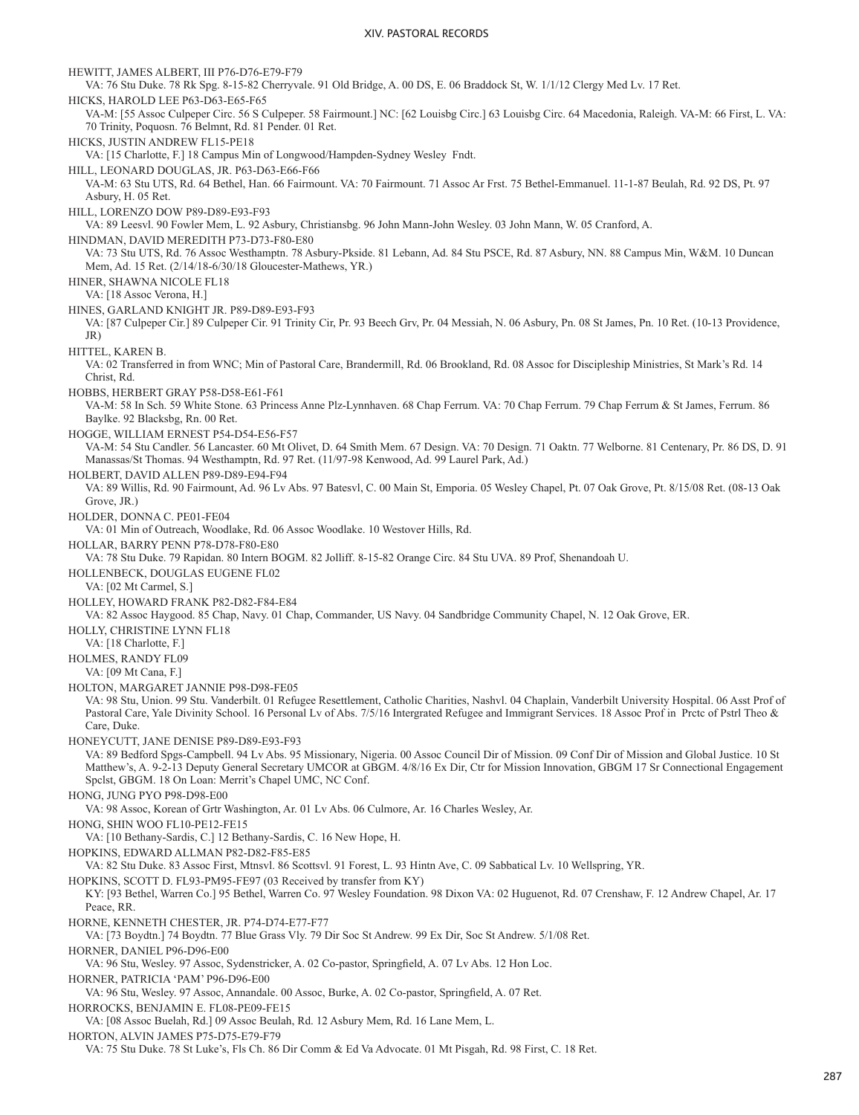HEWITT, JAMES ALBERT, III P76-D76-E79-F79 VA: 76 Stu Duke. 78 Rk Spg. 8-15-82 Cherryvale. 91 Old Bridge, A. 00 DS, E. 06 Braddock St, W. 1/1/12 Clergy Med Lv. 17 Ret. HICKS, HAROLD LEE P63-D63-E65-F65 VA-M: [55 Assoc Culpeper Circ. 56 S Culpeper. 58 Fairmount.] NC: [62 Louisbg Circ.] 63 Louisbg Circ. 64 Macedonia, Raleigh. VA-M: 66 First, L. VA: 70 Trinity, Poquosn. 76 Belmnt, Rd. 81 Pender. 01 Ret. HICKS, JUSTIN ANDREW FL15-PE18 VA: [15 Charlotte, F.] 18 Campus Min of Longwood/Hampden-Sydney Wesley Fndt. HILL, LEONARD DOUGLAS, JR. P63-D63-E66-F66 VA-M: 63 Stu UTS, Rd. 64 Bethel, Han. 66 Fairmount. VA: 70 Fairmount. 71 Assoc Ar Frst. 75 Bethel-Emmanuel. 11-1-87 Beulah, Rd. 92 DS, Pt. 97 Asbury, H. 05 Ret. HILL, LORENZO DOW P89-D89-E93-F93 VA: 89 Leesvl. 90 Fowler Mem, L. 92 Asbury, Christiansbg. 96 John Mann-John Wesley. 03 John Mann, W. 05 Cranford, A. HINDMAN, DAVID MEREDITH P73-D73-F80-E80 VA: 73 Stu UTS, Rd. 76 Assoc Westhamptn. 78 Asbury-Pkside. 81 Lebann, Ad. 84 Stu PSCE, Rd. 87 Asbury, NN. 88 Campus Min, W&M. 10 Duncan Mem, Ad. 15 Ret. (2/14/18-6/30/18 Gloucester-Mathews, YR.) HINER, SHAWNA NICOLE FL18 VA: [18 Assoc Verona, H.] HINES, GARLAND KNIGHT JR. P89-D89-E93-F93 VA: [87 Culpeper Cir.] 89 Culpeper Cir. 91 Trinity Cir, Pr. 93 Beech Grv, Pr. 04 Messiah, N. 06 Asbury, Pn. 08 St James, Pn. 10 Ret. (10-13 Providence, JR) HITTEL, KAREN B. VA: 02 Transferred in from WNC; Min of Pastoral Care, Brandermill, Rd. 06 Brookland, Rd. 08 Assoc for Discipleship Ministries, St Mark's Rd. 14 Christ, Rd. HOBBS, HERBERT GRAY P58-D58-E61-F61 VA-M: 58 In Sch. 59 White Stone. 63 Princess Anne Plz-Lynnhaven. 68 Chap Ferrum. VA: 70 Chap Ferrum. 79 Chap Ferrum & St James, Ferrum. 86 Baylke. 92 Blacksbg, Rn. 00 Ret. HOGGE, WILLIAM ERNEST P54-D54-E56-F57 VA-M: 54 Stu Candler. 56 Lancaster. 60 Mt Olivet, D. 64 Smith Mem. 67 Design. VA: 70 Design. 71 Oaktn. 77 Welborne. 81 Centenary, Pr. 86 DS, D. 91 Manassas/St Thomas. 94 Westhamptn, Rd. 97 Ret. (11/97-98 Kenwood, Ad. 99 Laurel Park, Ad.) HOLBERT, DAVID ALLEN P89-D89-E94-F94 VA: 89 Willis, Rd. 90 Fairmount, Ad. 96 Lv Abs. 97 Batesvl, C. 00 Main St, Emporia. 05 Wesley Chapel, Pt. 07 Oak Grove, Pt. 8/15/08 Ret. (08-13 Oak Grove, JR.) HOLDER, DONNA C. PE01-FE04 VA: 01 Min of Outreach, Woodlake, Rd. 06 Assoc Woodlake. 10 Westover Hills, Rd. HOLLAR, BARRY PENN P78-D78-F80-E80 VA: 78 Stu Duke. 79 Rapidan. 80 Intern BOGM. 82 Jolliff. 8-15-82 Orange Circ. 84 Stu UVA. 89 Prof, Shenandoah U. HOLLENBECK, DOUGLAS EUGENE FL02 VA: [02 Mt Carmel, S.] HOLLEY, HOWARD FRANK P82-D82-F84-E84 VA: 82 Assoc Haygood. 85 Chap, Navy. 01 Chap, Commander, US Navy. 04 Sandbridge Community Chapel, N. 12 Oak Grove, ER. HOLLY, CHRISTINE LYNN FL18 VA: [18 Charlotte, F.] HOLMES, RANDY FL09 VA: [09 Mt Cana, F.] HOLTON, MARGARET JANNIE P98-D98-FE05 VA: 98 Stu, Union. 99 Stu. Vanderbilt. 01 Refugee Resettlement, Catholic Charities, Nashvl. 04 Chaplain, Vanderbilt University Hospital. 06 Asst Prof of Pastoral Care, Yale Divinity School. 16 Personal Lv of Abs. 7/5/16 Intergrated Refugee and Immigrant Services. 18 Assoc Prof in Prctc of Pstrl Theo & Care, Duke. HONEYCUTT, JANE DENISE P89-D89-E93-F93 VA: 89 Bedford Spgs-Campbell. 94 Lv Abs. 95 Missionary, Nigeria. 00 Assoc Council Dir of Mission. 09 Conf Dir of Mission and Global Justice. 10 St Matthew's, A. 9-2-13 Deputy General Secretary UMCOR at GBGM. 4/8/16 Ex Dir, Ctr for Mission Innovation, GBGM 17 Sr Connectional Engagement Spclst, GBGM. 18 On Loan: Merrit's Chapel UMC, NC Conf. HONG, JUNG PYO P98-D98-E00 VA: 98 Assoc, Korean of Grtr Washington, Ar. 01 Lv Abs. 06 Culmore, Ar. 16 Charles Wesley, Ar. HONG, SHIN WOO FL10-PE12-FE15 VA: [10 Bethany-Sardis, C.] 12 Bethany-Sardis, C. 16 New Hope, H. HOPKINS, EDWARD ALLMAN P82-D82-F85-E85 VA: 82 Stu Duke. 83 Assoc First, Mtnsvl. 86 Scottsvl. 91 Forest, L. 93 Hintn Ave, C. 09 Sabbatical Lv. 10 Wellspring, YR. HOPKINS, SCOTT D. FL93-PM95-FE97 (03 Received by transfer from KY) KY: [93 Bethel, Warren Co.] 95 Bethel, Warren Co. 97 Wesley Foundation. 98 Dixon VA: 02 Huguenot, Rd. 07 Crenshaw, F. 12 Andrew Chapel, Ar. 17 Peace, RR. HORNE, KENNETH CHESTER, JR. P74-D74-E77-F77 VA: [73 Boydtn.] 74 Boydtn. 77 Blue Grass Vly. 79 Dir Soc St Andrew. 99 Ex Dir, Soc St Andrew. 5/1/08 Ret. HORNER, DANIEL P96-D96-E00 VA: 96 Stu, Wesley. 97 Assoc, Sydenstricker, A. 02 Co-pastor, Springfield, A. 07 Lv Abs. 12 Hon Loc. HORNER, PATRICIA 'PAM' P96-D96-E00 VA: 96 Stu, Wesley. 97 Assoc, Annandale. 00 Assoc, Burke, A. 02 Co-pastor, Springfield, A. 07 Ret. HORROCKS, BENJAMIN E. FL08-PE09-FE15 VA: [08 Assoc Buelah, Rd.] 09 Assoc Beulah, Rd. 12 Asbury Mem, Rd. 16 Lane Mem, L. HORTON, ALVIN JAMES P75-D75-E79-F79 VA: 75 Stu Duke. 78 St Luke's, Fls Ch. 86 Dir Comm & Ed Va Advocate. 01 Mt Pisgah, Rd. 98 First, C. 18 Ret.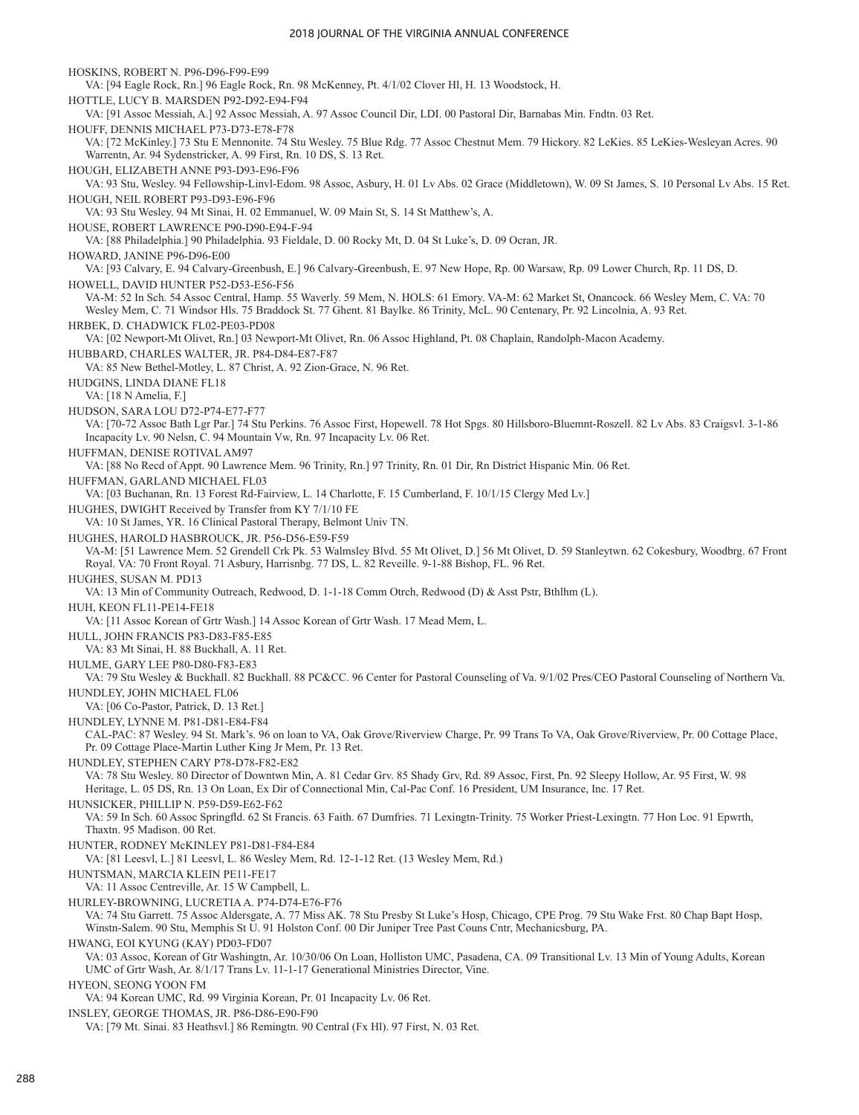HOSKINS, ROBERT N. P96-D96-F99-E99 VA: [94 Eagle Rock, Rn.] 96 Eagle Rock, Rn. 98 McKenney, Pt. 4/1/02 Clover Hl, H. 13 Woodstock, H. HOTTLE, LUCY B. MARSDEN P92-D92-E94-F94 VA: [91 Assoc Messiah, A.] 92 Assoc Messiah, A. 97 Assoc Council Dir, LDI. 00 Pastoral Dir, Barnabas Min. Fndtn. 03 Ret. HOUFF, DENNIS MICHAEL P73-D73-E78-F78 VA: [72 McKinley.] 73 Stu E Mennonite. 74 Stu Wesley. 75 Blue Rdg. 77 Assoc Chestnut Mem. 79 Hickory. 82 LeKies. 85 LeKies-Wesleyan Acres. 90 Warrentn, Ar. 94 Sydenstricker, A. 99 First, Rn. 10 DS, S. 13 Ret. HOUGH, ELIZABETH ANNE P93-D93-E96-F96 VA: 93 Stu, Wesley. 94 Fellowship-Linvl-Edom. 98 Assoc, Asbury, H. 01 Lv Abs. 02 Grace (Middletown), W. 09 St James, S. 10 Personal Lv Abs. 15 Ret. HOUGH, NEIL ROBERT P93-D93-E96-F96 VA: 93 Stu Wesley. 94 Mt Sinai, H. 02 Emmanuel, W. 09 Main St, S. 14 St Matthew's, A. HOUSE, ROBERT LAWRENCE P90-D90-E94-F-94 VA: [88 Philadelphia.] 90 Philadelphia. 93 Fieldale, D. 00 Rocky Mt, D. 04 St Luke's, D. 09 Ocran, JR. HOWARD, JANINE P96-D96-E00 VA: [93 Calvary, E. 94 Calvary-Greenbush, E.] 96 Calvary-Greenbush, E. 97 New Hope, Rp. 00 Warsaw, Rp. 09 Lower Church, Rp. 11 DS, D. HOWELL, DAVID HUNTER P52-D53-E56-F56 VA-M: 52 In Sch. 54 Assoc Central, Hamp. 55 Waverly. 59 Mem, N. HOLS: 61 Emory. VA-M: 62 Market St, Onancock. 66 Wesley Mem, C. VA: 70 Wesley Mem, C. 71 Windsor Hls. 75 Braddock St. 77 Ghent. 81 Baylke. 86 Trinity, McL. 90 Centenary, Pr. 92 Lincolnia, A. 93 Ret. HRBEK, D. CHADWICK FL02-PE03-PD08 VA: [02 Newport-Mt Olivet, Rn.] 03 Newport-Mt Olivet, Rn. 06 Assoc Highland, Pt. 08 Chaplain, Randolph-Macon Academy. HUBBARD, CHARLES WALTER, JR. P84-D84-E87-F87 VA: 85 New Bethel-Motley, L. 87 Christ, A. 92 Zion-Grace, N. 96 Ret. HUDGINS, LINDA DIANE FL18 VA: [18 N Amelia, F.] HUDSON, SARA LOU D72-P74-E77-F77 VA: [70-72 Assoc Bath Lgr Par.] 74 Stu Perkins. 76 Assoc First, Hopewell. 78 Hot Spgs. 80 Hillsboro-Bluemnt-Roszell. 82 Lv Abs. 83 Craigsvl. 3-1-86 Incapacity Lv. 90 Nelsn, C. 94 Mountain Vw, Rn. 97 Incapacity Lv. 06 Ret. HUFFMAN, DENISE ROTIVAL AM97 VA: [88 No Recd of Appt. 90 Lawrence Mem. 96 Trinity, Rn.] 97 Trinity, Rn. 01 Dir, Rn District Hispanic Min. 06 Ret. HUFFMAN, GARLAND MICHAEL FL03 VA: [03 Buchanan, Rn. 13 Forest Rd-Fairview, L. 14 Charlotte, F. 15 Cumberland, F. 10/1/15 Clergy Med Lv.] HUGHES, DWIGHT Received by Transfer from KY 7/1/10 FE VA: 10 St James, YR. 16 Clinical Pastoral Therapy, Belmont Univ TN. HUGHES, HAROLD HASBROUCK, JR. P56-D56-E59-F59 VA-M: [51 Lawrence Mem. 52 Grendell Crk Pk. 53 Walmsley Blvd. 55 Mt Olivet, D.] 56 Mt Olivet, D. 59 Stanleytwn. 62 Cokesbury, Woodbrg. 67 Front Royal. VA: 70 Front Royal. 71 Asbury, Harrisnbg. 77 DS, L. 82 Reveille. 9-1-88 Bishop, FL. 96 Ret. HUGHES, SUSAN M. PD13 VA: 13 Min of Community Outreach, Redwood, D. 1-1-18 Comm Otrch, Redwood (D) & Asst Pstr, Bthlhm (L). HUH, KEON FL11-PE14-FE18 VA: [11 Assoc Korean of Grtr Wash.] 14 Assoc Korean of Grtr Wash. 17 Mead Mem, L. HULL, JOHN FRANCIS P83-D83-F85-E85 VA: 83 Mt Sinai, H. 88 Buckhall, A. 11 Ret. HULME, GARY LEE P80-D80-F83-E83 VA: 79 Stu Wesley & Buckhall. 82 Buckhall. 88 PC&CC. 96 Center for Pastoral Counseling of Va. 9/1/02 Pres/CEO Pastoral Counseling of Northern Va. HUNDLEY, JOHN MICHAEL FL06 VA: [06 Co-Pastor, Patrick, D. 13 Ret.] HUNDLEY, LYNNE M. P81-D81-E84-F84 CAL-PAC: 87 Wesley. 94 St. Mark's. 96 on loan to VA, Oak Grove/Riverview Charge, Pr. 99 Trans To VA, Oak Grove/Riverview, Pr. 00 Cottage Place, Pr. 09 Cottage Place-Martin Luther King Jr Mem, Pr. 13 Ret. HUNDLEY, STEPHEN CARY P78-D78-F82-E82 VA: 78 Stu Wesley. 80 Director of Downtwn Min, A. 81 Cedar Grv. 85 Shady Grv, Rd. 89 Assoc, First, Pn. 92 Sleepy Hollow, Ar. 95 First, W. 98 Heritage, L. 05 DS, Rn. 13 On Loan, Ex Dir of Connectional Min, Cal-Pac Conf. 16 President, UM Insurance, Inc. 17 Ret. HUNSICKER, PHILLIP N. P59-D59-E62-F62 VA: 59 In Sch. 60 Assoc Springfld. 62 St Francis. 63 Faith. 67 Dumfries. 71 Lexingtn-Trinity. 75 Worker Priest-Lexingtn. 77 Hon Loc. 91 Epwrth, Thaxtn. 95 Madison. 00 Ret. HUNTER, RODNEY McKINLEY P81-D81-F84-E84 VA: [81 Leesvl, L.] 81 Leesvl, L. 86 Wesley Mem, Rd. 12-1-12 Ret. (13 Wesley Mem, Rd.) HUNTSMAN, MARCIA KLEIN PE11-FE17 VA: 11 Assoc Centreville, Ar. 15 W Campbell, L. HURLEY-BROWNING, LUCRETIA A. P74-D74-E76-F76 VA: 74 Stu Garrett. 75 Assoc Aldersgate, A. 77 Miss AK. 78 Stu Presby St Luke's Hosp, Chicago, CPE Prog. 79 Stu Wake Frst. 80 Chap Bapt Hosp, Winstn-Salem. 90 Stu, Memphis St U. 91 Holston Conf. 00 Dir Juniper Tree Past Couns Cntr, Mechanicsburg, PA. HWANG, EOI KYUNG (KAY) PD03-FD07 VA: 03 Assoc, Korean of Gtr Washingtn, Ar. 10/30/06 On Loan, Holliston UMC, Pasadena, CA. 09 Transitional Lv. 13 Min of Young Adults, Korean UMC of Grtr Wash, Ar. 8/1/17 Trans Lv. 11-1-17 Generational Ministries Director, Vine. HYEON, SEONG YOON FM VA: 94 Korean UMC, Rd. 99 Virginia Korean, Pr. 01 Incapacity Lv. 06 Ret. INSLEY, GEORGE THOMAS, JR. P86-D86-E90-F90

VA: [79 Mt. Sinai. 83 Heathsvl.] 86 Remingtn. 90 Central (Fx Hl). 97 First, N. 03 Ret.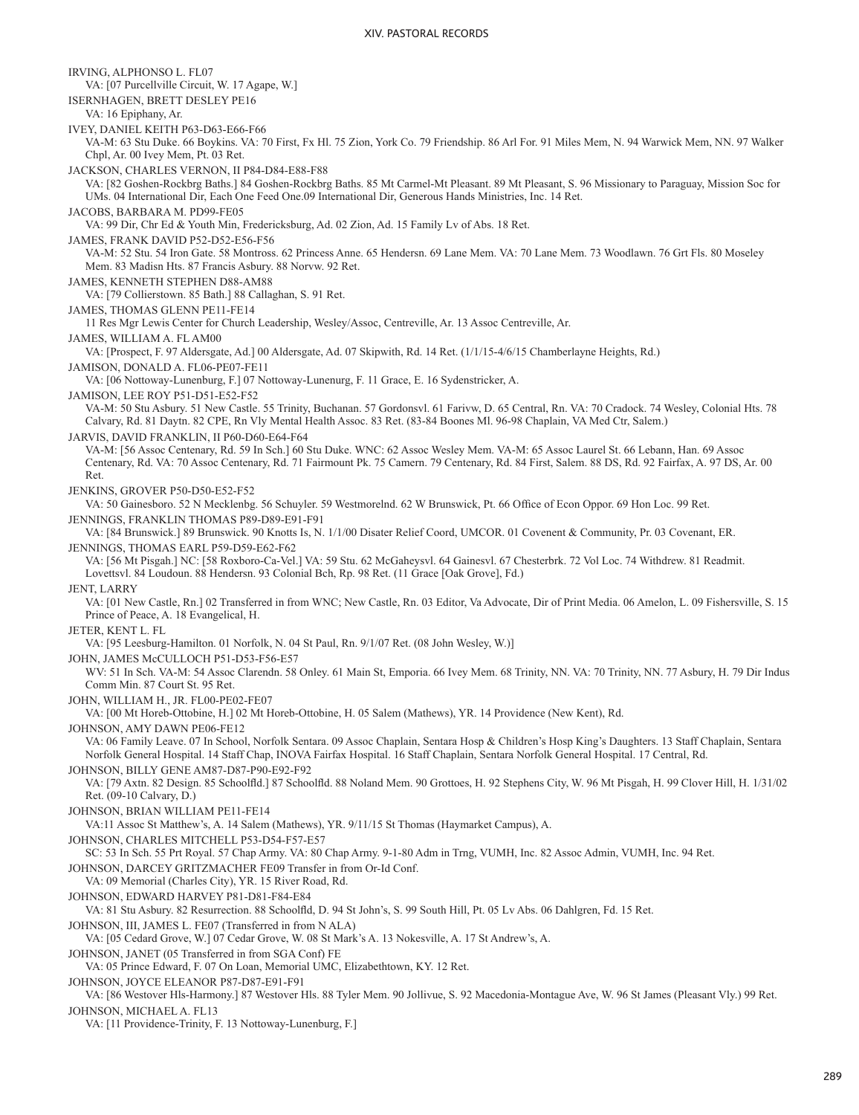IRVING, ALPHONSO L. FL07 VA: [07 Purcellville Circuit, W. 17 Agape, W.] ISERNHAGEN, BRETT DESLEY PE16 VA: 16 Epiphany, Ar. IVEY, DANIEL KEITH P63-D63-E66-F66 VA-M: 63 Stu Duke. 66 Boykins. VA: 70 First, Fx Hl. 75 Zion, York Co. 79 Friendship. 86 Arl For. 91 Miles Mem, N. 94 Warwick Mem, NN. 97 Walker Chpl, Ar. 00 Ivey Mem, Pt. 03 Ret. JACKSON, CHARLES VERNON, II P84-D84-E88-F88 VA: [82 Goshen-Rockbrg Baths.] 84 Goshen-Rockbrg Baths. 85 Mt Carmel-Mt Pleasant. 89 Mt Pleasant, S. 96 Missionary to Paraguay, Mission Soc for UMs. 04 International Dir, Each One Feed One.09 International Dir, Generous Hands Ministries, Inc. 14 Ret. JACOBS, BARBARA M. PD99-FE05 VA: 99 Dir, Chr Ed & Youth Min, Fredericksburg, Ad. 02 Zion, Ad. 15 Family Lv of Abs. 18 Ret. JAMES, FRANK DAVID P52-D52-E56-F56 VA-M: 52 Stu. 54 Iron Gate. 58 Montross. 62 Princess Anne. 65 Hendersn. 69 Lane Mem. VA: 70 Lane Mem. 73 Woodlawn. 76 Grt Fls. 80 Moseley Mem. 83 Madisn Hts. 87 Francis Asbury. 88 Norvw. 92 Ret. JAMES, KENNETH STEPHEN D88-AM88 VA: [79 Collierstown. 85 Bath.] 88 Callaghan, S. 91 Ret. JAMES, THOMAS GLENN PE11-FE14 11 Res Mgr Lewis Center for Church Leadership, Wesley/Assoc, Centreville, Ar. 13 Assoc Centreville, Ar. JAMES, WILLIAM A. FL AM00 VA: [Prospect, F. 97 Aldersgate, Ad.] 00 Aldersgate, Ad. 07 Skipwith, Rd. 14 Ret. (1/1/15-4/6/15 Chamberlayne Heights, Rd.) JAMISON, DONALD A. FL06-PE07-FE11 VA: [06 Nottoway-Lunenburg, F.] 07 Nottoway-Lunenurg, F. 11 Grace, E. 16 Sydenstricker, A. JAMISON, LEE ROY P51-D51-E52-F52 VA-M: 50 Stu Asbury. 51 New Castle. 55 Trinity, Buchanan. 57 Gordonsvl. 61 Farivw, D. 65 Central, Rn. VA: 70 Cradock. 74 Wesley, Colonial Hts. 78 Calvary, Rd. 81 Daytn. 82 CPE, Rn Vly Mental Health Assoc. 83 Ret. (83-84 Boones Ml. 96-98 Chaplain, VA Med Ctr, Salem.) JARVIS, DAVID FRANKLIN, II P60-D60-E64-F64 VA-M: [56 Assoc Centenary, Rd. 59 In Sch.] 60 Stu Duke. WNC: 62 Assoc Wesley Mem. VA-M: 65 Assoc Laurel St. 66 Lebann, Han. 69 Assoc Centenary, Rd. VA: 70 Assoc Centenary, Rd. 71 Fairmount Pk. 75 Camern. 79 Centenary, Rd. 84 First, Salem. 88 DS, Rd. 92 Fairfax, A. 97 DS, Ar. 00 Ret. JENKINS, GROVER P50-D50-E52-F52 VA: 50 Gainesboro. 52 N Mecklenbg. 56 Schuyler. 59 Westmorelnd. 62 W Brunswick, Pt. 66 Office of Econ Oppor. 69 Hon Loc. 99 Ret. JENNINGS, FRANKLIN THOMAS P89-D89-E91-F91 VA: [84 Brunswick.] 89 Brunswick. 90 Knotts Is, N. 1/1/00 Disater Relief Coord, UMCOR. 01 Covenent & Community, Pr. 03 Covenant, ER. JENNINGS, THOMAS EARL P59-D59-E62-F62 VA: [56 Mt Pisgah.] NC: [58 Roxboro-Ca-Vel.] VA: 59 Stu. 62 McGaheysvl. 64 Gainesvl. 67 Chesterbrk. 72 Vol Loc. 74 Withdrew. 81 Readmit. Lovettsvl. 84 Loudoun. 88 Hendersn. 93 Colonial Bch, Rp. 98 Ret. (11 Grace [Oak Grove], Fd.) JENT, LARRY VA: [01 New Castle, Rn.] 02 Transferred in from WNC; New Castle, Rn. 03 Editor, Va Advocate, Dir of Print Media. 06 Amelon, L. 09 Fishersville, S. 15 Prince of Peace, A. 18 Evangelical, H. JETER, KENT L. FL VA: [95 Leesburg-Hamilton. 01 Norfolk, N. 04 St Paul, Rn. 9/1/07 Ret. (08 John Wesley, W.)] JOHN, JAMES McCULLOCH P51-D53-F56-E57 WV: 51 In Sch. VA-M: 54 Assoc Clarendn. 58 Onley. 61 Main St, Emporia. 66 Ivey Mem. 68 Trinity, NN. VA: 70 Trinity, NN. 77 Asbury, H. 79 Dir Indus Comm Min. 87 Court St. 95 Ret. JOHN, WILLIAM H., JR. FL00-PE02-FE07 VA: [00 Mt Horeb-Ottobine, H.] 02 Mt Horeb-Ottobine, H. 05 Salem (Mathews), YR. 14 Providence (New Kent), Rd. JOHNSON, AMY DAWN PE06-FE12 VA: 06 Family Leave. 07 In School, Norfolk Sentara. 09 Assoc Chaplain, Sentara Hosp & Children's Hosp King's Daughters. 13 Staff Chaplain, Sentara Norfolk General Hospital. 14 Staff Chap, INOVA Fairfax Hospital. 16 Staff Chaplain, Sentara Norfolk General Hospital. 17 Central, Rd. JOHNSON, BILLY GENE AM87-D87-P90-E92-F92 VA: [79 Axtn. 82 Design. 85 Schoolfld.] 87 Schoolfld. 88 Noland Mem. 90 Grottoes, H. 92 Stephens City, W. 96 Mt Pisgah, H. 99 Clover Hill, H. 1/31/02 Ret. (09-10 Calvary, D.) JOHNSON, BRIAN WILLIAM PE11-FE14 VA:11 Assoc St Matthew's, A. 14 Salem (Mathews), YR. 9/11/15 St Thomas (Haymarket Campus), A. JOHNSON, CHARLES MITCHELL P53-D54-F57-E57 SC: 53 In Sch. 55 Prt Royal. 57 Chap Army. VA: 80 Chap Army. 9-1-80 Adm in Trng, VUMH, Inc. 82 Assoc Admin, VUMH, Inc. 94 Ret. JOHNSON, DARCEY GRITZMACHER FE09 Transfer in from Or-Id Conf. VA: 09 Memorial (Charles City), YR. 15 River Road, Rd. JOHNSON, EDWARD HARVEY P81-D81-F84-E84 VA: 81 Stu Asbury. 82 Resurrection. 88 Schoolfld, D. 94 St John's, S. 99 South Hill, Pt. 05 Lv Abs. 06 Dahlgren, Fd. 15 Ret. JOHNSON, III, JAMES L. FE07 (Transferred in from N ALA) VA: [05 Cedard Grove, W.] 07 Cedar Grove, W. 08 St Mark's A. 13 Nokesville, A. 17 St Andrew's, A. JOHNSON, JANET (05 Transferred in from SGA Conf) FE VA: 05 Prince Edward, F. 07 On Loan, Memorial UMC, Elizabethtown, KY. 12 Ret. JOHNSON, JOYCE ELEANOR P87-D87-E91-F91 VA: [86 Westover Hls-Harmony.] 87 Westover Hls. 88 Tyler Mem. 90 Jollivue, S. 92 Macedonia-Montague Ave, W. 96 St James (Pleasant Vly.) 99 Ret. JOHNSON, MICHAEL A. FL13 VA: [11 Providence-Trinity, F. 13 Nottoway-Lunenburg, F.]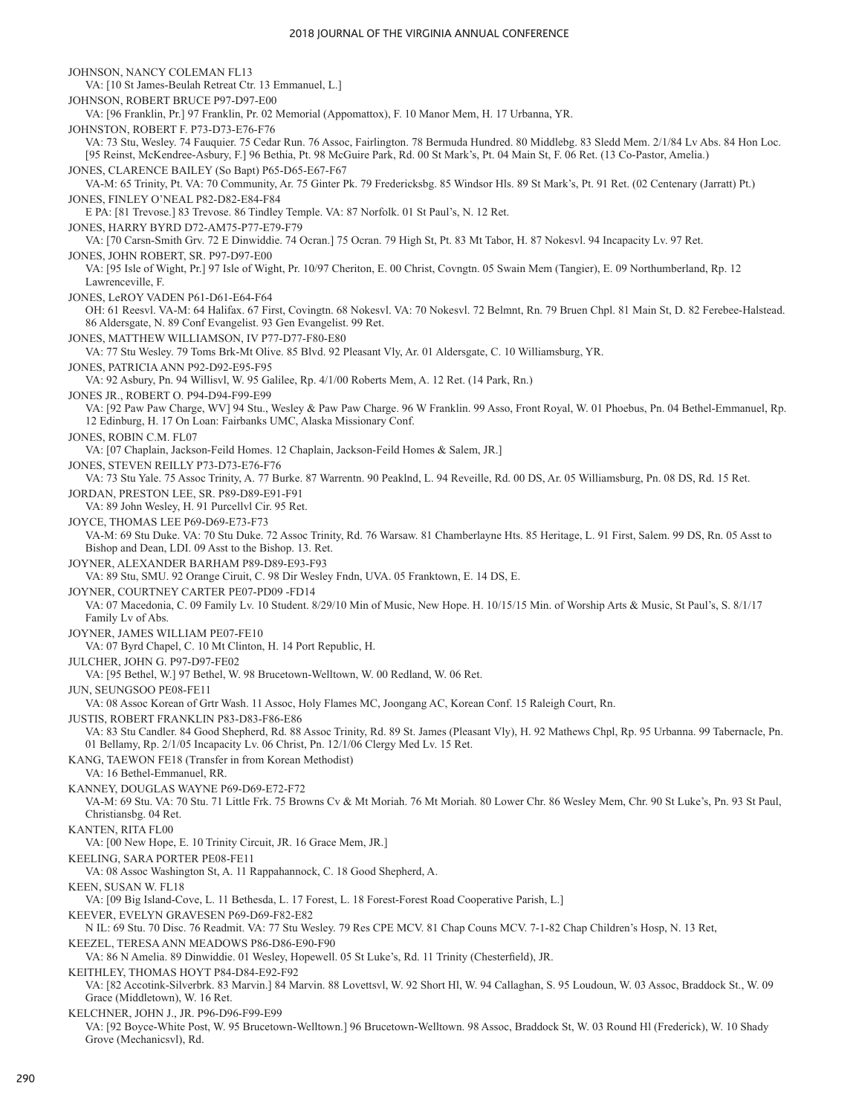JOHNSON, NANCY COLEMAN FL13 VA: [10 St James-Beulah Retreat Ctr. 13 Emmanuel, L.] JOHNSON, ROBERT BRUCE P97-D97-E00 VA: [96 Franklin, Pr.] 97 Franklin, Pr. 02 Memorial (Appomattox), F. 10 Manor Mem, H. 17 Urbanna, YR. JOHNSTON, ROBERT F. P73-D73-E76-F76 VA: 73 Stu, Wesley. 74 Fauquier. 75 Cedar Run. 76 Assoc, Fairlington. 78 Bermuda Hundred. 80 Middlebg. 83 Sledd Mem. 2/1/84 Lv Abs. 84 Hon Loc. [95 Reinst, McKendree-Asbury, F.] 96 Bethia, Pt. 98 McGuire Park, Rd. 00 St Mark's, Pt. 04 Main St, F. 06 Ret. (13 Co-Pastor, Amelia.) JONES, CLARENCE BAILEY (So Bapt) P65-D65-E67-F67 VA-M: 65 Trinity, Pt. VA: 70 Community, Ar. 75 Ginter Pk. 79 Fredericksbg. 85 Windsor Hls. 89 St Mark's, Pt. 91 Ret. (02 Centenary (Jarratt) Pt.) JONES, FINLEY O'NEAL P82-D82-E84-F84 E PA: [81 Trevose.] 83 Trevose. 86 Tindley Temple. VA: 87 Norfolk. 01 St Paul's, N. 12 Ret. JONES, HARRY BYRD D72-AM75-P77-E79-F79 VA: [70 Carsn-Smith Grv. 72 E Dinwiddie. 74 Ocran.] 75 Ocran. 79 High St, Pt. 83 Mt Tabor, H. 87 Nokesvl. 94 Incapacity Lv. 97 Ret. JONES, JOHN ROBERT, SR. P97-D97-E00 VA: [95 Isle of Wight, Pr.] 97 Isle of Wight, Pr. 10/97 Cheriton, E. 00 Christ, Covngtn. 05 Swain Mem (Tangier), E. 09 Northumberland, Rp. 12 Lawrenceville, F. JONES, LeROY VADEN P61-D61-E64-F64 OH: 61 Reesvl. VA-M: 64 Halifax. 67 First, Covingtn. 68 Nokesvl. VA: 70 Nokesvl. 72 Belmnt, Rn. 79 Bruen Chpl. 81 Main St, D. 82 Ferebee-Halstead. 86 Aldersgate, N. 89 Conf Evangelist. 93 Gen Evangelist. 99 Ret. JONES, MATTHEW WILLIAMSON, IV P77-D77-F80-E80 VA: 77 Stu Wesley. 79 Toms Brk-Mt Olive. 85 Blvd. 92 Pleasant Vly, Ar. 01 Aldersgate, C. 10 Williamsburg, YR. JONES, PATRICIA ANN P92-D92-E95-F95 VA: 92 Asbury, Pn. 94 Willisvl, W. 95 Galilee, Rp. 4/1/00 Roberts Mem, A. 12 Ret. (14 Park, Rn.) JONES JR., ROBERT O. P94-D94-F99-E99 VA: [92 Paw Paw Charge, WV] 94 Stu., Wesley & Paw Paw Charge. 96 W Franklin. 99 Asso, Front Royal, W. 01 Phoebus, Pn. 04 Bethel-Emmanuel, Rp. 12 Edinburg, H. 17 On Loan: Fairbanks UMC, Alaska Missionary Conf. JONES, ROBIN C.M. FL07 VA: [07 Chaplain, Jackson-Feild Homes. 12 Chaplain, Jackson-Feild Homes & Salem, JR.] JONES, STEVEN REILLY P73-D73-E76-F76 VA: 73 Stu Yale. 75 Assoc Trinity, A. 77 Burke. 87 Warrentn. 90 Peaklnd, L. 94 Reveille, Rd. 00 DS, Ar. 05 Williamsburg, Pn. 08 DS, Rd. 15 Ret. JORDAN, PRESTON LEE, SR. P89-D89-E91-F91 VA: 89 John Wesley, H. 91 Purcellvl Cir. 95 Ret. JOYCE, THOMAS LEE P69-D69-E73-F73 VA-M: 69 Stu Duke. VA: 70 Stu Duke. 72 Assoc Trinity, Rd. 76 Warsaw. 81 Chamberlayne Hts. 85 Heritage, L. 91 First, Salem. 99 DS, Rn. 05 Asst to Bishop and Dean, LDI. 09 Asst to the Bishop. 13. Ret. JOYNER, ALEXANDER BARHAM P89-D89-E93-F93 VA: 89 Stu, SMU. 92 Orange Ciruit, C. 98 Dir Wesley Fndn, UVA. 05 Franktown, E. 14 DS, E. JOYNER, COURTNEY CARTER PE07-PD09 -FD14 VA: 07 Macedonia, C. 09 Family Lv. 10 Student. 8/29/10 Min of Music, New Hope. H. 10/15/15 Min. of Worship Arts & Music, St Paul's, S. 8/1/17 Family Lv of Abs. JOYNER, JAMES WILLIAM PE07-FE10 VA: 07 Byrd Chapel, C. 10 Mt Clinton, H. 14 Port Republic, H. JULCHER, JOHN G. P97-D97-FE02 VA: [95 Bethel, W.] 97 Bethel, W. 98 Brucetown-Welltown, W. 00 Redland, W. 06 Ret. JUN, SEUNGSOO PE08-FE11 VA: 08 Assoc Korean of Grtr Wash. 11 Assoc, Holy Flames MC, Joongang AC, Korean Conf. 15 Raleigh Court, Rn. JUSTIS, ROBERT FRANKLIN P83-D83-F86-E86 VA: 83 Stu Candler. 84 Good Shepherd, Rd. 88 Assoc Trinity, Rd. 89 St. James (Pleasant Vly), H. 92 Mathews Chpl, Rp. 95 Urbanna. 99 Tabernacle, Pn. 01 Bellamy, Rp. 2/1/05 Incapacity Lv. 06 Christ, Pn. 12/1/06 Clergy Med Lv. 15 Ret. KANG, TAEWON FE18 (Transfer in from Korean Methodist) VA: 16 Bethel-Emmanuel, RR. KANNEY, DOUGLAS WAYNE P69-D69-E72-F72 VA-M: 69 Stu. VA: 70 Stu. 71 Little Frk. 75 Browns Cv & Mt Moriah. 76 Mt Moriah. 80 Lower Chr. 86 Wesley Mem, Chr. 90 St Luke's, Pn. 93 St Paul, Christiansbg. 04 Ret. KANTEN, RITA FL00 VA: [00 New Hope, E. 10 Trinity Circuit, JR. 16 Grace Mem, JR.] KEELING, SARA PORTER PE08-FE11 VA: 08 Assoc Washington St, A. 11 Rappahannock, C. 18 Good Shepherd, A. KEEN, SUSAN W. FL18 VA: [09 Big Island-Cove, L. 11 Bethesda, L. 17 Forest, L. 18 Forest-Forest Road Cooperative Parish, L.] KEEVER, EVELYN GRAVESEN P69-D69-F82-E82 N IL: 69 Stu. 70 Disc. 76 Readmit. VA: 77 Stu Wesley. 79 Res CPE MCV. 81 Chap Couns MCV. 7-1-82 Chap Children's Hosp, N. 13 Ret, KEEZEL, TERESA ANN MEADOWS P86-D86-E90-F90 VA: 86 N Amelia. 89 Dinwiddie. 01 Wesley, Hopewell. 05 St Luke's, Rd. 11 Trinity (Chesterfield), JR. KEITHLEY, THOMAS HOYT P84-D84-E92-F92 VA: [82 Accotink-Silverbrk. 83 Marvin.] 84 Marvin. 88 Lovettsvl, W. 92 Short Hl, W. 94 Callaghan, S. 95 Loudoun, W. 03 Assoc, Braddock St., W. 09 Grace (Middletown), W. 16 Ret. KELCHNER, JOHN J., JR. P96-D96-F99-E99 VA: [92 Boyce-White Post, W. 95 Brucetown-Welltown.] 96 Brucetown-Welltown. 98 Assoc, Braddock St, W. 03 Round Hl (Frederick), W. 10 Shady Grove (Mechanicsvl), Rd.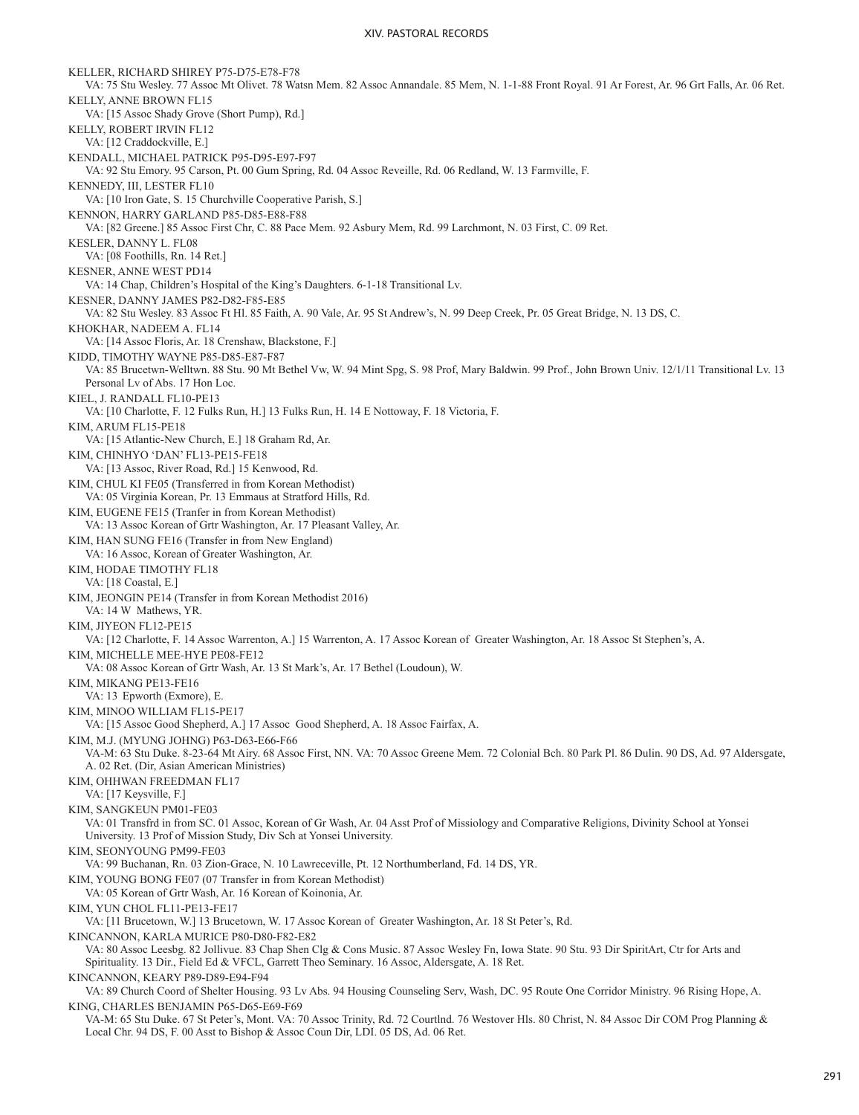KELLER, RICHARD SHIREY P75-D75-E78-F78 VA: 75 Stu Wesley. 77 Assoc Mt Olivet. 78 Watsn Mem. 82 Assoc Annandale. 85 Mem, N. 1-1-88 Front Royal. 91 Ar Forest, Ar. 96 Grt Falls, Ar. 06 Ret. KELLY, ANNE BROWN FL15 VA: [15 Assoc Shady Grove (Short Pump), Rd.] KELLY, ROBERT IRVIN FL12 VA: [12 Craddockville, E.] KENDALL, MICHAEL PATRICK P95-D95-E97-F97 VA: 92 Stu Emory. 95 Carson, Pt. 00 Gum Spring, Rd. 04 Assoc Reveille, Rd. 06 Redland, W. 13 Farmville, F. KENNEDY, III, LESTER FL10 VA: [10 Iron Gate, S. 15 Churchville Cooperative Parish, S.] KENNON, HARRY GARLAND P85-D85-E88-F88 VA: [82 Greene.] 85 Assoc First Chr, C. 88 Pace Mem. 92 Asbury Mem, Rd. 99 Larchmont, N. 03 First, C. 09 Ret. KESLER, DANNY L. FL08 VA: [08 Foothills, Rn. 14 Ret.] KESNER, ANNE WEST PD14 VA: 14 Chap, Children's Hospital of the King's Daughters. 6-1-18 Transitional Lv. KESNER, DANNY JAMES P82-D82-F85-E85 VA: 82 Stu Wesley. 83 Assoc Ft Hl. 85 Faith, A. 90 Vale, Ar. 95 St Andrew's, N. 99 Deep Creek, Pr. 05 Great Bridge, N. 13 DS, C. KHOKHAR, NADEEM A. FL14 VA: [14 Assoc Floris, Ar. 18 Crenshaw, Blackstone, F.] KIDD, TIMOTHY WAYNE P85-D85-E87-F87 VA: 85 Brucetwn-Welltwn. 88 Stu. 90 Mt Bethel Vw, W. 94 Mint Spg, S. 98 Prof, Mary Baldwin. 99 Prof., John Brown Univ. 12/1/11 Transitional Lv. 13 Personal Lv of Abs. 17 Hon Loc. KIEL, J. RANDALL FL10-PE13 VA: [10 Charlotte, F. 12 Fulks Run, H.] 13 Fulks Run, H. 14 E Nottoway, F. 18 Victoria, F. KIM, ARUM FL15-PE18 VA: [15 Atlantic-New Church, E.] 18 Graham Rd, Ar. KIM, CHINHYO 'DAN' FL13-PE15-FE18 VA: [13 Assoc, River Road, Rd.] 15 Kenwood, Rd. KIM, CHUL KI FE05 (Transferred in from Korean Methodist) VA: 05 Virginia Korean, Pr. 13 Emmaus at Stratford Hills, Rd. KIM, EUGENE FE15 (Tranfer in from Korean Methodist) VA: 13 Assoc Korean of Grtr Washington, Ar. 17 Pleasant Valley, Ar. KIM, HAN SUNG FE16 (Transfer in from New England) VA: 16 Assoc, Korean of Greater Washington, Ar. KIM, HODAE TIMOTHY FL18 VA: [18 Coastal, E.] KIM, JEONGIN PE14 (Transfer in from Korean Methodist 2016) VA: 14 W Mathews, YR. KIM, JIYEON FL12-PE15 VA: [12 Charlotte, F. 14 Assoc Warrenton, A.] 15 Warrenton, A. 17 Assoc Korean of Greater Washington, Ar. 18 Assoc St Stephen's, A. KIM, MICHELLE MEE-HYE PE08-FE12 VA: 08 Assoc Korean of Grtr Wash, Ar. 13 St Mark's, Ar. 17 Bethel (Loudoun), W. KIM, MIKANG PE13-FE16 VA: 13 Epworth (Exmore), E. KIM, MINOO WILLIAM FL15-PE17 VA: [15 Assoc Good Shepherd, A.] 17 Assoc Good Shepherd, A. 18 Assoc Fairfax, A. KIM, M.J. (MYUNG JOHNG) P63-D63-E66-F66 VA-M: 63 Stu Duke. 8-23-64 Mt Airy. 68 Assoc First, NN. VA: 70 Assoc Greene Mem. 72 Colonial Bch. 80 Park Pl. 86 Dulin. 90 DS, Ad. 97 Aldersgate, A. 02 Ret. (Dir, Asian American Ministries) KIM, OHHWAN FREEDMAN FL17 VA: [17 Keysville, F.] KIM, SANGKEUN PM01-FE03 VA: 01 Transfrd in from SC. 01 Assoc, Korean of Gr Wash, Ar. 04 Asst Prof of Missiology and Comparative Religions, Divinity School at Yonsei University. 13 Prof of Mission Study, Div Sch at Yonsei University. KIM, SEONYOUNG PM99-FE03 VA: 99 Buchanan, Rn. 03 Zion-Grace, N. 10 Lawreceville, Pt. 12 Northumberland, Fd. 14 DS, YR. KIM, YOUNG BONG FE07 (07 Transfer in from Korean Methodist) VA: 05 Korean of Grtr Wash, Ar. 16 Korean of Koinonia, Ar. KIM, YUN CHOL FL11-PE13-FE17 VA: [11 Brucetown, W.] 13 Brucetown, W. 17 Assoc Korean of Greater Washington, Ar. 18 St Peter's, Rd. KINCANNON, KARLA MURICE P80-D80-F82-E82 VA: 80 Assoc Leesbg. 82 Jollivue. 83 Chap Shen Clg & Cons Music. 87 Assoc Wesley Fn, Iowa State. 90 Stu. 93 Dir SpiritArt, Ctr for Arts and Spirituality. 13 Dir., Field Ed & VFCL, Garrett Theo Seminary. 16 Assoc, Aldersgate, A. 18 Ret. KINCANNON, KEARY P89-D89-E94-F94 VA: 89 Church Coord of Shelter Housing. 93 Lv Abs. 94 Housing Counseling Serv, Wash, DC. 95 Route One Corridor Ministry. 96 Rising Hope, A. KING, CHARLES BENJAMIN P65-D65-E69-F69 VA-M: 65 Stu Duke. 67 St Peter's, Mont. VA: 70 Assoc Trinity, Rd. 72 Courtlnd. 76 Westover Hls. 80 Christ, N. 84 Assoc Dir COM Prog Planning & Local Chr. 94 DS, F. 00 Asst to Bishop & Assoc Coun Dir, LDI. 05 DS, Ad. 06 Ret.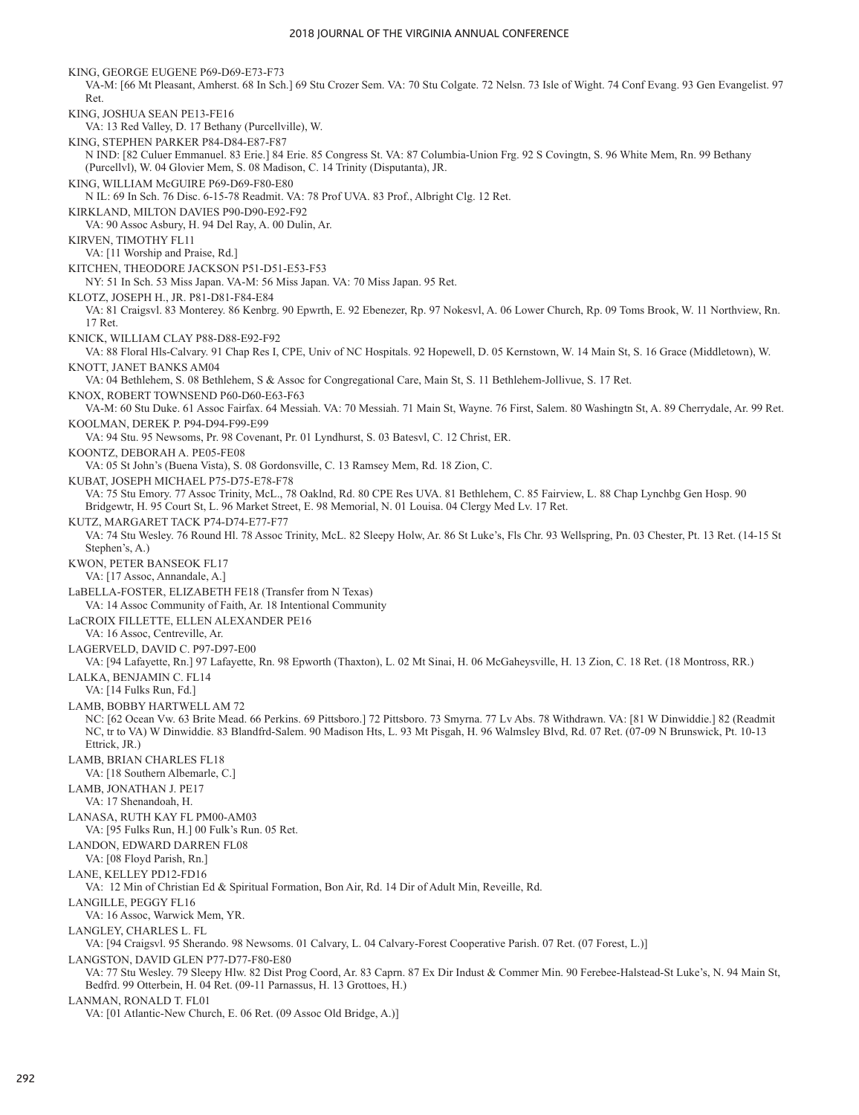KING, GEORGE EUGENE P69-D69-E73-F73 VA-M: [66 Mt Pleasant, Amherst. 68 In Sch.] 69 Stu Crozer Sem. VA: 70 Stu Colgate. 72 Nelsn. 73 Isle of Wight. 74 Conf Evang. 93 Gen Evangelist. 97 Ret. KING, JOSHUA SEAN PE13-FE16 VA: 13 Red Valley, D. 17 Bethany (Purcellville), W. KING, STEPHEN PARKER P84-D84-E87-F87 N IND: [82 Culuer Emmanuel. 83 Erie.] 84 Erie. 85 Congress St. VA: 87 Columbia-Union Frg. 92 S Covingtn, S. 96 White Mem, Rn. 99 Bethany (Purcellvl), W. 04 Glovier Mem, S. 08 Madison, C. 14 Trinity (Disputanta), JR. KING, WILLIAM McGUIRE P69-D69-F80-E80 N IL: 69 In Sch. 76 Disc. 6-15-78 Readmit. VA: 78 Prof UVA. 83 Prof., Albright Clg. 12 Ret. KIRKLAND, MILTON DAVIES P90-D90-E92-F92 VA: 90 Assoc Asbury, H. 94 Del Ray, A. 00 Dulin, Ar. KIRVEN, TIMOTHY FL11 VA: [11 Worship and Praise, Rd.] KITCHEN, THEODORE JACKSON P51-D51-E53-F53 NY: 51 In Sch. 53 Miss Japan. VA-M: 56 Miss Japan. VA: 70 Miss Japan. 95 Ret. KLOTZ, JOSEPH H., JR. P81-D81-F84-E84 VA: 81 Craigsvl. 83 Monterey. 86 Kenbrg. 90 Epwrth, E. 92 Ebenezer, Rp. 97 Nokesvl, A. 06 Lower Church, Rp. 09 Toms Brook, W. 11 Northview, Rn. 17 Ret. KNICK, WILLIAM CLAY P88-D88-E92-F92 VA: 88 Floral Hls-Calvary. 91 Chap Res I, CPE, Univ of NC Hospitals. 92 Hopewell, D. 05 Kernstown, W. 14 Main St, S. 16 Grace (Middletown), W. KNOTT, JANET BANKS AM04 VA: 04 Bethlehem, S. 08 Bethlehem, S & Assoc for Congregational Care, Main St, S. 11 Bethlehem-Jollivue, S. 17 Ret. KNOX, ROBERT TOWNSEND P60-D60-E63-F63 VA-M: 60 Stu Duke. 61 Assoc Fairfax. 64 Messiah. VA: 70 Messiah. 71 Main St, Wayne. 76 First, Salem. 80 Washingtn St, A. 89 Cherrydale, Ar. 99 Ret. KOOLMAN, DEREK P. P94-D94-F99-E99 VA: 94 Stu. 95 Newsoms, Pr. 98 Covenant, Pr. 01 Lyndhurst, S. 03 Batesvl, C. 12 Christ, ER. KOONTZ, DEBORAH A. PE05-FE08 VA: 05 St John's (Buena Vista), S. 08 Gordonsville, C. 13 Ramsey Mem, Rd. 18 Zion, C. KUBAT, JOSEPH MICHAEL P75-D75-E78-F78 VA: 75 Stu Emory. 77 Assoc Trinity, McL., 78 Oaklnd, Rd. 80 CPE Res UVA. 81 Bethlehem, C. 85 Fairview, L. 88 Chap Lynchbg Gen Hosp. 90 Bridgewtr, H. 95 Court St, L. 96 Market Street, E. 98 Memorial, N. 01 Louisa. 04 Clergy Med Lv. 17 Ret. KUTZ, MARGARET TACK P74-D74-E77-F77 VA: 74 Stu Wesley. 76 Round Hl. 78 Assoc Trinity, McL. 82 Sleepy Holw, Ar. 86 St Luke's, Fls Chr. 93 Wellspring, Pn. 03 Chester, Pt. 13 Ret. (14-15 St Stephen's, A.) KWON, PETER BANSEOK FL17 VA: [17 Assoc, Annandale, A.] LaBELLA-FOSTER, ELIZABETH FE18 (Transfer from N Texas) VA: 14 Assoc Community of Faith, Ar. 18 Intentional Community LaCROIX FILLETTE, ELLEN ALEXANDER PE16 VA: 16 Assoc, Centreville, Ar. LAGERVELD, DAVID C. P97-D97-E00 VA: [94 Lafayette, Rn.] 97 Lafayette, Rn. 98 Epworth (Thaxton), L. 02 Mt Sinai, H. 06 McGaheysville, H. 13 Zion, C. 18 Ret. (18 Montross, RR.) LALKA, BENJAMIN C. FL14 VA: [14 Fulks Run, Fd.] LAMB, BOBBY HARTWELL AM 72 NC: [62 Ocean Vw. 63 Brite Mead. 66 Perkins. 69 Pittsboro.] 72 Pittsboro. 73 Smyrna. 77 Lv Abs. 78 Withdrawn. VA: [81 W Dinwiddie.] 82 (Readmit NC, tr to VA) W Dinwiddie. 83 Blandfrd-Salem. 90 Madison Hts, L. 93 Mt Pisgah, H. 96 Walmsley Blvd, Rd. 07 Ret. (07-09 N Brunswick, Pt. 10-13 Ettrick, JR.) LAMB, BRIAN CHARLES FL18 VA: [18 Southern Albemarle, C.] LAMB, JONATHAN J. PE17 VA: 17 Shenandoah, H. LANASA, RUTH KAY FL PM00-AM03 VA: [95 Fulks Run, H.] 00 Fulk's Run. 05 Ret. LANDON, EDWARD DARREN FL08 VA: [08 Floyd Parish, Rn.] LANE, KELLEY PD12-FD16 VA: 12 Min of Christian Ed & Spiritual Formation, Bon Air, Rd. 14 Dir of Adult Min, Reveille, Rd. LANGILLE, PEGGY FL16 VA: 16 Assoc, Warwick Mem, YR. LANGLEY, CHARLES L. FL VA: [94 Craigsvl. 95 Sherando. 98 Newsoms. 01 Calvary, L. 04 Calvary-Forest Cooperative Parish. 07 Ret. (07 Forest, L.)] LANGSTON, DAVID GLEN P77-D77-F80-E80 VA: 77 Stu Wesley. 79 Sleepy Hlw. 82 Dist Prog Coord, Ar. 83 Caprn. 87 Ex Dir Indust & Commer Min. 90 Ferebee-Halstead-St Luke's, N. 94 Main St, Bedfrd. 99 Otterbein, H. 04 Ret. (09-11 Parnassus, H. 13 Grottoes, H.) LANMAN, RONALD T. FL01

VA: [01 Atlantic-New Church, E. 06 Ret. (09 Assoc Old Bridge, A.)]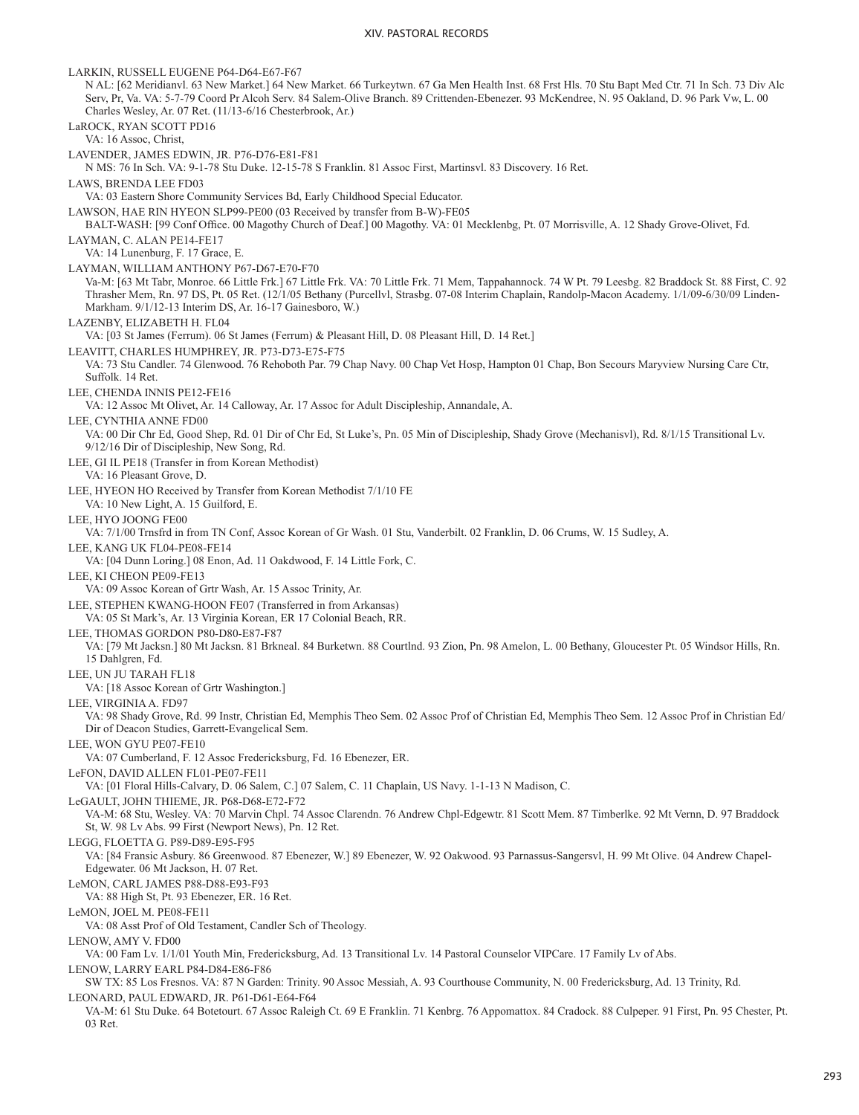LARKIN, RUSSELL EUGENE P64-D64-E67-F67 N AL: [62 Meridianvl. 63 New Market.] 64 New Market. 66 Turkeytwn. 67 Ga Men Health Inst. 68 Frst Hls. 70 Stu Bapt Med Ctr. 71 In Sch. 73 Div Alc Serv, Pr, Va. VA: 5-7-79 Coord Pr Alcoh Serv. 84 Salem-Olive Branch. 89 Crittenden-Ebenezer. 93 McKendree, N. 95 Oakland, D. 96 Park Vw, L. 00 Charles Wesley, Ar. 07 Ret. (11/13-6/16 Chesterbrook, Ar.) LaROCK, RYAN SCOTT PD16 VA: 16 Assoc, Christ, LAVENDER, JAMES EDWIN, JR. P76-D76-E81-F81 N MS: 76 In Sch. VA: 9-1-78 Stu Duke. 12-15-78 S Franklin. 81 Assoc First, Martinsvl. 83 Discovery. 16 Ret. LAWS, BRENDA LEE FD03 VA: 03 Eastern Shore Community Services Bd, Early Childhood Special Educator. LAWSON, HAE RIN HYEON SLP99-PE00 (03 Received by transfer from B-W)-FE05 BALT-WASH: [99 Conf Office. 00 Magothy Church of Deaf.] 00 Magothy. VA: 01 Mecklenbg, Pt. 07 Morrisville, A. 12 Shady Grove-Olivet, Fd. LAYMAN, C. ALAN PE14-FE17 VA: 14 Lunenburg, F. 17 Grace, E. LAYMAN, WILLIAM ANTHONY P67-D67-E70-F70 Va-M: [63 Mt Tabr, Monroe. 66 Little Frk.] 67 Little Frk. VA: 70 Little Frk. 71 Mem, Tappahannock. 74 W Pt. 79 Leesbg. 82 Braddock St. 88 First, C. 92 Thrasher Mem, Rn. 97 DS, Pt. 05 Ret. (12/1/05 Bethany (Purcellvl, Strasbg. 07-08 Interim Chaplain, Randolp-Macon Academy. 1/1/09-6/30/09 Linden-Markham. 9/1/12-13 Interim DS, Ar. 16-17 Gainesboro, W.) LAZENBY, ELIZABETH H. FL04 VA: [03 St James (Ferrum). 06 St James (Ferrum) & Pleasant Hill, D. 08 Pleasant Hill, D. 14 Ret.] LEAVITT, CHARLES HUMPHREY, JR. P73-D73-E75-F75 VA: 73 Stu Candler. 74 Glenwood. 76 Rehoboth Par. 79 Chap Navy. 00 Chap Vet Hosp, Hampton 01 Chap, Bon Secours Maryview Nursing Care Ctr, Suffolk. 14 Ret. LEE, CHENDA INNIS PE12-FE16 VA: 12 Assoc Mt Olivet, Ar. 14 Calloway, Ar. 17 Assoc for Adult Discipleship, Annandale, A. LEE, CYNTHIA ANNE FD00 VA: 00 Dir Chr Ed, Good Shep, Rd. 01 Dir of Chr Ed, St Luke's, Pn. 05 Min of Discipleship, Shady Grove (Mechanisvl), Rd. 8/1/15 Transitional Lv. 9/12/16 Dir of Discipleship, New Song, Rd. LEE, GI IL PE18 (Transfer in from Korean Methodist) VA: 16 Pleasant Grove, D. LEE, HYEON HO Received by Transfer from Korean Methodist 7/1/10 FE VA: 10 New Light, A. 15 Guilford, E. LEE, HYO JOONG FE00 VA: 7/1/00 Trnsfrd in from TN Conf, Assoc Korean of Gr Wash. 01 Stu, Vanderbilt. 02 Franklin, D. 06 Crums, W. 15 Sudley, A. LEE, KANG UK FL04-PE08-FE14 VA: [04 Dunn Loring.] 08 Enon, Ad. 11 Oakdwood, F. 14 Little Fork, C. LEE, KI CHEON PE09-FE13 VA: 09 Assoc Korean of Grtr Wash, Ar. 15 Assoc Trinity, Ar. LEE, STEPHEN KWANG-HOON FE07 (Transferred in from Arkansas) VA: 05 St Mark's, Ar. 13 Virginia Korean, ER 17 Colonial Beach, RR. LEE, THOMAS GORDON P80-D80-E87-F87 VA: [79 Mt Jacksn.] 80 Mt Jacksn. 81 Brkneal. 84 Burketwn. 88 Courtlnd. 93 Zion, Pn. 98 Amelon, L. 00 Bethany, Gloucester Pt. 05 Windsor Hills, Rn. 15 Dahlgren, Fd. LEE, UN JU TARAH FL18 VA: [18 Assoc Korean of Grtr Washington.] LEE, VIRGINIA A. FD97 VA: 98 Shady Grove, Rd. 99 Instr, Christian Ed, Memphis Theo Sem. 02 Assoc Prof of Christian Ed, Memphis Theo Sem. 12 Assoc Prof in Christian Ed/ Dir of Deacon Studies, Garrett-Evangelical Sem. LEE, WON GYU PE07-FE10 VA: 07 Cumberland, F. 12 Assoc Fredericksburg, Fd. 16 Ebenezer, ER. LeFON, DAVID ALLEN FL01-PE07-FE11 VA: [01 Floral Hills-Calvary, D. 06 Salem, C.] 07 Salem, C. 11 Chaplain, US Navy. 1-1-13 N Madison, C. LeGAULT, JOHN THIEME, JR. P68-D68-E72-F72 VA-M: 68 Stu, Wesley. VA: 70 Marvin Chpl. 74 Assoc Clarendn. 76 Andrew Chpl-Edgewtr. 81 Scott Mem. 87 Timberlke. 92 Mt Vernn, D. 97 Braddock St, W. 98 Lv Abs. 99 First (Newport News), Pn. 12 Ret. LEGG, FLOETTA G. P89-D89-E95-F95 VA: [84 Fransic Asbury. 86 Greenwood. 87 Ebenezer, W.] 89 Ebenezer, W. 92 Oakwood. 93 Parnassus-Sangersvl, H. 99 Mt Olive. 04 Andrew Chapel-Edgewater. 06 Mt Jackson, H. 07 Ret. LeMON, CARL JAMES P88-D88-E93-F93 VA: 88 High St, Pt. 93 Ebenezer, ER. 16 Ret. LeMON, JOEL M. PE08-FE11 VA: 08 Asst Prof of Old Testament, Candler Sch of Theology. LENOW, AMY V. FD00 VA: 00 Fam Lv. 1/1/01 Youth Min, Fredericksburg, Ad. 13 Transitional Lv. 14 Pastoral Counselor VIPCare. 17 Family Lv of Abs. LENOW, LARRY EARL P84-D84-E86-F86 SW TX: 85 Los Fresnos. VA: 87 N Garden: Trinity. 90 Assoc Messiah, A. 93 Courthouse Community, N. 00 Fredericksburg, Ad. 13 Trinity, Rd. LEONARD, PAUL EDWARD, JR. P61-D61-E64-F64 VA-M: 61 Stu Duke. 64 Botetourt. 67 Assoc Raleigh Ct. 69 E Franklin. 71 Kenbrg. 76 Appomattox. 84 Cradock. 88 Culpeper. 91 First, Pn. 95 Chester, Pt. 03 Ret.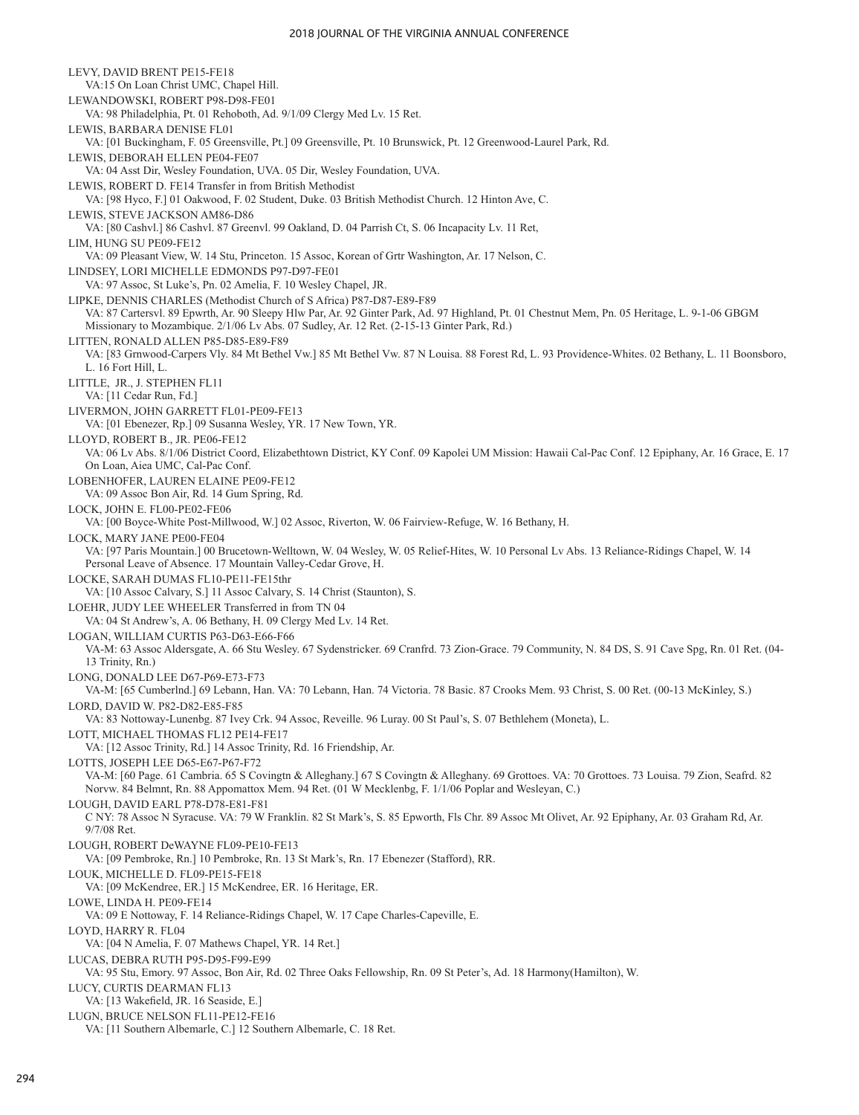LEVY, DAVID BRENT PE15-FE18 VA:15 On Loan Christ UMC, Chapel Hill. LEWANDOWSKI, ROBERT P98-D98-FE01 VA: 98 Philadelphia, Pt. 01 Rehoboth, Ad. 9/1/09 Clergy Med Lv. 15 Ret. LEWIS, BARBARA DENISE FL01 VA: [01 Buckingham, F. 05 Greensville, Pt.] 09 Greensville, Pt. 10 Brunswick, Pt. 12 Greenwood-Laurel Park, Rd. LEWIS, DEBORAH ELLEN PE04-FE07 VA: 04 Asst Dir, Wesley Foundation, UVA. 05 Dir, Wesley Foundation, UVA. LEWIS, ROBERT D. FE14 Transfer in from British Methodist VA: [98 Hyco, F.] 01 Oakwood, F. 02 Student, Duke. 03 British Methodist Church. 12 Hinton Ave, C. LEWIS, STEVE JACKSON AM86-D86 VA: [80 Cashvl.] 86 Cashvl. 87 Greenvl. 99 Oakland, D. 04 Parrish Ct, S. 06 Incapacity Lv. 11 Ret, LIM, HUNG SU PE09-FE12 VA: 09 Pleasant View, W. 14 Stu, Princeton. 15 Assoc, Korean of Grtr Washington, Ar. 17 Nelson, C. LINDSEY, LORI MICHELLE EDMONDS P97-D97-FE01 VA: 97 Assoc, St Luke's, Pn. 02 Amelia, F. 10 Wesley Chapel, JR. LIPKE, DENNIS CHARLES (Methodist Church of S Africa) P87-D87-E89-F89 VA: 87 Cartersvl. 89 Epwrth, Ar. 90 Sleepy Hlw Par, Ar. 92 Ginter Park, Ad. 97 Highland, Pt. 01 Chestnut Mem, Pn. 05 Heritage, L. 9-1-06 GBGM Missionary to Mozambique. 2/1/06 Lv Abs. 07 Sudley, Ar. 12 Ret. (2-15-13 Ginter Park, Rd.) LITTEN, RONALD ALLEN P85-D85-E89-F89 VA: [83 Grnwood-Carpers Vly. 84 Mt Bethel Vw.] 85 Mt Bethel Vw. 87 N Louisa. 88 Forest Rd, L. 93 Providence-Whites. 02 Bethany, L. 11 Boonsboro, L. 16 Fort Hill, L. LITTLE, JR., J. STEPHEN FL11 VA: [11 Cedar Run, Fd.] LIVERMON, JOHN GARRETT FL01-PE09-FE13 VA: [01 Ebenezer, Rp.] 09 Susanna Wesley, YR. 17 New Town, YR. LLOYD, ROBERT B., JR. PE06-FE12 VA: 06 Lv Abs. 8/1/06 District Coord, Elizabethtown District, KY Conf. 09 Kapolei UM Mission: Hawaii Cal-Pac Conf. 12 Epiphany, Ar. 16 Grace, E. 17 On Loan, Aiea UMC, Cal-Pac Conf. LOBENHOFER, LAUREN ELAINE PE09-FE12 VA: 09 Assoc Bon Air, Rd. 14 Gum Spring, Rd. LOCK, JOHN E. FL00-PE02-FE06 VA: [00 Boyce-White Post-Millwood, W.] 02 Assoc, Riverton, W. 06 Fairview-Refuge, W. 16 Bethany, H. LOCK, MARY JANE PE00-FE04 VA: [97 Paris Mountain.] 00 Brucetown-Welltown, W. 04 Wesley, W. 05 Relief-Hites, W. 10 Personal Lv Abs. 13 Reliance-Ridings Chapel, W. 14 Personal Leave of Absence. 17 Mountain Valley-Cedar Grove, H. LOCKE, SARAH DUMAS FL10-PE11-FE15thr VA: [10 Assoc Calvary, S.] 11 Assoc Calvary, S. 14 Christ (Staunton), S. LOEHR, JUDY LEE WHEELER Transferred in from TN 04 VA: 04 St Andrew's, A. 06 Bethany, H. 09 Clergy Med Lv. 14 Ret. LOGAN, WILLIAM CURTIS P63-D63-E66-F66 VA-M: 63 Assoc Aldersgate, A. 66 Stu Wesley. 67 Sydenstricker. 69 Cranfrd. 73 Zion-Grace. 79 Community, N. 84 DS, S. 91 Cave Spg, Rn. 01 Ret. (04- 13 Trinity, Rn.) LONG, DONALD LEE D67-P69-E73-F73 VA-M: [65 Cumberlnd.] 69 Lebann, Han. VA: 70 Lebann, Han. 74 Victoria. 78 Basic. 87 Crooks Mem. 93 Christ, S. 00 Ret. (00-13 McKinley, S.) LORD, DAVID W. P82-D82-E85-F85 VA: 83 Nottoway-Lunenbg. 87 Ivey Crk. 94 Assoc, Reveille. 96 Luray. 00 St Paul's, S. 07 Bethlehem (Moneta), L. LOTT, MICHAEL THOMAS FL12 PE14-FE17 VA: [12 Assoc Trinity, Rd.] 14 Assoc Trinity, Rd. 16 Friendship, Ar. LOTTS, JOSEPH LEE D65-E67-P67-F72 VA-M: [60 Page. 61 Cambria. 65 S Covingtn & Alleghany.] 67 S Covingtn & Alleghany. 69 Grottoes. VA: 70 Grottoes. 73 Louisa. 79 Zion, Seafrd. 82 Norvw. 84 Belmnt, Rn. 88 Appomattox Mem. 94 Ret. (01 W Mecklenbg, F. 1/1/06 Poplar and Wesleyan, C.) LOUGH, DAVID EARL P78-D78-E81-F81 C NY: 78 Assoc N Syracuse. VA: 79 W Franklin. 82 St Mark's, S. 85 Epworth, Fls Chr. 89 Assoc Mt Olivet, Ar. 92 Epiphany, Ar. 03 Graham Rd, Ar. 9/7/08 Ret. LOUGH, ROBERT DeWAYNE FL09-PE10-FE13 VA: [09 Pembroke, Rn.] 10 Pembroke, Rn. 13 St Mark's, Rn. 17 Ebenezer (Stafford), RR. LOUK, MICHELLE D. FL09-PE15-FE18 VA: [09 McKendree, ER.] 15 McKendree, ER. 16 Heritage, ER. LOWE, LINDA H. PE09-FE14 VA: 09 E Nottoway, F. 14 Reliance-Ridings Chapel, W. 17 Cape Charles-Capeville, E. LOYD, HARRY R. FL04 VA: [04 N Amelia, F. 07 Mathews Chapel, YR. 14 Ret.] LUCAS, DEBRA RUTH P95-D95-F99-E99 VA: 95 Stu, Emory. 97 Assoc, Bon Air, Rd. 02 Three Oaks Fellowship, Rn. 09 St Peter's, Ad. 18 Harmony(Hamilton), W. LUCY, CURTIS DEARMAN FL13 VA: [13 Wakefield, JR. 16 Seaside, E.] LUGN, BRUCE NELSON FL11-PE12-FE16 VA: [11 Southern Albemarle, C.] 12 Southern Albemarle, C. 18 Ret.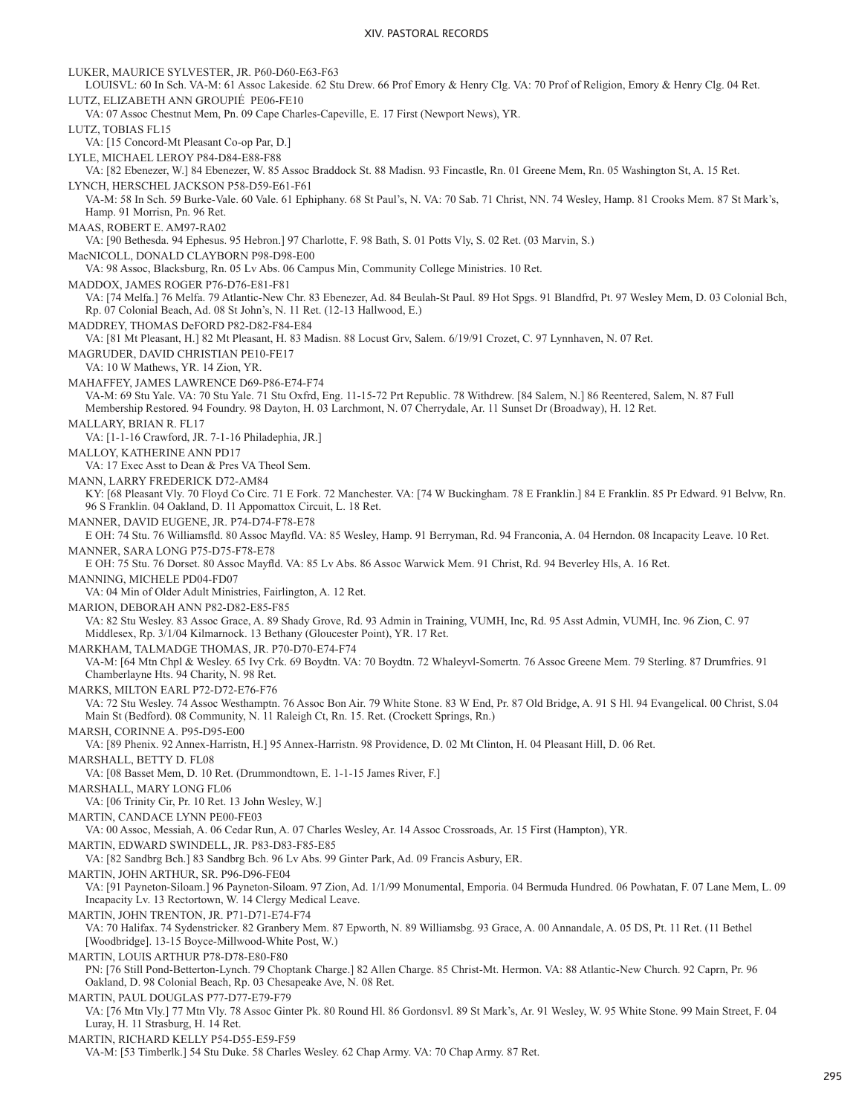LUKER, MAURICE SYLVESTER, JR. P60-D60-E63-F63 LOUISVL: 60 In Sch. VA-M: 61 Assoc Lakeside. 62 Stu Drew. 66 Prof Emory & Henry Clg. VA: 70 Prof of Religion, Emory & Henry Clg. 04 Ret. LUTZ, ELIZABETH ANN GROUPIÉ PE06-FE10 VA: 07 Assoc Chestnut Mem, Pn. 09 Cape Charles-Capeville, E. 17 First (Newport News), YR. LUTZ, TOBIAS FL15 VA: [15 Concord-Mt Pleasant Co-op Par, D.] LYLE, MICHAEL LEROY P84-D84-E88-F88 VA: [82 Ebenezer, W.] 84 Ebenezer, W. 85 Assoc Braddock St. 88 Madisn. 93 Fincastle, Rn. 01 Greene Mem, Rn. 05 Washington St, A. 15 Ret. LYNCH, HERSCHEL JACKSON P58-D59-E61-F61 VA-M: 58 In Sch. 59 Burke-Vale. 60 Vale. 61 Ephiphany. 68 St Paul's, N. VA: 70 Sab. 71 Christ, NN. 74 Wesley, Hamp. 81 Crooks Mem. 87 St Mark's, Hamp. 91 Morrisn, Pn. 96 Ret. MAAS, ROBERT E. AM97-RA02 VA: [90 Bethesda. 94 Ephesus. 95 Hebron.] 97 Charlotte, F. 98 Bath, S. 01 Potts Vly, S. 02 Ret. (03 Marvin, S.) MacNICOLL, DONALD CLAYBORN P98-D98-E00 VA: 98 Assoc, Blacksburg, Rn. 05 Lv Abs. 06 Campus Min, Community College Ministries. 10 Ret. MADDOX, JAMES ROGER P76-D76-E81-F81 VA: [74 Melfa.] 76 Melfa. 79 Atlantic-New Chr. 83 Ebenezer, Ad. 84 Beulah-St Paul. 89 Hot Spgs. 91 Blandfrd, Pt. 97 Wesley Mem, D. 03 Colonial Bch, Rp. 07 Colonial Beach, Ad. 08 St John's, N. 11 Ret. (12-13 Hallwood, E.) MADDREY, THOMAS DeFORD P82-D82-F84-E84 VA: [81 Mt Pleasant, H.] 82 Mt Pleasant, H. 83 Madisn. 88 Locust Grv, Salem. 6/19/91 Crozet, C. 97 Lynnhaven, N. 07 Ret. MAGRUDER, DAVID CHRISTIAN PE10-FE17 VA: 10 W Mathews, YR. 14 Zion, YR. MAHAFFEY, JAMES LAWRENCE D69-P86-E74-F74 VA-M: 69 Stu Yale. VA: 70 Stu Yale. 71 Stu Oxfrd, Eng. 11-15-72 Prt Republic. 78 Withdrew. [84 Salem, N.] 86 Reentered, Salem, N. 87 Full Membership Restored. 94 Foundry. 98 Dayton, H. 03 Larchmont, N. 07 Cherrydale, Ar. 11 Sunset Dr (Broadway), H. 12 Ret. MALLARY, BRIAN R. FL17 VA: [1-1-16 Crawford, JR. 7-1-16 Philadephia, JR.] MALLOY, KATHERINE ANN PD17 VA: 17 Exec Asst to Dean & Pres VA Theol Sem. MANN, LARRY FREDERICK D72-AM84 KY: [68 Pleasant Vly. 70 Floyd Co Circ. 71 E Fork. 72 Manchester. VA: [74 W Buckingham. 78 E Franklin.] 84 E Franklin. 85 Pr Edward. 91 Belvw, Rn. 96 S Franklin. 04 Oakland, D. 11 Appomattox Circuit, L. 18 Ret. MANNER, DAVID EUGENE, JR. P74-D74-F78-E78 E OH: 74 Stu. 76 Williamsfld. 80 Assoc Mayfld. VA: 85 Wesley, Hamp. 91 Berryman, Rd. 94 Franconia, A. 04 Herndon. 08 Incapacity Leave. 10 Ret. MANNER, SARA LONG P75-D75-F78-E78 E OH: 75 Stu. 76 Dorset. 80 Assoc Mayfld. VA: 85 Lv Abs. 86 Assoc Warwick Mem. 91 Christ, Rd. 94 Beverley Hls, A. 16 Ret. MANNING, MICHELE PD04-FD07 VA: 04 Min of Older Adult Ministries, Fairlington, A. 12 Ret. MARION, DEBORAH ANN P82-D82-E85-F85 VA: 82 Stu Wesley. 83 Assoc Grace, A. 89 Shady Grove, Rd. 93 Admin in Training, VUMH, Inc, Rd. 95 Asst Admin, VUMH, Inc. 96 Zion, C. 97 Middlesex, Rp. 3/1/04 Kilmarnock. 13 Bethany (Gloucester Point), YR. 17 Ret. MARKHAM, TALMADGE THOMAS, JR. P70-D70-E74-F74 VA-M: [64 Mtn Chpl & Wesley. 65 Ivy Crk. 69 Boydtn. VA: 70 Boydtn. 72 Whaleyvl-Somertn. 76 Assoc Greene Mem. 79 Sterling. 87 Drumfries. 91 Chamberlayne Hts. 94 Charity, N. 98 Ret. MARKS, MILTON EARL P72-D72-E76-F76 VA: 72 Stu Wesley. 74 Assoc Westhamptn. 76 Assoc Bon Air. 79 White Stone. 83 W End, Pr. 87 Old Bridge, A. 91 S Hl. 94 Evangelical. 00 Christ, S.04 Main St (Bedford). 08 Community, N. 11 Raleigh Ct, Rn. 15. Ret. (Crockett Springs, Rn.) MARSH, CORINNE A. P95-D95-E00 VA: [89 Phenix. 92 Annex-Harristn, H.] 95 Annex-Harristn. 98 Providence, D. 02 Mt Clinton, H. 04 Pleasant Hill, D. 06 Ret. MARSHALL, BETTY D. FL08 VA: [08 Basset Mem, D. 10 Ret. (Drummondtown, E. 1-1-15 James River, F.] MARSHALL, MARY LONG FL06 VA: [06 Trinity Cir, Pr. 10 Ret. 13 John Wesley, W.] MARTIN, CANDACE LYNN PE00-FE03 VA: 00 Assoc, Messiah, A. 06 Cedar Run, A. 07 Charles Wesley, Ar. 14 Assoc Crossroads, Ar. 15 First (Hampton), YR. MARTIN, EDWARD SWINDELL, JR. P83-D83-F85-E85 VA: [82 Sandbrg Bch.] 83 Sandbrg Bch. 96 Lv Abs. 99 Ginter Park, Ad. 09 Francis Asbury, ER. MARTIN, JOHN ARTHUR, SR. P96-D96-FE04 VA: [91 Payneton-Siloam.] 96 Payneton-Siloam. 97 Zion, Ad. 1/1/99 Monumental, Emporia. 04 Bermuda Hundred. 06 Powhatan, F. 07 Lane Mem, L. 09 Incapacity Lv. 13 Rectortown, W. 14 Clergy Medical Leave. MARTIN, JOHN TRENTON, JR. P71-D71-E74-F74 VA: 70 Halifax. 74 Sydenstricker. 82 Granbery Mem. 87 Epworth, N. 89 Williamsbg. 93 Grace, A. 00 Annandale, A. 05 DS, Pt. 11 Ret. (11 Bethel [Woodbridge]. 13-15 Boyce-Millwood-White Post, W.) MARTIN, LOUIS ARTHUR P78-D78-E80-F80 PN: [76 Still Pond-Betterton-Lynch. 79 Choptank Charge.] 82 Allen Charge. 85 Christ-Mt. Hermon. VA: 88 Atlantic-New Church. 92 Caprn, Pr. 96 Oakland, D. 98 Colonial Beach, Rp. 03 Chesapeake Ave, N. 08 Ret. MARTIN, PAUL DOUGLAS P77-D77-E79-F79 VA: [76 Mtn Vly.] 77 Mtn Vly. 78 Assoc Ginter Pk. 80 Round Hl. 86 Gordonsvl. 89 St Mark's, Ar. 91 Wesley, W. 95 White Stone. 99 Main Street, F. 04 Luray, H. 11 Strasburg, H. 14 Ret. MARTIN, RICHARD KELLY P54-D55-E59-F59 VA-M: [53 Timberlk.] 54 Stu Duke. 58 Charles Wesley. 62 Chap Army. VA: 70 Chap Army. 87 Ret.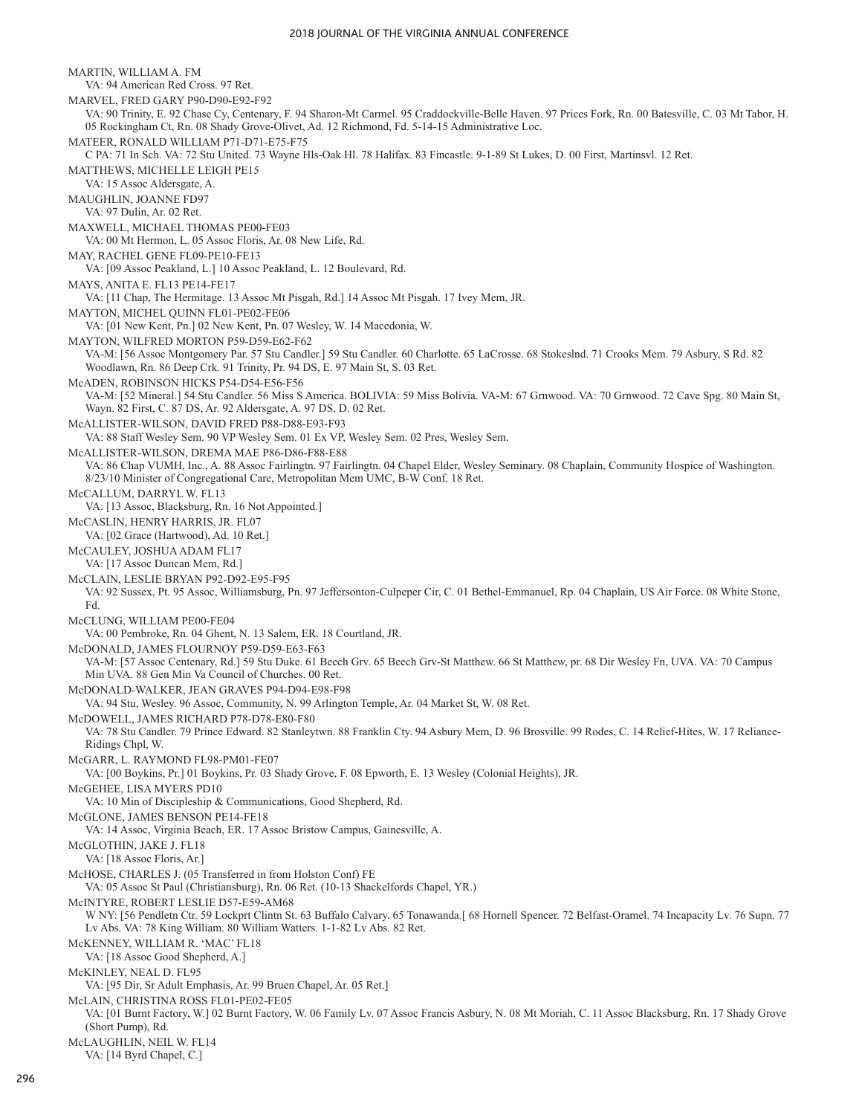MARTIN, WILLIAM A. FM VA: 94 American Red Cross. 97 Ret. MARVEL, FRED GARY P90-D90-E92-F92 VA: 90 Trinity, E. 92 Chase Cy, Centenary, F. 94 Sharon-Mt Carmel. 95 Craddockville-Belle Haven. 97 Prices Fork, Rn. 00 Batesville, C. 03 Mt Tabor, H. 05 Rockingham Ct, Rn. 08 Shady Grove-Olivet, Ad. 12 Richmond, Fd. 5-14-15 Administrative Loc. MATEER, RONALD WILLIAM P71-D71-E75-F75 C PA: 71 In Sch. VA: 72 Stu United. 73 Wayne Hls-Oak Hl. 78 Halifax. 83 Fincastle. 9-1-89 St Lukes, D. 00 First, Martinsvl. 12 Ret. MATTHEWS, MICHELLE LEIGH PE15 VA: 15 Assoc Aldersgate, A. MAUGHLIN, JOANNE FD97 VA: 97 Dulin, Ar. 02 Ret. MAXWELL, MICHAEL THOMAS PE00-FE03 VA: 00 Mt Hermon, L. 05 Assoc Floris, Ar. 08 New Life, Rd. MAY, RACHEL GENE FL09-PE10-FE13 VA: [09 Assoc Peakland, L.] 10 Assoc Peakland, L. 12 Boulevard, Rd. MAYS, ANITA E. FL13 PE14-FE17 VA: [11 Chap, The Hermitage. 13 Assoc Mt Pisgah, Rd.] 14 Assoc Mt Pisgah. 17 Ivey Mem, JR. MAYTON, MICHEL QUINN FL01-PE02-FE06 VA: [01 New Kent, Pn.] 02 New Kent, Pn. 07 Wesley, W. 14 Macedonia, W. MAYTON, WILFRED MORTON P59-D59-E62-F62 VA-M: [56 Assoc Montgomery Par. 57 Stu Candler.] 59 Stu Candler. 60 Charlotte. 65 LaCrosse. 68 Stokeslnd. 71 Crooks Mem. 79 Asbury, S Rd. 82 Woodlawn, Rn. 86 Deep Crk. 91 Trinity, Pr. 94 DS, E. 97 Main St, S. 03 Ret. McADEN, ROBINSON HICKS P54-D54-E56-F56 VA-M: [52 Mineral.] 54 Stu Candler. 56 Miss S America. BOLIVIA: 59 Miss Bolivia. VA-M: 67 Grnwood. VA: 70 Grnwood. 72 Cave Spg. 80 Main St, Wayn. 82 First, C. 87 DS, Ar. 92 Aldersgate, A. 97 DS, D. 02 Ret. McALLISTER-WILSON, DAVID FRED P88-D88-E93-F93 VA: 88 Staff Wesley Sem. 90 VP Wesley Sem. 01 Ex VP, Wesley Sem. 02 Pres, Wesley Sem. McALLISTER-WILSON, DREMA MAE P86-D86-F88-E88 VA: 86 Chap VUMH, Inc., A. 88 Assoc Fairlingtn. 97 Fairlingtn. 04 Chapel Elder, Wesley Seminary. 08 Chaplain, Community Hospice of Washington. 8/23/10 Minister of Congregational Care, Metropolitan Mem UMC, B-W Conf. 18 Ret. McCALLUM, DARRYL W. FL13 VA: [13 Assoc, Blacksburg, Rn. 16 Not Appointed.] McCASLIN, HENRY HARRIS, JR. FL07 VA: [02 Grace (Hartwood), Ad. 10 Ret.] McCAULEY, JOSHUA ADAM FL17 VA: [17 Assoc Duncan Mem, Rd.] McCLAIN, LESLIE BRYAN P92-D92-E95-F95 VA: 92 Sussex, Pt. 95 Assoc, Williamsburg, Pn. 97 Jeffersonton-Culpeper Cir, C. 01 Bethel-Emmanuel, Rp. 04 Chaplain, US Air Force. 08 White Stone, Fd. McCLUNG, WILLIAM PE00-FE04 VA: 00 Pembroke, Rn. 04 Ghent, N. 13 Salem, ER. 18 Courtland, JR. McDONALD, JAMES FLOURNOY P59-D59-E63-F63 VA-M: [57 Assoc Centenary, Rd.] 59 Stu Duke. 61 Beech Grv. 65 Beech Grv-St Matthew. 66 St Matthew, pr. 68 Dir Wesley Fn, UVA. VA: 70 Campus Min UVA. 88 Gen Min Va Council of Churches. 00 Ret. McDONALD-WALKER, JEAN GRAVES P94-D94-E98-F98 VA: 94 Stu, Wesley. 96 Assoc, Community, N. 99 Arlington Temple, Ar. 04 Market St, W. 08 Ret. McDOWELL, JAMES RICHARD P78-D78-E80-F80 VA: 78 Stu Candler. 79 Prince Edward. 82 Stanleytwn. 88 Franklin Cty. 94 Asbury Mem, D. 96 Brosville. 99 Rodes, C. 14 Relief-Hites, W. 17 Reliance-Ridings Chpl, W. McGARR, L. RAYMOND FL98-PM01-FE07 VA: [00 Boykins, Pr.] 01 Boykins, Pr. 03 Shady Grove, F. 08 Epworth, E. 13 Wesley (Colonial Heights), JR. McGEHEE, LISA MYERS PD10 VA: 10 Min of Discipleship & Communications, Good Shepherd, Rd. McGLONE, JAMES BENSON PE14-FE18 VA: 14 Assoc, Virginia Beach, ER. 17 Assoc Bristow Campus, Gainesville, A. McGLOTHIN, JAKE J. FL18 VA: [18 Assoc Floris, Ar.] McHOSE, CHARLES J. (05 Transferred in from Holston Conf) FE VA: 05 Assoc St Paul (Christiansburg), Rn. 06 Ret. (10-13 Shackelfords Chapel, YR.) McINTYRE, ROBERT LESLIE D57-E59-AM68 W NY: [56 Pendletn Ctr. 59 Lockprt Clintn St. 63 Buffalo Calvary. 65 Tonawanda.[ 68 Hornell Spencer. 72 Belfast-Oramel. 74 Incapacity Lv. 76 Supn. 77 Lv Abs. VA: 78 King William. 80 William Watters. 1-1-82 Lv Abs. 82 Ret. McKENNEY, WILLIAM R. 'MAC' FL18 VA: [18 Assoc Good Shepherd, A.] McKINLEY, NEAL D. FL95 VA: [95 Dir, Sr Adult Emphasis, Ar. 99 Bruen Chapel, Ar. 05 Ret.] McLAIN, CHRISTINA ROSS FL01-PE02-FE05 VA: [01 Burnt Factory, W.] 02 Burnt Factory, W. 06 Family Lv. 07 Assoc Francis Asbury, N. 08 Mt Moriah, C. 11 Assoc Blacksburg, Rn. 17 Shady Grove (Short Pump), Rd. McLAUGHLIN, NEIL W. FL14 VA: [14 Byrd Chapel, C.]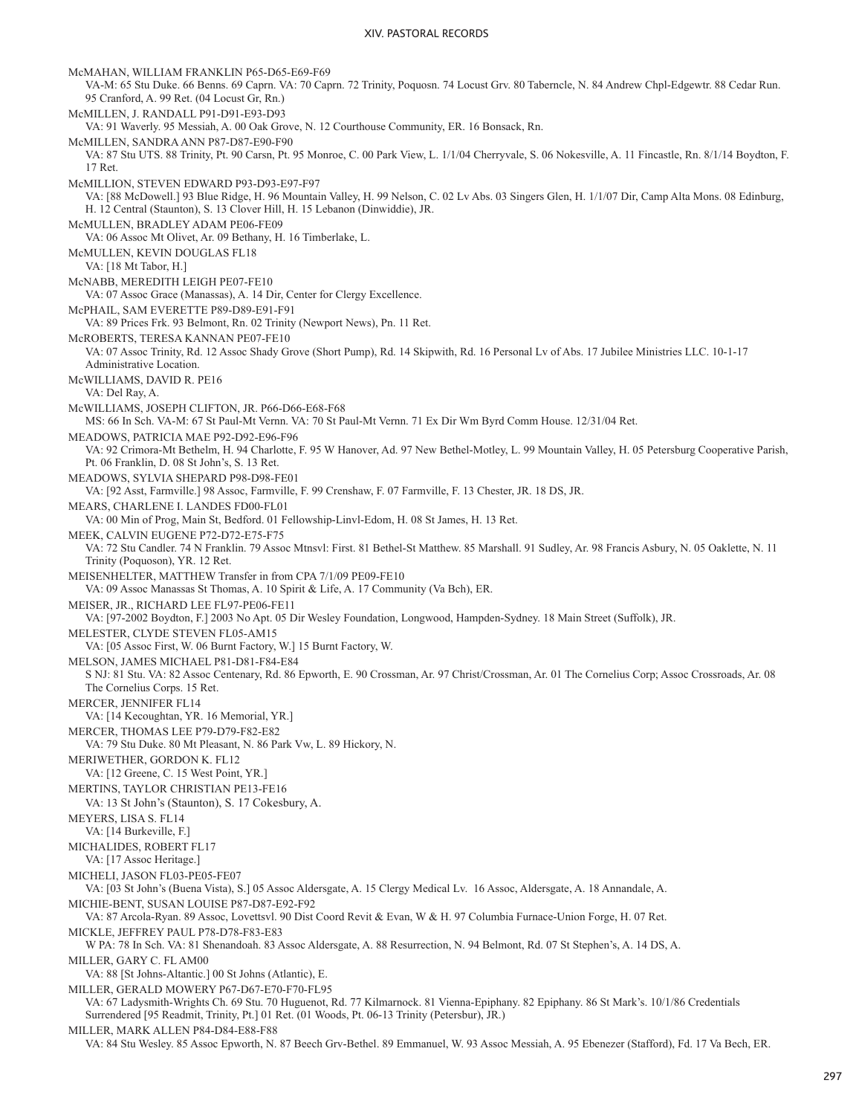McMAHAN, WILLIAM FRANKLIN P65-D65-E69-F69 VA-M: 65 Stu Duke. 66 Benns. 69 Caprn. VA: 70 Caprn. 72 Trinity, Poquosn. 74 Locust Grv. 80 Taberncle, N. 84 Andrew Chpl-Edgewtr. 88 Cedar Run. 95 Cranford, A. 99 Ret. (04 Locust Gr, Rn.) McMILLEN, J. RANDALL P91-D91-E93-D93 VA: 91 Waverly. 95 Messiah, A. 00 Oak Grove, N. 12 Courthouse Community, ER. 16 Bonsack, Rn. McMILLEN, SANDRA ANN P87-D87-E90-F90 VA: 87 Stu UTS. 88 Trinity, Pt. 90 Carsn, Pt. 95 Monroe, C. 00 Park View, L. 1/1/04 Cherryvale, S. 06 Nokesville, A. 11 Fincastle, Rn. 8/1/14 Boydton, F. 17 Ret. McMILLION, STEVEN EDWARD P93-D93-E97-F97 VA: [88 McDowell.] 93 Blue Ridge, H. 96 Mountain Valley, H. 99 Nelson, C. 02 Lv Abs. 03 Singers Glen, H. 1/1/07 Dir, Camp Alta Mons. 08 Edinburg, H. 12 Central (Staunton), S. 13 Clover Hill, H. 15 Lebanon (Dinwiddie), JR. McMULLEN, BRADLEY ADAM PE06-FE09 VA: 06 Assoc Mt Olivet, Ar. 09 Bethany, H. 16 Timberlake, L. McMULLEN, KEVIN DOUGLAS FL18 VA: [18 Mt Tabor, H.] McNABB, MEREDITH LEIGH PE07-FE10 VA: 07 Assoc Grace (Manassas), A. 14 Dir, Center for Clergy Excellence. McPHAIL, SAM EVERETTE P89-D89-E91-F91 VA: 89 Prices Frk. 93 Belmont, Rn. 02 Trinity (Newport News), Pn. 11 Ret. McROBERTS, TERESA KANNAN PE07-FE10 VA: 07 Assoc Trinity, Rd. 12 Assoc Shady Grove (Short Pump), Rd. 14 Skipwith, Rd. 16 Personal Lv of Abs. 17 Jubilee Ministries LLC. 10-1-17 Administrative Location. McWILLIAMS, DAVID R. PE16 VA: Del Ray, A. McWILLIAMS, JOSEPH CLIFTON, JR. P66-D66-E68-F68 MS: 66 In Sch. VA-M: 67 St Paul-Mt Vernn. VA: 70 St Paul-Mt Vernn. 71 Ex Dir Wm Byrd Comm House. 12/31/04 Ret. MEADOWS, PATRICIA MAE P92-D92-E96-F96 VA: 92 Crimora-Mt Bethelm, H. 94 Charlotte, F. 95 W Hanover, Ad. 97 New Bethel-Motley, L. 99 Mountain Valley, H. 05 Petersburg Cooperative Parish, Pt. 06 Franklin, D. 08 St John's, S. 13 Ret. MEADOWS, SYLVIA SHEPARD P98-D98-FE01 VA: [92 Asst, Farmville.] 98 Assoc, Farmville, F. 99 Crenshaw, F. 07 Farmville, F. 13 Chester, JR. 18 DS, JR. MEARS, CHARLENE I. LANDES FD00-FL01 VA: 00 Min of Prog, Main St, Bedford. 01 Fellowship-Linvl-Edom, H. 08 St James, H. 13 Ret. MEEK, CALVIN EUGENE P72-D72-E75-F75 VA: 72 Stu Candler. 74 N Franklin. 79 Assoc Mtnsvl: First. 81 Bethel-St Matthew. 85 Marshall. 91 Sudley, Ar. 98 Francis Asbury, N. 05 Oaklette, N. 11 Trinity (Poquoson), YR. 12 Ret. MEISENHELTER, MATTHEW Transfer in from CPA 7/1/09 PE09-FE10 VA: 09 Assoc Manassas St Thomas, A. 10 Spirit & Life, A. 17 Community (Va Bch), ER. MEISER, JR., RICHARD LEE FL97-PE06-FE11 VA: [97-2002 Boydton, F.] 2003 No Apt. 05 Dir Wesley Foundation, Longwood, Hampden-Sydney. 18 Main Street (Suffolk), JR. MELESTER, CLYDE STEVEN FL05-AM15 VA: [05 Assoc First, W. 06 Burnt Factory, W.] 15 Burnt Factory, W. MELSON, JAMES MICHAEL P81-D81-F84-E84 S NJ: 81 Stu. VA: 82 Assoc Centenary, Rd. 86 Epworth, E. 90 Crossman, Ar. 97 Christ/Crossman, Ar. 01 The Cornelius Corp; Assoc Crossroads, Ar. 08 The Cornelius Corps. 15 Ret. MERCER, JENNIFER FL14 VA: [14 Kecoughtan, YR. 16 Memorial, YR.] MERCER, THOMAS LEE P79-D79-F82-E82 VA: 79 Stu Duke. 80 Mt Pleasant, N. 86 Park Vw, L. 89 Hickory, N. MERIWETHER, GORDON K. FL12 VA: [12 Greene, C. 15 West Point, YR.] MERTINS, TAYLOR CHRISTIAN PE13-FE16 VA: 13 St John's (Staunton), S. 17 Cokesbury, A. MEYERS, LISA S. FL14 VA: [14 Burkeville, F.] MICHALIDES, ROBERT FL17 VA: [17 Assoc Heritage.] MICHELI, JASON FL03-PE05-FE07 VA: [03 St John's (Buena Vista), S.] 05 Assoc Aldersgate, A. 15 Clergy Medical Lv. 16 Assoc, Aldersgate, A. 18 Annandale, A. MICHIE-BENT, SUSAN LOUISE P87-D87-E92-F92 VA: 87 Arcola-Ryan. 89 Assoc, Lovettsvl. 90 Dist Coord Revit & Evan, W & H. 97 Columbia Furnace-Union Forge, H. 07 Ret. MICKLE, JEFFREY PAUL P78-D78-F83-E83 W PA: 78 In Sch. VA: 81 Shenandoah. 83 Assoc Aldersgate, A. 88 Resurrection, N. 94 Belmont, Rd. 07 St Stephen's, A. 14 DS, A. MILLER, GARY C. FL AM00 VA: 88 [St Johns-Altantic.] 00 St Johns (Atlantic), E. MILLER, GERALD MOWERY P67-D67-E70-F70-FL95 VA: 67 Ladysmith-Wrights Ch. 69 Stu. 70 Huguenot, Rd. 77 Kilmarnock. 81 Vienna-Epiphany. 82 Epiphany. 86 St Mark's. 10/1/86 Credentials Surrendered [95 Readmit, Trinity, Pt.] 01 Ret. (01 Woods, Pt. 06-13 Trinity (Petersbur), JR.) MILLER, MARK ALLEN P84-D84-E88-F88

VA: 84 Stu Wesley. 85 Assoc Epworth, N. 87 Beech Grv-Bethel. 89 Emmanuel, W. 93 Assoc Messiah, A. 95 Ebenezer (Stafford), Fd. 17 Va Bech, ER.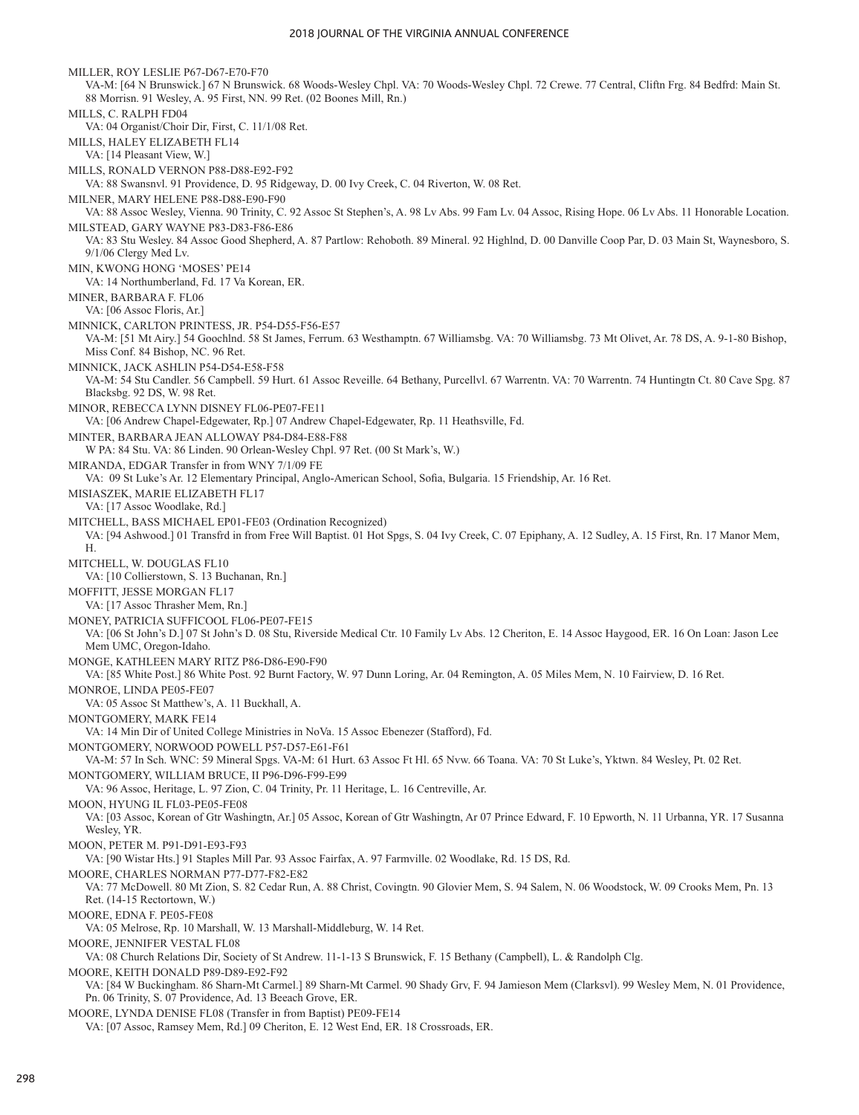MILLER, ROY LESLIE P67-D67-E70-F70 VA-M: [64 N Brunswick.] 67 N Brunswick. 68 Woods-Wesley Chpl. VA: 70 Woods-Wesley Chpl. 72 Crewe. 77 Central, Cliftn Frg. 84 Bedfrd: Main St. 88 Morrisn. 91 Wesley, A. 95 First, NN. 99 Ret. (02 Boones Mill, Rn.) MILLS, C. RALPH FD04 VA: 04 Organist/Choir Dir, First, C. 11/1/08 Ret. MILLS, HALEY ELIZABETH FL14 VA: [14 Pleasant View, W.] MILLS, RONALD VERNON P88-D88-E92-F92 VA: 88 Swansnvl. 91 Providence, D. 95 Ridgeway, D. 00 Ivy Creek, C. 04 Riverton, W. 08 Ret. MILNER, MARY HELENE P88-D88-E90-F90 VA: 88 Assoc Wesley, Vienna. 90 Trinity, C. 92 Assoc St Stephen's, A. 98 Lv Abs. 99 Fam Lv. 04 Assoc, Rising Hope. 06 Lv Abs. 11 Honorable Location. MILSTEAD, GARY WAYNE P83-D83-F86-E86 VA: 83 Stu Wesley. 84 Assoc Good Shepherd, A. 87 Partlow: Rehoboth. 89 Mineral. 92 Highlnd, D. 00 Danville Coop Par, D. 03 Main St, Waynesboro, S. 9/1/06 Clergy Med Lv. MIN, KWONG HONG 'MOSES' PE14 VA: 14 Northumberland, Fd. 17 Va Korean, ER. MINER, BARBARA F. FL06 VA: [06 Assoc Floris, Ar.] MINNICK, CARLTON PRINTESS, JR. P54-D55-F56-E57 VA-M: [51 Mt Airy.] 54 Goochlnd. 58 St James, Ferrum. 63 Westhamptn. 67 Williamsbg. VA: 70 Williamsbg. 73 Mt Olivet, Ar. 78 DS, A. 9-1-80 Bishop, Miss Conf. 84 Bishop, NC. 96 Ret. MINNICK, JACK ASHLIN P54-D54-E58-F58 VA-M: 54 Stu Candler. 56 Campbell. 59 Hurt. 61 Assoc Reveille. 64 Bethany, Purcellvl. 67 Warrentn. VA: 70 Warrentn. 74 Huntingtn Ct. 80 Cave Spg. 87 Blacksbg. 92 DS, W. 98 Ret. MINOR, REBECCA LYNN DISNEY FL06-PE07-FE11 VA: [06 Andrew Chapel-Edgewater, Rp.] 07 Andrew Chapel-Edgewater, Rp. 11 Heathsville, Fd. MINTER, BARBARA JEAN ALLOWAY P84-D84-E88-F88 W PA: 84 Stu. VA: 86 Linden. 90 Orlean-Wesley Chpl. 97 Ret. (00 St Mark's, W.) MIRANDA, EDGAR Transfer in from WNY 7/1/09 FE VA: 09 St Luke's Ar. 12 Elementary Principal, Anglo-American School, Sofia, Bulgaria. 15 Friendship, Ar. 16 Ret. MISIASZEK, MARIE ELIZABETH FL17 VA: [17 Assoc Woodlake, Rd.] MITCHELL, BASS MICHAEL EP01-FE03 (Ordination Recognized) VA: [94 Ashwood.] 01 Transfrd in from Free Will Baptist. 01 Hot Spgs, S. 04 Ivy Creek, C. 07 Epiphany, A. 12 Sudley, A. 15 First, Rn. 17 Manor Mem, H. MITCHELL, W. DOUGLAS FL10 VA: [10 Collierstown, S. 13 Buchanan, Rn.] MOFFITT, JESSE MORGAN FL17 VA: [17 Assoc Thrasher Mem, Rn.] MONEY, PATRICIA SUFFICOOL FL06-PE07-FE15 VA: [06 St John's D.] 07 St John's D. 08 Stu, Riverside Medical Ctr. 10 Family Lv Abs. 12 Cheriton, E. 14 Assoc Haygood, ER. 16 On Loan: Jason Lee Mem UMC, Oregon-Idaho. MONGE, KATHLEEN MARY RITZ P86-D86-E90-F90 VA: [85 White Post.] 86 White Post. 92 Burnt Factory, W. 97 Dunn Loring, Ar. 04 Remington, A. 05 Miles Mem, N. 10 Fairview, D. 16 Ret. MONROE, LINDA PE05-FE07 VA: 05 Assoc St Matthew's, A. 11 Buckhall, A. MONTGOMERY, MARK FE14 VA: 14 Min Dir of United College Ministries in NoVa. 15 Assoc Ebenezer (Stafford), Fd. MONTGOMERY, NORWOOD POWELL P57-D57-E61-F61 VA-M: 57 In Sch. WNC: 59 Mineral Spgs. VA-M: 61 Hurt. 63 Assoc Ft Hl. 65 Nvw. 66 Toana. VA: 70 St Luke's, Yktwn. 84 Wesley, Pt. 02 Ret. MONTGOMERY, WILLIAM BRUCE, II P96-D96-F99-E99 VA: 96 Assoc, Heritage, L. 97 Zion, C. 04 Trinity, Pr. 11 Heritage, L. 16 Centreville, Ar. MOON, HYUNG IL FL03-PE05-FE08 VA: [03 Assoc, Korean of Gtr Washingtn, Ar.] 05 Assoc, Korean of Gtr Washingtn, Ar 07 Prince Edward, F. 10 Epworth, N. 11 Urbanna, YR. 17 Susanna Wesley, YR. MOON, PETER M. P91-D91-E93-F93 VA: [90 Wistar Hts.] 91 Staples Mill Par. 93 Assoc Fairfax, A. 97 Farmville. 02 Woodlake, Rd. 15 DS, Rd. MOORE, CHARLES NORMAN P77-D77-F82-E82 VA: 77 McDowell. 80 Mt Zion, S. 82 Cedar Run, A. 88 Christ, Covingtn. 90 Glovier Mem, S. 94 Salem, N. 06 Woodstock, W. 09 Crooks Mem, Pn. 13 Ret. (14-15 Rectortown, W.) MOORE, EDNA F. PE05-FE08 VA: 05 Melrose, Rp. 10 Marshall, W. 13 Marshall-Middleburg, W. 14 Ret. MOORE, JENNIFER VESTAL FL08 VA: 08 Church Relations Dir, Society of St Andrew. 11-1-13 S Brunswick, F. 15 Bethany (Campbell), L. & Randolph Clg. MOORE, KEITH DONALD P89-D89-E92-F92 VA: [84 W Buckingham. 86 Sharn-Mt Carmel.] 89 Sharn-Mt Carmel. 90 Shady Grv, F. 94 Jamieson Mem (Clarksvl). 99 Wesley Mem, N. 01 Providence, Pn. 06 Trinity, S. 07 Providence, Ad. 13 Beeach Grove, ER. MOORE, LYNDA DENISE FL08 (Transfer in from Baptist) PE09-FE14

VA: [07 Assoc, Ramsey Mem, Rd.] 09 Cheriton, E. 12 West End, ER. 18 Crossroads, ER.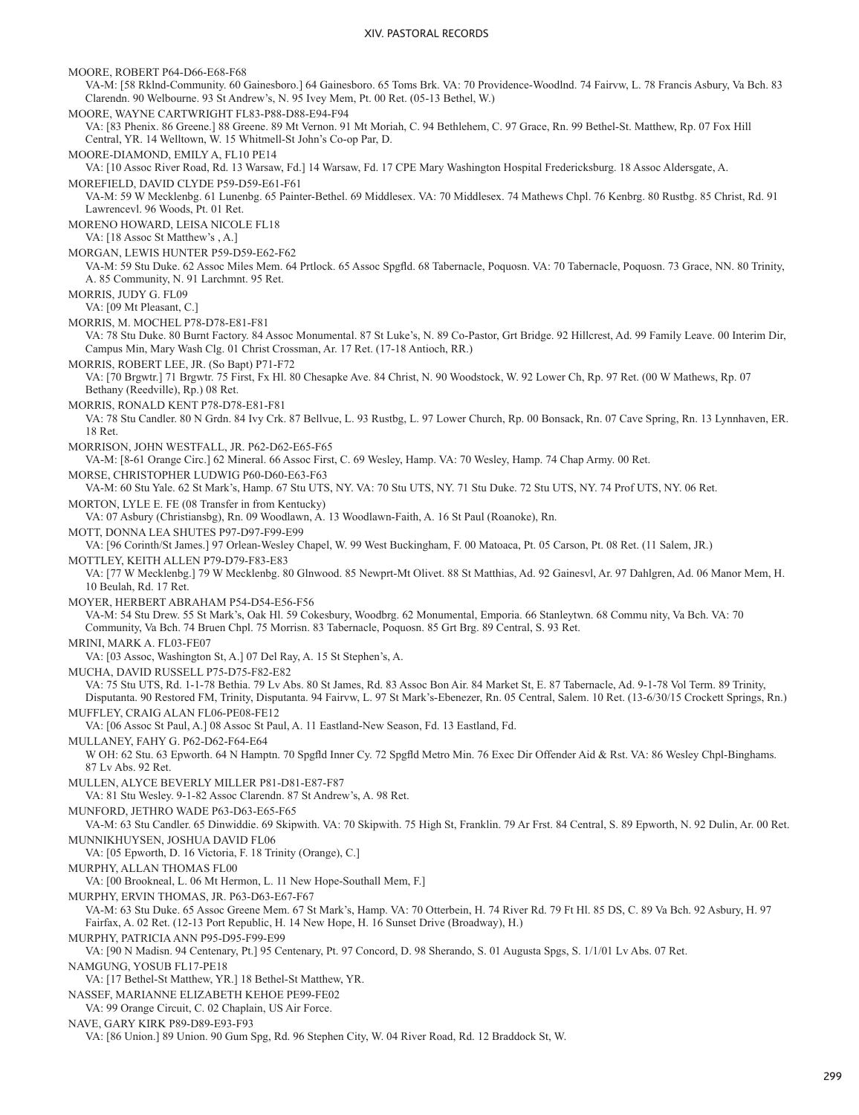MOORE, ROBERT P64-D66-E68-F68 VA-M: [58 Rklnd-Community. 60 Gainesboro.] 64 Gainesboro. 65 Toms Brk. VA: 70 Providence-Woodlnd. 74 Fairvw, L. 78 Francis Asbury, Va Bch. 83 Clarendn. 90 Welbourne. 93 St Andrew's, N. 95 Ivey Mem, Pt. 00 Ret. (05-13 Bethel, W.) MOORE, WAYNE CARTWRIGHT FL83-P88-D88-E94-F94 VA: [83 Phenix. 86 Greene.] 88 Greene. 89 Mt Vernon. 91 Mt Moriah, C. 94 Bethlehem, C. 97 Grace, Rn. 99 Bethel-St. Matthew, Rp. 07 Fox Hill Central, YR. 14 Welltown, W. 15 Whitmell-St John's Co-op Par, D. MOORE-DIAMOND, EMILY A, FL10 PE14 VA: [10 Assoc River Road, Rd. 13 Warsaw, Fd.] 14 Warsaw, Fd. 17 CPE Mary Washington Hospital Fredericksburg. 18 Assoc Aldersgate, A. MOREFIELD, DAVID CLYDE P59-D59-E61-F61 VA-M: 59 W Mecklenbg. 61 Lunenbg. 65 Painter-Bethel. 69 Middlesex. VA: 70 Middlesex. 74 Mathews Chpl. 76 Kenbrg. 80 Rustbg. 85 Christ, Rd. 91 Lawrencevl. 96 Woods, Pt. 01 Ret. MORENO HOWARD, LEISA NICOLE FL18 VA: [18 Assoc St Matthew's , A.] MORGAN, LEWIS HUNTER P59-D59-E62-F62 VA-M: 59 Stu Duke. 62 Assoc Miles Mem. 64 Prtlock. 65 Assoc Spgfld. 68 Tabernacle, Poquosn. VA: 70 Tabernacle, Poquosn. 73 Grace, NN. 80 Trinity, A. 85 Community, N. 91 Larchmnt. 95 Ret. MORRIS, JUDY G. FL09 VA: [09 Mt Pleasant, C.] MORRIS, M. MOCHEL P78-D78-E81-F81 VA: 78 Stu Duke. 80 Burnt Factory. 84 Assoc Monumental. 87 St Luke's, N. 89 Co-Pastor, Grt Bridge. 92 Hillcrest, Ad. 99 Family Leave. 00 Interim Dir, Campus Min, Mary Wash Clg. 01 Christ Crossman, Ar. 17 Ret. (17-18 Antioch, RR.) MORRIS, ROBERT LEE, JR. (So Bapt) P71-F72 VA: [70 Brgwtr.] 71 Brgwtr. 75 First, Fx Hl. 80 Chesapke Ave. 84 Christ, N. 90 Woodstock, W. 92 Lower Ch, Rp. 97 Ret. (00 W Mathews, Rp. 07 Bethany (Reedville), Rp.) 08 Ret. MORRIS, RONALD KENT P78-D78-E81-F81 VA: 78 Stu Candler. 80 N Grdn. 84 Ivy Crk. 87 Bellvue, L. 93 Rustbg, L. 97 Lower Church, Rp. 00 Bonsack, Rn. 07 Cave Spring, Rn. 13 Lynnhaven, ER. 18 Ret. MORRISON, JOHN WESTFALL, JR. P62-D62-E65-F65 VA-M: [8-61 Orange Circ.] 62 Mineral. 66 Assoc First, C. 69 Wesley, Hamp. VA: 70 Wesley, Hamp. 74 Chap Army. 00 Ret. MORSE, CHRISTOPHER LUDWIG P60-D60-E63-F63 VA-M: 60 Stu Yale. 62 St Mark's, Hamp. 67 Stu UTS, NY. VA: 70 Stu UTS, NY. 71 Stu Duke. 72 Stu UTS, NY. 74 Prof UTS, NY. 06 Ret. MORTON, LYLE E. FE (08 Transfer in from Kentucky) VA: 07 Asbury (Christiansbg), Rn. 09 Woodlawn, A. 13 Woodlawn-Faith, A. 16 St Paul (Roanoke), Rn. MOTT, DONNA LEA SHUTES P97-D97-F99-E99 VA: [96 Corinth/St James.] 97 Orlean-Wesley Chapel, W. 99 West Buckingham, F. 00 Matoaca, Pt. 05 Carson, Pt. 08 Ret. (11 Salem, JR.) MOTTLEY, KEITH ALLEN P79-D79-F83-E83 VA: [77 W Mecklenbg.] 79 W Mecklenbg. 80 Glnwood. 85 Newprt-Mt Olivet. 88 St Matthias, Ad. 92 Gainesvl, Ar. 97 Dahlgren, Ad. 06 Manor Mem, H. 10 Beulah, Rd. 17 Ret. MOYER, HERBERT ABRAHAM P54-D54-E56-F56 VA-M: 54 Stu Drew. 55 St Mark's, Oak Hl. 59 Cokesbury, Woodbrg. 62 Monumental, Emporia. 66 Stanleytwn. 68 Commu nity, Va Bch. VA: 70 Community, Va Bch. 74 Bruen Chpl. 75 Morrisn. 83 Tabernacle, Poquosn. 85 Grt Brg. 89 Central, S. 93 Ret. MRINI, MARK A. FL03-FE07 VA: [03 Assoc, Washington St, A.] 07 Del Ray, A. 15 St Stephen's, A. MUCHA, DAVID RUSSELL P75-D75-F82-E82 VA: 75 Stu UTS, Rd. 1-1-78 Bethia. 79 Lv Abs. 80 St James, Rd. 83 Assoc Bon Air. 84 Market St, E. 87 Tabernacle, Ad. 9-1-78 Vol Term. 89 Trinity, Disputanta. 90 Restored FM, Trinity, Disputanta. 94 Fairvw, L. 97 St Mark's-Ebenezer, Rn. 05 Central, Salem. 10 Ret. (13-6/30/15 Crockett Springs, Rn.) MUFFLEY, CRAIG ALAN FL06-PE08-FE12 VA: [06 Assoc St Paul, A.] 08 Assoc St Paul, A. 11 Eastland-New Season, Fd. 13 Eastland, Fd. MULLANEY, FAHY G. P62-D62-F64-E64 W OH: 62 Stu. 63 Epworth. 64 N Hamptn. 70 Spgfld Inner Cy. 72 Spgfld Metro Min. 76 Exec Dir Offender Aid & Rst. VA: 86 Wesley Chpl-Binghams. 87 Lv Abs. 92 Ret. MULLEN, ALYCE BEVERLY MILLER P81-D81-E87-F87 VA: 81 Stu Wesley. 9-1-82 Assoc Clarendn. 87 St Andrew's, A. 98 Ret. MUNFORD, JETHRO WADE P63-D63-E65-F65 VA-M: 63 Stu Candler. 65 Dinwiddie. 69 Skipwith. VA: 70 Skipwith. 75 High St, Franklin. 79 Ar Frst. 84 Central, S. 89 Epworth, N. 92 Dulin, Ar. 00 Ret. MUNNIKHUYSEN, JOSHUA DAVID FL06 VA: [05 Epworth, D. 16 Victoria, F. 18 Trinity (Orange), C.] MURPHY, ALLAN THOMAS FL00 VA: [00 Brookneal, L. 06 Mt Hermon, L. 11 New Hope-Southall Mem, F.] MURPHY, ERVIN THOMAS, JR. P63-D63-E67-F67 VA-M: 63 Stu Duke. 65 Assoc Greene Mem. 67 St Mark's, Hamp. VA: 70 Otterbein, H. 74 River Rd. 79 Ft Hl. 85 DS, C. 89 Va Bch. 92 Asbury, H. 97 Fairfax, A. 02 Ret. (12-13 Port Republic, H. 14 New Hope, H. 16 Sunset Drive (Broadway), H.) MURPHY, PATRICIA ANN P95-D95-F99-E99 VA: [90 N Madisn. 94 Centenary, Pt.] 95 Centenary, Pt. 97 Concord, D. 98 Sherando, S. 01 Augusta Spgs, S. 1/1/01 Lv Abs. 07 Ret. NAMGUNG, YOSUB FL17-PE18 VA: [17 Bethel-St Matthew, YR.] 18 Bethel-St Matthew, YR. NASSEF, MARIANNE ELIZABETH KEHOE PE99-FE02 VA: 99 Orange Circuit, C. 02 Chaplain, US Air Force. NAVE, GARY KIRK P89-D89-E93-F93 VA: [86 Union.] 89 Union. 90 Gum Spg, Rd. 96 Stephen City, W. 04 River Road, Rd. 12 Braddock St, W.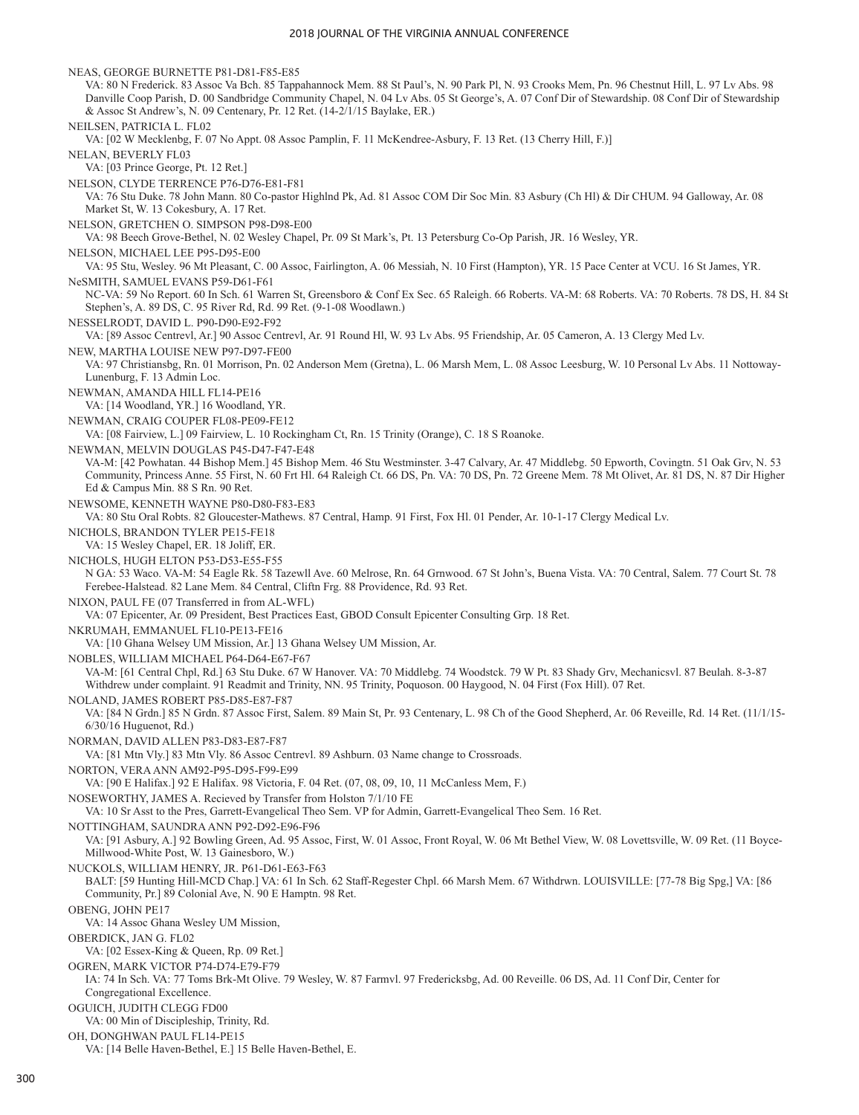NEAS, GEORGE BURNETTE P81-D81-F85-E85 VA: 80 N Frederick. 83 Assoc Va Bch. 85 Tappahannock Mem. 88 St Paul's, N. 90 Park Pl, N. 93 Crooks Mem, Pn. 96 Chestnut Hill, L. 97 Lv Abs. 98 Danville Coop Parish, D. 00 Sandbridge Community Chapel, N. 04 Lv Abs. 05 St George's, A. 07 Conf Dir of Stewardship. 08 Conf Dir of Stewardship & Assoc St Andrew's, N. 09 Centenary, Pr. 12 Ret. (14-2/1/15 Baylake, ER.) NEILSEN, PATRICIA L. FL02 VA: [02 W Mecklenbg, F. 07 No Appt. 08 Assoc Pamplin, F. 11 McKendree-Asbury, F. 13 Ret. (13 Cherry Hill, F.)] NELAN, BEVERLY FL03 VA: [03 Prince George, Pt. 12 Ret.] NELSON, CLYDE TERRENCE P76-D76-E81-F81 VA: 76 Stu Duke. 78 John Mann. 80 Co-pastor Highlnd Pk, Ad. 81 Assoc COM Dir Soc Min. 83 Asbury (Ch Hl) & Dir CHUM. 94 Galloway, Ar. 08 Market St, W. 13 Cokesbury, A. 17 Ret. NELSON, GRETCHEN O. SIMPSON P98-D98-E00 VA: 98 Beech Grove-Bethel, N. 02 Wesley Chapel, Pr. 09 St Mark's, Pt. 13 Petersburg Co-Op Parish, JR. 16 Wesley, YR. NELSON, MICHAEL LEE P95-D95-E00 VA: 95 Stu, Wesley. 96 Mt Pleasant, C. 00 Assoc, Fairlington, A. 06 Messiah, N. 10 First (Hampton), YR. 15 Pace Center at VCU. 16 St James, YR. NeSMITH, SAMUEL EVANS P59-D61-F61 NC-VA: 59 No Report. 60 In Sch. 61 Warren St, Greensboro & Conf Ex Sec. 65 Raleigh. 66 Roberts. VA-M: 68 Roberts. VA: 70 Roberts. 78 DS, H. 84 St Stephen's, A. 89 DS, C. 95 River Rd, Rd. 99 Ret. (9-1-08 Woodlawn.) NESSELRODT, DAVID L. P90-D90-E92-F92 VA: [89 Assoc Centrevl, Ar.] 90 Assoc Centrevl, Ar. 91 Round Hl, W. 93 Lv Abs. 95 Friendship, Ar. 05 Cameron, A. 13 Clergy Med Lv. NEW, MARTHA LOUISE NEW P97-D97-FE00 VA: 97 Christiansbg, Rn. 01 Morrison, Pn. 02 Anderson Mem (Gretna), L. 06 Marsh Mem, L. 08 Assoc Leesburg, W. 10 Personal Lv Abs. 11 Nottoway-Lunenburg, F. 13 Admin Loc. NEWMAN, AMANDA HILL FL14-PE16 VA: [14 Woodland, YR.] 16 Woodland, YR. NEWMAN, CRAIG COUPER FL08-PE09-FE12 VA: [08 Fairview, L.] 09 Fairview, L. 10 Rockingham Ct, Rn. 15 Trinity (Orange), C. 18 S Roanoke. NEWMAN, MELVIN DOUGLAS P45-D47-F47-E48 VA-M: [42 Powhatan. 44 Bishop Mem.] 45 Bishop Mem. 46 Stu Westminster. 3-47 Calvary, Ar. 47 Middlebg. 50 Epworth, Covingtn. 51 Oak Grv, N. 53 Community, Princess Anne. 55 First, N. 60 Frt Hl. 64 Raleigh Ct. 66 DS, Pn. VA: 70 DS, Pn. 72 Greene Mem. 78 Mt Olivet, Ar. 81 DS, N. 87 Dir Higher Ed & Campus Min. 88 S Rn. 90 Ret. NEWSOME, KENNETH WAYNE P80-D80-F83-E83 VA: 80 Stu Oral Robts. 82 Gloucester-Mathews. 87 Central, Hamp. 91 First, Fox Hl. 01 Pender, Ar. 10-1-17 Clergy Medical Lv. NICHOLS, BRANDON TYLER PE15-FE18 VA: 15 Wesley Chapel, ER. 18 Joliff, ER. NICHOLS, HUGH ELTON P53-D53-E55-F55 N GA: 53 Waco. VA-M: 54 Eagle Rk. 58 Tazewll Ave. 60 Melrose, Rn. 64 Grnwood. 67 St John's, Buena Vista. VA: 70 Central, Salem. 77 Court St. 78 Ferebee-Halstead. 82 Lane Mem. 84 Central, Cliftn Frg. 88 Providence, Rd. 93 Ret. NIXON, PAUL FE (07 Transferred in from AL-WFL) VA: 07 Epicenter, Ar. 09 President, Best Practices East, GBOD Consult Epicenter Consulting Grp. 18 Ret. NKRUMAH, EMMANUEL FL10-PE13-FE16 VA: [10 Ghana Welsey UM Mission, Ar.] 13 Ghana Welsey UM Mission, Ar. NOBLES, WILLIAM MICHAEL P64-D64-E67-F67 VA-M: [61 Central Chpl, Rd.] 63 Stu Duke. 67 W Hanover. VA: 70 Middlebg. 74 Woodstck. 79 W Pt. 83 Shady Grv, Mechanicsvl. 87 Beulah. 8-3-87 Withdrew under complaint. 91 Readmit and Trinity, NN. 95 Trinity, Poquoson. 00 Haygood, N. 04 First (Fox Hill). 07 Ret. NOLAND, JAMES ROBERT P85-D85-E87-F87 VA: [84 N Grdn.] 85 N Grdn. 87 Assoc First, Salem. 89 Main St, Pr. 93 Centenary, L. 98 Ch of the Good Shepherd, Ar. 06 Reveille, Rd. 14 Ret. (11/1/15- 6/30/16 Huguenot, Rd.) NORMAN, DAVID ALLEN P83-D83-E87-F87 VA: [81 Mtn Vly.] 83 Mtn Vly. 86 Assoc Centrevl. 89 Ashburn. 03 Name change to Crossroads. NORTON, VERA ANN AM92-P95-D95-F99-E99 VA: [90 E Halifax.] 92 E Halifax. 98 Victoria, F. 04 Ret. (07, 08, 09, 10, 11 McCanless Mem, F.) NOSEWORTHY, JAMES A. Recieved by Transfer from Holston 7/1/10 FE VA: 10 Sr Asst to the Pres, Garrett-Evangelical Theo Sem. VP for Admin, Garrett-Evangelical Theo Sem. 16 Ret. NOTTINGHAM, SAUNDRA ANN P92-D92-E96-F96 VA: [91 Asbury, A.] 92 Bowling Green, Ad. 95 Assoc, First, W. 01 Assoc, Front Royal, W. 06 Mt Bethel View, W. 08 Lovettsville, W. 09 Ret. (11 Boyce-Millwood-White Post, W. 13 Gainesboro, W.) NUCKOLS, WILLIAM HENRY, JR. P61-D61-E63-F63 BALT: [59 Hunting Hill-MCD Chap.] VA: 61 In Sch. 62 Staff-Regester Chpl. 66 Marsh Mem. 67 Withdrwn. LOUISVILLE: [77-78 Big Spg,] VA: [86 Community, Pr.] 89 Colonial Ave, N. 90 E Hamptn. 98 Ret. OBENG, JOHN PE17 VA: 14 Assoc Ghana Wesley UM Mission, OBERDICK, JAN G. FL02 VA: [02 Essex-King & Queen, Rp. 09 Ret.] OGREN, MARK VICTOR P74-D74-E79-F79 IA: 74 In Sch. VA: 77 Toms Brk-Mt Olive. 79 Wesley, W. 87 Farmvl. 97 Fredericksbg, Ad. 00 Reveille. 06 DS, Ad. 11 Conf Dir, Center for Congregational Excellence. OGUICH, JUDITH CLEGG FD00 VA: 00 Min of Discipleship, Trinity, Rd. OH, DONGHWAN PAUL FL14-PE15 VA: [14 Belle Haven-Bethel, E.] 15 Belle Haven-Bethel, E.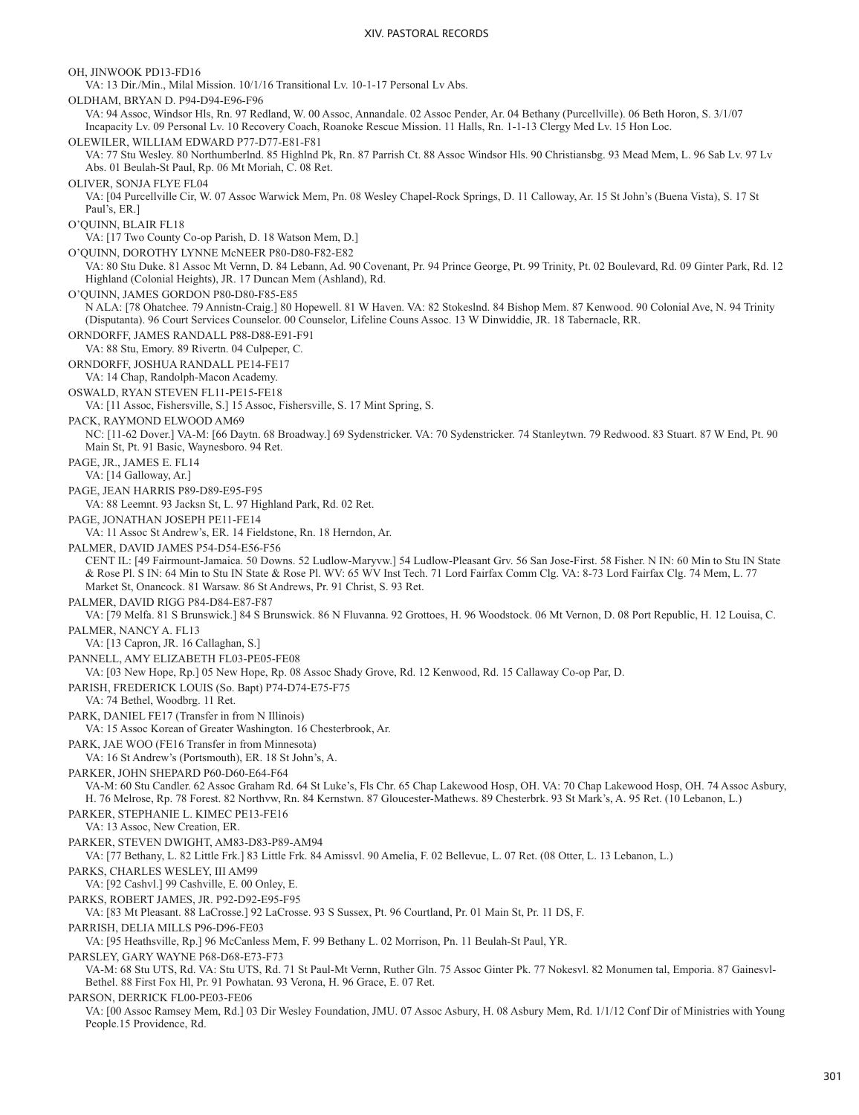OH, JINWOOK PD13-FD16 VA: 13 Dir./Min., Milal Mission. 10/1/16 Transitional Lv. 10-1-17 Personal Lv Abs. OLDHAM, BRYAN D. P94-D94-E96-F96 VA: 94 Assoc, Windsor Hls, Rn. 97 Redland, W. 00 Assoc, Annandale. 02 Assoc Pender, Ar. 04 Bethany (Purcellville). 06 Beth Horon, S. 3/1/07 Incapacity Lv. 09 Personal Lv. 10 Recovery Coach, Roanoke Rescue Mission. 11 Halls, Rn. 1-1-13 Clergy Med Lv. 15 Hon Loc. OLEWILER, WILLIAM EDWARD P77-D77-E81-F81 VA: 77 Stu Wesley. 80 Northumberlnd. 85 Highlnd Pk, Rn. 87 Parrish Ct. 88 Assoc Windsor Hls. 90 Christiansbg. 93 Mead Mem, L. 96 Sab Lv. 97 Lv Abs. 01 Beulah-St Paul, Rp. 06 Mt Moriah, C. 08 Ret. OLIVER, SONJA FLYE FL04 VA: [04 Purcellville Cir, W. 07 Assoc Warwick Mem, Pn. 08 Wesley Chapel-Rock Springs, D. 11 Calloway, Ar. 15 St John's (Buena Vista), S. 17 St Paul's, ER.] O'QUINN, BLAIR FL18 VA: [17 Two County Co-op Parish, D. 18 Watson Mem, D.] O'QUINN, DOROTHY LYNNE McNEER P80-D80-F82-E82 VA: 80 Stu Duke. 81 Assoc Mt Vernn, D. 84 Lebann, Ad. 90 Covenant, Pr. 94 Prince George, Pt. 99 Trinity, Pt. 02 Boulevard, Rd. 09 Ginter Park, Rd. 12 Highland (Colonial Heights), JR. 17 Duncan Mem (Ashland), Rd. O'QUINN, JAMES GORDON P80-D80-F85-E85 N ALA: [78 Ohatchee. 79 Annistn-Craig.] 80 Hopewell. 81 W Haven. VA: 82 Stokeslnd. 84 Bishop Mem. 87 Kenwood. 90 Colonial Ave, N. 94 Trinity (Disputanta). 96 Court Services Counselor. 00 Counselor, Lifeline Couns Assoc. 13 W Dinwiddie, JR. 18 Tabernacle, RR. ORNDORFF, JAMES RANDALL P88-D88-E91-F91 VA: 88 Stu, Emory. 89 Rivertn. 04 Culpeper, C. ORNDORFF, JOSHUA RANDALL PE14-FE17 VA: 14 Chap, Randolph-Macon Academy. OSWALD, RYAN STEVEN FL11-PE15-FE18 VA: [11 Assoc, Fishersville, S.] 15 Assoc, Fishersville, S. 17 Mint Spring, S. PACK, RAYMOND ELWOOD AM69 NC: [11-62 Dover.] VA-M: [66 Daytn. 68 Broadway.] 69 Sydenstricker. VA: 70 Sydenstricker. 74 Stanleytwn. 79 Redwood. 83 Stuart. 87 W End, Pt. 90 Main St, Pt. 91 Basic, Waynesboro. 94 Ret. PAGE, JR., JAMES E. FL14 VA: [14 Galloway, Ar.] PAGE, JEAN HARRIS P89-D89-E95-F95 VA: 88 Leemnt. 93 Jacksn St, L. 97 Highland Park, Rd. 02 Ret. PAGE, JONATHAN JOSEPH PE11-FE14 VA: 11 Assoc St Andrew's, ER. 14 Fieldstone, Rn. 18 Herndon, Ar. PALMER, DAVID JAMES P54-D54-E56-F56 CENT IL: [49 Fairmount-Jamaica. 50 Downs. 52 Ludlow-Maryvw.] 54 Ludlow-Pleasant Grv. 56 San Jose-First. 58 Fisher. N IN: 60 Min to Stu IN State & Rose Pl. S IN: 64 Min to Stu IN State & Rose Pl. WV: 65 WV Inst Tech. 71 Lord Fairfax Comm Clg. VA: 8-73 Lord Fairfax Clg. 74 Mem, L. 77 Market St, Onancock. 81 Warsaw. 86 St Andrews, Pr. 91 Christ, S. 93 Ret. PALMER, DAVID RIGG P84-D84-E87-F87 VA: [79 Melfa. 81 S Brunswick.] 84 S Brunswick. 86 N Fluvanna. 92 Grottoes, H. 96 Woodstock. 06 Mt Vernon, D. 08 Port Republic, H. 12 Louisa, C. PALMER, NANCY A. FL13 VA: [13 Capron, JR. 16 Callaghan, S.] PANNELL, AMY ELIZABETH FL03-PE05-FE08 VA: [03 New Hope, Rp.] 05 New Hope, Rp. 08 Assoc Shady Grove, Rd. 12 Kenwood, Rd. 15 Callaway Co-op Par, D. PARISH, FREDERICK LOUIS (So. Bapt) P74-D74-E75-F75 VA: 74 Bethel, Woodbrg. 11 Ret. PARK, DANIEL FE17 (Transfer in from N Illinois) VA: 15 Assoc Korean of Greater Washington. 16 Chesterbrook, Ar. PARK, JAE WOO (FE16 Transfer in from Minnesota) VA: 16 St Andrew's (Portsmouth), ER. 18 St John's, A. PARKER, JOHN SHEPARD P60-D60-E64-F64 VA-M: 60 Stu Candler. 62 Assoc Graham Rd. 64 St Luke's, Fls Chr. 65 Chap Lakewood Hosp, OH. VA: 70 Chap Lakewood Hosp, OH. 74 Assoc Asbury, H. 76 Melrose, Rp. 78 Forest. 82 Northvw, Rn. 84 Kernstwn. 87 Gloucester-Mathews. 89 Chesterbrk. 93 St Mark's, A. 95 Ret. (10 Lebanon, L.) PARKER, STEPHANIE L. KIMEC PE13-FE16 VA: 13 Assoc, New Creation, ER. PARKER, STEVEN DWIGHT, AM83-D83-P89-AM94 VA: [77 Bethany, L. 82 Little Frk.] 83 Little Frk. 84 Amissvl. 90 Amelia, F. 02 Bellevue, L. 07 Ret. (08 Otter, L. 13 Lebanon, L.) PARKS, CHARLES WESLEY, III AM99 VA: [92 Cashvl.] 99 Cashville, E. 00 Onley, E. PARKS, ROBERT JAMES, JR. P92-D92-E95-F95 VA: [83 Mt Pleasant. 88 LaCrosse.] 92 LaCrosse. 93 S Sussex, Pt. 96 Courtland, Pr. 01 Main St, Pr. 11 DS, F. PARRISH, DELIA MILLS P96-D96-FE03 VA: [95 Heathsville, Rp.] 96 McCanless Mem, F. 99 Bethany L. 02 Morrison, Pn. 11 Beulah-St Paul, YR. PARSLEY, GARY WAYNE P68-D68-E73-F73 VA-M: 68 Stu UTS, Rd. VA: Stu UTS, Rd. 71 St Paul-Mt Vernn, Ruther Gln. 75 Assoc Ginter Pk. 77 Nokesvl. 82 Monumen tal, Emporia. 87 Gainesvl-Bethel. 88 First Fox Hl, Pr. 91 Powhatan. 93 Verona, H. 96 Grace, E. 07 Ret. PARSON, DERRICK FL00-PE03-FE06 VA: [00 Assoc Ramsey Mem, Rd.] 03 Dir Wesley Foundation, JMU. 07 Assoc Asbury, H. 08 Asbury Mem, Rd. 1/1/12 Conf Dir of Ministries with Young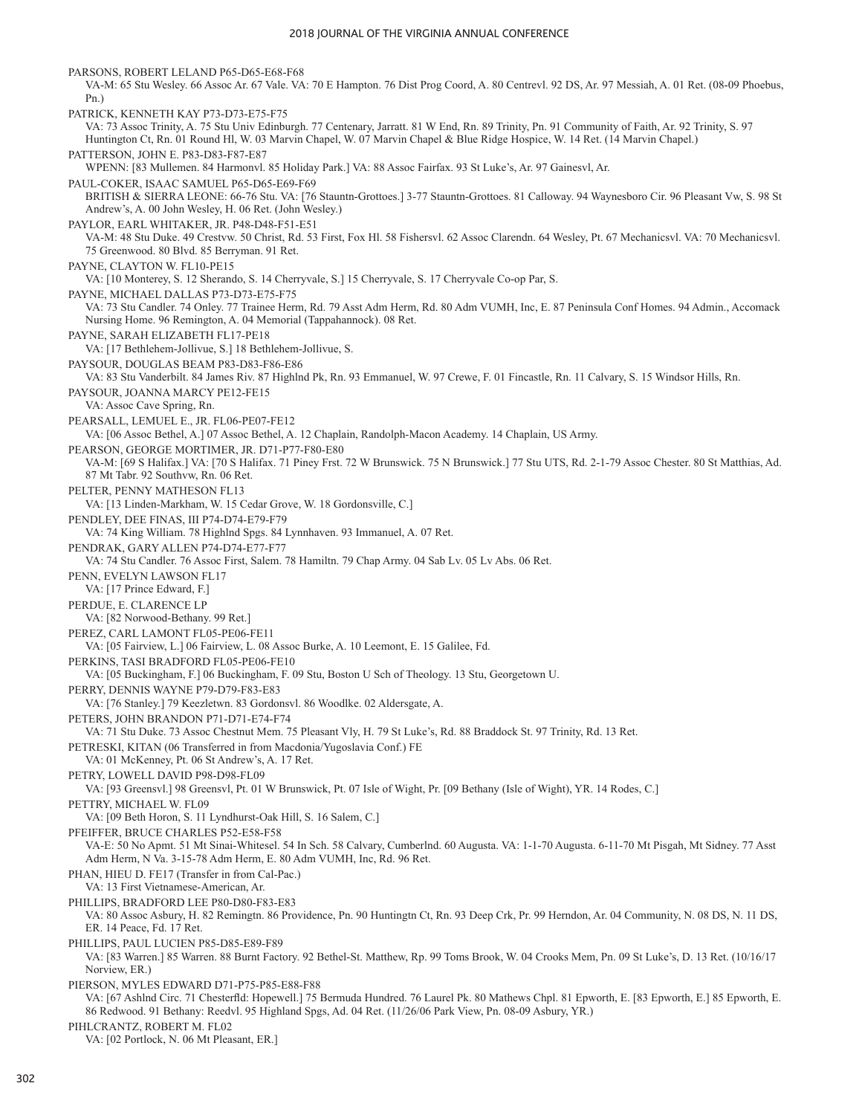PARSONS, ROBERT LELAND P65-D65-E68-F68 VA-M: 65 Stu Wesley. 66 Assoc Ar. 67 Vale. VA: 70 E Hampton. 76 Dist Prog Coord, A. 80 Centrevl. 92 DS, Ar. 97 Messiah, A. 01 Ret. (08-09 Phoebus, Pn.) PATRICK, KENNETH KAY P73-D73-E75-F75 VA: 73 Assoc Trinity, A. 75 Stu Univ Edinburgh. 77 Centenary, Jarratt. 81 W End, Rn. 89 Trinity, Pn. 91 Community of Faith, Ar. 92 Trinity, S. 97 Huntington Ct, Rn. 01 Round Hl, W. 03 Marvin Chapel, W. 07 Marvin Chapel & Blue Ridge Hospice, W. 14 Ret. (14 Marvin Chapel.) PATTERSON, JOHN E. P83-D83-F87-E87 WPENN: [83 Mullemen. 84 Harmonvl. 85 Holiday Park.] VA: 88 Assoc Fairfax. 93 St Luke's, Ar. 97 Gainesvl, Ar. PAUL-COKER, ISAAC SAMUEL P65-D65-E69-F69 BRITISH & SIERRA LEONE: 66-76 Stu. VA: [76 Stauntn-Grottoes.] 3-77 Stauntn-Grottoes. 81 Calloway. 94 Waynesboro Cir. 96 Pleasant Vw, S. 98 St Andrew's, A. 00 John Wesley, H. 06 Ret. (John Wesley.) PAYLOR, EARL WHITAKER, JR. P48-D48-F51-E51 VA-M: 48 Stu Duke. 49 Crestvw. 50 Christ, Rd. 53 First, Fox Hl. 58 Fishersvl. 62 Assoc Clarendn. 64 Wesley, Pt. 67 Mechanicsvl. VA: 70 Mechanicsvl. 75 Greenwood. 80 Blvd. 85 Berryman. 91 Ret. PAYNE, CLAYTON W. FL10-PE15 VA: [10 Monterey, S. 12 Sherando, S. 14 Cherryvale, S.] 15 Cherryvale, S. 17 Cherryvale Co-op Par, S. PAYNE, MICHAEL DALLAS P73-D73-E75-F75 VA: 73 Stu Candler. 74 Onley. 77 Trainee Herm, Rd. 79 Asst Adm Herm, Rd. 80 Adm VUMH, Inc, E. 87 Peninsula Conf Homes. 94 Admin., Accomack Nursing Home. 96 Remington, A. 04 Memorial (Tappahannock). 08 Ret. PAYNE, SARAH ELIZABETH FL17-PE18 VA: [17 Bethlehem-Jollivue, S.] 18 Bethlehem-Jollivue, S. PAYSOUR, DOUGLAS BEAM P83-D83-F86-E86 VA: 83 Stu Vanderbilt. 84 James Riv. 87 Highlnd Pk, Rn. 93 Emmanuel, W. 97 Crewe, F. 01 Fincastle, Rn. 11 Calvary, S. 15 Windsor Hills, Rn. PAYSOUR, JOANNA MARCY PE12-FE15 VA: Assoc Cave Spring, Rn. PEARSALL, LEMUEL E., JR. FL06-PE07-FE12 VA: [06 Assoc Bethel, A.] 07 Assoc Bethel, A. 12 Chaplain, Randolph-Macon Academy. 14 Chaplain, US Army. PEARSON, GEORGE MORTIMER, JR. D71-P77-F80-E80 VA-M: [69 S Halifax.] VA: [70 S Halifax. 71 Piney Frst. 72 W Brunswick. 75 N Brunswick.] 77 Stu UTS, Rd. 2-1-79 Assoc Chester. 80 St Matthias, Ad. 87 Mt Tabr. 92 Southvw, Rn. 06 Ret. PELTER, PENNY MATHESON FL13 VA: [13 Linden-Markham, W. 15 Cedar Grove, W. 18 Gordonsville, C.] PENDLEY, DEE FINAS, III P74-D74-E79-F79 VA: 74 King William. 78 Highlnd Spgs. 84 Lynnhaven. 93 Immanuel, A. 07 Ret. PENDRAK, GARY ALLEN P74-D74-E77-F77 VA: 74 Stu Candler. 76 Assoc First, Salem. 78 Hamiltn. 79 Chap Army. 04 Sab Lv. 05 Lv Abs. 06 Ret. PENN, EVELYN LAWSON FL17 VA: [17 Prince Edward, F.] PERDUE, E. CLARENCE LP VA: [82 Norwood-Bethany. 99 Ret.] PEREZ, CARL LAMONT FL05-PE06-FE11 VA: [05 Fairview, L.] 06 Fairview, L. 08 Assoc Burke, A. 10 Leemont, E. 15 Galilee, Fd. PERKINS, TASI BRADFORD FL05-PE06-FE10 VA: [05 Buckingham, F.] 06 Buckingham, F. 09 Stu, Boston U Sch of Theology. 13 Stu, Georgetown U. PERRY, DENNIS WAYNE P79-D79-F83-E83 VA: [76 Stanley.] 79 Keezletwn. 83 Gordonsvl. 86 Woodlke. 02 Aldersgate, A. PETERS, JOHN BRANDON P71-D71-E74-F74 VA: 71 Stu Duke. 73 Assoc Chestnut Mem. 75 Pleasant Vly, H. 79 St Luke's, Rd. 88 Braddock St. 97 Trinity, Rd. 13 Ret. PETRESKI, KITAN (06 Transferred in from Macdonia/Yugoslavia Conf.) FE VA: 01 McKenney, Pt. 06 St Andrew's, A. 17 Ret. PETRY, LOWELL DAVID P98-D98-FL09 VA: [93 Greensvl.] 98 Greensvl, Pt. 01 W Brunswick, Pt. 07 Isle of Wight, Pr. [09 Bethany (Isle of Wight), YR. 14 Rodes, C.] PETTRY, MICHAEL W. FL09 VA: [09 Beth Horon, S. 11 Lyndhurst-Oak Hill, S. 16 Salem, C.] PFEIFFER, BRUCE CHARLES P52-E58-F58 VA-E: 50 No Apmt. 51 Mt Sinai-Whitesel. 54 In Sch. 58 Calvary, Cumberlnd. 60 Augusta. VA: 1-1-70 Augusta. 6-11-70 Mt Pisgah, Mt Sidney. 77 Asst Adm Herm, N Va. 3-15-78 Adm Herm, E. 80 Adm VUMH, Inc, Rd. 96 Ret. PHAN, HIEU D. FE17 (Transfer in from Cal-Pac.) VA: 13 First Vietnamese-American, Ar. PHILLIPS, BRADFORD LEE P80-D80-F83-E83 VA: 80 Assoc Asbury, H. 82 Remingtn. 86 Providence, Pn. 90 Huntingtn Ct, Rn. 93 Deep Crk, Pr. 99 Herndon, Ar. 04 Community, N. 08 DS, N. 11 DS, ER. 14 Peace, Fd. 17 Ret. PHILLIPS, PAUL LUCIEN P85-D85-E89-F89 VA: [83 Warren.] 85 Warren. 88 Burnt Factory. 92 Bethel-St. Matthew, Rp. 99 Toms Brook, W. 04 Crooks Mem, Pn. 09 St Luke's, D. 13 Ret. (10/16/17 Norview, ER.) PIERSON, MYLES EDWARD D71-P75-P85-E88-F88 VA: [67 Ashlnd Circ. 71 Chesterfld: Hopewell.] 75 Bermuda Hundred. 76 Laurel Pk. 80 Mathews Chpl. 81 Epworth, E. [83 Epworth, E.] 85 Epworth, E. 86 Redwood. 91 Bethany: Reedvl. 95 Highland Spgs, Ad. 04 Ret. (11/26/06 Park View, Pn. 08-09 Asbury, YR.) PIHLCRANTZ, ROBERT M. FL02 VA: [02 Portlock, N. 06 Mt Pleasant, ER.]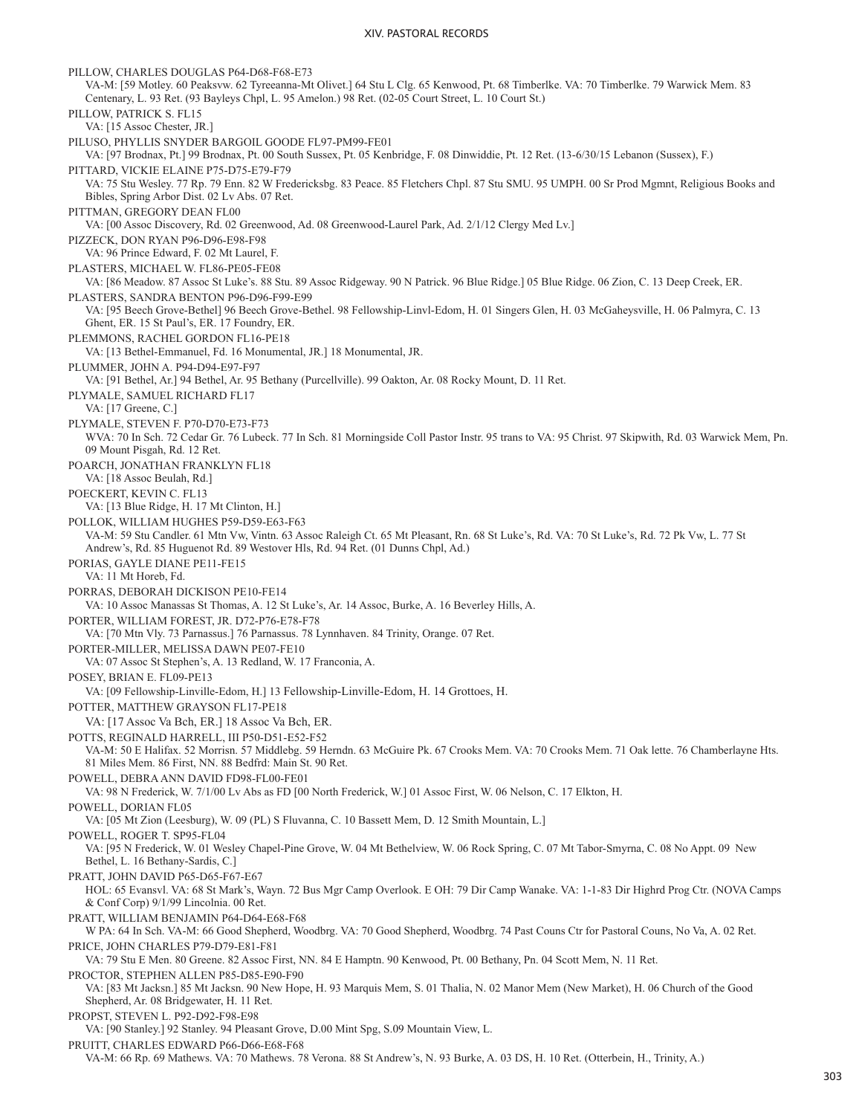PILLOW, CHARLES DOUGLAS P64-D68-F68-E73 VA-M: [59 Motley. 60 Peaksvw. 62 Tyreeanna-Mt Olivet.] 64 Stu L Clg. 65 Kenwood, Pt. 68 Timberlke. VA: 70 Timberlke. 79 Warwick Mem. 83 Centenary, L. 93 Ret. (93 Bayleys Chpl, L. 95 Amelon.) 98 Ret. (02-05 Court Street, L. 10 Court St.) PILLOW, PATRICK S. FL15 VA: [15 Assoc Chester, JR.] PILUSO, PHYLLIS SNYDER BARGOIL GOODE FL97-PM99-FE01 VA: [97 Brodnax, Pt.] 99 Brodnax, Pt. 00 South Sussex, Pt. 05 Kenbridge, F. 08 Dinwiddie, Pt. 12 Ret. (13-6/30/15 Lebanon (Sussex), F.) PITTARD, VICKIE ELAINE P75-D75-E79-F79 VA: 75 Stu Wesley. 77 Rp. 79 Enn. 82 W Fredericksbg. 83 Peace. 85 Fletchers Chpl. 87 Stu SMU. 95 UMPH. 00 Sr Prod Mgmnt, Religious Books and Bibles, Spring Arbor Dist. 02 Lv Abs. 07 Ret. PITTMAN, GREGORY DEAN FL00 VA: [00 Assoc Discovery, Rd. 02 Greenwood, Ad. 08 Greenwood-Laurel Park, Ad. 2/1/12 Clergy Med Lv.] PIZZECK, DON RYAN P96-D96-E98-F98 VA: 96 Prince Edward, F. 02 Mt Laurel, F. PLASTERS, MICHAEL W. FL86-PE05-FE08 VA: [86 Meadow. 87 Assoc St Luke's. 88 Stu. 89 Assoc Ridgeway. 90 N Patrick. 96 Blue Ridge.] 05 Blue Ridge. 06 Zion, C. 13 Deep Creek, ER. PLASTERS, SANDRA BENTON P96-D96-F99-E99 VA: [95 Beech Grove-Bethel] 96 Beech Grove-Bethel. 98 Fellowship-Linvl-Edom, H. 01 Singers Glen, H. 03 McGaheysville, H. 06 Palmyra, C. 13 Ghent, ER. 15 St Paul's, ER. 17 Foundry, ER. PLEMMONS, RACHEL GORDON FL16-PE18 VA: [13 Bethel-Emmanuel, Fd. 16 Monumental, JR.] 18 Monumental, JR. PLUMMER, JOHN A. P94-D94-E97-F97 VA: [91 Bethel, Ar.] 94 Bethel, Ar. 95 Bethany (Purcellville). 99 Oakton, Ar. 08 Rocky Mount, D. 11 Ret. PLYMALE, SAMUEL RICHARD FL17 VA: [17 Greene, C.] PLYMALE, STEVEN F. P70-D70-E73-F73 WVA: 70 In Sch. 72 Cedar Gr. 76 Lubeck. 77 In Sch. 81 Morningside Coll Pastor Instr. 95 trans to VA: 95 Christ. 97 Skipwith, Rd. 03 Warwick Mem, Pn. 09 Mount Pisgah, Rd. 12 Ret. POARCH, JONATHAN FRANKLYN FL18 VA: [18 Assoc Beulah, Rd.] POECKERT, KEVIN C. FL13 VA: [13 Blue Ridge, H. 17 Mt Clinton, H.] POLLOK, WILLIAM HUGHES P59-D59-E63-F63 VA-M: 59 Stu Candler. 61 Mtn Vw, Vintn. 63 Assoc Raleigh Ct. 65 Mt Pleasant, Rn. 68 St Luke's, Rd. VA: 70 St Luke's, Rd. 72 Pk Vw, L. 77 St Andrew's, Rd. 85 Huguenot Rd. 89 Westover Hls, Rd. 94 Ret. (01 Dunns Chpl, Ad.) PORIAS, GAYLE DIANE PE11-FE15 VA: 11 Mt Horeb, Fd. PORRAS, DEBORAH DICKISON PE10-FE14 VA: 10 Assoc Manassas St Thomas, A. 12 St Luke's, Ar. 14 Assoc, Burke, A. 16 Beverley Hills, A. PORTER, WILLIAM FOREST, JR. D72-P76-E78-F78 VA: [70 Mtn Vly. 73 Parnassus.] 76 Parnassus. 78 Lynnhaven. 84 Trinity, Orange. 07 Ret. PORTER-MILLER, MELISSA DAWN PE07-FE10 VA: 07 Assoc St Stephen's, A. 13 Redland, W. 17 Franconia, A. POSEY, BRIAN E. FL09-PE13 VA: [09 Fellowship-Linville-Edom, H.] 13 Fellowship-Linville-Edom, H. 14 Grottoes, H. POTTER, MATTHEW GRAYSON FL17-PE18 VA: [17 Assoc Va Bch, ER.] 18 Assoc Va Bch, ER. POTTS, REGINALD HARRELL, III P50-D51-E52-F52 VA-M: 50 E Halifax. 52 Morrisn. 57 Middlebg. 59 Herndn. 63 McGuire Pk. 67 Crooks Mem. VA: 70 Crooks Mem. 71 Oak lette. 76 Chamberlayne Hts. 81 Miles Mem. 86 First, NN. 88 Bedfrd: Main St. 90 Ret. POWELL, DEBRA ANN DAVID FD98-FL00-FE01 VA: 98 N Frederick, W. 7/1/00 Lv Abs as FD [00 North Frederick, W.] 01 Assoc First, W. 06 Nelson, C. 17 Elkton, H. POWELL, DORIAN FL05 VA: [05 Mt Zion (Leesburg), W. 09 (PL) S Fluvanna, C. 10 Bassett Mem, D. 12 Smith Mountain, L.] POWELL, ROGER T. SP95-FL04 VA: [95 N Frederick, W. 01 Wesley Chapel-Pine Grove, W. 04 Mt Bethelview, W. 06 Rock Spring, C. 07 Mt Tabor-Smyrna, C. 08 No Appt. 09 New Bethel, L. 16 Bethany-Sardis, C.] PRATT, JOHN DAVID P65-D65-F67-E67 HOL: 65 Evansvl. VA: 68 St Mark's, Wayn. 72 Bus Mgr Camp Overlook. E OH: 79 Dir Camp Wanake. VA: 1-1-83 Dir Highrd Prog Ctr. (NOVA Camps & Conf Corp) 9/1/99 Lincolnia. 00 Ret. PRATT, WILLIAM BENJAMIN P64-D64-E68-F68 W PA: 64 In Sch. VA-M: 66 Good Shepherd, Woodbrg. VA: 70 Good Shepherd, Woodbrg. 74 Past Couns Ctr for Pastoral Couns, No Va, A. 02 Ret. PRICE, JOHN CHARLES P79-D79-E81-F81 VA: 79 Stu E Men. 80 Greene. 82 Assoc First, NN. 84 E Hamptn. 90 Kenwood, Pt. 00 Bethany, Pn. 04 Scott Mem, N. 11 Ret. PROCTOR, STEPHEN ALLEN P85-D85-E90-F90 VA: [83 Mt Jacksn.] 85 Mt Jacksn. 90 New Hope, H. 93 Marquis Mem, S. 01 Thalia, N. 02 Manor Mem (New Market), H. 06 Church of the Good Shepherd, Ar. 08 Bridgewater, H. 11 Ret. PROPST, STEVEN L. P92-D92-F98-E98 VA: [90 Stanley.] 92 Stanley. 94 Pleasant Grove, D.00 Mint Spg, S.09 Mountain View, L. PRUITT, CHARLES EDWARD P66-D66-E68-F68 VA-M: 66 Rp. 69 Mathews. VA: 70 Mathews. 78 Verona. 88 St Andrew's, N. 93 Burke, A. 03 DS, H. 10 Ret. (Otterbein, H., Trinity, A.)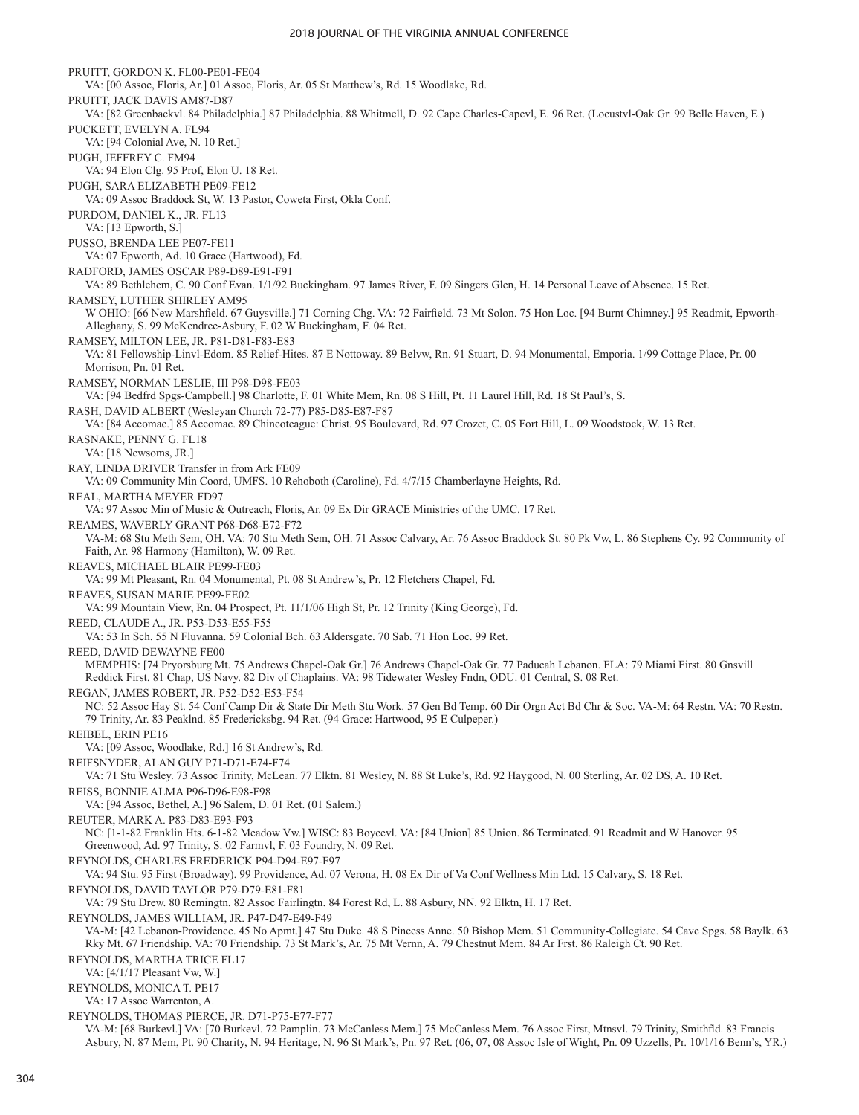PRUITT, GORDON K. FL00-PE01-FE04 VA: [00 Assoc, Floris, Ar.] 01 Assoc, Floris, Ar. 05 St Matthew's, Rd. 15 Woodlake, Rd. PRUITT, JACK DAVIS AM87-D87 VA: [82 Greenbackvl. 84 Philadelphia.] 87 Philadelphia. 88 Whitmell, D. 92 Cape Charles-Capevl, E. 96 Ret. (Locustvl-Oak Gr. 99 Belle Haven, E.) PUCKETT, EVELYN A. FL94 VA: [94 Colonial Ave, N. 10 Ret.] PUGH, JEFFREY C. FM94 VA: 94 Elon Clg. 95 Prof, Elon U. 18 Ret. PUGH, SARA ELIZABETH PE09-FE12 VA: 09 Assoc Braddock St, W. 13 Pastor, Coweta First, Okla Conf. PURDOM, DANIEL K., JR. FL13 VA: [13 Epworth, S.] PUSSO, BRENDA LEE PE07-FE11 VA: 07 Epworth, Ad. 10 Grace (Hartwood), Fd. RADFORD, JAMES OSCAR P89-D89-E91-F91 VA: 89 Bethlehem, C. 90 Conf Evan. 1/1/92 Buckingham. 97 James River, F. 09 Singers Glen, H. 14 Personal Leave of Absence. 15 Ret. RAMSEY, LUTHER SHIRLEY AM95 W OHIO: [66 New Marshfield. 67 Guysville.] 71 Corning Chg. VA: 72 Fairfield. 73 Mt Solon. 75 Hon Loc. [94 Burnt Chimney.] 95 Readmit, Epworth-Alleghany, S. 99 McKendree-Asbury, F. 02 W Buckingham, F. 04 Ret. RAMSEY, MILTON LEE, JR. P81-D81-F83-E83 VA: 81 Fellowship-Linvl-Edom. 85 Relief-Hites. 87 E Nottoway. 89 Belvw, Rn. 91 Stuart, D. 94 Monumental, Emporia. 1/99 Cottage Place, Pr. 00 Morrison, Pn. 01 Ret. RAMSEY, NORMAN LESLIE, III P98-D98-FE03 VA: [94 Bedfrd Spgs-Campbell.] 98 Charlotte, F. 01 White Mem, Rn. 08 S Hill, Pt. 11 Laurel Hill, Rd. 18 St Paul's, S. RASH, DAVID ALBERT (Wesleyan Church 72-77) P85-D85-E87-F87 VA: [84 Accomac.] 85 Accomac. 89 Chincoteague: Christ. 95 Boulevard, Rd. 97 Crozet, C. 05 Fort Hill, L. 09 Woodstock, W. 13 Ret. RASNAKE, PENNY G. FL18 VA: [18 Newsoms, JR.] RAY, LINDA DRIVER Transfer in from Ark FE09 VA: 09 Community Min Coord, UMFS. 10 Rehoboth (Caroline), Fd. 4/7/15 Chamberlayne Heights, Rd. REAL, MARTHA MEYER FD97 VA: 97 Assoc Min of Music & Outreach, Floris, Ar. 09 Ex Dir GRACE Ministries of the UMC. 17 Ret. REAMES, WAVERLY GRANT P68-D68-E72-F72 VA-M: 68 Stu Meth Sem, OH. VA: 70 Stu Meth Sem, OH. 71 Assoc Calvary, Ar. 76 Assoc Braddock St. 80 Pk Vw, L. 86 Stephens Cy. 92 Community of Faith, Ar. 98 Harmony (Hamilton), W. 09 Ret. REAVES, MICHAEL BLAIR PE99-FE03 VA: 99 Mt Pleasant, Rn. 04 Monumental, Pt. 08 St Andrew's, Pr. 12 Fletchers Chapel, Fd. REAVES, SUSAN MARIE PE99-FE02 VA: 99 Mountain View, Rn. 04 Prospect, Pt. 11/1/06 High St, Pr. 12 Trinity (King George), Fd. REED, CLAUDE A., JR. P53-D53-E55-F55 VA: 53 In Sch. 55 N Fluvanna. 59 Colonial Bch. 63 Aldersgate. 70 Sab. 71 Hon Loc. 99 Ret. REED, DAVID DEWAYNE FE00 MEMPHIS: [74 Pryorsburg Mt. 75 Andrews Chapel-Oak Gr.] 76 Andrews Chapel-Oak Gr. 77 Paducah Lebanon. FLA: 79 Miami First. 80 Gnsvill Reddick First. 81 Chap, US Navy. 82 Div of Chaplains. VA: 98 Tidewater Wesley Fndn, ODU. 01 Central, S. 08 Ret. REGAN, JAMES ROBERT, JR. P52-D52-E53-F54 NC: 52 Assoc Hay St. 54 Conf Camp Dir & State Dir Meth Stu Work. 57 Gen Bd Temp. 60 Dir Orgn Act Bd Chr & Soc. VA-M: 64 Restn. VA: 70 Restn. 79 Trinity, Ar. 83 Peaklnd. 85 Fredericksbg. 94 Ret. (94 Grace: Hartwood, 95 E Culpeper.) REIBEL, ERIN PE16 VA: [09 Assoc, Woodlake, Rd.] 16 St Andrew's, Rd. REIFSNYDER, ALAN GUY P71-D71-E74-F74 VA: 71 Stu Wesley. 73 Assoc Trinity, McLean. 77 Elktn. 81 Wesley, N. 88 St Luke's, Rd. 92 Haygood, N. 00 Sterling, Ar. 02 DS, A. 10 Ret. REISS, BONNIE ALMA P96-D96-E98-F98 VA: [94 Assoc, Bethel, A.] 96 Salem, D. 01 Ret. (01 Salem.) REUTER, MARK A. P83-D83-E93-F93 NC: [1-1-82 Franklin Hts. 6-1-82 Meadow Vw.] WISC: 83 Boycevl. VA: [84 Union] 85 Union. 86 Terminated. 91 Readmit and W Hanover. 95 Greenwood, Ad. 97 Trinity, S. 02 Farmvl, F. 03 Foundry, N. 09 Ret. REYNOLDS, CHARLES FREDERICK P94-D94-E97-F97 VA: 94 Stu. 95 First (Broadway). 99 Providence, Ad. 07 Verona, H. 08 Ex Dir of Va Conf Wellness Min Ltd. 15 Calvary, S. 18 Ret. REYNOLDS, DAVID TAYLOR P79-D79-E81-F81 VA: 79 Stu Drew. 80 Remingtn. 82 Assoc Fairlingtn. 84 Forest Rd, L. 88 Asbury, NN. 92 Elktn, H. 17 Ret. REYNOLDS, JAMES WILLIAM, JR. P47-D47-E49-F49 VA-M: [42 Lebanon-Providence. 45 No Apmt.] 47 Stu Duke. 48 S Pincess Anne. 50 Bishop Mem. 51 Community-Collegiate. 54 Cave Spgs. 58 Baylk. 63 Rky Mt. 67 Friendship. VA: 70 Friendship. 73 St Mark's, Ar. 75 Mt Vernn, A. 79 Chestnut Mem. 84 Ar Frst. 86 Raleigh Ct. 90 Ret. REYNOLDS, MARTHA TRICE FL17 VA: [4/1/17 Pleasant Vw, W.] REYNOLDS, MONICA T. PE17 VA: 17 Assoc Warrenton, A. REYNOLDS, THOMAS PIERCE, JR. D71-P75-E77-F77 VA-M: [68 Burkevl.] VA: [70 Burkevl. 72 Pamplin. 73 McCanless Mem.] 75 McCanless Mem. 76 Assoc First, Mtnsvl. 79 Trinity, Smithfld. 83 Francis Asbury, N. 87 Mem, Pt. 90 Charity, N. 94 Heritage, N. 96 St Mark's, Pn. 97 Ret. (06, 07, 08 Assoc Isle of Wight, Pn. 09 Uzzells, Pr. 10/1/16 Benn's, YR.)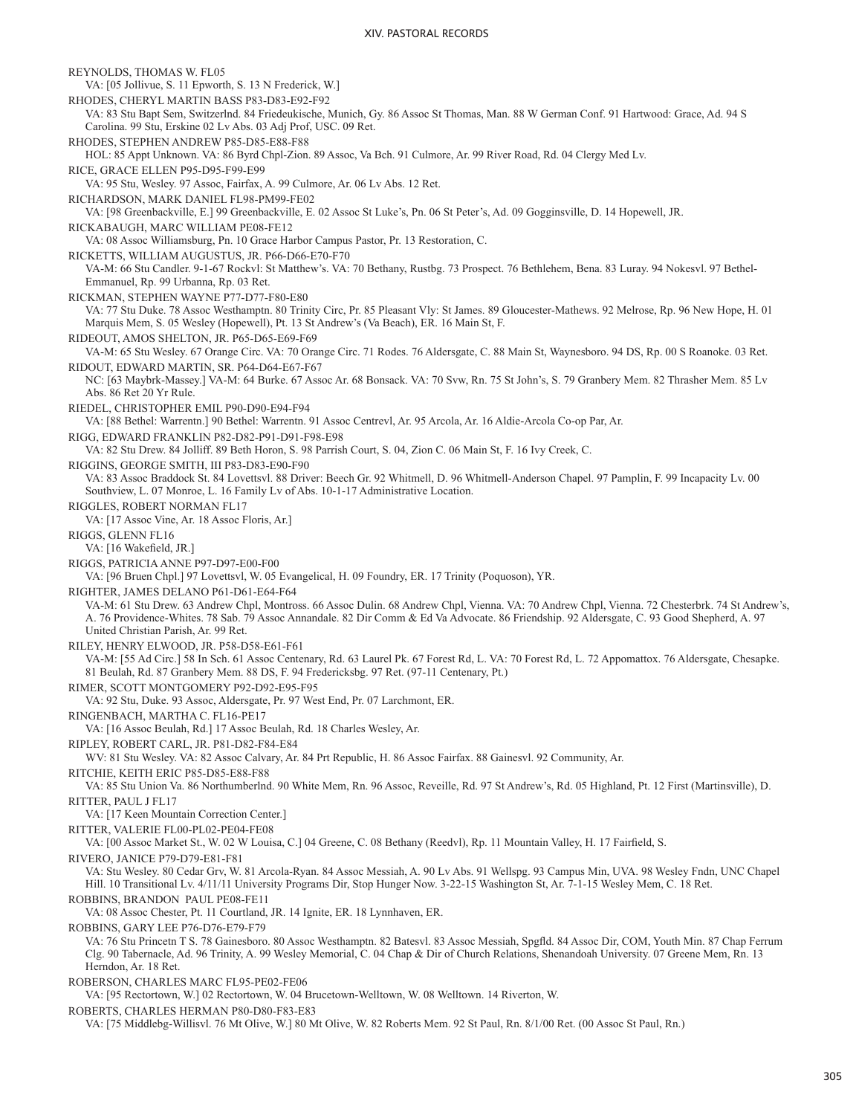REYNOLDS, THOMAS W. FL05 VA: [05 Jollivue, S. 11 Epworth, S. 13 N Frederick, W.] RHODES, CHERYL MARTIN BASS P83-D83-E92-F92 VA: 83 Stu Bapt Sem, Switzerlnd. 84 Friedeukische, Munich, Gy. 86 Assoc St Thomas, Man. 88 W German Conf. 91 Hartwood: Grace, Ad. 94 S Carolina. 99 Stu, Erskine 02 Lv Abs. 03 Adj Prof, USC. 09 Ret. RHODES, STEPHEN ANDREW P85-D85-E88-F88 HOL: 85 Appt Unknown. VA: 86 Byrd Chpl-Zion. 89 Assoc, Va Bch. 91 Culmore, Ar. 99 River Road, Rd. 04 Clergy Med Lv. RICE, GRACE ELLEN P95-D95-F99-E99 VA: 95 Stu, Wesley. 97 Assoc, Fairfax, A. 99 Culmore, Ar. 06 Lv Abs. 12 Ret. RICHARDSON, MARK DANIEL FL98-PM99-FE02 VA: [98 Greenbackville, E.] 99 Greenbackville, E. 02 Assoc St Luke's, Pn. 06 St Peter's, Ad. 09 Gogginsville, D. 14 Hopewell, JR. RICKABAUGH, MARC WILLIAM PE08-FE12 VA: 08 Assoc Williamsburg, Pn. 10 Grace Harbor Campus Pastor, Pr. 13 Restoration, C. RICKETTS, WILLIAM AUGUSTUS, JR. P66-D66-E70-F70 VA-M: 66 Stu Candler. 9-1-67 Rockvl: St Matthew's. VA: 70 Bethany, Rustbg. 73 Prospect. 76 Bethlehem, Bena. 83 Luray. 94 Nokesvl. 97 Bethel-Emmanuel, Rp. 99 Urbanna, Rp. 03 Ret. RICKMAN, STEPHEN WAYNE P77-D77-F80-E80 VA: 77 Stu Duke. 78 Assoc Westhamptn. 80 Trinity Circ, Pr. 85 Pleasant Vly: St James. 89 Gloucester-Mathews. 92 Melrose, Rp. 96 New Hope, H. 01 Marquis Mem, S. 05 Wesley (Hopewell), Pt. 13 St Andrew's (Va Beach), ER. 16 Main St, F. RIDEOUT, AMOS SHELTON, JR. P65-D65-E69-F69 VA-M: 65 Stu Wesley. 67 Orange Circ. VA: 70 Orange Circ. 71 Rodes. 76 Aldersgate, C. 88 Main St, Waynesboro. 94 DS, Rp. 00 S Roanoke. 03 Ret. RIDOUT, EDWARD MARTIN, SR. P64-D64-E67-F67 NC: [63 Maybrk-Massey.] VA-M: 64 Burke. 67 Assoc Ar. 68 Bonsack. VA: 70 Svw, Rn. 75 St John's, S. 79 Granbery Mem. 82 Thrasher Mem. 85 Lv Abs. 86 Ret 20 Yr Rule. RIEDEL, CHRISTOPHER EMIL P90-D90-E94-F94 VA: [88 Bethel: Warrentn.] 90 Bethel: Warrentn. 91 Assoc Centrevl, Ar. 95 Arcola, Ar. 16 Aldie-Arcola Co-op Par, Ar. RIGG, EDWARD FRANKLIN P82-D82-P91-D91-F98-E98 VA: 82 Stu Drew. 84 Jolliff. 89 Beth Horon, S. 98 Parrish Court, S. 04, Zion C. 06 Main St, F. 16 Ivy Creek, C. RIGGINS, GEORGE SMITH, III P83-D83-E90-F90 VA: 83 Assoc Braddock St. 84 Lovettsvl. 88 Driver: Beech Gr. 92 Whitmell, D. 96 Whitmell-Anderson Chapel. 97 Pamplin, F. 99 Incapacity Lv. 00 Southview, L. 07 Monroe, L. 16 Family Lv of Abs. 10-1-17 Administrative Location. RIGGLES, ROBERT NORMAN FL17 VA: [17 Assoc Vine, Ar. 18 Assoc Floris, Ar.] RIGGS, GLENN FL16 VA: [16 Wakefield, JR.] RIGGS, PATRICIA ANNE P97-D97-E00-F00 VA: [96 Bruen Chpl.] 97 Lovettsvl, W. 05 Evangelical, H. 09 Foundry, ER. 17 Trinity (Poquoson), YR. RIGHTER, JAMES DELANO P61-D61-E64-F64 VA-M: 61 Stu Drew. 63 Andrew Chpl, Montross. 66 Assoc Dulin. 68 Andrew Chpl, Vienna. VA: 70 Andrew Chpl, Vienna. 72 Chesterbrk. 74 St Andrew's, A. 76 Providence-Whites. 78 Sab. 79 Assoc Annandale. 82 Dir Comm & Ed Va Advocate. 86 Friendship. 92 Aldersgate, C. 93 Good Shepherd, A. 97 United Christian Parish, Ar. 99 Ret. RILEY, HENRY ELWOOD, JR. P58-D58-E61-F61 VA-M: [55 Ad Circ.] 58 In Sch. 61 Assoc Centenary, Rd. 63 Laurel Pk. 67 Forest Rd, L. VA: 70 Forest Rd, L. 72 Appomattox. 76 Aldersgate, Chesapke. 81 Beulah, Rd. 87 Granbery Mem. 88 DS, F. 94 Fredericksbg. 97 Ret. (97-11 Centenary, Pt.) RIMER, SCOTT MONTGOMERY P92-D92-E95-F95 VA: 92 Stu, Duke. 93 Assoc, Aldersgate, Pr. 97 West End, Pr. 07 Larchmont, ER. RINGENBACH, MARTHA C. FL16-PE17 VA: [16 Assoc Beulah, Rd.] 17 Assoc Beulah, Rd. 18 Charles Wesley, Ar. RIPLEY, ROBERT CARL, JR. P81-D82-F84-E84 WV: 81 Stu Wesley. VA: 82 Assoc Calvary, Ar. 84 Prt Republic, H. 86 Assoc Fairfax. 88 Gainesvl. 92 Community, Ar. RITCHIE, KEITH ERIC P85-D85-E88-F88 VA: 85 Stu Union Va. 86 Northumberlnd. 90 White Mem, Rn. 96 Assoc, Reveille, Rd. 97 St Andrew's, Rd. 05 Highland, Pt. 12 First (Martinsville), D. RITTER, PAUL J FL17 VA: [17 Keen Mountain Correction Center.] RITTER, VALERIE FL00-PL02-PE04-FE08 VA: [00 Assoc Market St., W. 02 W Louisa, C.] 04 Greene, C. 08 Bethany (Reedvl), Rp. 11 Mountain Valley, H. 17 Fairfield, S. RIVERO, JANICE P79-D79-E81-F81 VA: Stu Wesley. 80 Cedar Grv, W. 81 Arcola-Ryan. 84 Assoc Messiah, A. 90 Lv Abs. 91 Wellspg. 93 Campus Min, UVA. 98 Wesley Fndn, UNC Chapel Hill. 10 Transitional Lv. 4/11/11 University Programs Dir, Stop Hunger Now. 3-22-15 Washington St, Ar. 7-1-15 Wesley Mem, C. 18 Ret. ROBBINS, BRANDON PAUL PE08-FE11 VA: 08 Assoc Chester, Pt. 11 Courtland, JR. 14 Ignite, ER. 18 Lynnhaven, ER. ROBBINS, GARY LEE P76-D76-E79-F79 VA: 76 Stu Princetn T S. 78 Gainesboro. 80 Assoc Westhamptn. 82 Batesvl. 83 Assoc Messiah, Spgfld. 84 Assoc Dir, COM, Youth Min. 87 Chap Ferrum Clg. 90 Tabernacle, Ad. 96 Trinity, A. 99 Wesley Memorial, C. 04 Chap & Dir of Church Relations, Shenandoah University. 07 Greene Mem, Rn. 13 Herndon, Ar. 18 Ret. ROBERSON, CHARLES MARC FL95-PE02-FE06 VA: [95 Rectortown, W.] 02 Rectortown, W. 04 Brucetown-Welltown, W. 08 Welltown. 14 Riverton, W. ROBERTS, CHARLES HERMAN P80-D80-F83-E83 VA: [75 Middlebg-Willisvl. 76 Mt Olive, W.] 80 Mt Olive, W. 82 Roberts Mem. 92 St Paul, Rn. 8/1/00 Ret. (00 Assoc St Paul, Rn.)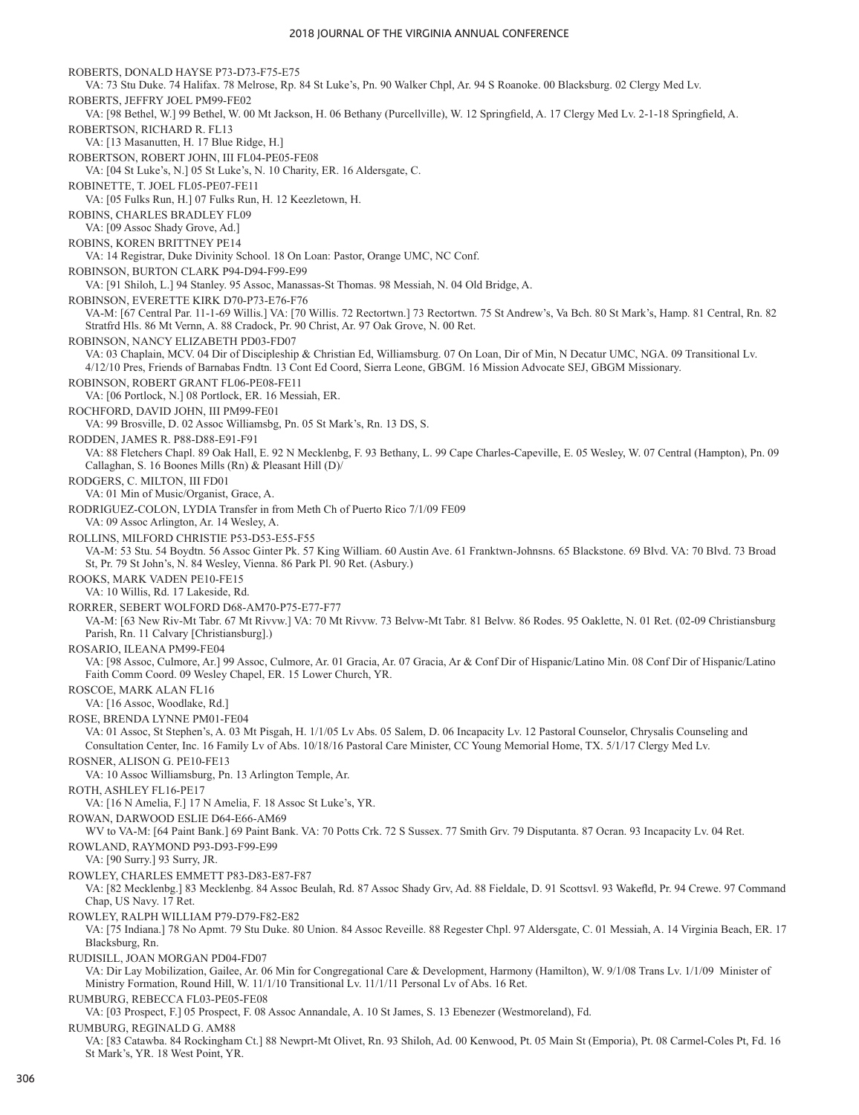ROBERTS, DONALD HAYSE P73-D73-F75-E75 VA: 73 Stu Duke. 74 Halifax. 78 Melrose, Rp. 84 St Luke's, Pn. 90 Walker Chpl, Ar. 94 S Roanoke. 00 Blacksburg. 02 Clergy Med Lv. ROBERTS, JEFFRY JOEL PM99-FE02 VA: [98 Bethel, W.] 99 Bethel, W. 00 Mt Jackson, H. 06 Bethany (Purcellville), W. 12 Springfield, A. 17 Clergy Med Lv. 2-1-18 Springfield, A. ROBERTSON, RICHARD R. FL13 VA: [13 Masanutten, H. 17 Blue Ridge, H.] ROBERTSON, ROBERT JOHN, III FL04-PE05-FE08 VA: [04 St Luke's, N.] 05 St Luke's, N. 10 Charity, ER. 16 Aldersgate, C. ROBINETTE, T. JOEL FL05-PE07-FE11 VA: [05 Fulks Run, H.] 07 Fulks Run, H. 12 Keezletown, H. ROBINS, CHARLES BRADLEY FL09 VA: [09 Assoc Shady Grove, Ad.] ROBINS, KOREN BRITTNEY PE14 VA: 14 Registrar, Duke Divinity School. 18 On Loan: Pastor, Orange UMC, NC Conf. ROBINSON, BURTON CLARK P94-D94-F99-E99 VA: [91 Shiloh, L.] 94 Stanley. 95 Assoc, Manassas-St Thomas. 98 Messiah, N. 04 Old Bridge, A. ROBINSON, EVERETTE KIRK D70-P73-E76-F76 VA-M: [67 Central Par. 11-1-69 Willis.] VA: [70 Willis. 72 Rectortwn.] 73 Rectortwn. 75 St Andrew's, Va Bch. 80 St Mark's, Hamp. 81 Central, Rn. 82 Stratfrd Hls. 86 Mt Vernn, A. 88 Cradock, Pr. 90 Christ, Ar. 97 Oak Grove, N. 00 Ret. ROBINSON, NANCY ELIZABETH PD03-FD07 VA: 03 Chaplain, MCV. 04 Dir of Discipleship & Christian Ed, Williamsburg. 07 On Loan, Dir of Min, N Decatur UMC, NGA. 09 Transitional Lv. 4/12/10 Pres, Friends of Barnabas Fndtn. 13 Cont Ed Coord, Sierra Leone, GBGM. 16 Mission Advocate SEJ, GBGM Missionary. ROBINSON, ROBERT GRANT FL06-PE08-FE11 VA: [06 Portlock, N.] 08 Portlock, ER. 16 Messiah, ER. ROCHFORD, DAVID JOHN, III PM99-FE01 VA: 99 Brosville, D. 02 Assoc Williamsbg, Pn. 05 St Mark's, Rn. 13 DS, S. RODDEN, JAMES R. P88-D88-E91-F91 VA: 88 Fletchers Chapl. 89 Oak Hall, E. 92 N Mecklenbg, F. 93 Bethany, L. 99 Cape Charles-Capeville, E. 05 Wesley, W. 07 Central (Hampton), Pn. 09 Callaghan, S. 16 Boones Mills (Rn) & Pleasant Hill (D)/ RODGERS, C. MILTON, III FD01 VA: 01 Min of Music/Organist, Grace, A. RODRIGUEZ-COLON, LYDIA Transfer in from Meth Ch of Puerto Rico 7/1/09 FE09 VA: 09 Assoc Arlington, Ar. 14 Wesley, A. ROLLINS, MILFORD CHRISTIE P53-D53-E55-F55 VA-M: 53 Stu. 54 Boydtn. 56 Assoc Ginter Pk. 57 King William. 60 Austin Ave. 61 Franktwn-Johnsns. 65 Blackstone. 69 Blvd. VA: 70 Blvd. 73 Broad St, Pr. 79 St John's, N. 84 Wesley, Vienna. 86 Park Pl. 90 Ret. (Asbury.) ROOKS, MARK VADEN PE10-FE15 VA: 10 Willis, Rd. 17 Lakeside, Rd. RORRER, SEBERT WOLFORD D68-AM70-P75-E77-F77 VA-M: [63 New Riv-Mt Tabr. 67 Mt Rivvw.] VA: 70 Mt Rivvw. 73 Belvw-Mt Tabr. 81 Belvw. 86 Rodes. 95 Oaklette, N. 01 Ret. (02-09 Christiansburg Parish, Rn. 11 Calvary [Christiansburg].) ROSARIO, ILEANA PM99-FE04 VA: [98 Assoc, Culmore, Ar.] 99 Assoc, Culmore, Ar. 01 Gracia, Ar. 07 Gracia, Ar & Conf Dir of Hispanic/Latino Min. 08 Conf Dir of Hispanic/Latino Faith Comm Coord. 09 Wesley Chapel, ER. 15 Lower Church, YR. ROSCOE, MARK ALAN FL16 VA: [16 Assoc, Woodlake, Rd.] ROSE, BRENDA LYNNE PM01-FE04 VA: 01 Assoc, St Stephen's, A. 03 Mt Pisgah, H. 1/1/05 Lv Abs. 05 Salem, D. 06 Incapacity Lv. 12 Pastoral Counselor, Chrysalis Counseling and Consultation Center, Inc. 16 Family Lv of Abs. 10/18/16 Pastoral Care Minister, CC Young Memorial Home, TX. 5/1/17 Clergy Med Lv. ROSNER, ALISON G. PE10-FE13 VA: 10 Assoc Williamsburg, Pn. 13 Arlington Temple, Ar. ROTH, ASHLEY FL16-PE17 VA: [16 N Amelia, F.] 17 N Amelia, F. 18 Assoc St Luke's, YR. ROWAN, DARWOOD ESLIE D64-E66-AM69 WV to VA-M: [64 Paint Bank.] 69 Paint Bank. VA: 70 Potts Crk. 72 S Sussex. 77 Smith Grv. 79 Disputanta. 87 Ocran. 93 Incapacity Lv. 04 Ret. ROWLAND, RAYMOND P93-D93-F99-E99 VA: [90 Surry.] 93 Surry, JR. ROWLEY, CHARLES EMMETT P83-D83-E87-F87 VA: [82 Mecklenbg.] 83 Mecklenbg. 84 Assoc Beulah, Rd. 87 Assoc Shady Grv, Ad. 88 Fieldale, D. 91 Scottsvl. 93 Wakefld, Pr. 94 Crewe. 97 Command Chap, US Navy. 17 Ret. ROWLEY, RALPH WILLIAM P79-D79-F82-E82 VA: [75 Indiana.] 78 No Apmt. 79 Stu Duke. 80 Union. 84 Assoc Reveille. 88 Regester Chpl. 97 Aldersgate, C. 01 Messiah, A. 14 Virginia Beach, ER. 17 Blacksburg, Rn. RUDISILL, JOAN MORGAN PD04-FD07 VA: Dir Lay Mobilization, Gailee, Ar. 06 Min for Congregational Care & Development, Harmony (Hamilton), W. 9/1/08 Trans Lv. 1/1/09 Minister of Ministry Formation, Round Hill, W. 11/1/10 Transitional Lv. 11/1/11 Personal Lv of Abs. 16 Ret. RUMBURG, REBECCA FL03-PE05-FE08 VA: [03 Prospect, F.] 05 Prospect, F. 08 Assoc Annandale, A. 10 St James, S. 13 Ebenezer (Westmoreland), Fd. RUMBURG, REGINALD G. AM88

VA: [83 Catawba. 84 Rockingham Ct.] 88 Newprt-Mt Olivet, Rn. 93 Shiloh, Ad. 00 Kenwood, Pt. 05 Main St (Emporia), Pt. 08 Carmel-Coles Pt, Fd. 16 St Mark's, YR. 18 West Point, YR.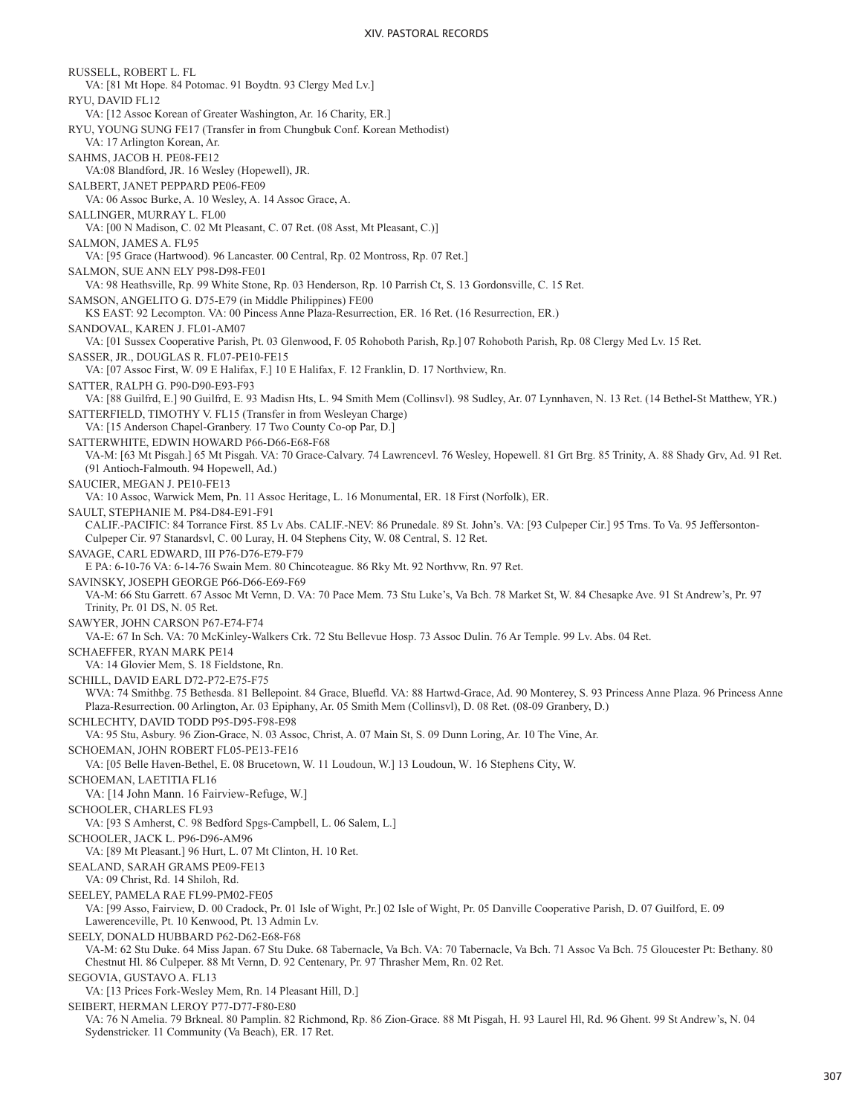RUSSELL, ROBERT L. FL VA: [81 Mt Hope. 84 Potomac. 91 Boydtn. 93 Clergy Med Lv.] RYU, DAVID FL12 VA: [12 Assoc Korean of Greater Washington, Ar. 16 Charity, ER.] RYU, YOUNG SUNG FE17 (Transfer in from Chungbuk Conf. Korean Methodist) VA: 17 Arlington Korean, Ar. SAHMS, JACOB H. PE08-FE12 VA:08 Blandford, JR. 16 Wesley (Hopewell), JR. SALBERT, JANET PEPPARD PE06-FE09 VA: 06 Assoc Burke, A. 10 Wesley, A. 14 Assoc Grace, A. SALLINGER, MURRAY L. FL00 VA: [00 N Madison, C. 02 Mt Pleasant, C. 07 Ret. (08 Asst, Mt Pleasant, C.)] SALMON, JAMES A. FL95 VA: [95 Grace (Hartwood). 96 Lancaster. 00 Central, Rp. 02 Montross, Rp. 07 Ret.] SALMON, SUE ANN ELY P98-D98-FE01 VA: 98 Heathsville, Rp. 99 White Stone, Rp. 03 Henderson, Rp. 10 Parrish Ct, S. 13 Gordonsville, C. 15 Ret. SAMSON, ANGELITO G. D75-E79 (in Middle Philippines) FE00 KS EAST: 92 Lecompton. VA: 00 Pincess Anne Plaza-Resurrection, ER. 16 Ret. (16 Resurrection, ER.) SANDOVAL, KAREN J. FL01-AM07 VA: [01 Sussex Cooperative Parish, Pt. 03 Glenwood, F. 05 Rohoboth Parish, Rp.] 07 Rohoboth Parish, Rp. 08 Clergy Med Lv. 15 Ret. SASSER, JR., DOUGLAS R. FL07-PE10-FE15 VA: [07 Assoc First, W. 09 E Halifax, F.] 10 E Halifax, F. 12 Franklin, D. 17 Northview, Rn. SATTER, RALPH G. P90-D90-E93-F93 VA: [88 Guilfrd, E.] 90 Guilfrd, E. 93 Madisn Hts, L. 94 Smith Mem (Collinsvl). 98 Sudley, Ar. 07 Lynnhaven, N. 13 Ret. (14 Bethel-St Matthew, YR.) SATTERFIELD, TIMOTHY V. FL15 (Transfer in from Wesleyan Charge) VA: [15 Anderson Chapel-Granbery. 17 Two County Co-op Par, D.] SATTERWHITE, EDWIN HOWARD P66-D66-E68-F68 VA-M: [63 Mt Pisgah.] 65 Mt Pisgah. VA: 70 Grace-Calvary. 74 Lawrencevl. 76 Wesley, Hopewell. 81 Grt Brg. 85 Trinity, A. 88 Shady Grv, Ad. 91 Ret. (91 Antioch-Falmouth. 94 Hopewell, Ad.) SAUCIER, MEGAN J. PE10-FE13 VA: 10 Assoc, Warwick Mem, Pn. 11 Assoc Heritage, L. 16 Monumental, ER. 18 First (Norfolk), ER. SAULT, STEPHANIE M. P84-D84-E91-F91 CALIF.-PACIFIC: 84 Torrance First. 85 Lv Abs. CALIF.-NEV: 86 Prunedale. 89 St. John's. VA: [93 Culpeper Cir.] 95 Trns. To Va. 95 Jeffersonton-Culpeper Cir. 97 Stanardsvl, C. 00 Luray, H. 04 Stephens City, W. 08 Central, S. 12 Ret. SAVAGE, CARL EDWARD, III P76-D76-E79-F79 E PA: 6-10-76 VA: 6-14-76 Swain Mem. 80 Chincoteague. 86 Rky Mt. 92 Northvw, Rn. 97 Ret. SAVINSKY, JOSEPH GEORGE P66-D66-E69-F69 VA-M: 66 Stu Garrett. 67 Assoc Mt Vernn, D. VA: 70 Pace Mem. 73 Stu Luke's, Va Bch. 78 Market St, W. 84 Chesapke Ave. 91 St Andrew's, Pr. 97 Trinity, Pr. 01 DS, N. 05 Ret. SAWYER, JOHN CARSON P67-E74-F74 VA-E: 67 In Sch. VA: 70 McKinley-Walkers Crk. 72 Stu Bellevue Hosp. 73 Assoc Dulin. 76 Ar Temple. 99 Lv. Abs. 04 Ret. SCHAEFFER, RYAN MARK PE14 VA: 14 Glovier Mem, S. 18 Fieldstone, Rn. SCHILL, DAVID EARL D72-P72-E75-F75 WVA: 74 Smithbg. 75 Bethesda. 81 Bellepoint. 84 Grace, Bluefld. VA: 88 Hartwd-Grace, Ad. 90 Monterey, S. 93 Princess Anne Plaza. 96 Princess Anne Plaza-Resurrection. 00 Arlington, Ar. 03 Epiphany, Ar. 05 Smith Mem (Collinsvl), D. 08 Ret. (08-09 Granbery, D.) SCHLECHTY, DAVID TODD P95-D95-F98-E98 VA: 95 Stu, Asbury. 96 Zion-Grace, N. 03 Assoc, Christ, A. 07 Main St, S. 09 Dunn Loring, Ar. 10 The Vine, Ar. SCHOEMAN, JOHN ROBERT FL05-PE13-FE16 VA: [05 Belle Haven-Bethel, E. 08 Brucetown, W. 11 Loudoun, W.] 13 Loudoun, W. 16 Stephens City, W. SCHOEMAN, LAETITIA FL16 VA: [14 John Mann. 16 Fairview-Refuge, W.] SCHOOLER, CHARLES FL93 VA: [93 S Amherst, C. 98 Bedford Spgs-Campbell, L. 06 Salem, L.] SCHOOLER, JACK L. P96-D96-AM96 VA: [89 Mt Pleasant.] 96 Hurt, L. 07 Mt Clinton, H. 10 Ret. SEALAND, SARAH GRAMS PE09-FE13 VA: 09 Christ, Rd. 14 Shiloh, Rd. SEELEY, PAMELA RAE FL99-PM02-FE05 VA: [99 Asso, Fairview, D. 00 Cradock, Pr. 01 Isle of Wight, Pr.] 02 Isle of Wight, Pr. 05 Danville Cooperative Parish, D. 07 Guilford, E. 09 Lawerenceville, Pt. 10 Kenwood, Pt. 13 Admin Lv. SEELY, DONALD HUBBARD P62-D62-E68-F68 VA-M: 62 Stu Duke. 64 Miss Japan. 67 Stu Duke. 68 Tabernacle, Va Bch. VA: 70 Tabernacle, Va Bch. 71 Assoc Va Bch. 75 Gloucester Pt: Bethany. 80 Chestnut Hl. 86 Culpeper. 88 Mt Vernn, D. 92 Centenary, Pr. 97 Thrasher Mem, Rn. 02 Ret. SEGOVIA, GUSTAVO A. FL13 VA: [13 Prices Fork-Wesley Mem, Rn. 14 Pleasant Hill, D.] SEIBERT, HERMAN LEROY P77-D77-F80-E80 VA: 76 N Amelia. 79 Brkneal. 80 Pamplin. 82 Richmond, Rp. 86 Zion-Grace. 88 Mt Pisgah, H. 93 Laurel Hl, Rd. 96 Ghent. 99 St Andrew's, N. 04 Sydenstricker. 11 Community (Va Beach), ER. 17 Ret.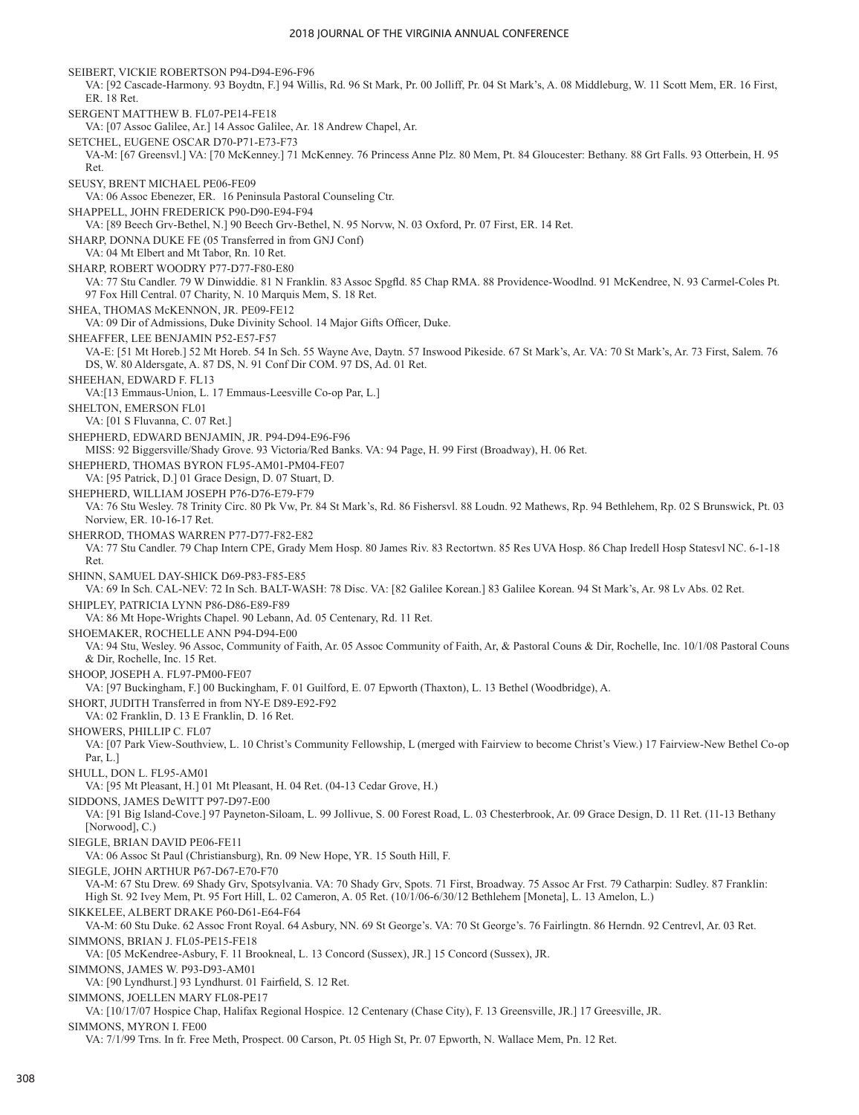SEIBERT, VICKIE ROBERTSON P94-D94-E96-F96 VA: [92 Cascade-Harmony. 93 Boydtn, F.] 94 Willis, Rd. 96 St Mark, Pr. 00 Jolliff, Pr. 04 St Mark's, A. 08 Middleburg, W. 11 Scott Mem, ER. 16 First, ER. 18 Ret. SERGENT MATTHEW B. FL07-PE14-FE18 VA: [07 Assoc Galilee, Ar.] 14 Assoc Galilee, Ar. 18 Andrew Chapel, Ar. SETCHEL, EUGENE OSCAR D70-P71-E73-F73 VA-M: [67 Greensvl.] VA: [70 McKenney.] 71 McKenney. 76 Princess Anne Plz. 80 Mem, Pt. 84 Gloucester: Bethany. 88 Grt Falls. 93 Otterbein, H. 95 Ret. SEUSY, BRENT MICHAEL PE06-FE09 VA: 06 Assoc Ebenezer, ER. 16 Peninsula Pastoral Counseling Ctr. SHAPPELL, JOHN FREDERICK P90-D90-E94-F94 VA: [89 Beech Grv-Bethel, N.] 90 Beech Grv-Bethel, N. 95 Norvw, N. 03 Oxford, Pr. 07 First, ER. 14 Ret. SHARP, DONNA DUKE FE (05 Transferred in from GNJ Conf) VA: 04 Mt Elbert and Mt Tabor, Rn. 10 Ret. SHARP, ROBERT WOODRY P77-D77-F80-E80 VA: 77 Stu Candler. 79 W Dinwiddie. 81 N Franklin. 83 Assoc Spgfld. 85 Chap RMA. 88 Providence-Woodlnd. 91 McKendree, N. 93 Carmel-Coles Pt. 97 Fox Hill Central. 07 Charity, N. 10 Marquis Mem, S. 18 Ret. SHEA, THOMAS McKENNON, JR. PE09-FE12 VA: 09 Dir of Admissions, Duke Divinity School. 14 Major Gifts Officer, Duke. SHEAFFER, LEE BENJAMIN P52-E57-F57 VA-E: [51 Mt Horeb.] 52 Mt Horeb. 54 In Sch. 55 Wayne Ave, Daytn. 57 Inswood Pikeside. 67 St Mark's, Ar. VA: 70 St Mark's, Ar. 73 First, Salem. 76 DS, W. 80 Aldersgate, A. 87 DS, N. 91 Conf Dir COM. 97 DS, Ad. 01 Ret. SHEEHAN, EDWARD F. FL13 VA:[13 Emmaus-Union, L. 17 Emmaus-Leesville Co-op Par, L.] SHELTON, EMERSON FL01 VA: [01 S Fluvanna, C. 07 Ret.] SHEPHERD, EDWARD BENJAMIN, JR. P94-D94-E96-F96 MISS: 92 Biggersville/Shady Grove. 93 Victoria/Red Banks. VA: 94 Page, H. 99 First (Broadway), H. 06 Ret. SHEPHERD, THOMAS BYRON FL95-AM01-PM04-FE07 VA: [95 Patrick, D.] 01 Grace Design, D. 07 Stuart, D. SHEPHERD, WILLIAM JOSEPH P76-D76-E79-F79 VA: 76 Stu Wesley. 78 Trinity Circ. 80 Pk Vw, Pr. 84 St Mark's, Rd. 86 Fishersvl. 88 Loudn. 92 Mathews, Rp. 94 Bethlehem, Rp. 02 S Brunswick, Pt. 03 Norview, ER. 10-16-17 Ret. SHERROD, THOMAS WARREN P77-D77-F82-E82 VA: 77 Stu Candler. 79 Chap Intern CPE, Grady Mem Hosp. 80 James Riv. 83 Rectortwn. 85 Res UVA Hosp. 86 Chap Iredell Hosp Statesvl NC. 6-1-18 Ret. SHINN, SAMUEL DAY-SHICK D69-P83-F85-E85 VA: 69 In Sch. CAL-NEV: 72 In Sch. BALT-WASH: 78 Disc. VA: [82 Galilee Korean.] 83 Galilee Korean. 94 St Mark's, Ar. 98 Lv Abs. 02 Ret. SHIPLEY, PATRICIA LYNN P86-D86-E89-F89 VA: 86 Mt Hope-Wrights Chapel. 90 Lebann, Ad. 05 Centenary, Rd. 11 Ret. SHOEMAKER, ROCHELLE ANN P94-D94-E00 VA: 94 Stu, Wesley. 96 Assoc, Community of Faith, Ar. 05 Assoc Community of Faith, Ar, & Pastoral Couns & Dir, Rochelle, Inc. 10/1/08 Pastoral Couns & Dir, Rochelle, Inc. 15 Ret. SHOOP, JOSEPH A. FL97-PM00-FE07 VA: [97 Buckingham, F.] 00 Buckingham, F. 01 Guilford, E. 07 Epworth (Thaxton), L. 13 Bethel (Woodbridge), A. SHORT, JUDITH Transferred in from NY-E D89-E92-F92 VA: 02 Franklin, D. 13 E Franklin, D. 16 Ret. SHOWERS, PHILLIP C. FL07 VA: [07 Park View-Southview, L. 10 Christ's Community Fellowship, L (merged with Fairview to become Christ's View.) 17 Fairview-New Bethel Co-op Par, L.] SHULL, DON L. FL95-AM01 VA: [95 Mt Pleasant, H.] 01 Mt Pleasant, H. 04 Ret. (04-13 Cedar Grove, H.) SIDDONS, JAMES DeWITT P97-D97-E00 VA: [91 Big Island-Cove.] 97 Payneton-Siloam, L. 99 Jollivue, S. 00 Forest Road, L. 03 Chesterbrook, Ar. 09 Grace Design, D. 11 Ret. (11-13 Bethany [Norwood], C.) SIEGLE, BRIAN DAVID PE06-FE11 VA: 06 Assoc St Paul (Christiansburg), Rn. 09 New Hope, YR. 15 South Hill, F. SIEGLE, JOHN ARTHUR P67-D67-E70-E70 VA-M: 67 Stu Drew. 69 Shady Grv, Spotsylvania. VA: 70 Shady Grv, Spots. 71 First, Broadway. 75 Assoc Ar Frst. 79 Catharpin: Sudley. 87 Franklin: High St. 92 Ivey Mem, Pt. 95 Fort Hill, L. 02 Cameron, A. 05 Ret. (10/1/06-6/30/12 Bethlehem [Moneta], L. 13 Amelon, L.) SIKKELEE, ALBERT DRAKE P60-D61-E64-F64 VA-M: 60 Stu Duke. 62 Assoc Front Royal. 64 Asbury, NN. 69 St George's. VA: 70 St George's. 76 Fairlingtn. 86 Herndn. 92 Centrevl, Ar. 03 Ret. SIMMONS, BRIAN J. FL05-PE15-FE18 VA: [05 McKendree-Asbury, F. 11 Brookneal, L. 13 Concord (Sussex), JR.] 15 Concord (Sussex), JR. SIMMONS, JAMES W. P93-D93-AM01 VA: [90 Lyndhurst.] 93 Lyndhurst. 01 Fairfield, S. 12 Ret. SIMMONS, JOELLEN MARY FL08-PE17 VA: [10/17/07 Hospice Chap, Halifax Regional Hospice. 12 Centenary (Chase City), F. 13 Greensville, JR.] 17 Greesville, JR. SIMMONS, MYRON I. FE00

VA: 7/1/99 Trns. In fr. Free Meth, Prospect. 00 Carson, Pt. 05 High St, Pr. 07 Epworth, N. Wallace Mem, Pn. 12 Ret.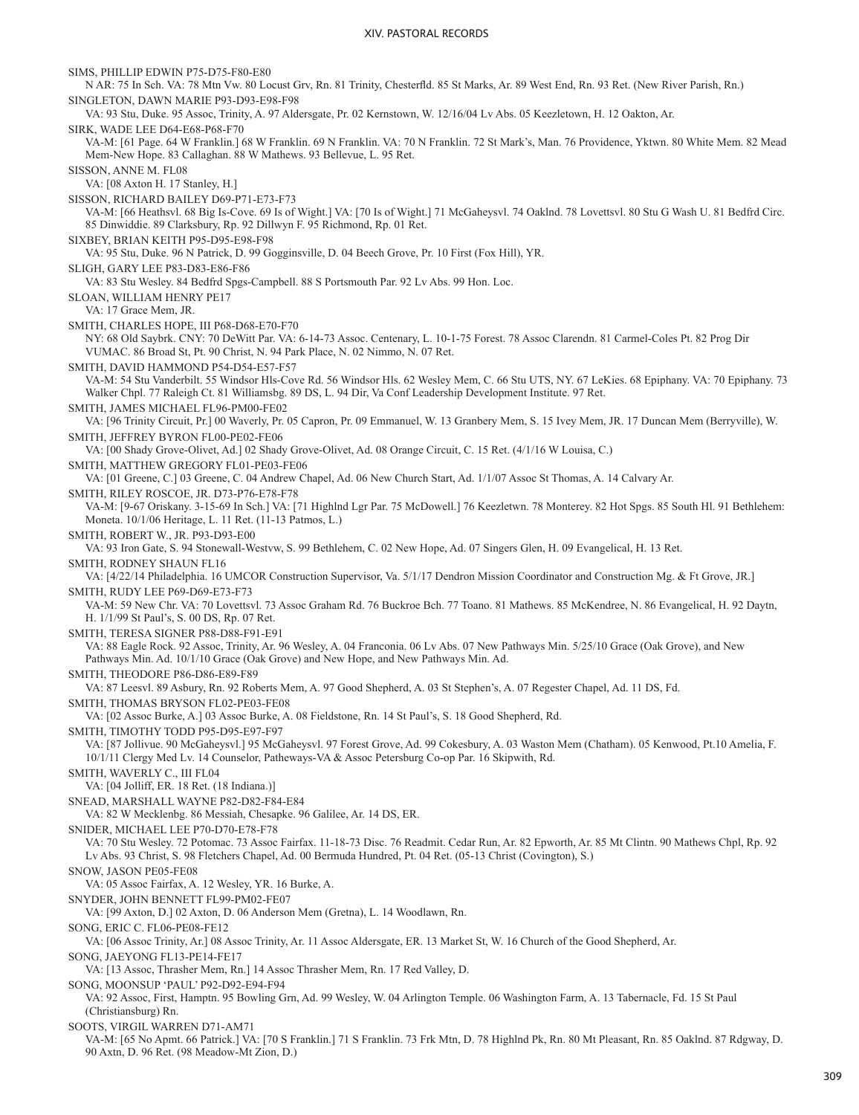SIMS, PHILLIP EDWIN P75-D75-F80-E80 N AR: 75 In Sch. VA: 78 Mtn Vw. 80 Locust Grv, Rn. 81 Trinity, Chesterfld. 85 St Marks, Ar. 89 West End, Rn. 93 Ret. (New River Parish, Rn.) SINGLETON, DAWN MARIE P93-D93-E98-F98 VA: 93 Stu, Duke. 95 Assoc, Trinity, A. 97 Aldersgate, Pr. 02 Kernstown, W. 12/16/04 Lv Abs. 05 Keezletown, H. 12 Oakton, Ar. SIRK, WADE LEE D64-E68-P68-F70 VA-M: [61 Page. 64 W Franklin.] 68 W Franklin. 69 N Franklin. VA: 70 N Franklin. 72 St Mark's, Man. 76 Providence, Yktwn. 80 White Mem. 82 Mead Mem-New Hope. 83 Callaghan. 88 W Mathews. 93 Bellevue, L. 95 Ret. SISSON, ANNE M. FL08 VA: [08 Axton H. 17 Stanley, H.] SISSON, RICHARD BAILEY D69-P71-E73-F73 VA-M: [66 Heathsvl. 68 Big Is-Cove. 69 Is of Wight.] VA: [70 Is of Wight.] 71 McGaheysvl. 74 Oaklnd. 78 Lovettsvl. 80 Stu G Wash U. 81 Bedfrd Circ. 85 Dinwiddie. 89 Clarksbury, Rp. 92 Dillwyn F. 95 Richmond, Rp. 01 Ret. SIXBEY, BRIAN KEITH P95-D95-E98-F98 VA: 95 Stu, Duke. 96 N Patrick, D. 99 Gogginsville, D. 04 Beech Grove, Pr. 10 First (Fox Hill), YR. SLIGH, GARY LEE P83-D83-E86-F86 VA: 83 Stu Wesley. 84 Bedfrd Spgs-Campbell. 88 S Portsmouth Par. 92 Lv Abs. 99 Hon. Loc. SLOAN, WILLIAM HENRY PE17 VA: 17 Grace Mem, JR. SMITH, CHARLES HOPE, III P68-D68-E70-F70 NY: 68 Old Saybrk. CNY: 70 DeWitt Par. VA: 6-14-73 Assoc. Centenary, L. 10-1-75 Forest. 78 Assoc Clarendn. 81 Carmel-Coles Pt. 82 Prog Dir VUMAC. 86 Broad St, Pt. 90 Christ, N. 94 Park Place, N. 02 Nimmo, N. 07 Ret. SMITH, DAVID HAMMOND P54-D54-E57-F57 VA-M: 54 Stu Vanderbilt. 55 Windsor Hls-Cove Rd. 56 Windsor Hls. 62 Wesley Mem, C. 66 Stu UTS, NY. 67 LeKies. 68 Epiphany. VA: 70 Epiphany. 73 Walker Chpl. 77 Raleigh Ct. 81 Williamsbg. 89 DS, L. 94 Dir, Va Conf Leadership Development Institute. 97 Ret. SMITH, JAMES MICHAEL FL96-PM00-FE02 VA: [96 Trinity Circuit, Pr.] 00 Waverly, Pr. 05 Capron, Pr. 09 Emmanuel, W. 13 Granbery Mem, S. 15 Ivey Mem, JR. 17 Duncan Mem (Berryville), W. SMITH, JEFFREY BYRON FL00-PE02-FE06 VA: [00 Shady Grove-Olivet, Ad.] 02 Shady Grove-Olivet, Ad. 08 Orange Circuit, C. 15 Ret. (4/1/16 W Louisa, C.) SMITH, MATTHEW GREGORY FL01-PE03-FE06 VA: [01 Greene, C.] 03 Greene, C. 04 Andrew Chapel, Ad. 06 New Church Start, Ad. 1/1/07 Assoc St Thomas, A. 14 Calvary Ar. SMITH, RILEY ROSCOE, JR. D73-P76-E78-F78 VA-M: [9-67 Oriskany. 3-15-69 In Sch.] VA: [71 Highlnd Lgr Par. 75 McDowell.] 76 Keezletwn. 78 Monterey. 82 Hot Spgs. 85 South Hl. 91 Bethlehem: Moneta. 10/1/06 Heritage, L. 11 Ret. (11-13 Patmos, L.) SMITH, ROBERT W., JR. P93-D93-E00 VA: 93 Iron Gate, S. 94 Stonewall-Westvw, S. 99 Bethlehem, C. 02 New Hope, Ad. 07 Singers Glen, H. 09 Evangelical, H. 13 Ret. SMITH, RODNEY SHAUN FL16 VA: [4/22/14 Philadelphia. 16 UMCOR Construction Supervisor, Va. 5/1/17 Dendron Mission Coordinator and Construction Mg. & Ft Grove, JR.] SMITH, RUDY LEE P69-D69-E73-F73 VA-M: 59 New Chr. VA: 70 Lovettsvl. 73 Assoc Graham Rd. 76 Buckroe Bch. 77 Toano. 81 Mathews. 85 McKendree, N. 86 Evangelical, H. 92 Daytn, H. 1/1/99 St Paul's, S. 00 DS, Rp. 07 Ret. SMITH, TERESA SIGNER P88-D88-F91-E91 VA: 88 Eagle Rock. 92 Assoc, Trinity, Ar. 96 Wesley, A. 04 Franconia. 06 Lv Abs. 07 New Pathways Min. 5/25/10 Grace (Oak Grove), and New Pathways Min. Ad. 10/1/10 Grace (Oak Grove) and New Hope, and New Pathways Min. Ad. SMITH, THEODORE P86-D86-E89-F89 VA: 87 Leesvl. 89 Asbury, Rn. 92 Roberts Mem, A. 97 Good Shepherd, A. 03 St Stephen's, A. 07 Regester Chapel, Ad. 11 DS, Fd. SMITH, THOMAS BRYSON FL02-PE03-FE08 VA: [02 Assoc Burke, A.] 03 Assoc Burke, A. 08 Fieldstone, Rn. 14 St Paul's, S. 18 Good Shepherd, Rd. SMITH, TIMOTHY TODD P95-D95-E97-F97 VA: [87 Jollivue. 90 McGaheysvl.] 95 McGaheysvl. 97 Forest Grove, Ad. 99 Cokesbury, A. 03 Waston Mem (Chatham). 05 Kenwood, Pt.10 Amelia, F. 10/1/11 Clergy Med Lv. 14 Counselor, Patheways-VA & Assoc Petersburg Co-op Par. 16 Skipwith, Rd. SMITH, WAVERLY C., III FL04 VA: [04 Jolliff, ER. 18 Ret. (18 Indiana.)] SNEAD, MARSHALL WAYNE P82-D82-F84-E84 VA: 82 W Mecklenbg. 86 Messiah, Chesapke. 96 Galilee, Ar. 14 DS, ER. SNIDER, MICHAEL LEE P70-D70-E78-F78 VA: 70 Stu Wesley. 72 Potomac. 73 Assoc Fairfax. 11-18-73 Disc. 76 Readmit. Cedar Run, Ar. 82 Epworth, Ar. 85 Mt Clintn. 90 Mathews Chpl, Rp. 92 Lv Abs. 93 Christ, S. 98 Fletchers Chapel, Ad. 00 Bermuda Hundred, Pt. 04 Ret. (05-13 Christ (Covington), S.) SNOW, JASON PE05-FE08 VA: 05 Assoc Fairfax, A. 12 Wesley, YR. 16 Burke, A. SNYDER, JOHN BENNETT FL99-PM02-FE07 VA: [99 Axton, D.] 02 Axton, D. 06 Anderson Mem (Gretna), L. 14 Woodlawn, Rn. SONG, ERIC C. FL06-PE08-FE12 VA: [06 Assoc Trinity, Ar.] 08 Assoc Trinity, Ar. 11 Assoc Aldersgate, ER. 13 Market St, W. 16 Church of the Good Shepherd, Ar. SONG, JAEYONG FL13-PE14-FE17 VA: [13 Assoc, Thrasher Mem, Rn.] 14 Assoc Thrasher Mem, Rn. 17 Red Valley, D. SONG, MOONSUP 'PAUL' P92-D92-E94-F94 VA: 92 Assoc, First, Hamptn. 95 Bowling Grn, Ad. 99 Wesley, W. 04 Arlington Temple. 06 Washington Farm, A. 13 Tabernacle, Fd. 15 St Paul (Christiansburg) Rn. SOOTS, VIRGIL WARREN D71-AM71 VA-M: [65 No Apmt. 66 Patrick.] VA: [70 S Franklin.] 71 S Franklin. 73 Frk Mtn, D. 78 Highlnd Pk, Rn. 80 Mt Pleasant, Rn. 85 Oaklnd. 87 Rdgway, D. 90 Axtn, D. 96 Ret. (98 Meadow-Mt Zion, D.)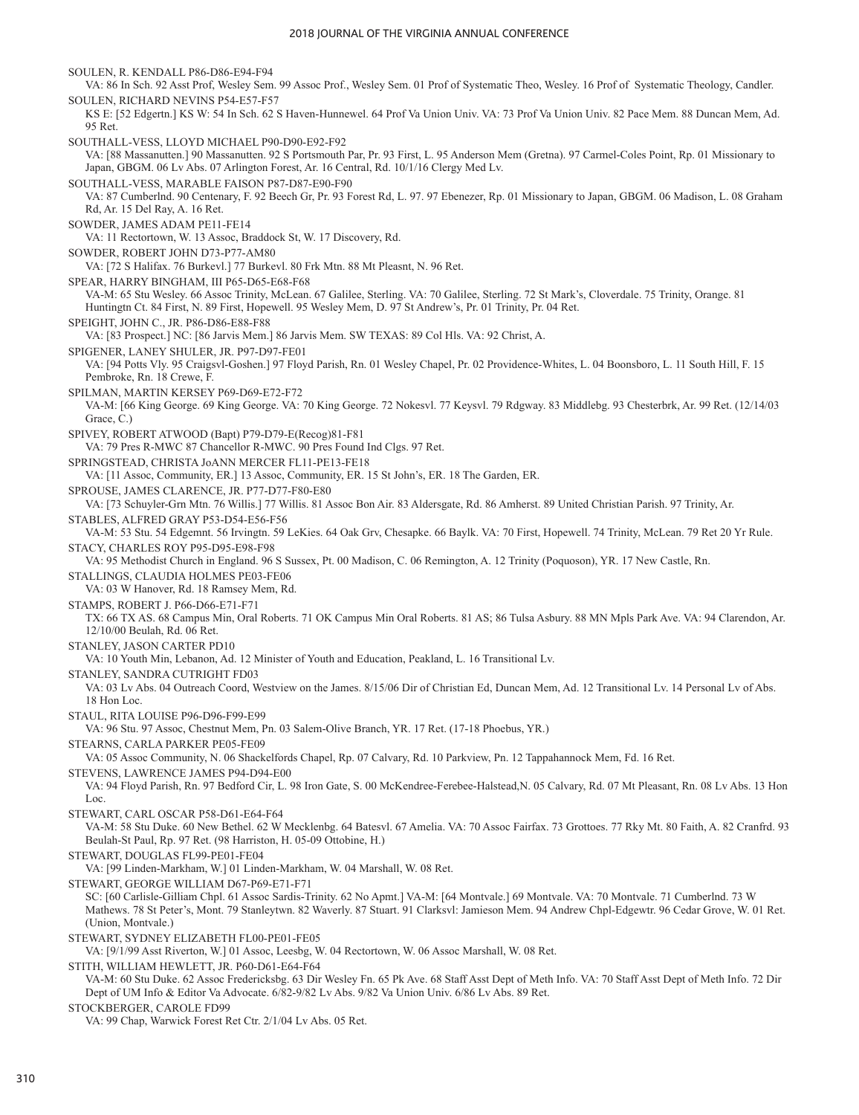SOULEN, R. KENDALL P86-D86-E94-F94 VA: 86 In Sch. 92 Asst Prof, Wesley Sem. 99 Assoc Prof., Wesley Sem. 01 Prof of Systematic Theo, Wesley. 16 Prof of Systematic Theology, Candler. SOULEN, RICHARD NEVINS P54-E57-F57 KS E: [52 Edgertn.] KS W: 54 In Sch. 62 S Haven-Hunnewel. 64 Prof Va Union Univ. VA: 73 Prof Va Union Univ. 82 Pace Mem. 88 Duncan Mem, Ad. 95 Ret. SOUTHALL-VESS, LLOYD MICHAEL P90-D90-E92-F92 VA: [88 Massanutten.] 90 Massanutten. 92 S Portsmouth Par, Pr. 93 First, L. 95 Anderson Mem (Gretna). 97 Carmel-Coles Point, Rp. 01 Missionary to Japan, GBGM. 06 Lv Abs. 07 Arlington Forest, Ar. 16 Central, Rd. 10/1/16 Clergy Med Lv. SOUTHALL-VESS, MARABLE FAISON P87-D87-E90-F90 VA: 87 Cumberlnd. 90 Centenary, F. 92 Beech Gr, Pr. 93 Forest Rd, L. 97. 97 Ebenezer, Rp. 01 Missionary to Japan, GBGM. 06 Madison, L. 08 Graham Rd, Ar. 15 Del Ray, A. 16 Ret. SOWDER, JAMES ADAM PE11-FE14 VA: 11 Rectortown, W. 13 Assoc, Braddock St, W. 17 Discovery, Rd. SOWDER, ROBERT JOHN D73-P77-AM80 VA: [72 S Halifax. 76 Burkevl.] 77 Burkevl. 80 Frk Mtn. 88 Mt Pleasnt, N. 96 Ret. SPEAR, HARRY BINGHAM, III P65-D65-E68-F68 VA-M: 65 Stu Wesley. 66 Assoc Trinity, McLean. 67 Galilee, Sterling. VA: 70 Galilee, Sterling. 72 St Mark's, Cloverdale. 75 Trinity, Orange. 81 Huntingtn Ct. 84 First, N. 89 First, Hopewell. 95 Wesley Mem, D. 97 St Andrew's, Pr. 01 Trinity, Pr. 04 Ret. SPEIGHT, JOHN C., JR. P86-D86-E88-F88 VA: [83 Prospect.] NC: [86 Jarvis Mem.] 86 Jarvis Mem. SW TEXAS: 89 Col Hls. VA: 92 Christ, A. SPIGENER, LANEY SHULER, JR. P97-D97-FE01 VA: [94 Potts Vly. 95 Craigsvl-Goshen.] 97 Floyd Parish, Rn. 01 Wesley Chapel, Pr. 02 Providence-Whites, L. 04 Boonsboro, L. 11 South Hill, F. 15 Pembroke, Rn. 18 Crewe, F. SPILMAN, MARTIN KERSEY P69-D69-E72-F72 VA-M: [66 King George. 69 King George. VA: 70 King George. 72 Nokesvl. 77 Keysvl. 79 Rdgway. 83 Middlebg. 93 Chesterbrk, Ar. 99 Ret. (12/14/03 Grace, C.) SPIVEY, ROBERT ATWOOD (Bapt) P79-D79-E(Recog)81-F81 VA: 79 Pres R-MWC 87 Chancellor R-MWC. 90 Pres Found Ind Clgs. 97 Ret. SPRINGSTEAD, CHRISTA JoANN MERCER FL11-PE13-FE18 VA: [11 Assoc, Community, ER.] 13 Assoc, Community, ER. 15 St John's, ER. 18 The Garden, ER. SPROUSE, JAMES CLARENCE, JR. P77-D77-F80-E80 VA: [73 Schuyler-Grn Mtn. 76 Willis.] 77 Willis. 81 Assoc Bon Air. 83 Aldersgate, Rd. 86 Amherst. 89 United Christian Parish. 97 Trinity, Ar. STABLES, ALFRED GRAY P53-D54-E56-F56 VA-M: 53 Stu. 54 Edgemnt. 56 Irvingtn. 59 LeKies. 64 Oak Grv, Chesapke. 66 Baylk. VA: 70 First, Hopewell. 74 Trinity, McLean. 79 Ret 20 Yr Rule. STACY, CHARLES ROY P95-D95-E98-F98 VA: 95 Methodist Church in England. 96 S Sussex, Pt. 00 Madison, C. 06 Remington, A. 12 Trinity (Poquoson), YR. 17 New Castle, Rn. STALLINGS, CLAUDIA HOLMES PE03-FE06 VA: 03 W Hanover, Rd. 18 Ramsey Mem, Rd. STAMPS, ROBERT J. P66-D66-E71-F71 TX: 66 TX AS. 68 Campus Min, Oral Roberts. 71 OK Campus Min Oral Roberts. 81 AS; 86 Tulsa Asbury. 88 MN Mpls Park Ave. VA: 94 Clarendon, Ar. 12/10/00 Beulah, Rd. 06 Ret. STANLEY, JASON CARTER PD10 VA: 10 Youth Min, Lebanon, Ad. 12 Minister of Youth and Education, Peakland, L. 16 Transitional Lv. STANLEY, SANDRA CUTRIGHT FD03 VA: 03 Lv Abs. 04 Outreach Coord, Westview on the James. 8/15/06 Dir of Christian Ed, Duncan Mem, Ad. 12 Transitional Lv. 14 Personal Lv of Abs. 18 Hon Loc. STAUL, RITA LOUISE P96-D96-F99-E99 VA: 96 Stu. 97 Assoc, Chestnut Mem, Pn. 03 Salem-Olive Branch, YR. 17 Ret. (17-18 Phoebus, YR.) STEARNS, CARLA PARKER PE05-FE09 VA: 05 Assoc Community, N. 06 Shackelfords Chapel, Rp. 07 Calvary, Rd. 10 Parkview, Pn. 12 Tappahannock Mem, Fd. 16 Ret. STEVENS, LAWRENCE JAMES P94-D94-E00 VA: 94 Floyd Parish, Rn. 97 Bedford Cir, L. 98 Iron Gate, S. 00 McKendree-Ferebee-Halstead,N. 05 Calvary, Rd. 07 Mt Pleasant, Rn. 08 Lv Abs. 13 Hon Loc. STEWART, CARL OSCAR P58-D61-E64-F64 VA-M: 58 Stu Duke. 60 New Bethel. 62 W Mecklenbg. 64 Batesvl. 67 Amelia. VA: 70 Assoc Fairfax. 73 Grottoes. 77 Rky Mt. 80 Faith, A. 82 Cranfrd. 93 Beulah-St Paul, Rp. 97 Ret. (98 Harriston, H. 05-09 Ottobine, H.) STEWART, DOUGLAS FL99-PE01-FE04 VA: [99 Linden-Markham, W.] 01 Linden-Markham, W. 04 Marshall, W. 08 Ret. STEWART, GEORGE WILLIAM D67-P69-E71-F71 SC: [60 Carlisle-Gilliam Chpl. 61 Assoc Sardis-Trinity. 62 No Apmt.] VA-M: [64 Montvale.] 69 Montvale. VA: 70 Montvale. 71 Cumberlnd. 73 W Mathews. 78 St Peter's, Mont. 79 Stanleytwn. 82 Waverly. 87 Stuart. 91 Clarksvl: Jamieson Mem. 94 Andrew Chpl-Edgewtr. 96 Cedar Grove, W. 01 Ret. (Union, Montvale.) STEWART, SYDNEY ELIZABETH FL00-PE01-FE05 VA: [9/1/99 Asst Riverton, W.] 01 Assoc, Leesbg, W. 04 Rectortown, W. 06 Assoc Marshall, W. 08 Ret. STITH, WILLIAM HEWLETT, JR. P60-D61-E64-F64 VA-M: 60 Stu Duke. 62 Assoc Fredericksbg. 63 Dir Wesley Fn. 65 Pk Ave. 68 Staff Asst Dept of Meth Info. VA: 70 Staff Asst Dept of Meth Info. 72 Dir Dept of UM Info & Editor Va Advocate. 6/82-9/82 Lv Abs. 9/82 Va Union Univ. 6/86 Lv Abs. 89 Ret. STOCKBERGER, CAROLE FD99

VA: 99 Chap, Warwick Forest Ret Ctr. 2/1/04 Lv Abs. 05 Ret.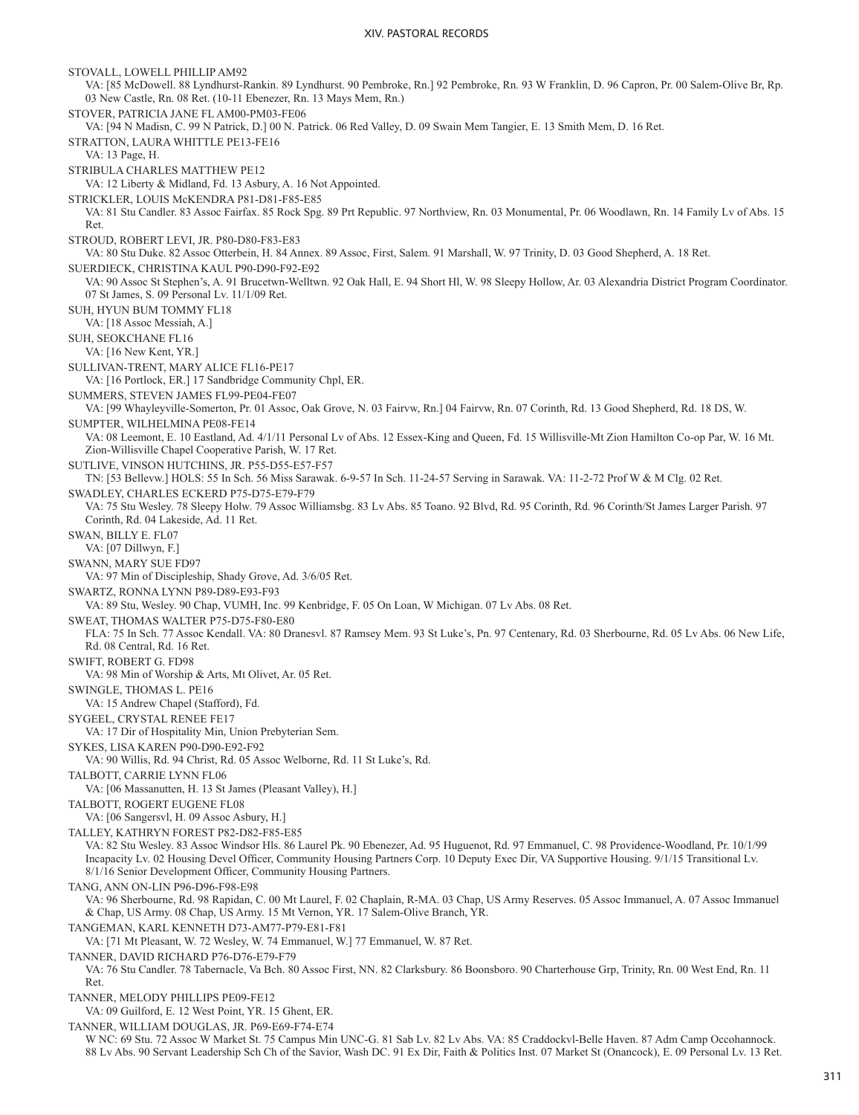STOVALL, LOWELL PHILLIP AM92 VA: [85 McDowell. 88 Lyndhurst-Rankin. 89 Lyndhurst. 90 Pembroke, Rn.] 92 Pembroke, Rn. 93 W Franklin, D. 96 Capron, Pr. 00 Salem-Olive Br, Rp. 03 New Castle, Rn. 08 Ret. (10-11 Ebenezer, Rn. 13 Mays Mem, Rn.) STOVER, PATRICIA JANE FL AM00-PM03-FE06 VA: [94 N Madisn, C. 99 N Patrick, D.] 00 N. Patrick. 06 Red Valley, D. 09 Swain Mem Tangier, E. 13 Smith Mem, D. 16 Ret. STRATTON, LAURA WHITTLE PE13-FE16 VA: 13 Page, H. STRIBULA CHARLES MATTHEW PE12 VA: 12 Liberty & Midland, Fd. 13 Asbury, A. 16 Not Appointed. STRICKLER, LOUIS McKENDRA P81-D81-F85-E85 VA: 81 Stu Candler. 83 Assoc Fairfax. 85 Rock Spg. 89 Prt Republic. 97 Northview, Rn. 03 Monumental, Pr. 06 Woodlawn, Rn. 14 Family Lv of Abs. 15 Ret. STROUD, ROBERT LEVI, JR. P80-D80-F83-E83 VA: 80 Stu Duke. 82 Assoc Otterbein, H. 84 Annex. 89 Assoc, First, Salem. 91 Marshall, W. 97 Trinity, D. 03 Good Shepherd, A. 18 Ret. SUERDIECK, CHRISTINA KAUL P90-D90-F92-E92 VA: 90 Assoc St Stephen's, A. 91 Brucetwn-Welltwn. 92 Oak Hall, E. 94 Short Hl, W. 98 Sleepy Hollow, Ar. 03 Alexandria District Program Coordinator. 07 St James, S. 09 Personal Lv. 11/1/09 Ret. SUH, HYUN BUM TOMMY FL18 VA: [18 Assoc Messiah, A.] SUH, SEOKCHANE FL16 VA: [16 New Kent, YR.] SULLIVAN-TRENT, MARY ALICE FL16-PE17 VA: [16 Portlock, ER.] 17 Sandbridge Community Chpl, ER. SUMMERS, STEVEN JAMES FL99-PE04-FE07 VA: [99 Whayleyville-Somerton, Pr. 01 Assoc, Oak Grove, N. 03 Fairvw, Rn.] 04 Fairvw, Rn. 07 Corinth, Rd. 13 Good Shepherd, Rd. 18 DS, W. SUMPTER, WILHELMINA PE08-FE14 VA: 08 Leemont, E. 10 Eastland, Ad. 4/1/11 Personal Lv of Abs. 12 Essex-King and Queen, Fd. 15 Willisville-Mt Zion Hamilton Co-op Par, W. 16 Mt. Zion-Willisville Chapel Cooperative Parish, W. 17 Ret. SUTLIVE, VINSON HUTCHINS, JR. P55-D55-E57-F57 TN: [53 Bellevw.] HOLS: 55 In Sch. 56 Miss Sarawak. 6-9-57 In Sch. 11-24-57 Serving in Sarawak. VA: 11-2-72 Prof W & M Clg. 02 Ret. SWADLEY, CHARLES ECKERD P75-D75-E79-F79 VA: 75 Stu Wesley. 78 Sleepy Holw. 79 Assoc Williamsbg. 83 Lv Abs. 85 Toano. 92 Blvd, Rd. 95 Corinth, Rd. 96 Corinth/St James Larger Parish. 97 Corinth, Rd. 04 Lakeside, Ad. 11 Ret. SWAN, BILLY E. FL07 VA: [07 Dillwyn, F.] SWANN, MARY SUE FD97 VA: 97 Min of Discipleship, Shady Grove, Ad. 3/6/05 Ret. SWARTZ, RONNA LYNN P89-D89-E93-F93 VA: 89 Stu, Wesley. 90 Chap, VUMH, Inc. 99 Kenbridge, F. 05 On Loan, W Michigan. 07 Lv Abs. 08 Ret. SWEAT, THOMAS WALTER P75-D75-F80-E80 FLA: 75 In Sch. 77 Assoc Kendall. VA: 80 Dranesvl. 87 Ramsey Mem. 93 St Luke's, Pn. 97 Centenary, Rd. 03 Sherbourne, Rd. 05 Lv Abs. 06 New Life, Rd. 08 Central, Rd. 16 Ret. SWIFT, ROBERT G. FD98 VA: 98 Min of Worship & Arts, Mt Olivet, Ar. 05 Ret. SWINGLE, THOMAS L. PE16 VA: 15 Andrew Chapel (Stafford), Fd. SYGEEL, CRYSTAL RENEE FE17 VA: 17 Dir of Hospitality Min, Union Prebyterian Sem. SYKES, LISA KAREN P90-D90-E92-F92 VA: 90 Willis, Rd. 94 Christ, Rd. 05 Assoc Welborne, Rd. 11 St Luke's, Rd. TALBOTT, CARRIE LYNN FL06 VA: [06 Massanutten, H. 13 St James (Pleasant Valley), H.] TALBOTT, ROGERT EUGENE FL08 VA: [06 Sangersvl, H. 09 Assoc Asbury, H.] TALLEY, KATHRYN FOREST P82-D82-F85-E85 VA: 82 Stu Wesley. 83 Assoc Windsor Hls. 86 Laurel Pk. 90 Ebenezer, Ad. 95 Huguenot, Rd. 97 Emmanuel, C. 98 Providence-Woodland, Pr. 10/1/99 Incapacity Lv. 02 Housing Devel Officer, Community Housing Partners Corp. 10 Deputy Exec Dir, VA Supportive Housing. 9/1/15 Transitional Lv. 8/1/16 Senior Development Officer, Community Housing Partners. TANG, ANN ON-LIN P96-D96-F98-E98 VA: 96 Sherbourne, Rd. 98 Rapidan, C. 00 Mt Laurel, F. 02 Chaplain, R-MA. 03 Chap, US Army Reserves. 05 Assoc Immanuel, A. 07 Assoc Immanuel & Chap, US Army. 08 Chap, US Army. 15 Mt Vernon, YR. 17 Salem-Olive Branch, YR. TANGEMAN, KARL KENNETH D73-AM77-P79-E81-F81 VA: [71 Mt Pleasant, W. 72 Wesley, W. 74 Emmanuel, W.] 77 Emmanuel, W. 87 Ret. TANNER, DAVID RICHARD P76-D76-E79-F79 VA: 76 Stu Candler. 78 Tabernacle, Va Bch. 80 Assoc First, NN. 82 Clarksbury. 86 Boonsboro. 90 Charterhouse Grp, Trinity, Rn. 00 West End, Rn. 11 Ret. TANNER, MELODY PHILLIPS PE09-FE12 VA: 09 Guilford, E. 12 West Point, YR. 15 Ghent, ER. TANNER, WILLIAM DOUGLAS, JR. P69-E69-F74-E74 W NC: 69 Stu. 72 Assoc W Market St. 75 Campus Min UNC-G. 81 Sab Lv. 82 Lv Abs. VA: 85 Craddockvl-Belle Haven. 87 Adm Camp Occohannock. 88 Lv Abs. 90 Servant Leadership Sch Ch of the Savior, Wash DC. 91 Ex Dir, Faith & Politics Inst. 07 Market St (Onancock), E. 09 Personal Lv. 13 Ret.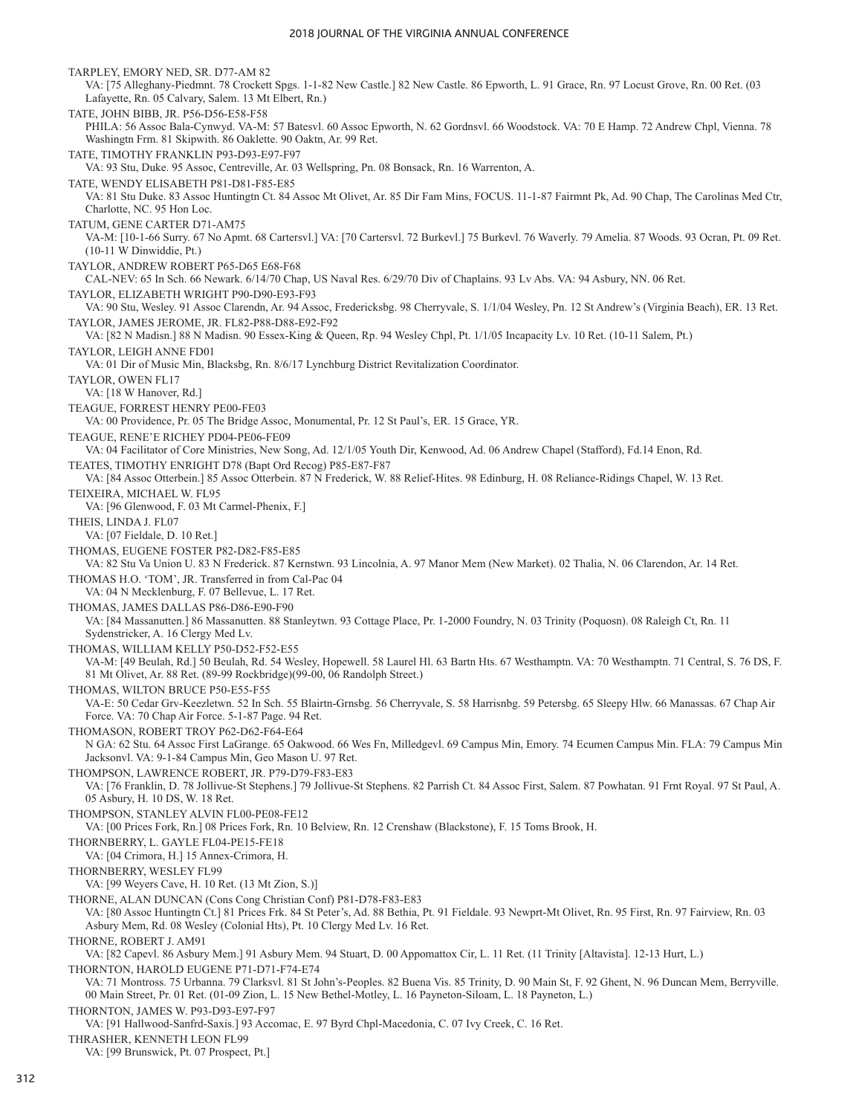TARPLEY, EMORY NED, SR. D77-AM 82 VA: [75 Alleghany-Piedmnt. 78 Crockett Spgs. 1-1-82 New Castle.] 82 New Castle. 86 Epworth, L. 91 Grace, Rn. 97 Locust Grove, Rn. 00 Ret. (03 Lafayette, Rn. 05 Calvary, Salem. 13 Mt Elbert, Rn.) TATE, JOHN BIBB, JR. P56-D56-E58-F58 PHILA: 56 Assoc Bala-Cynwyd. VA-M: 57 Batesvl. 60 Assoc Epworth, N. 62 Gordnsvl. 66 Woodstock. VA: 70 E Hamp. 72 Andrew Chpl, Vienna. 78 Washingtn Frm. 81 Skipwith. 86 Oaklette. 90 Oaktn, Ar. 99 Ret. TATE, TIMOTHY FRANKLIN P93-D93-E97-F97 VA: 93 Stu, Duke. 95 Assoc, Centreville, Ar. 03 Wellspring, Pn. 08 Bonsack, Rn. 16 Warrenton, A. TATE, WENDY ELISABETH P81-D81-F85-E85 VA: 81 Stu Duke. 83 Assoc Huntingtn Ct. 84 Assoc Mt Olivet, Ar. 85 Dir Fam Mins, FOCUS. 11-1-87 Fairmnt Pk, Ad. 90 Chap, The Carolinas Med Ctr, Charlotte, NC. 95 Hon Loc. TATUM, GENE CARTER D71-AM75 VA-M: [10-1-66 Surry. 67 No Apmt. 68 Cartersvl.] VA: [70 Cartersvl. 72 Burkevl.] 75 Burkevl. 76 Waverly. 79 Amelia. 87 Woods. 93 Ocran, Pt. 09 Ret. (10-11 W Dinwiddie, Pt.) TAYLOR, ANDREW ROBERT P65-D65 E68-F68 CAL-NEV: 65 In Sch. 66 Newark. 6/14/70 Chap, US Naval Res. 6/29/70 Div of Chaplains. 93 Lv Abs. VA: 94 Asbury, NN. 06 Ret. TAYLOR, ELIZABETH WRIGHT P90-D90-E93-F93 VA: 90 Stu, Wesley. 91 Assoc Clarendn, Ar. 94 Assoc, Fredericksbg. 98 Cherryvale, S. 1/1/04 Wesley, Pn. 12 St Andrew's (Virginia Beach), ER. 13 Ret. TAYLOR, JAMES JEROME, JR. FL82-P88-D88-E92-F92 VA: [82 N Madisn.] 88 N Madisn. 90 Essex-King & Queen, Rp. 94 Wesley Chpl, Pt. 1/1/05 Incapacity Lv. 10 Ret. (10-11 Salem, Pt.) TAYLOR, LEIGH ANNE FD01 VA: 01 Dir of Music Min, Blacksbg, Rn. 8/6/17 Lynchburg District Revitalization Coordinator. TAYLOR, OWEN FL17 VA: [18 W Hanover, Rd.] TEAGUE, FORREST HENRY PE00-FE03 VA: 00 Providence, Pr. 05 The Bridge Assoc, Monumental, Pr. 12 St Paul's, ER. 15 Grace, YR. TEAGUE, RENE'E RICHEY PD04-PE06-FE09 VA: 04 Facilitator of Core Ministries, New Song, Ad. 12/1/05 Youth Dir, Kenwood, Ad. 06 Andrew Chapel (Stafford), Fd.14 Enon, Rd. TEATES, TIMOTHY ENRIGHT D78 (Bapt Ord Recog) P85-E87-F87 VA: [84 Assoc Otterbein.] 85 Assoc Otterbein. 87 N Frederick, W. 88 Relief-Hites. 98 Edinburg, H. 08 Reliance-Ridings Chapel, W. 13 Ret. TEIXEIRA, MICHAEL W. FL95 VA: [96 Glenwood, F. 03 Mt Carmel-Phenix, F.] THEIS, LINDA J. FL07 VA: [07 Fieldale, D. 10 Ret.] THOMAS, EUGENE FOSTER P82-D82-F85-E85 VA: 82 Stu Va Union U. 83 N Frederick. 87 Kernstwn. 93 Lincolnia, A. 97 Manor Mem (New Market). 02 Thalia, N. 06 Clarendon, Ar. 14 Ret. THOMAS H.O. 'TOM', JR. Transferred in from Cal-Pac 04 VA: 04 N Mecklenburg, F. 07 Bellevue, L. 17 Ret. THOMAS, JAMES DALLAS P86-D86-E90-F90 VA: [84 Massanutten.] 86 Massanutten. 88 Stanleytwn. 93 Cottage Place, Pr. 1-2000 Foundry, N. 03 Trinity (Poquosn). 08 Raleigh Ct, Rn. 11 Sydenstricker, A. 16 Clergy Med Lv. THOMAS, WILLIAM KELLY P50-D52-F52-E55 VA-M: [49 Beulah, Rd.] 50 Beulah, Rd. 54 Wesley, Hopewell. 58 Laurel Hl. 63 Bartn Hts. 67 Westhamptn. VA: 70 Westhamptn. 71 Central, S. 76 DS, F. 81 Mt Olivet, Ar. 88 Ret. (89-99 Rockbridge)(99-00, 06 Randolph Street.) THOMAS, WILTON BRUCE P50-E55-F55 VA-E: 50 Cedar Grv-Keezletwn. 52 In Sch. 55 Blairtn-Grnsbg. 56 Cherryvale, S. 58 Harrisnbg. 59 Petersbg. 65 Sleepy Hlw. 66 Manassas. 67 Chap Air Force. VA: 70 Chap Air Force. 5-1-87 Page. 94 Ret. THOMASON, ROBERT TROY P62-D62-F64-E64 N GA: 62 Stu. 64 Assoc First LaGrange. 65 Oakwood. 66 Wes Fn, Milledgevl. 69 Campus Min, Emory. 74 Ecumen Campus Min. FLA: 79 Campus Min Jacksonvl. VA: 9-1-84 Campus Min, Geo Mason U. 97 Ret. THOMPSON, LAWRENCE ROBERT, JR. P79-D79-F83-E83 VA: [76 Franklin, D. 78 Jollivue-St Stephens.] 79 Jollivue-St Stephens. 82 Parrish Ct. 84 Assoc First, Salem. 87 Powhatan. 91 Frnt Royal. 97 St Paul, A. 05 Asbury, H. 10 DS, W. 18 Ret. THOMPSON, STANLEY ALVIN FL00-PE08-FE12 VA: [00 Prices Fork, Rn.] 08 Prices Fork, Rn. 10 Belview, Rn. 12 Crenshaw (Blackstone), F. 15 Toms Brook, H. THORNBERRY, L. GAYLE FL04-PE15-FE18 VA: [04 Crimora, H.] 15 Annex-Crimora, H. THORNBERRY, WESLEY FL99 VA: [99 Weyers Cave, H. 10 Ret. (13 Mt Zion, S.)] THORNE, ALAN DUNCAN (Cons Cong Christian Conf) P81-D78-F83-E83 VA: [80 Assoc Huntingtn Ct.] 81 Prices Frk. 84 St Peter's, Ad. 88 Bethia, Pt. 91 Fieldale. 93 Newprt-Mt Olivet, Rn. 95 First, Rn. 97 Fairview, Rn. 03 Asbury Mem, Rd. 08 Wesley (Colonial Hts), Pt. 10 Clergy Med Lv. 16 Ret. THORNE, ROBERT J. AM91 VA: [82 Capevl. 86 Asbury Mem.] 91 Asbury Mem. 94 Stuart, D. 00 Appomattox Cir, L. 11 Ret. (11 Trinity [Altavista]. 12-13 Hurt, L.) THORNTON, HAROLD EUGENE P71-D71-F74-E74 VA: 71 Montross. 75 Urbanna. 79 Clarksvl. 81 St John's-Peoples. 82 Buena Vis. 85 Trinity, D. 90 Main St, F. 92 Ghent, N. 96 Duncan Mem, Berryville. 00 Main Street, Pr. 01 Ret. (01-09 Zion, L. 15 New Bethel-Motley, L. 16 Payneton-Siloam, L. 18 Payneton, L.) THORNTON, JAMES W. P93-D93-E97-F97 VA: [91 Hallwood-Sanfrd-Saxis.] 93 Accomac, E. 97 Byrd Chpl-Macedonia, C. 07 Ivy Creek, C. 16 Ret. THRASHER, KENNETH LEON FL99

VA: [99 Brunswick, Pt. 07 Prospect, Pt.]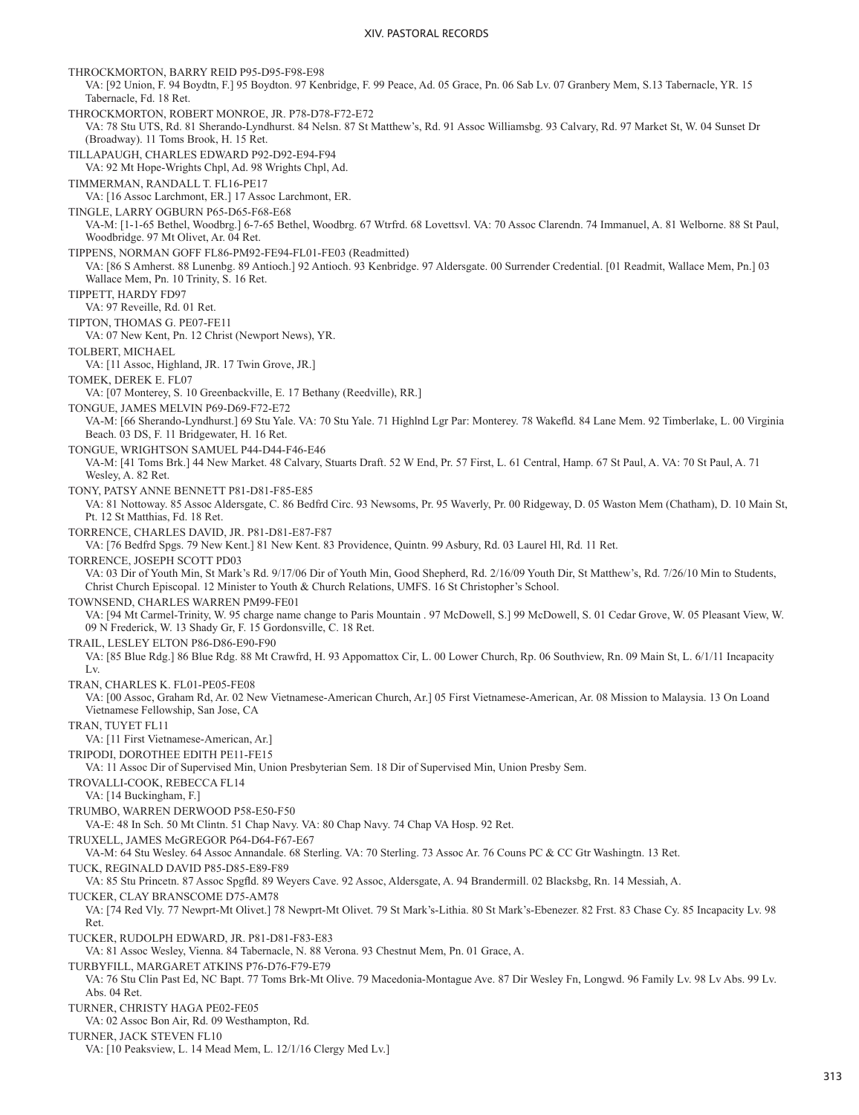THROCKMORTON, BARRY REID P95-D95-F98-E98 VA: [92 Union, F. 94 Boydtn, F.] 95 Boydton. 97 Kenbridge, F. 99 Peace, Ad. 05 Grace, Pn. 06 Sab Lv. 07 Granbery Mem, S.13 Tabernacle, YR. 15 Tabernacle, Fd. 18 Ret. THROCKMORTON, ROBERT MONROE, JR. P78-D78-F72-E72 VA: 78 Stu UTS, Rd. 81 Sherando-Lyndhurst. 84 Nelsn. 87 St Matthew's, Rd. 91 Assoc Williamsbg. 93 Calvary, Rd. 97 Market St, W. 04 Sunset Dr (Broadway). 11 Toms Brook, H. 15 Ret. TILLAPAUGH, CHARLES EDWARD P92-D92-E94-F94 VA: 92 Mt Hope-Wrights Chpl, Ad. 98 Wrights Chpl, Ad. TIMMERMAN, RANDALL T. FL16-PE17 VA: [16 Assoc Larchmont, ER.] 17 Assoc Larchmont, ER. TINGLE, LARRY OGBURN P65-D65-F68-E68 VA-M: [1-1-65 Bethel, Woodbrg.] 6-7-65 Bethel, Woodbrg. 67 Wtrfrd. 68 Lovettsvl. VA: 70 Assoc Clarendn. 74 Immanuel, A. 81 Welborne. 88 St Paul, Woodbridge. 97 Mt Olivet, Ar. 04 Ret. TIPPENS, NORMAN GOFF FL86-PM92-FE94-FL01-FE03 (Readmitted) VA: [86 S Amherst. 88 Lunenbg. 89 Antioch.] 92 Antioch. 93 Kenbridge. 97 Aldersgate. 00 Surrender Credential. [01 Readmit, Wallace Mem, Pn.] 03 Wallace Mem, Pn. 10 Trinity, S. 16 Ret. TIPPETT, HARDY FD97 VA: 97 Reveille, Rd. 01 Ret. TIPTON, THOMAS G. PE07-FE11 VA: 07 New Kent, Pn. 12 Christ (Newport News), YR. TOLBERT, MICHAEL VA: [11 Assoc, Highland, JR. 17 Twin Grove, JR.] TOMEK, DEREK E. FL07 VA: [07 Monterey, S. 10 Greenbackville, E. 17 Bethany (Reedville), RR.] TONGUE, JAMES MELVIN P69-D69-F72-E72 VA-M: [66 Sherando-Lyndhurst.] 69 Stu Yale. VA: 70 Stu Yale. 71 Highlnd Lgr Par: Monterey. 78 Wakefld. 84 Lane Mem. 92 Timberlake, L. 00 Virginia Beach. 03 DS, F. 11 Bridgewater, H. 16 Ret. TONGUE, WRIGHTSON SAMUEL P44-D44-F46-E46 VA-M: [41 Toms Brk.] 44 New Market. 48 Calvary, Stuarts Draft. 52 W End, Pr. 57 First, L. 61 Central, Hamp. 67 St Paul, A. VA: 70 St Paul, A. 71 Wesley, A. 82 Ret. TONY, PATSY ANNE BENNETT P81-D81-F85-E85 VA: 81 Nottoway. 85 Assoc Aldersgate, C. 86 Bedfrd Circ. 93 Newsoms, Pr. 95 Waverly, Pr. 00 Ridgeway, D. 05 Waston Mem (Chatham), D. 10 Main St, Pt. 12 St Matthias, Fd. 18 Ret. TORRENCE, CHARLES DAVID, JR. P81-D81-E87-F87 VA: [76 Bedfrd Spgs. 79 New Kent.] 81 New Kent. 83 Providence, Quintn. 99 Asbury, Rd. 03 Laurel Hl, Rd. 11 Ret. TORRENCE, JOSEPH SCOTT PD03 VA: 03 Dir of Youth Min, St Mark's Rd. 9/17/06 Dir of Youth Min, Good Shepherd, Rd. 2/16/09 Youth Dir, St Matthew's, Rd. 7/26/10 Min to Students, Christ Church Episcopal. 12 Minister to Youth & Church Relations, UMFS. 16 St Christopher's School. TOWNSEND, CHARLES WARREN PM99-FE01 VA: [94 Mt Carmel-Trinity, W. 95 charge name change to Paris Mountain . 97 McDowell, S.] 99 McDowell, S. 01 Cedar Grove, W. 05 Pleasant View, W. 09 N Frederick, W. 13 Shady Gr, F. 15 Gordonsville, C. 18 Ret. TRAIL, LESLEY ELTON P86-D86-E90-F90 VA: [85 Blue Rdg.] 86 Blue Rdg. 88 Mt Crawfrd, H. 93 Appomattox Cir, L. 00 Lower Church, Rp. 06 Southview, Rn. 09 Main St, L. 6/1/11 Incapacity Lv. TRAN, CHARLES K. FL01-PE05-FE08 VA: [00 Assoc, Graham Rd, Ar. 02 New Vietnamese-American Church, Ar.] 05 First Vietnamese-American, Ar. 08 Mission to Malaysia. 13 On Loand Vietnamese Fellowship, San Jose, CA TRAN, TUYET FL11 VA: [11 First Vietnamese-American, Ar.] TRIPODI, DOROTHEE EDITH PE11-FE15 VA: 11 Assoc Dir of Supervised Min, Union Presbyterian Sem. 18 Dir of Supervised Min, Union Presby Sem. TROVALLI-COOK, REBECCA FL14 VA: [14 Buckingham, F.] TRUMBO, WARREN DERWOOD P58-E50-F50 VA-E: 48 In Sch. 50 Mt Clintn. 51 Chap Navy. VA: 80 Chap Navy. 74 Chap VA Hosp. 92 Ret. TRUXELL, JAMES McGREGOR P64-D64-F67-E67 VA-M: 64 Stu Wesley. 64 Assoc Annandale. 68 Sterling. VA: 70 Sterling. 73 Assoc Ar. 76 Couns PC & CC Gtr Washingtn. 13 Ret. TUCK, REGINALD DAVID P85-D85-E89-F89 VA: 85 Stu Princetn. 87 Assoc Spgfld. 89 Weyers Cave. 92 Assoc, Aldersgate, A. 94 Brandermill. 02 Blacksbg, Rn. 14 Messiah, A. TUCKER, CLAY BRANSCOME D75-AM78 VA: [74 Red Vly. 77 Newprt-Mt Olivet.] 78 Newprt-Mt Olivet. 79 St Mark's-Lithia. 80 St Mark's-Ebenezer. 82 Frst. 83 Chase Cy. 85 Incapacity Lv. 98 Ret. TUCKER, RUDOLPH EDWARD, JR. P81-D81-F83-E83 VA: 81 Assoc Wesley, Vienna. 84 Tabernacle, N. 88 Verona. 93 Chestnut Mem, Pn. 01 Grace, A. TURBYFILL, MARGARET ATKINS P76-D76-F79-E79 VA: 76 Stu Clin Past Ed, NC Bapt. 77 Toms Brk-Mt Olive. 79 Macedonia-Montague Ave. 87 Dir Wesley Fn, Longwd. 96 Family Lv. 98 Lv Abs. 99 Lv. Abs. 04 Ret. TURNER, CHRISTY HAGA PE02-FE05 VA: 02 Assoc Bon Air, Rd. 09 Westhampton, Rd. TURNER, JACK STEVEN FL10 VA: [10 Peaksview, L. 14 Mead Mem, L. 12/1/16 Clergy Med Lv.]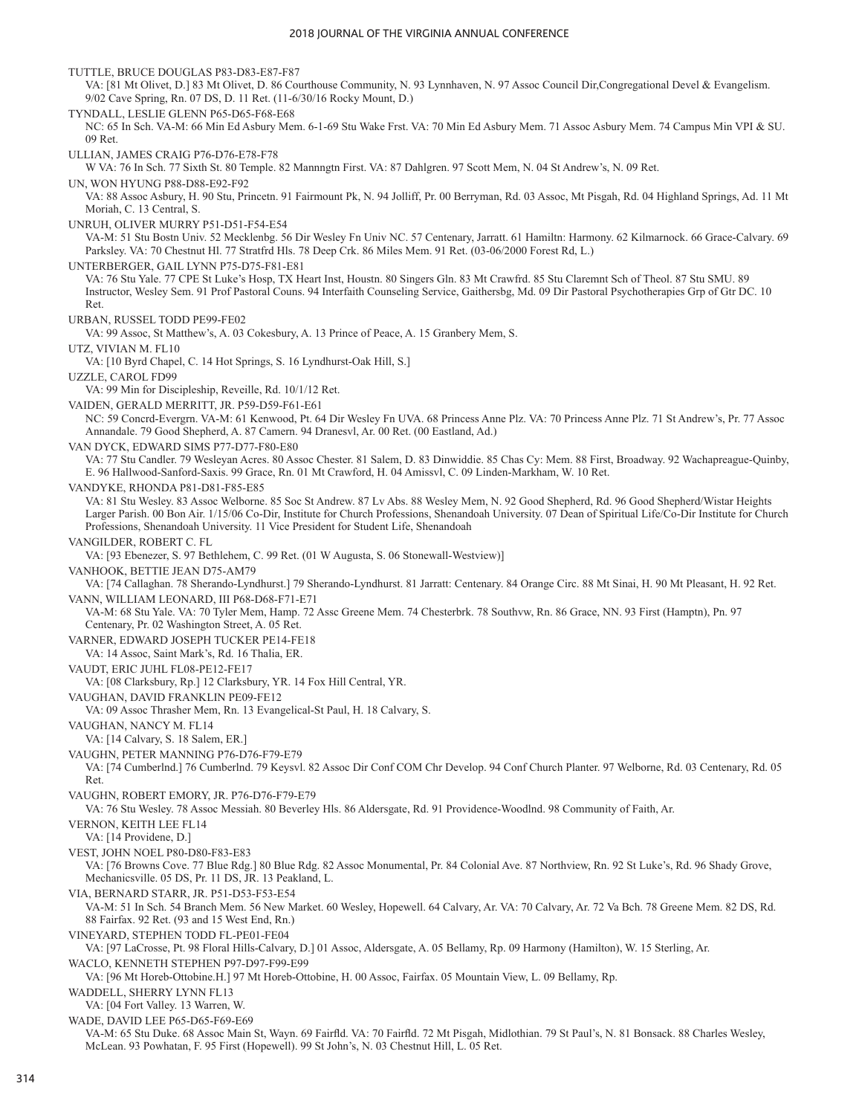TUTTLE, BRUCE DOUGLAS P83-D83-E87-F87 VA: [81 Mt Olivet, D.] 83 Mt Olivet, D. 86 Courthouse Community, N. 93 Lynnhaven, N. 97 Assoc Council Dir,Congregational Devel & Evangelism. 9/02 Cave Spring, Rn. 07 DS, D. 11 Ret. (11-6/30/16 Rocky Mount, D.) TYNDALL, LESLIE GLENN P65-D65-F68-E68 NC: 65 In Sch. VA-M: 66 Min Ed Asbury Mem. 6-1-69 Stu Wake Frst. VA: 70 Min Ed Asbury Mem. 71 Assoc Asbury Mem. 74 Campus Min VPI & SU. 09 Ret. ULLIAN, JAMES CRAIG P76-D76-E78-F78 W VA: 76 In Sch. 77 Sixth St. 80 Temple. 82 Mannngtn First. VA: 87 Dahlgren. 97 Scott Mem, N. 04 St Andrew's, N. 09 Ret. UN, WON HYUNG P88-D88-E92-F92 VA: 88 Assoc Asbury, H. 90 Stu, Princetn. 91 Fairmount Pk, N. 94 Jolliff, Pr. 00 Berryman, Rd. 03 Assoc, Mt Pisgah, Rd. 04 Highland Springs, Ad. 11 Mt Moriah, C. 13 Central, S. UNRUH, OLIVER MURRY P51-D51-F54-E54 VA-M: 51 Stu Bostn Univ. 52 Mecklenbg. 56 Dir Wesley Fn Univ NC. 57 Centenary, Jarratt. 61 Hamiltn: Harmony. 62 Kilmarnock. 66 Grace-Calvary. 69 Parksley. VA: 70 Chestnut Hl. 77 Stratfrd Hls. 78 Deep Crk. 86 Miles Mem. 91 Ret. (03-06/2000 Forest Rd, L.) UNTERBERGER, GAIL LYNN P75-D75-F81-E81 VA: 76 Stu Yale. 77 CPE St Luke's Hosp, TX Heart Inst, Houstn. 80 Singers Gln. 83 Mt Crawfrd. 85 Stu Claremnt Sch of Theol. 87 Stu SMU. 89 Instructor, Wesley Sem. 91 Prof Pastoral Couns. 94 Interfaith Counseling Service, Gaithersbg, Md. 09 Dir Pastoral Psychotherapies Grp of Gtr DC. 10 Ret. URBAN, RUSSEL TODD PE99-FE02 VA: 99 Assoc, St Matthew's, A. 03 Cokesbury, A. 13 Prince of Peace, A. 15 Granbery Mem, S. UTZ, VIVIAN M. FL10 VA: [10 Byrd Chapel, C. 14 Hot Springs, S. 16 Lyndhurst-Oak Hill, S.] UZZLE, CAROL FD99 VA: 99 Min for Discipleship, Reveille, Rd. 10/1/12 Ret. VAIDEN, GERALD MERRITT, JR. P59-D59-F61-E61 NC: 59 Concrd-Evergrn. VA-M: 61 Kenwood, Pt. 64 Dir Wesley Fn UVA. 68 Princess Anne Plz. VA: 70 Princess Anne Plz. 71 St Andrew's, Pr. 77 Assoc Annandale. 79 Good Shepherd, A. 87 Camern. 94 Dranesvl, Ar. 00 Ret. (00 Eastland, Ad.) VAN DYCK, EDWARD SIMS P77-D77-F80-E80 VA: 77 Stu Candler. 79 Wesleyan Acres. 80 Assoc Chester. 81 Salem, D. 83 Dinwiddie. 85 Chas Cy: Mem. 88 First, Broadway. 92 Wachapreague-Quinby, E. 96 Hallwood-Sanford-Saxis. 99 Grace, Rn. 01 Mt Crawford, H. 04 Amissvl, C. 09 Linden-Markham, W. 10 Ret. VANDYKE, RHONDA P81-D81-F85-E85 VA: 81 Stu Wesley. 83 Assoc Welborne. 85 Soc St Andrew. 87 Lv Abs. 88 Wesley Mem, N. 92 Good Shepherd, Rd. 96 Good Shepherd/Wistar Heights Larger Parish. 00 Bon Air. 1/15/06 Co-Dir, Institute for Church Professions, Shenandoah University. 07 Dean of Spiritual Life/Co-Dir Institute for Church Professions, Shenandoah University. 11 Vice President for Student Life, Shenandoah VANGILDER, ROBERT C. FL VA: [93 Ebenezer, S. 97 Bethlehem, C. 99 Ret. (01 W Augusta, S. 06 Stonewall-Westview)] VANHOOK, BETTIE JEAN D75-AM79 VA: [74 Callaghan. 78 Sherando-Lyndhurst.] 79 Sherando-Lyndhurst. 81 Jarratt: Centenary. 84 Orange Circ. 88 Mt Sinai, H. 90 Mt Pleasant, H. 92 Ret. VANN, WILLIAM LEONARD, III P68-D68-F71-E71 VA-M: 68 Stu Yale. VA: 70 Tyler Mem, Hamp. 72 Assc Greene Mem. 74 Chesterbrk. 78 Southvw, Rn. 86 Grace, NN. 93 First (Hamptn), Pn. 97 Centenary, Pr. 02 Washington Street, A. 05 Ret. VARNER, EDWARD JOSEPH TUCKER PE14-FE18 VA: 14 Assoc, Saint Mark's, Rd. 16 Thalia, ER. VAUDT, ERIC JUHL FL08-PE12-FE17 VA: [08 Clarksbury, Rp.] 12 Clarksbury, YR. 14 Fox Hill Central, YR. VAUGHAN, DAVID FRANKLIN PE09-FE12 VA: 09 Assoc Thrasher Mem, Rn. 13 Evangelical-St Paul, H. 18 Calvary, S. VAUGHAN, NANCY M. FL14 VA: [14 Calvary, S. 18 Salem, ER.] VAUGHN, PETER MANNING P76-D76-F79-E79 VA: [74 Cumberlnd.] 76 Cumberlnd. 79 Keysvl. 82 Assoc Dir Conf COM Chr Develop. 94 Conf Church Planter. 97 Welborne, Rd. 03 Centenary, Rd. 05 Ret. VAUGHN, ROBERT EMORY, JR. P76-D76-F79-E79 VA: 76 Stu Wesley. 78 Assoc Messiah. 80 Beverley Hls. 86 Aldersgate, Rd. 91 Providence-Woodlnd. 98 Community of Faith, Ar. VERNON, KEITH LEE FL14 VA: [14 Providene, D.] VEST, JOHN NOEL P80-D80-F83-E83 VA: [76 Browns Cove. 77 Blue Rdg.] 80 Blue Rdg. 82 Assoc Monumental, Pr. 84 Colonial Ave. 87 Northview, Rn. 92 St Luke's, Rd. 96 Shady Grove, Mechanicsville. 05 DS, Pr. 11 DS, JR. 13 Peakland, L. VIA, BERNARD STARR, JR. P51-D53-F53-E54 VA-M: 51 In Sch. 54 Branch Mem. 56 New Market. 60 Wesley, Hopewell. 64 Calvary, Ar. VA: 70 Calvary, Ar. 72 Va Bch. 78 Greene Mem. 82 DS, Rd. 88 Fairfax. 92 Ret. (93 and 15 West End, Rn.) VINEYARD, STEPHEN TODD FL-PE01-FE04 VA: [97 LaCrosse, Pt. 98 Floral Hills-Calvary, D.] 01 Assoc, Aldersgate, A. 05 Bellamy, Rp. 09 Harmony (Hamilton), W. 15 Sterling, Ar. WACLO, KENNETH STEPHEN P97-D97-F99-E99 VA: [96 Mt Horeb-Ottobine.H.] 97 Mt Horeb-Ottobine, H. 00 Assoc, Fairfax. 05 Mountain View, L. 09 Bellamy, Rp. WADDELL, SHERRY LYNN FL13 VA: [04 Fort Valley. 13 Warren, W. WADE, DAVID LEE P65-D65-F69-E69 VA-M: 65 Stu Duke. 68 Assoc Main St, Wayn. 69 Fairfld. VA: 70 Fairfld. 72 Mt Pisgah, Midlothian. 79 St Paul's, N. 81 Bonsack. 88 Charles Wesley, McLean. 93 Powhatan, F. 95 First (Hopewell). 99 St John's, N. 03 Chestnut Hill, L. 05 Ret.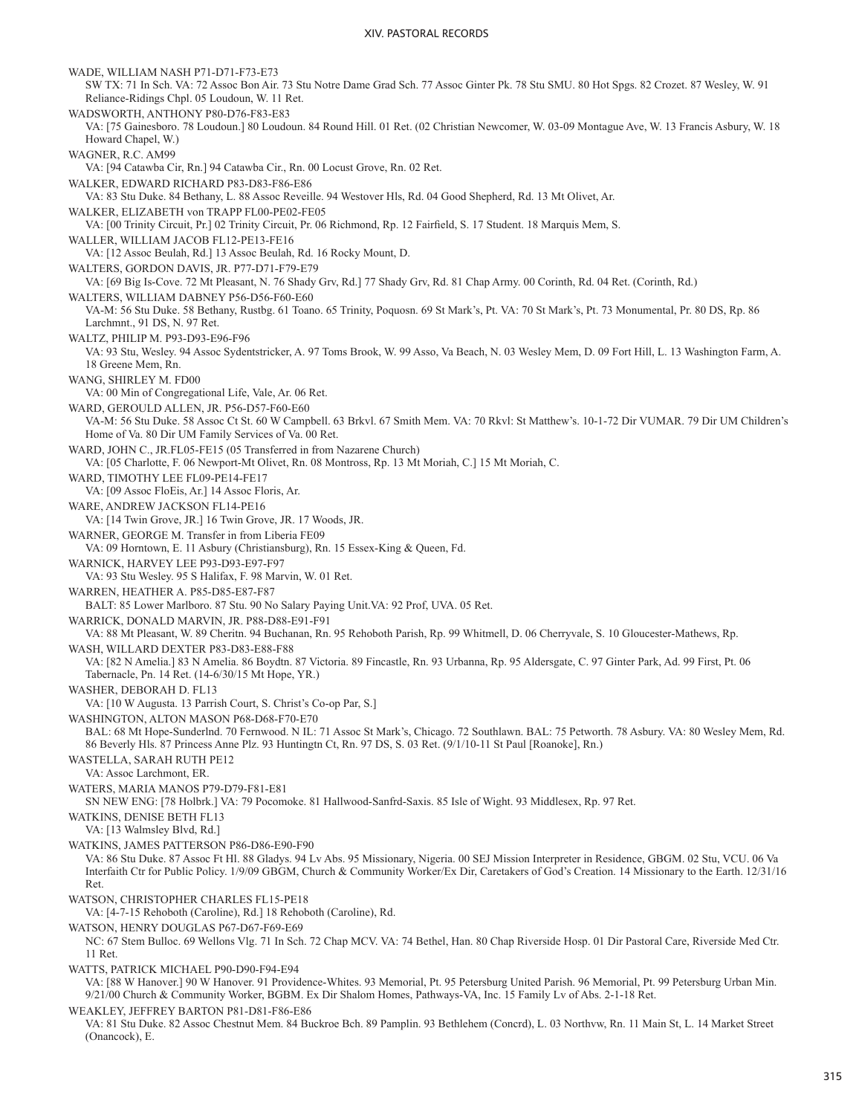WADE, WILLIAM NASH P71-D71-F73-E73 SW TX: 71 In Sch. VA: 72 Assoc Bon Air. 73 Stu Notre Dame Grad Sch. 77 Assoc Ginter Pk. 78 Stu SMU. 80 Hot Spgs. 82 Crozet. 87 Wesley, W. 91 Reliance-Ridings Chpl. 05 Loudoun, W. 11 Ret. WADSWORTH, ANTHONY P80-D76-F83-E83 VA: [75 Gainesboro. 78 Loudoun.] 80 Loudoun. 84 Round Hill. 01 Ret. (02 Christian Newcomer, W. 03-09 Montague Ave, W. 13 Francis Asbury, W. 18 Howard Chapel, W.) WAGNER, R.C. AM99 VA: [94 Catawba Cir, Rn.] 94 Catawba Cir., Rn. 00 Locust Grove, Rn. 02 Ret. WALKER, EDWARD RICHARD P83-D83-F86-E86 VA: 83 Stu Duke. 84 Bethany, L. 88 Assoc Reveille. 94 Westover Hls, Rd. 04 Good Shepherd, Rd. 13 Mt Olivet, Ar. WALKER, ELIZABETH von TRAPP FL00-PE02-FE05 VA: [00 Trinity Circuit, Pr.] 02 Trinity Circuit, Pr. 06 Richmond, Rp. 12 Fairfield, S. 17 Student. 18 Marquis Mem, S. WALLER, WILLIAM JACOB FL12-PE13-FE16 VA: [12 Assoc Beulah, Rd.] 13 Assoc Beulah, Rd. 16 Rocky Mount, D. WALTERS, GORDON DAVIS, JR. P77-D71-F79-E79 VA: [69 Big Is-Cove. 72 Mt Pleasant, N. 76 Shady Grv, Rd.] 77 Shady Grv, Rd. 81 Chap Army. 00 Corinth, Rd. 04 Ret. (Corinth, Rd.) WALTERS, WILLIAM DABNEY P56-D56-F60-E60 VA-M: 56 Stu Duke. 58 Bethany, Rustbg. 61 Toano. 65 Trinity, Poquosn. 69 St Mark's, Pt. VA: 70 St Mark's, Pt. 73 Monumental, Pr. 80 DS, Rp. 86 Larchmnt., 91 DS, N. 97 Ret. WALTZ, PHILIP M. P93-D93-E96-F96 VA: 93 Stu, Wesley. 94 Assoc Sydentstricker, A. 97 Toms Brook, W. 99 Asso, Va Beach, N. 03 Wesley Mem, D. 09 Fort Hill, L. 13 Washington Farm, A. 18 Greene Mem, Rn. WANG, SHIRLEY M. FD00 VA: 00 Min of Congregational Life, Vale, Ar. 06 Ret. WARD, GEROULD ALLEN, JR. P56-D57-F60-E60 VA-M: 56 Stu Duke. 58 Assoc Ct St. 60 W Campbell. 63 Brkvl. 67 Smith Mem. VA: 70 Rkvl: St Matthew's. 10-1-72 Dir VUMAR. 79 Dir UM Children's Home of Va. 80 Dir UM Family Services of Va. 00 Ret. WARD, JOHN C., JR.FL05-FE15 (05 Transferred in from Nazarene Church) VA: [05 Charlotte, F. 06 Newport-Mt Olivet, Rn. 08 Montross, Rp. 13 Mt Moriah, C.] 15 Mt Moriah, C. WARD, TIMOTHY LEE FL09-PE14-FE17 VA: [09 Assoc FloEis, Ar.] 14 Assoc Floris, Ar. WARE, ANDREW JACKSON FL14-PE16 VA: [14 Twin Grove, JR.] 16 Twin Grove, JR. 17 Woods, JR. WARNER, GEORGE M. Transfer in from Liberia FE09 VA: 09 Horntown, E. 11 Asbury (Christiansburg), Rn. 15 Essex-King & Queen, Fd. WARNICK, HARVEY LEE P93-D93-E97-F97 VA: 93 Stu Wesley. 95 S Halifax, F. 98 Marvin, W. 01 Ret. WARREN, HEATHER A. P85-D85-E87-F87 BALT: 85 Lower Marlboro. 87 Stu. 90 No Salary Paying Unit.VA: 92 Prof, UVA. 05 Ret. WARRICK, DONALD MARVIN, JR. P88-D88-E91-F91 VA: 88 Mt Pleasant, W. 89 Cheritn. 94 Buchanan, Rn. 95 Rehoboth Parish, Rp. 99 Whitmell, D. 06 Cherryvale, S. 10 Gloucester-Mathews, Rp. WASH, WILLARD DEXTER P83-D83-E88-F88 VA: [82 N Amelia.] 83 N Amelia. 86 Boydtn. 87 Victoria. 89 Fincastle, Rn. 93 Urbanna, Rp. 95 Aldersgate, C. 97 Ginter Park, Ad. 99 First, Pt. 06 Tabernacle, Pn. 14 Ret. (14-6/30/15 Mt Hope, YR.) WASHER, DEBORAH D. FL13 VA: [10 W Augusta. 13 Parrish Court, S. Christ's Co-op Par, S.] WASHINGTON, ALTON MASON P68-D68-F70-E70 BAL: 68 Mt Hope-Sunderlnd. 70 Fernwood. N IL: 71 Assoc St Mark's, Chicago. 72 Southlawn. BAL: 75 Petworth. 78 Asbury. VA: 80 Wesley Mem, Rd. 86 Beverly Hls. 87 Princess Anne Plz. 93 Huntingtn Ct, Rn. 97 DS, S. 03 Ret. (9/1/10-11 St Paul [Roanoke], Rn.) WASTELLA, SARAH RUTH PE12 VA: Assoc Larchmont, ER. WATERS, MARIA MANOS P79-D79-F81-E81 SN NEW ENG: [78 Holbrk.] VA: 79 Pocomoke. 81 Hallwood-Sanfrd-Saxis. 85 Isle of Wight. 93 Middlesex, Rp. 97 Ret. WATKINS, DENISE BETH FL13 VA: [13 Walmsley Blvd, Rd.] WATKINS, JAMES PATTERSON P86-D86-E90-F90 VA: 86 Stu Duke. 87 Assoc Ft Hl. 88 Gladys. 94 Lv Abs. 95 Missionary, Nigeria. 00 SEJ Mission Interpreter in Residence, GBGM. 02 Stu, VCU. 06 Va Interfaith Ctr for Public Policy. 1/9/09 GBGM, Church & Community Worker/Ex Dir, Caretakers of God's Creation. 14 Missionary to the Earth. 12/31/16 Ret. WATSON, CHRISTOPHER CHARLES FL15-PE18 VA: [4-7-15 Rehoboth (Caroline), Rd.] 18 Rehoboth (Caroline), Rd. WATSON, HENRY DOUGLAS P67-D67-F69-E69 NC: 67 Stem Bulloc. 69 Wellons Vlg. 71 In Sch. 72 Chap MCV. VA: 74 Bethel, Han. 80 Chap Riverside Hosp. 01 Dir Pastoral Care, Riverside Med Ctr. 11 Ret. WATTS, PATRICK MICHAEL P90-D90-F94-E94 VA: [88 W Hanover.] 90 W Hanover. 91 Providence-Whites. 93 Memorial, Pt. 95 Petersburg United Parish. 96 Memorial, Pt. 99 Petersburg Urban Min. 9/21/00 Church & Community Worker, BGBM. Ex Dir Shalom Homes, Pathways-VA, Inc. 15 Family Lv of Abs. 2-1-18 Ret. WEAKLEY, JEFFREY BARTON P81-D81-F86-E86

VA: 81 Stu Duke. 82 Assoc Chestnut Mem. 84 Buckroe Bch. 89 Pamplin. 93 Bethlehem (Concrd), L. 03 Northvw, Rn. 11 Main St, L. 14 Market Street (Onancock), E.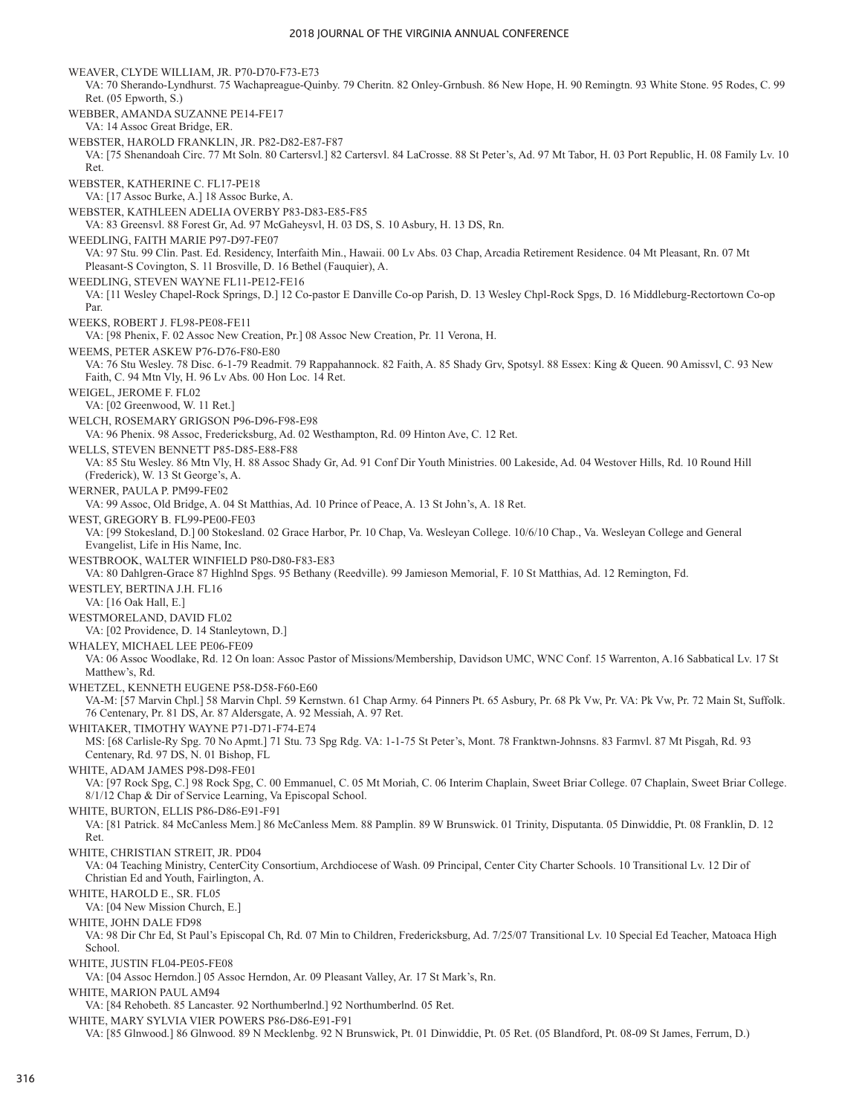WEAVER, CLYDE WILLIAM, JR. P70-D70-F73-E73 VA: 70 Sherando-Lyndhurst. 75 Wachapreague-Quinby. 79 Cheritn. 82 Onley-Grnbush. 86 New Hope, H. 90 Remingtn. 93 White Stone. 95 Rodes, C. 99 Ret. (05 Epworth, S.) WEBBER, AMANDA SUZANNE PE14-FE17 VA: 14 Assoc Great Bridge, ER. WEBSTER, HAROLD FRANKLIN, JR. P82-D82-E87-F87 VA: [75 Shenandoah Circ. 77 Mt Soln. 80 Cartersvl.] 82 Cartersvl. 84 LaCrosse. 88 St Peter's, Ad. 97 Mt Tabor, H. 03 Port Republic, H. 08 Family Lv. 10 Ret. WEBSTER, KATHERINE C. FL17-PE18 VA: [17 Assoc Burke, A.] 18 Assoc Burke, A. WEBSTER, KATHLEEN ADELIA OVERBY P83-D83-E85-F85 VA: 83 Greensvl. 88 Forest Gr, Ad. 97 McGaheysvl, H. 03 DS, S. 10 Asbury, H. 13 DS, Rn. WEEDLING, FAITH MARIE P97-D97-FE07 VA: 97 Stu. 99 Clin. Past. Ed. Residency, Interfaith Min., Hawaii. 00 Lv Abs. 03 Chap, Arcadia Retirement Residence. 04 Mt Pleasant, Rn. 07 Mt Pleasant-S Covington, S. 11 Brosville, D. 16 Bethel (Fauquier), A. WEEDLING, STEVEN WAYNE FL11-PE12-FE16 VA: [11 Wesley Chapel-Rock Springs, D.] 12 Co-pastor E Danville Co-op Parish, D. 13 Wesley Chpl-Rock Spgs, D. 16 Middleburg-Rectortown Co-op Par. WEEKS, ROBERT J. FL98-PE08-FE11 VA: [98 Phenix, F. 02 Assoc New Creation, Pr.] 08 Assoc New Creation, Pr. 11 Verona, H. WEEMS, PETER ASKEW P76-D76-F80-E80 VA: 76 Stu Wesley. 78 Disc. 6-1-79 Readmit. 79 Rappahannock. 82 Faith, A. 85 Shady Grv, Spotsyl. 88 Essex: King & Queen. 90 Amissvl, C. 93 New Faith, C. 94 Mtn Vly, H. 96 Lv Abs. 00 Hon Loc. 14 Ret. WEIGEL, JEROME F. FL02 VA: [02 Greenwood, W. 11 Ret.] WELCH, ROSEMARY GRIGSON P96-D96-F98-E98 VA: 96 Phenix. 98 Assoc, Fredericksburg, Ad. 02 Westhampton, Rd. 09 Hinton Ave, C. 12 Ret. WELLS, STEVEN BENNETT P85-D85-E88-F88 VA: 85 Stu Wesley. 86 Mtn Vly, H. 88 Assoc Shady Gr, Ad. 91 Conf Dir Youth Ministries. 00 Lakeside, Ad. 04 Westover Hills, Rd. 10 Round Hill (Frederick), W. 13 St George's, A. WERNER, PAULA P. PM99-FE02 VA: 99 Assoc, Old Bridge, A. 04 St Matthias, Ad. 10 Prince of Peace, A. 13 St John's, A. 18 Ret. WEST, GREGORY B. FL99-PE00-FE03 VA: [99 Stokesland, D.] 00 Stokesland. 02 Grace Harbor, Pr. 10 Chap, Va. Wesleyan College. 10/6/10 Chap., Va. Wesleyan College and General Evangelist, Life in His Name, Inc. WESTBROOK, WALTER WINFIELD P80-D80-F83-E83 VA: 80 Dahlgren-Grace 87 Highlnd Spgs. 95 Bethany (Reedville). 99 Jamieson Memorial, F. 10 St Matthias, Ad. 12 Remington, Fd. WESTLEY, BERTINA J.H. FL16 VA: [16 Oak Hall, E.] WESTMORELAND, DAVID FL02 VA: [02 Providence, D. 14 Stanleytown, D.] WHALEY, MICHAEL LEE PE06-FE09 VA: 06 Assoc Woodlake, Rd. 12 On loan: Assoc Pastor of Missions/Membership, Davidson UMC, WNC Conf. 15 Warrenton, A.16 Sabbatical Lv. 17 St Matthew's, Rd. WHETZEL, KENNETH EUGENE P58-D58-F60-E60 VA-M: [57 Marvin Chpl.] 58 Marvin Chpl. 59 Kernstwn. 61 Chap Army. 64 Pinners Pt. 65 Asbury, Pr. 68 Pk Vw, Pr. VA: Pk Vw, Pr. 72 Main St, Suffolk. 76 Centenary, Pr. 81 DS, Ar. 87 Aldersgate, A. 92 Messiah, A. 97 Ret. WHITAKER, TIMOTHY WAYNE P71-D71-F74-E74 MS: [68 Carlisle-Ry Spg. 70 No Apmt.] 71 Stu. 73 Spg Rdg. VA: 1-1-75 St Peter's, Mont. 78 Franktwn-Johnsns. 83 Farmvl. 87 Mt Pisgah, Rd. 93 Centenary, Rd. 97 DS, N. 01 Bishop, FL WHITE, ADAM JAMES P98-D98-FE01 VA: [97 Rock Spg, C.] 98 Rock Spg, C. 00 Emmanuel, C. 05 Mt Moriah, C. 06 Interim Chaplain, Sweet Briar College. 07 Chaplain, Sweet Briar College. 8/1/12 Chap & Dir of Service Learning, Va Episcopal School. WHITE, BURTON, ELLIS P86-D86-E91-F91 VA: [81 Patrick. 84 McCanless Mem.] 86 McCanless Mem. 88 Pamplin. 89 W Brunswick. 01 Trinity, Disputanta. 05 Dinwiddie, Pt. 08 Franklin, D. 12 Ret. WHITE, CHRISTIAN STREIT, JR. PD04 VA: 04 Teaching Ministry, CenterCity Consortium, Archdiocese of Wash. 09 Principal, Center City Charter Schools. 10 Transitional Lv. 12 Dir of Christian Ed and Youth, Fairlington, A. WHITE, HAROLD E., SR. FL05 VA: [04 New Mission Church, E.] WHITE, JOHN DALE FD98 VA: 98 Dir Chr Ed, St Paul's Episcopal Ch, Rd. 07 Min to Children, Fredericksburg, Ad. 7/25/07 Transitional Lv. 10 Special Ed Teacher, Matoaca High School. WHITE, JUSTIN FL04-PE05-FE08 VA: [04 Assoc Herndon.] 05 Assoc Herndon, Ar. 09 Pleasant Valley, Ar. 17 St Mark's, Rn. WHITE, MARION PAUL AM94 VA: [84 Rehobeth. 85 Lancaster. 92 Northumberlnd.] 92 Northumberlnd. 05 Ret. WHITE, MARY SYLVIA VIER POWERS P86-D86-E91-F91

VA: [85 Glnwood.] 86 Glnwood. 89 N Mecklenbg. 92 N Brunswick, Pt. 01 Dinwiddie, Pt. 05 Ret. (05 Blandford, Pt. 08-09 St James, Ferrum, D.)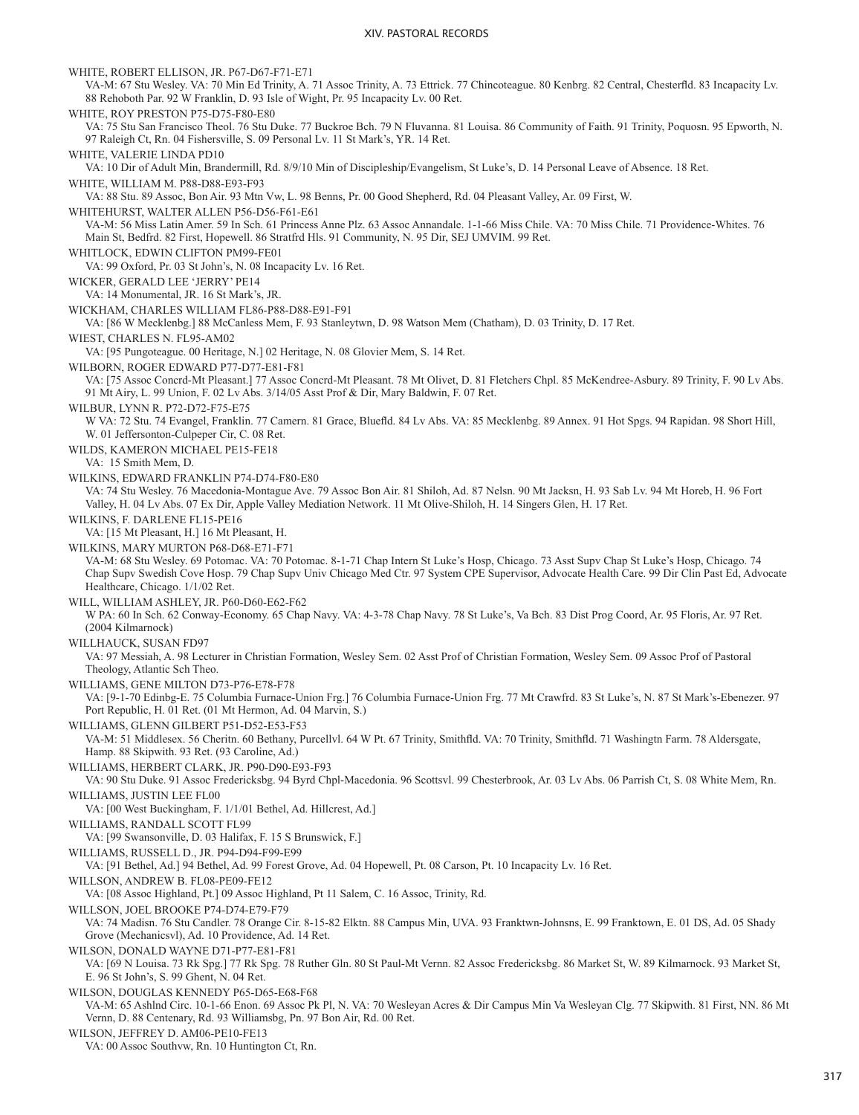WHITE, ROBERT ELLISON, JR. P67-D67-F71-E71 VA-M: 67 Stu Wesley. VA: 70 Min Ed Trinity, A. 71 Assoc Trinity, A. 73 Ettrick. 77 Chincoteague. 80 Kenbrg. 82 Central, Chesterfld. 83 Incapacity Lv. 88 Rehoboth Par. 92 W Franklin, D. 93 Isle of Wight, Pr. 95 Incapacity Lv. 00 Ret. WHITE, ROY PRESTON P75-D75-F80-E80 VA: 75 Stu San Francisco Theol. 76 Stu Duke. 77 Buckroe Bch. 79 N Fluvanna. 81 Louisa. 86 Community of Faith. 91 Trinity, Poquosn. 95 Epworth, N. 97 Raleigh Ct, Rn. 04 Fishersville, S. 09 Personal Lv. 11 St Mark's, YR. 14 Ret. WHITE, VALERIE LINDA PD10 VA: 10 Dir of Adult Min, Brandermill, Rd. 8/9/10 Min of Discipleship/Evangelism, St Luke's, D. 14 Personal Leave of Absence. 18 Ret. WHITE, WILLIAM M. P88-D88-E93-F93 VA: 88 Stu. 89 Assoc, Bon Air. 93 Mtn Vw, L. 98 Benns, Pr. 00 Good Shepherd, Rd. 04 Pleasant Valley, Ar. 09 First, W. WHITEHURST, WALTER ALLEN P56-D56-F61-E61 VA-M: 56 Miss Latin Amer. 59 In Sch. 61 Princess Anne Plz. 63 Assoc Annandale. 1-1-66 Miss Chile. VA: 70 Miss Chile. 71 Providence-Whites. 76 Main St, Bedfrd. 82 First, Hopewell. 86 Stratfrd Hls. 91 Community, N. 95 Dir, SEJ UMVIM. 99 Ret. WHITLOCK, EDWIN CLIFTON PM99-FE01 VA: 99 Oxford, Pr. 03 St John's, N. 08 Incapacity Lv. 16 Ret. WICKER, GERALD LEE 'JERRY' PE14 VA: 14 Monumental, JR. 16 St Mark's, JR. WICKHAM, CHARLES WILLIAM FL86-P88-D88-E91-F91 VA: [86 W Mecklenbg.] 88 McCanless Mem, F. 93 Stanleytwn, D. 98 Watson Mem (Chatham), D. 03 Trinity, D. 17 Ret. WIEST, CHARLES N. FL95-AM02 VA: [95 Pungoteague. 00 Heritage, N.] 02 Heritage, N. 08 Glovier Mem, S. 14 Ret. WILBORN, ROGER EDWARD P77-D77-E81-F81 VA: [75 Assoc Concrd-Mt Pleasant.] 77 Assoc Concrd-Mt Pleasant. 78 Mt Olivet, D. 81 Fletchers Chpl. 85 McKendree-Asbury. 89 Trinity, F. 90 Lv Abs. 91 Mt Airy, L. 99 Union, F. 02 Lv Abs. 3/14/05 Asst Prof & Dir, Mary Baldwin, F. 07 Ret. WILBUR, LYNN R. P72-D72-F75-E75 W VA: 72 Stu. 74 Evangel, Franklin. 77 Camern. 81 Grace, Bluefld. 84 Lv Abs. VA: 85 Mecklenbg. 89 Annex. 91 Hot Spgs. 94 Rapidan. 98 Short Hill, W. 01 Jeffersonton-Culpeper Cir, C. 08 Ret. WILDS, KAMERON MICHAEL PE15-FE18 VA: 15 Smith Mem, D. WILKINS, EDWARD FRANKLIN P74-D74-F80-E80 VA: 74 Stu Wesley. 76 Macedonia-Montague Ave. 79 Assoc Bon Air. 81 Shiloh, Ad. 87 Nelsn. 90 Mt Jacksn, H. 93 Sab Lv. 94 Mt Horeb, H. 96 Fort Valley, H. 04 Lv Abs. 07 Ex Dir, Apple Valley Mediation Network. 11 Mt Olive-Shiloh, H. 14 Singers Glen, H. 17 Ret. WILKINS, F. DARLENE FL15-PE16 VA: [15 Mt Pleasant, H.] 16 Mt Pleasant, H. WILKINS, MARY MURTON P68-D68-E71-F71 VA-M: 68 Stu Wesley. 69 Potomac. VA: 70 Potomac. 8-1-71 Chap Intern St Luke's Hosp, Chicago. 73 Asst Supv Chap St Luke's Hosp, Chicago. 74 Chap Supv Swedish Cove Hosp. 79 Chap Supv Univ Chicago Med Ctr. 97 System CPE Supervisor, Advocate Health Care. 99 Dir Clin Past Ed, Advocate Healthcare, Chicago. 1/1/02 Ret. WILL, WILLIAM ASHLEY, JR. P60-D60-E62-F62 W PA: 60 In Sch. 62 Conway-Economy. 65 Chap Navy. VA: 4-3-78 Chap Navy. 78 St Luke's, Va Bch. 83 Dist Prog Coord, Ar. 95 Floris, Ar. 97 Ret. (2004 Kilmarnock) WILLHAUCK, SUSAN FD97 VA: 97 Messiah, A. 98 Lecturer in Christian Formation, Wesley Sem. 02 Asst Prof of Christian Formation, Wesley Sem. 09 Assoc Prof of Pastoral Theology, Atlantic Sch Theo. WILLIAMS, GENE MILTON D73-P76-E78-F78 VA: [9-1-70 Edinbg-E. 75 Columbia Furnace-Union Frg.] 76 Columbia Furnace-Union Frg. 77 Mt Crawfrd. 83 St Luke's, N. 87 St Mark's-Ebenezer. 97 Port Republic, H. 01 Ret. (01 Mt Hermon, Ad. 04 Marvin, S.) WILLIAMS, GLENN GILBERT P51-D52-E53-F53 VA-M: 51 Middlesex. 56 Cheritn. 60 Bethany, Purcellvl. 64 W Pt. 67 Trinity, Smithfld. VA: 70 Trinity, Smithfld. 71 Washingtn Farm. 78 Aldersgate, Hamp. 88 Skipwith. 93 Ret. (93 Caroline, Ad.) WILLIAMS, HERBERT CLARK, JR. P90-D90-E93-F93 VA: 90 Stu Duke. 91 Assoc Fredericksbg. 94 Byrd Chpl-Macedonia. 96 Scottsvl. 99 Chesterbrook, Ar. 03 Lv Abs. 06 Parrish Ct, S. 08 White Mem, Rn. WILLIAMS, JUSTIN LEE FL00 VA: [00 West Buckingham, F. 1/1/01 Bethel, Ad. Hillcrest, Ad.] WILLIAMS, RANDALL SCOTT FL99 VA: [99 Swansonville, D. 03 Halifax, F. 15 S Brunswick, F.] WILLIAMS, RUSSELL D., JR. P94-D94-F99-E99 VA: [91 Bethel, Ad.] 94 Bethel, Ad. 99 Forest Grove, Ad. 04 Hopewell, Pt. 08 Carson, Pt. 10 Incapacity Lv. 16 Ret. WILLSON, ANDREW B. FL08-PE09-FE12 VA: [08 Assoc Highland, Pt.] 09 Assoc Highland, Pt 11 Salem, C. 16 Assoc, Trinity, Rd. WILLSON, JOEL BROOKE P74-D74-E79-F79 VA: 74 Madisn. 76 Stu Candler. 78 Orange Cir. 8-15-82 Elktn. 88 Campus Min, UVA. 93 Franktwn-Johnsns, E. 99 Franktown, E. 01 DS, Ad. 05 Shady Grove (Mechanicsvl), Ad. 10 Providence, Ad. 14 Ret. WILSON, DONALD WAYNE D71-P77-E81-F81 VA: [69 N Louisa. 73 Rk Spg.] 77 Rk Spg. 78 Ruther Gln. 80 St Paul-Mt Vernn. 82 Assoc Fredericksbg. 86 Market St, W. 89 Kilmarnock. 93 Market St, E. 96 St John's, S. 99 Ghent, N. 04 Ret. WILSON, DOUGLAS KENNEDY P65-D65-E68-F68 VA-M: 65 Ashlnd Circ. 10-1-66 Enon. 69 Assoc Pk Pl, N. VA: 70 Wesleyan Acres & Dir Campus Min Va Wesleyan Clg. 77 Skipwith. 81 First, NN. 86 Mt Vernn, D. 88 Centenary, Rd. 93 Williamsbg, Pn. 97 Bon Air, Rd. 00 Ret. WILSON, JEFFREY D. AM06-PE10-FE13

VA: 00 Assoc Southvw, Rn. 10 Huntington Ct, Rn.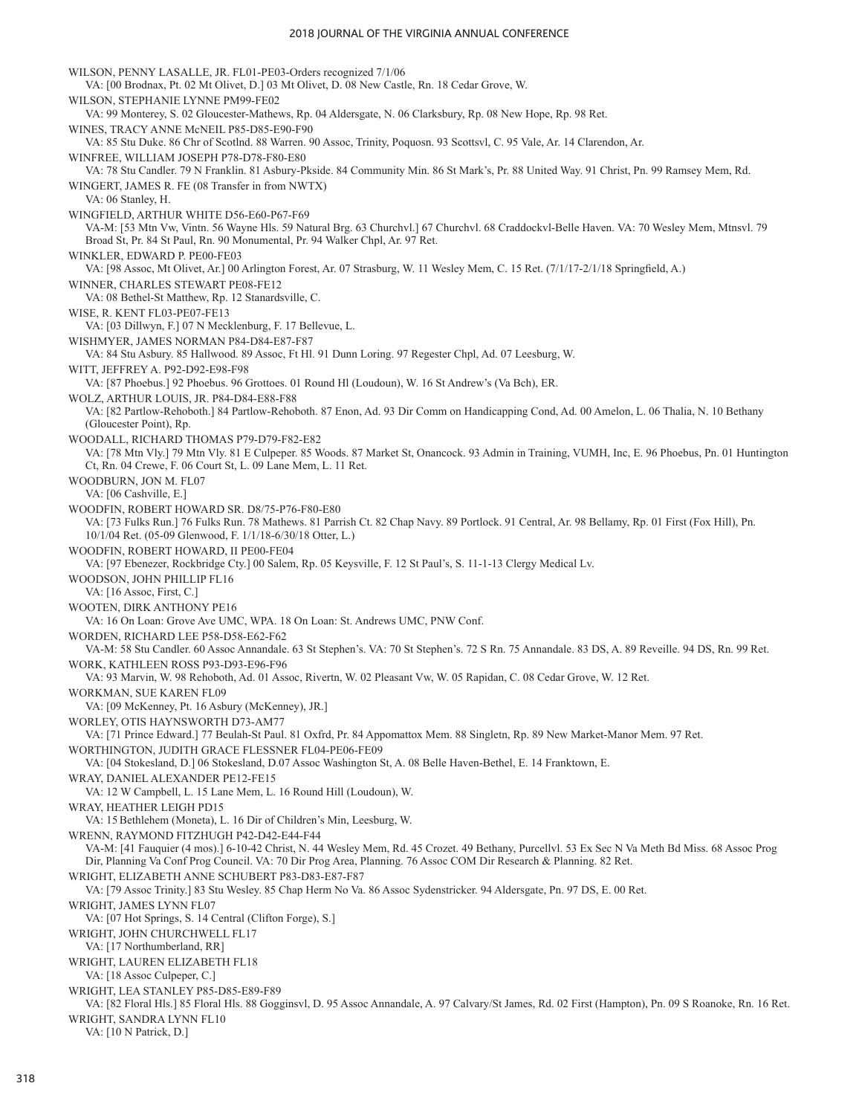#### 2018 JOURNAL OF THE VIRGINIA ANNUAL CONFERENCE

WILSON, PENNY LASALLE, JR. FL01-PE03-Orders recognized 7/1/06 VA: [00 Brodnax, Pt. 02 Mt Olivet, D.] 03 Mt Olivet, D. 08 New Castle, Rn. 18 Cedar Grove, W. WILSON, STEPHANIE LYNNE PM99-FE02 VA: 99 Monterey, S. 02 Gloucester-Mathews, Rp. 04 Aldersgate, N. 06 Clarksbury, Rp. 08 New Hope, Rp. 98 Ret. WINES, TRACY ANNE McNEIL P85-D85-E90-F90 VA: 85 Stu Duke. 86 Chr of Scotlnd. 88 Warren. 90 Assoc, Trinity, Poquosn. 93 Scottsvl, C. 95 Vale, Ar. 14 Clarendon, Ar. WINFREE, WILLIAM JOSEPH P78-D78-F80-E80 VA: 78 Stu Candler. 79 N Franklin. 81 Asbury-Pkside. 84 Community Min. 86 St Mark's, Pr. 88 United Way. 91 Christ, Pn. 99 Ramsey Mem, Rd. WINGERT, JAMES R. FE (08 Transfer in from NWTX) VA: 06 Stanley, H. WINGFIELD, ARTHUR WHITE D56-E60-P67-F69 VA-M: [53 Mtn Vw, Vintn. 56 Wayne Hls. 59 Natural Brg. 63 Churchvl.] 67 Churchvl. 68 Craddockvl-Belle Haven. VA: 70 Wesley Mem, Mtnsvl. 79 Broad St, Pr. 84 St Paul, Rn. 90 Monumental, Pr. 94 Walker Chpl, Ar. 97 Ret. WINKLER, EDWARD P. PE00-FE03 VA: [98 Assoc, Mt Olivet, Ar.] 00 Arlington Forest, Ar. 07 Strasburg, W. 11 Wesley Mem, C. 15 Ret. (7/1/17-2/1/18 Springfield, A.) WINNER, CHARLES STEWART PE08-FE12 VA: 08 Bethel-St Matthew, Rp. 12 Stanardsville, C. WISE, R. KENT FL03-PE07-FE13 VA: [03 Dillwyn, F.] 07 N Mecklenburg, F. 17 Bellevue, L. WISHMYER, JAMES NORMAN P84-D84-E87-F87 VA: 84 Stu Asbury. 85 Hallwood. 89 Assoc, Ft Hl. 91 Dunn Loring. 97 Regester Chpl, Ad. 07 Leesburg, W. WITT, JEFFREY A. P92-D92-E98-F98 VA: [87 Phoebus.] 92 Phoebus. 96 Grottoes. 01 Round Hl (Loudoun), W. 16 St Andrew's (Va Bch), ER. WOLZ, ARTHUR LOUIS, JR. P84-D84-E88-F88 VA: [82 Partlow-Rehoboth.] 84 Partlow-Rehoboth. 87 Enon, Ad. 93 Dir Comm on Handicapping Cond, Ad. 00 Amelon, L. 06 Thalia, N. 10 Bethany (Gloucester Point), Rp. WOODALL, RICHARD THOMAS P79-D79-F82-E82 VA: [78 Mtn Vly.] 79 Mtn Vly. 81 E Culpeper. 85 Woods. 87 Market St, Onancock. 93 Admin in Training, VUMH, Inc, E. 96 Phoebus, Pn. 01 Huntington Ct, Rn. 04 Crewe, F. 06 Court St, L. 09 Lane Mem, L. 11 Ret. WOODBURN, JON M. FL07 VA: [06 Cashville, E.] WOODFIN, ROBERT HOWARD SR. D8/75-P76-F80-E80 VA: [73 Fulks Run.] 76 Fulks Run. 78 Mathews. 81 Parrish Ct. 82 Chap Navy. 89 Portlock. 91 Central, Ar. 98 Bellamy, Rp. 01 First (Fox Hill), Pn. 10/1/04 Ret. (05-09 Glenwood, F. 1/1/18-6/30/18 Otter, L.) WOODFIN, ROBERT HOWARD, II PE00-FE04 VA: [97 Ebenezer, Rockbridge Cty.] 00 Salem, Rp. 05 Keysville, F. 12 St Paul's, S. 11-1-13 Clergy Medical Lv. WOODSON, JOHN PHILLIP FL16 VA: [16 Assoc, First, C.] WOOTEN, DIRK ANTHONY PE16 VA: 16 On Loan: Grove Ave UMC, WPA. 18 On Loan: St. Andrews UMC, PNW Conf. WORDEN, RICHARD LEE P58-D58-E62-F62 VA-M: 58 Stu Candler. 60 Assoc Annandale. 63 St Stephen's. VA: 70 St Stephen's. 72 S Rn. 75 Annandale. 83 DS, A. 89 Reveille. 94 DS, Rn. 99 Ret. WORK, KATHLEEN ROSS P93-D93-E96-F96 VA: 93 Marvin, W. 98 Rehoboth, Ad. 01 Assoc, Rivertn, W. 02 Pleasant Vw, W. 05 Rapidan, C. 08 Cedar Grove, W. 12 Ret. WORKMAN, SUE KAREN FL09 VA: [09 McKenney, Pt. 16 Asbury (McKenney), JR.] WORLEY, OTIS HAYNSWORTH D73-AM77 VA: [71 Prince Edward.] 77 Beulah-St Paul. 81 Oxfrd, Pr. 84 Appomattox Mem. 88 Singletn, Rp. 89 New Market-Manor Mem. 97 Ret. WORTHINGTON, JUDITH GRACE FLESSNER FL04-PE06-FE09 VA: [04 Stokesland, D.] 06 Stokesland, D.07 Assoc Washington St, A. 08 Belle Haven-Bethel, E. 14 Franktown, E. WRAY, DANIEL ALEXANDER PE12-FE15 VA: 12 W Campbell, L. 15 Lane Mem, L. 16 Round Hill (Loudoun), W. WRAY, HEATHER LEIGH PD15 VA: 15Bethlehem (Moneta), L. 16 Dir of Children's Min, Leesburg, W. WRENN, RAYMOND FITZHUGH P42-D42-E44-F44 VA-M: [41 Fauquier (4 mos).] 6-10-42 Christ, N. 44 Wesley Mem, Rd. 45 Crozet. 49 Bethany, Purcellvl. 53 Ex Sec N Va Meth Bd Miss. 68 Assoc Prog Dir, Planning Va Conf Prog Council. VA: 70 Dir Prog Area, Planning. 76 Assoc COM Dir Research & Planning. 82 Ret. WRIGHT, ELIZABETH ANNE SCHUBERT P83-D83-E87-F87 VA: [79 Assoc Trinity.] 83 Stu Wesley. 85 Chap Herm No Va. 86 Assoc Sydenstricker. 94 Aldersgate, Pn. 97 DS, E. 00 Ret. WRIGHT, JAMES LYNN FL07 VA: [07 Hot Springs, S. 14 Central (Clifton Forge), S.] WRIGHT, JOHN CHURCHWELL FL17 VA: [17 Northumberland, RR] WRIGHT, LAUREN ELIZABETH FL18 VA: [18 Assoc Culpeper, C.] WRIGHT, LEA STANLEY P85-D85-E89-F89 VA: [82 Floral Hls.] 85 Floral Hls. 88 Gogginsvl, D. 95 Assoc Annandale, A. 97 Calvary/St James, Rd. 02 First (Hampton), Pn. 09 S Roanoke, Rn. 16 Ret. WRIGHT, SANDRA LYNN FL10 VA: [10 N Patrick, D.]